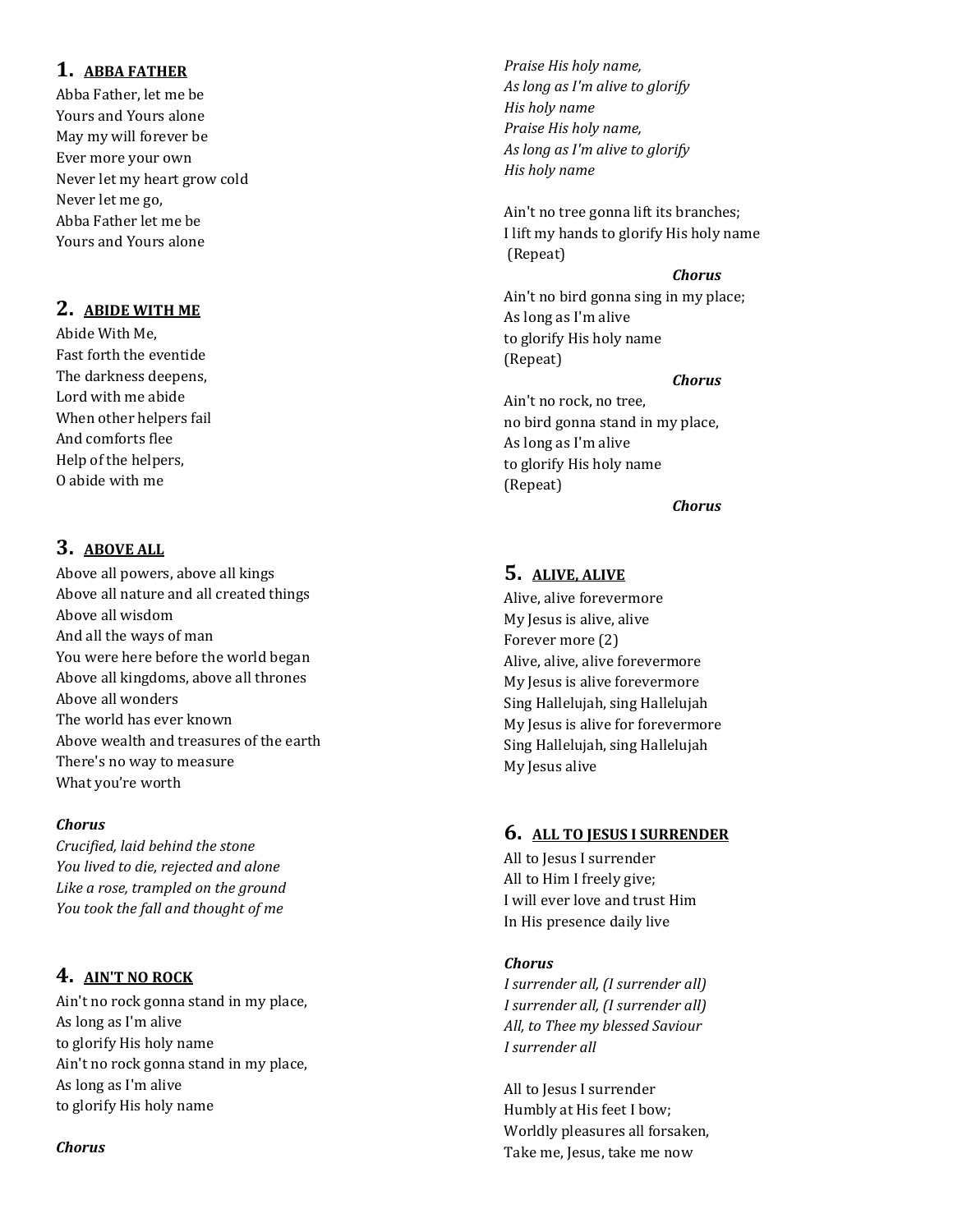# **1. ABBA FATHER**

Abba Father, let me be Yours and Yours alone May my will forever be Ever more your own Never let my heart grow cold Never let me go, Abba Father let me be Yours and Yours alone

### **2. ABIDE WITH ME**

Abide With Me, Fast forth the eventide The darkness deepens, Lord with me abide When other helpers fail And comforts flee Help of the helpers, O abide with me

### **3. ABOVE ALL**

Above all powers, above all kings Above all nature and all created things Above all wisdom And all the ways of man You were here before the world began Above all kingdoms, above all thrones Above all wonders The world has ever known Above wealth and treasures of the earth There's no way to measure What you're worth

#### *Chorus*

*Crucified, laid behind the stone You lived to die, rejected and alone Like a rose, trampled on the ground You took the fall and thought of me*

### **4. AIN'T NO ROCK**

Ain't no rock gonna stand in my place, As long as I'm alive to glorify His holy name Ain't no rock gonna stand in my place, As long as I'm alive to glorify His holy name

#### *Chorus*

*Praise His holy name, As long as I'm alive to glorify His holy name Praise His holy name, As long as I'm alive to glorify His holy name*

Ain't no tree gonna lift its branches; I lift my hands to glorify His holy name (Repeat)

#### *Chorus*

Ain't no bird gonna sing in my place; As long as I'm alive to glorify His holy name (Repeat)

#### *Chorus*

Ain't no rock, no tree, no bird gonna stand in my place, As long as I'm alive to glorify His holy name (Repeat)

*Chorus*

### **5. ALIVE, ALIVE**

Alive, alive forevermore My Jesus is alive, alive Forever more (2) Alive, alive, alive forevermore My Jesus is alive forevermore Sing Hallelujah, sing Hallelujah My Jesus is alive for forevermore Sing Hallelujah, sing Hallelujah My Jesus alive

### **6. ALL TO JESUS I SURRENDER**

All to Jesus I surrender All to Him I freely give; I will ever love and trust Him In His presence daily live

#### *Chorus*

*I surrender all, (I surrender all) I surrender all, (I surrender all) All, to Thee my blessed Saviour I surrender all*

All to Jesus I surrender Humbly at His feet I bow; Worldly pleasures all forsaken, Take me, Jesus, take me now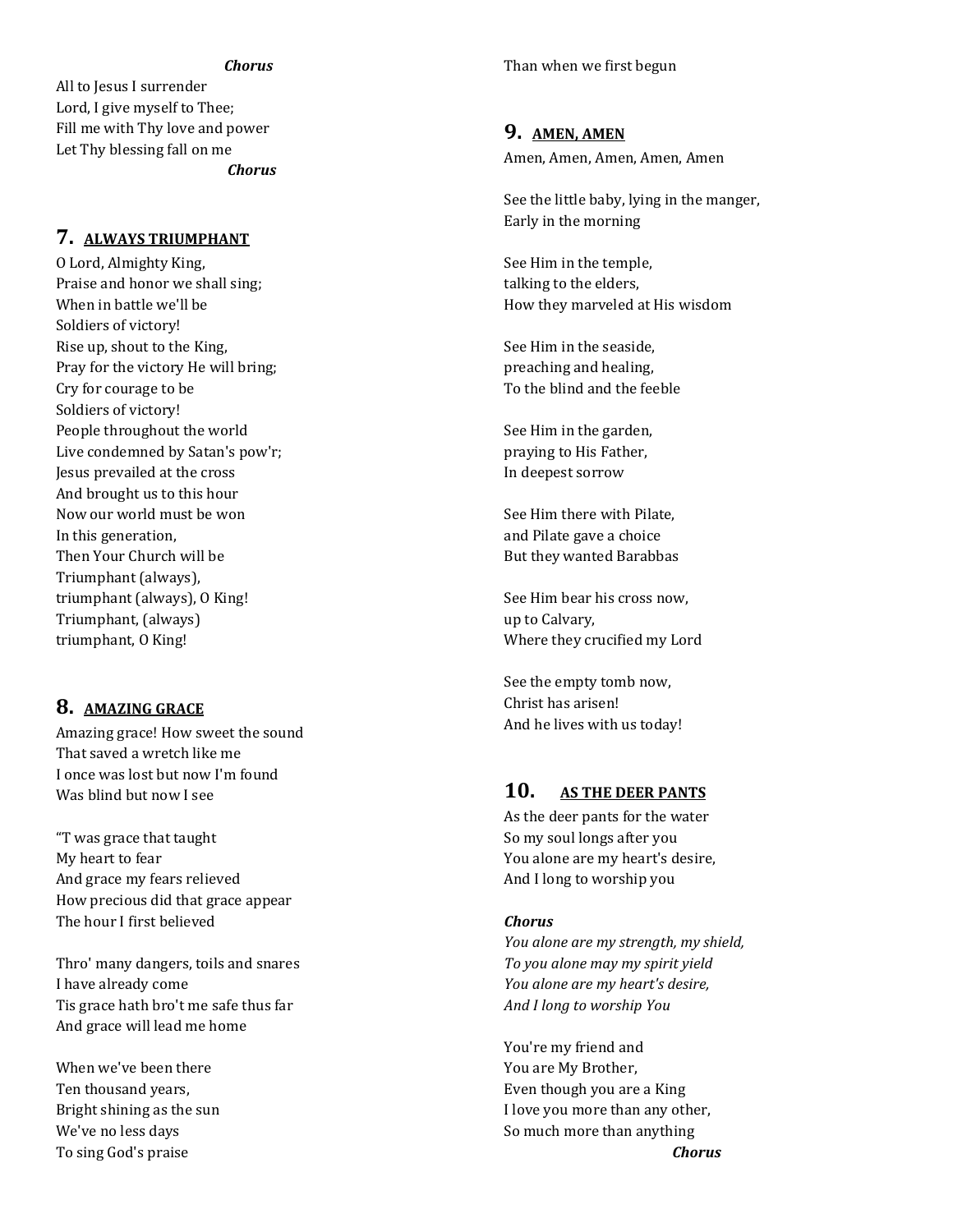#### *Chorus*

All to Jesus I surrender Lord, I give myself to Thee; Fill me with Thy love and power Let Thy blessing fall on me *Chorus*

### **7. ALWAYS TRIUMPHANT**

O Lord, Almighty King, Praise and honor we shall sing; When in battle we'll be Soldiers of victory! Rise up, shout to the King, Pray for the victory He will bring; Cry for courage to be Soldiers of victory! People throughout the world Live condemned by Satan's pow'r; Jesus prevailed at the cross And brought us to this hour Now our world must be won In this generation, Then Your Church will be Triumphant (always), triumphant (always), O King! Triumphant, (always) triumphant, O King!

### **8. AMAZING GRACE**

Amazing grace! How sweet the sound That saved a wretch like me I once was lost but now I'm found Was blind but now I see

"T was grace that taught My heart to fear And grace my fears relieved How precious did that grace appear The hour I first believed

Thro' many dangers, toils and snares I have already come Tis grace hath bro't me safe thus far And grace will lead me home

When we've been there Ten thousand years, Bright shining as the sun We've no less days To sing God's praise

#### Than when we first begun

**9. AMEN, AMEN** Amen, Amen, Amen, Amen, Amen

See the little baby, lying in the manger, Early in the morning

See Him in the temple, talking to the elders, How they marveled at His wisdom

See Him in the seaside, preaching and healing, To the blind and the feeble

See Him in the garden, praying to His Father, In deepest sorrow

See Him there with Pilate, and Pilate gave a choice But they wanted Barabbas

See Him bear his cross now, up to Calvary, Where they crucified my Lord

See the empty tomb now, Christ has arisen! And he lives with us today!

# **10. AS THE DEER PANTS**

As the deer pants for the water So my soul longs after you You alone are my heart's desire, And I long to worship you

### *Chorus*

*You alone are my strength, my shield, To you alone may my spirit yield You alone are my heart's desire, And I long to worship You*

You're my friend and You are My Brother, Even though you are a King I love you more than any other, So much more than anything *Chorus*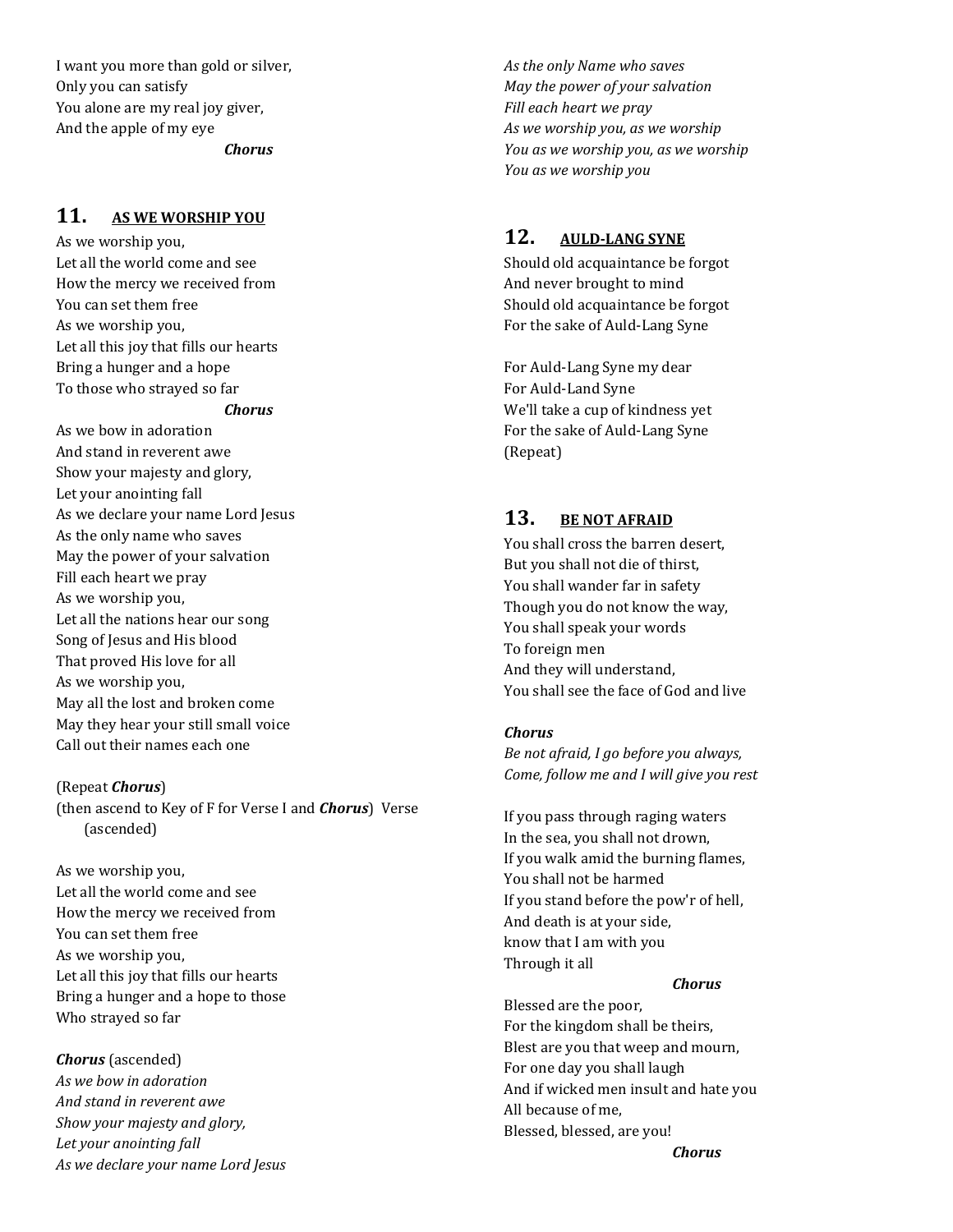I want you more than gold or silver, Only you can satisfy You alone are my real joy giver, And the apple of my eye *Chorus*

# **11. AS WE WORSHIP YOU**

As we worship you, Let all the world come and see How the mercy we received from You can set them free As we worship you, Let all this joy that fills our hearts Bring a hunger and a hope To those who strayed so far

*Chorus*

As we bow in adoration And stand in reverent awe Show your majesty and glory, Let your anointing fall As we declare your name Lord Jesus As the only name who saves May the power of your salvation Fill each heart we pray As we worship you, Let all the nations hear our song Song of Jesus and His blood That proved His love for all As we worship you, May all the lost and broken come May they hear your still small voice Call out their names each one

### (Repeat *Chorus*)

(then ascend to Key of F for Verse I and *Chorus*) Verse (ascended)

As we worship you, Let all the world come and see How the mercy we received from You can set them free As we worship you, Let all this joy that fills our hearts Bring a hunger and a hope to those Who strayed so far

*Chorus* (ascended) *As we bow in adoration And stand in reverent awe Show your majesty and glory, Let your anointing fall As we declare your name Lord Jesus* 

*As the only Name who saves May the power of your salvation Fill each heart we pray As we worship you, as we worship You as we worship you, as we worship You as we worship you*

# **12. AULD-LANG SYNE**

Should old acquaintance be forgot And never brought to mind Should old acquaintance be forgot For the sake of Auld-Lang Syne

For Auld-Lang Syne my dear For Auld-Land Syne We'll take a cup of kindness yet For the sake of Auld-Lang Syne (Repeat)

# **13. BE NOT AFRAID**

You shall cross the barren desert, But you shall not die of thirst, You shall wander far in safety Though you do not know the way, You shall speak your words To foreign men And they will understand, You shall see the face of God and live

### *Chorus*

*Be not afraid, I go before you always, Come, follow me and I will give you rest*

If you pass through raging waters In the sea, you shall not drown, If you walk amid the burning flames, You shall not be harmed If you stand before the pow'r of hell, And death is at your side, know that I am with you Through it all

#### *Chorus*

Blessed are the poor, For the kingdom shall be theirs, Blest are you that weep and mourn, For one day you shall laugh And if wicked men insult and hate you All because of me, Blessed, blessed, are you! *Chorus*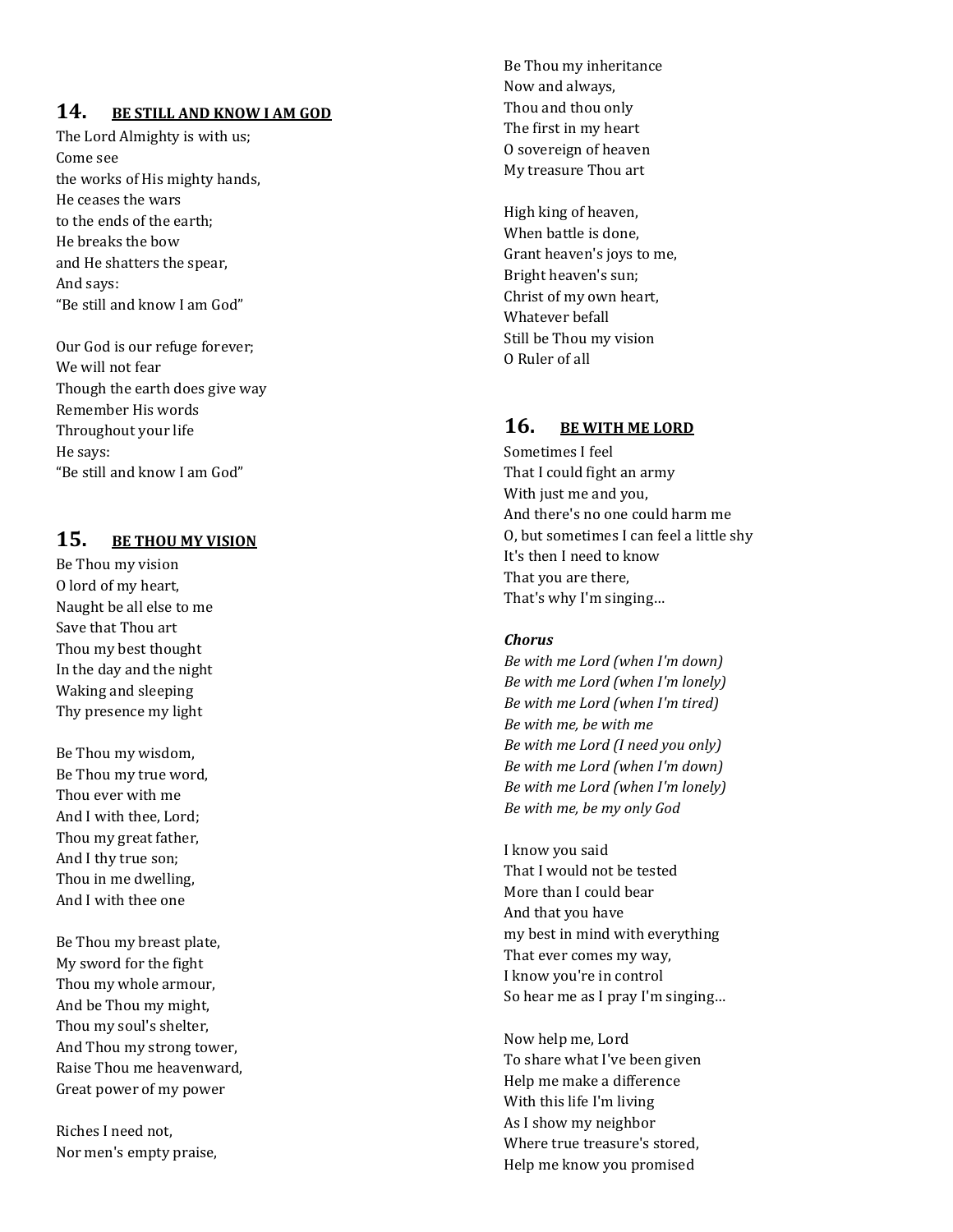### **14. BE STILL AND KNOW I AM GOD**

The Lord Almighty is with us; Come see the works of His mighty hands, He ceases the wars to the ends of the earth; He breaks the bow and He shatters the spear, And says: "Be still and know I am God"

Our God is our refuge forever; We will not fear Though the earth does give way Remember His words Throughout your life He says: "Be still and know I am God"

# **15. BE THOU MY VISION**

Be Thou my vision O lord of my heart, Naught be all else to me Save that Thou art Thou my best thought In the day and the night Waking and sleeping Thy presence my light

Be Thou my wisdom, Be Thou my true word, Thou ever with me And I with thee, Lord; Thou my great father, And I thy true son; Thou in me dwelling, And I with thee one

Be Thou my breast plate, My sword for the fight Thou my whole armour, And be Thou my might, Thou my soul's shelter, And Thou my strong tower, Raise Thou me heavenward, Great power of my power

Riches I need not, Nor men's empty praise,

Be Thou my inheritance Now and always, Thou and thou only The first in my heart O sovereign of heaven My treasure Thou art

High king of heaven, When battle is done, Grant heaven's joys to me, Bright heaven's sun; Christ of my own heart, Whatever befall Still be Thou my vision O Ruler of all

### **16. BE WITH ME LORD**

Sometimes I feel That I could fight an army With just me and you, And there's no one could harm me O, but sometimes I can feel a little shy It's then I need to know That you are there, That's why I'm singing…

### *Chorus*

*Be with me Lord (when I'm down) Be with me Lord (when I'm lonely) Be with me Lord (when I'm tired) Be with me, be with me Be with me Lord (I need you only) Be with me Lord (when I'm down) Be with me Lord (when I'm lonely) Be with me, be my only God*

I know you said That I would not be tested More than I could bear And that you have my best in mind with everything That ever comes my way, I know you're in control So hear me as I pray I'm singing…

Now help me, Lord To share what I've been given Help me make a difference With this life I'm living As I show my neighbor Where true treasure's stored, Help me know you promised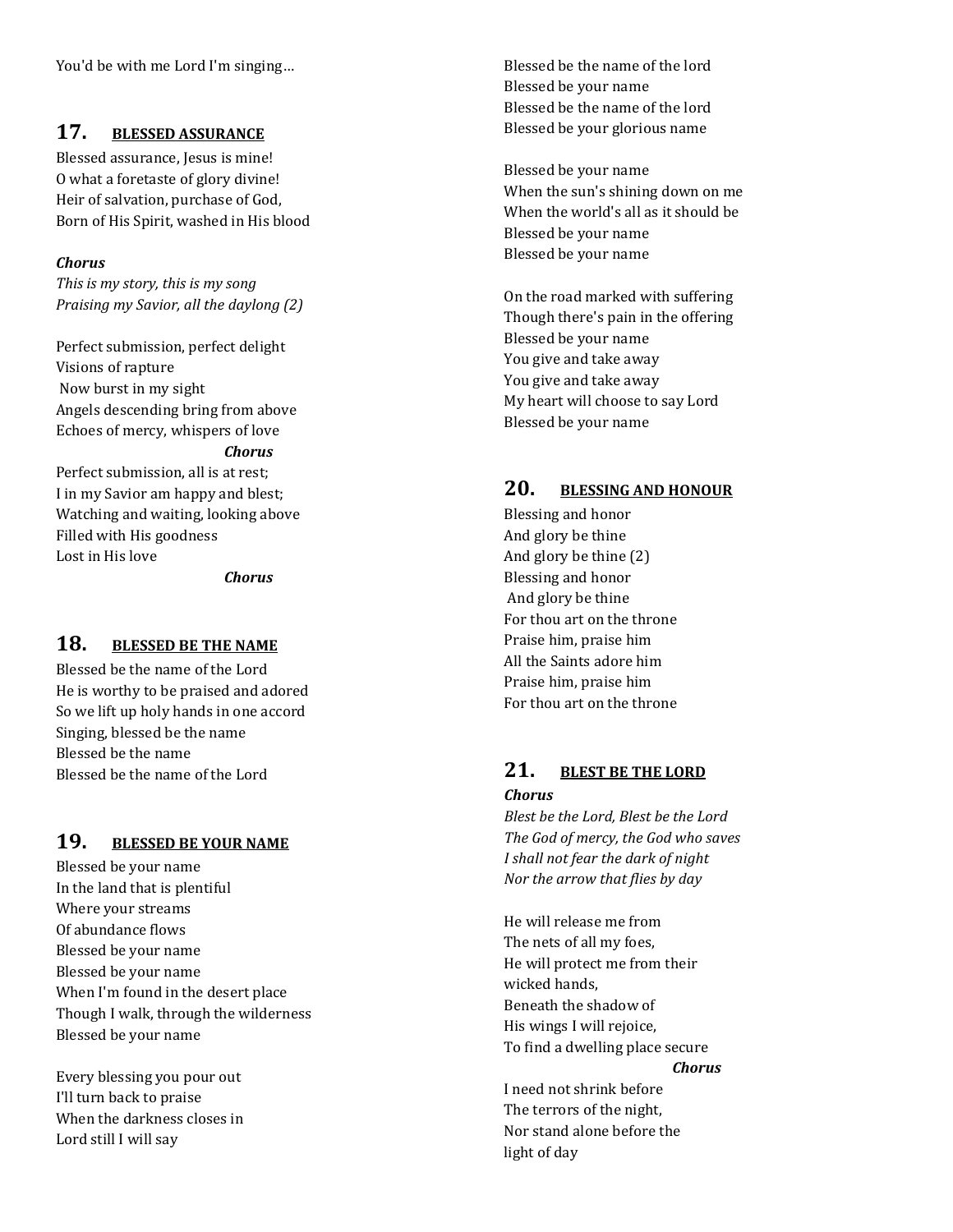You'd be with me Lord I'm singing…

# **17. BLESSED ASSURANCE**

Blessed assurance, Jesus is mine! O what a foretaste of glory divine! Heir of salvation, purchase of God, Born of His Spirit, washed in His blood

### *Chorus*

*This is my story, this is my song Praising my Savior, all the daylong (2)*

Perfect submission, perfect delight Visions of rapture Now burst in my sight Angels descending bring from above Echoes of mercy, whispers of love *Chorus*

Perfect submission, all is at rest; I in my Savior am happy and blest; Watching and waiting, looking above Filled with His goodness Lost in His love

*Chorus*

# **18. BLESSED BE THE NAME**

Blessed be the name of the Lord He is worthy to be praised and adored So we lift up holy hands in one accord Singing, blessed be the name Blessed be the name Blessed be the name of the Lord

# **19. BLESSED BE YOUR NAME**

Blessed be your name In the land that is plentiful Where your streams Of abundance flows Blessed be your name Blessed be your name When I'm found in the desert place Though I walk, through the wilderness Blessed be your name

Every blessing you pour out I'll turn back to praise When the darkness closes in Lord still I will say

Blessed be the name of the lord Blessed be your name Blessed be the name of the lord Blessed be your glorious name

Blessed be your name When the sun's shining down on me When the world's all as it should be Blessed be your name Blessed be your name

On the road marked with suffering Though there's pain in the offering Blessed be your name You give and take away You give and take away My heart will choose to say Lord Blessed be your name

### **20. BLESSING AND HONOUR**

Blessing and honor And glory be thine And glory be thine (2) Blessing and honor And glory be thine For thou art on the throne Praise him, praise him All the Saints adore him Praise him, praise him For thou art on the throne

### **21. BLEST BE THE LORD**  *Chorus*

*Blest be the Lord, Blest be the Lord The God of mercy, the God who saves I shall not fear the dark of night Nor the arrow that flies by day*

He will release me from The nets of all my foes, He will protect me from their wicked hands, Beneath the shadow of His wings I will rejoice, To find a dwelling place secure

*Chorus*

I need not shrink before The terrors of the night, Nor stand alone before the light of day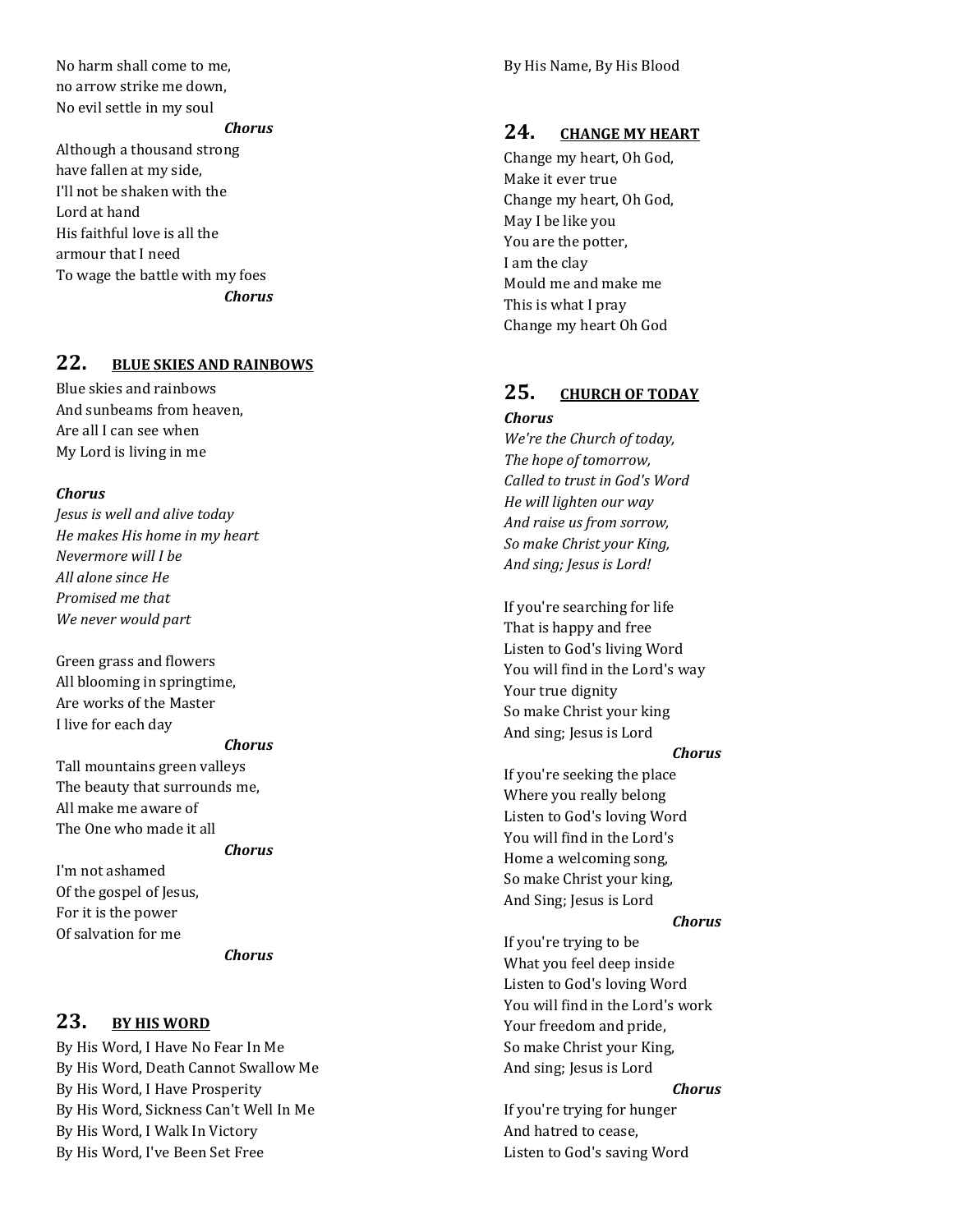No harm shall come to me, no arrow strike me down, No evil settle in my soul

*Chorus*

Although a thousand strong have fallen at my side, I'll not be shaken with the Lord at hand His faithful love is all the armour that I need To wage the battle with my foes *Chorus*

# **22. BLUE SKIES AND RAINBOWS**

Blue skies and rainbows And sunbeams from heaven, Are all I can see when My Lord is living in me

#### *Chorus*

*Jesus is well and alive today He makes His home in my heart Nevermore will I be All alone since He Promised me that We never would part*

Green grass and flowers All blooming in springtime, Are works of the Master I live for each day

*Chorus*

Tall mountains green valleys The beauty that surrounds me, All make me aware of The One who made it all

#### *Chorus*

I'm not ashamed Of the gospel of Jesus, For it is the power Of salvation for me

*Chorus*

### **23. BY HIS WORD**

By His Word, I Have No Fear In Me By His Word, Death Cannot Swallow Me By His Word, I Have Prosperity By His Word, Sickness Can't Well In Me By His Word, I Walk In Victory By His Word, I've Been Set Free

### **24. CHANGE MY HEART**

Change my heart, Oh God, Make it ever true Change my heart, Oh God, May I be like you You are the potter, I am the clay Mould me and make me This is what I pray Change my heart Oh God

# **25. CHURCH OF TODAY** *Chorus*

*We're the Church of today, The hope of tomorrow, Called to trust in God's Word He will lighten our way And raise us from sorrow, So make Christ your King, And sing; Jesus is Lord!*

If you're searching for life That is happy and free Listen to God's living Word You will find in the Lord's way Your true dignity So make Christ your king And sing; Jesus is Lord

#### *Chorus*

If you're seeking the place Where you really belong Listen to God's loving Word You will find in the Lord's Home a welcoming song, So make Christ your king, And Sing; Jesus is Lord

#### *Chorus*

If you're trying to be What you feel deep inside Listen to God's loving Word You will find in the Lord's work Your freedom and pride, So make Christ your King, And sing; Jesus is Lord

#### *Chorus*

If you're trying for hunger And hatred to cease, Listen to God's saving Word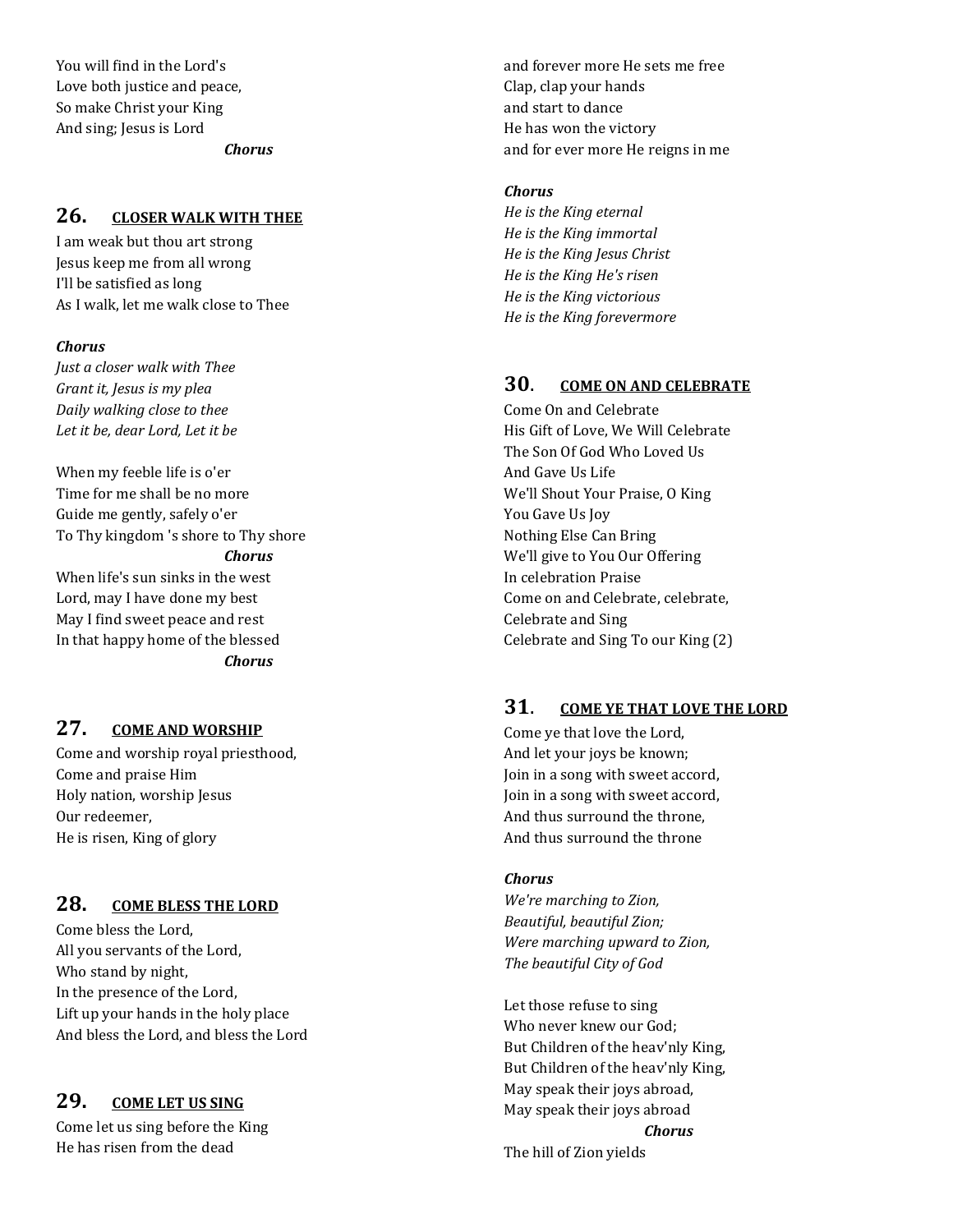You will find in the Lord's Love both justice and peace, So make Christ your King And sing; Jesus is Lord

*Chorus*

# **26. CLOSER WALK WITH THEE**

I am weak but thou art strong Jesus keep me from all wrong I'll be satisfied as long As I walk, let me walk close to Thee

#### *Chorus*

*Just a closer walk with Thee Grant it, Jesus is my plea Daily walking close to thee Let it be, dear Lord, Let it be*

When my feeble life is o'er Time for me shall be no more Guide me gently, safely o'er To Thy kingdom 's shore to Thy shore

#### *Chorus*

When life's sun sinks in the west Lord, may I have done my best May I find sweet peace and rest In that happy home of the blessed *Chorus*

# **27. COME AND WORSHIP**

Come and worship royal priesthood, Come and praise Him Holy nation, worship Jesus Our redeemer, He is risen, King of glory

### **28. COME BLESS THE LORD**

Come bless the Lord, All you servants of the Lord, Who stand by night, In the presence of the Lord, Lift up your hands in the holy place And bless the Lord, and bless the Lord

# **29. COME LET US SING**

Come let us sing before the King He has risen from the dead

and forever more He sets me free Clap, clap your hands and start to dance He has won the victory and for ever more He reigns in me

#### *Chorus*

*He is the King eternal He is the King immortal He is the King Jesus Christ He is the King He's risen He is the King victorious He is the King forevermore*

### **30**. **COME ON AND CELEBRATE**

Come On and Celebrate His Gift of Love, We Will Celebrate The Son Of God Who Loved Us And Gave Us Life We'll Shout Your Praise, O King You Gave Us Joy Nothing Else Can Bring We'll give to You Our Offering In celebration Praise Come on and Celebrate, celebrate, Celebrate and Sing Celebrate and Sing To our King (2)

### **31**. **COME YE THAT LOVE THE LORD**

Come ye that love the Lord, And let your joys be known; Join in a song with sweet accord, Join in a song with sweet accord, And thus surround the throne, And thus surround the throne

#### *Chorus*

*We're marching to Zion, Beautiful, beautiful Zion; Were marching upward to Zion, The beautiful City of God*

Let those refuse to sing Who never knew our God; But Children of the heav'nly King, But Children of the heav'nly King, May speak their joys abroad, May speak their joys abroad *Chorus* The hill of Zion yields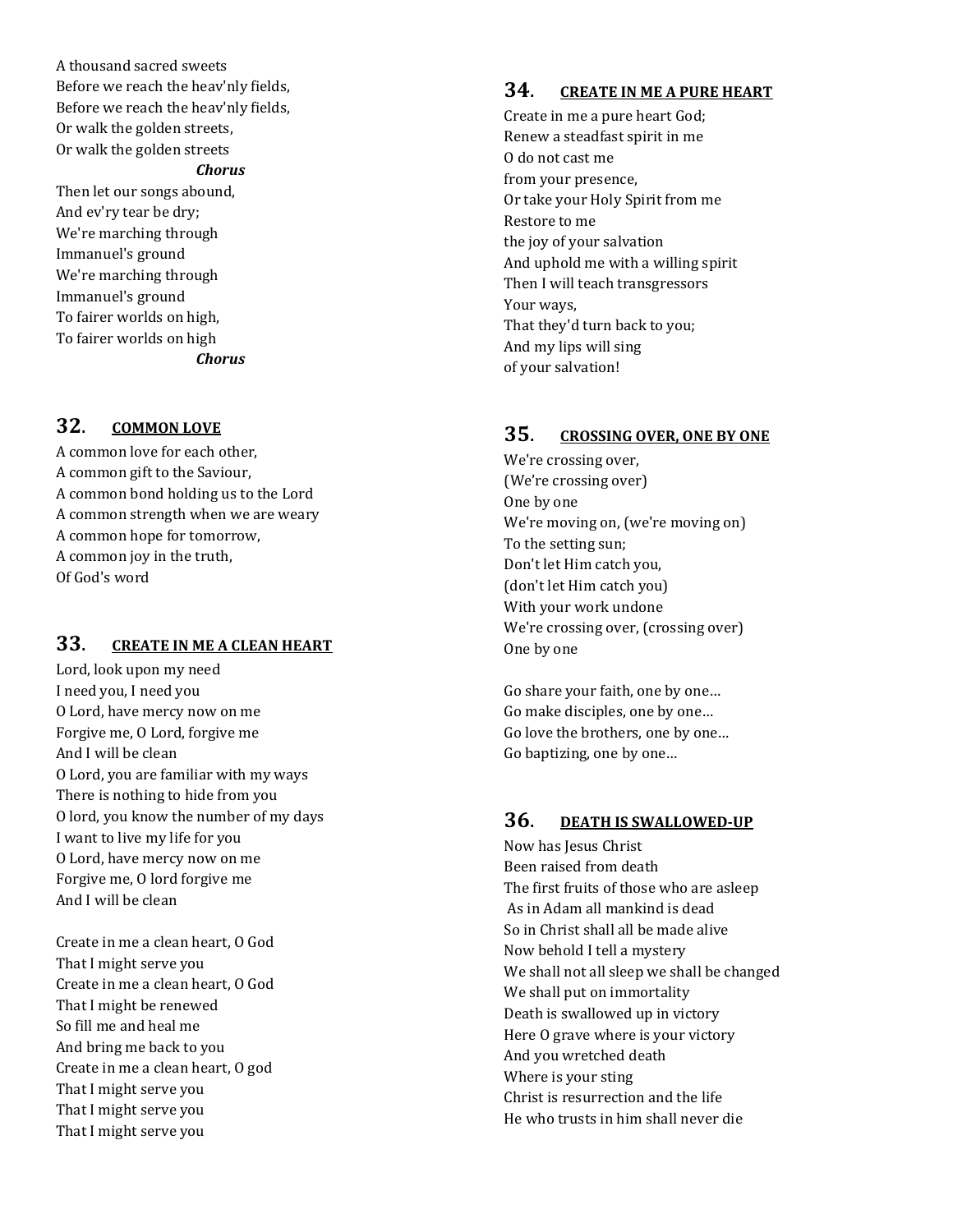A thousand sacred sweets Before we reach the heav'nly fields, Before we reach the heav'nly fields , Or walk the golden streets, Or walk the golden streets

#### *Chorus*

Then let our songs abound, And ev'ry tear be dry; We're marching through Immanuel's ground We're marching through Immanuel's ground To fairer worlds on high, To fairer worlds on high *Chorus*

### **32**. **COMMON LOVE**

A common love for each other, A common gift to the Saviour, A common bond holding us to the Lord A common strength when we are weary A common hope for tomorrow, A common joy in the truth, Of God's word

# **33**. **CREATE IN ME A CLEAN HEART**

Lord, look upon my need I need you, I need you O Lord, have mercy now on me Forgive me, O Lord, forgive me And I will be clean O Lord, you are familiar with my ways There is nothing to hide from you O lord, you know the number of my days I want to live my life for you O Lord, have mercy now on me Forgive me, O lord forgive me And I will be clean

Create in me a clean heart, O God That I might serve you Create in me a clean heart, O God That I might be renewed So fill me and heal me And bring me back to you Create in me a clean heart, O god That I might serve you That I might serve you That I might serve you

### **34**. **CREATE IN ME A PURE HEART**

Create in me a pure heart God; Renew a steadfast spirit in me O do not cast me from your presence, Or take your Holy Spirit from me Restore to me the joy of your salvation And uphold me with a willing spirit Then I will teach transgressors Your ways, That they'd turn back to you; And my lips will sing of your salvation!

### **35**. **CROSSING OVER, ONE BY ONE**

We're crossing over,<br>(We're crossing over) One by one We're moving on, (we're moving on) To the setting sun; Don't let Him catch you, (don't let Him catch you) With your work undone We're crossing over, (crossing over) One by one

Go share your faith, one by one… Go make disciples, one by one… Go love the brothers, one by one… Go baptizing, one by one…

# **36**. **DEATH IS SWALLOWED -UP**

Now has Jesus Christ Been raised from death The first fruits of those who are asleep As in Adam all mankind is dead So in Christ shall all be made alive Now behold I tell a mystery We shall not all sleep we shall be changed We shall put on immortality Death is swallowed up in victory Here O grave where is your victory And you wretched death Where is your sting Christ is resurrection and the life He who trusts in him shall never die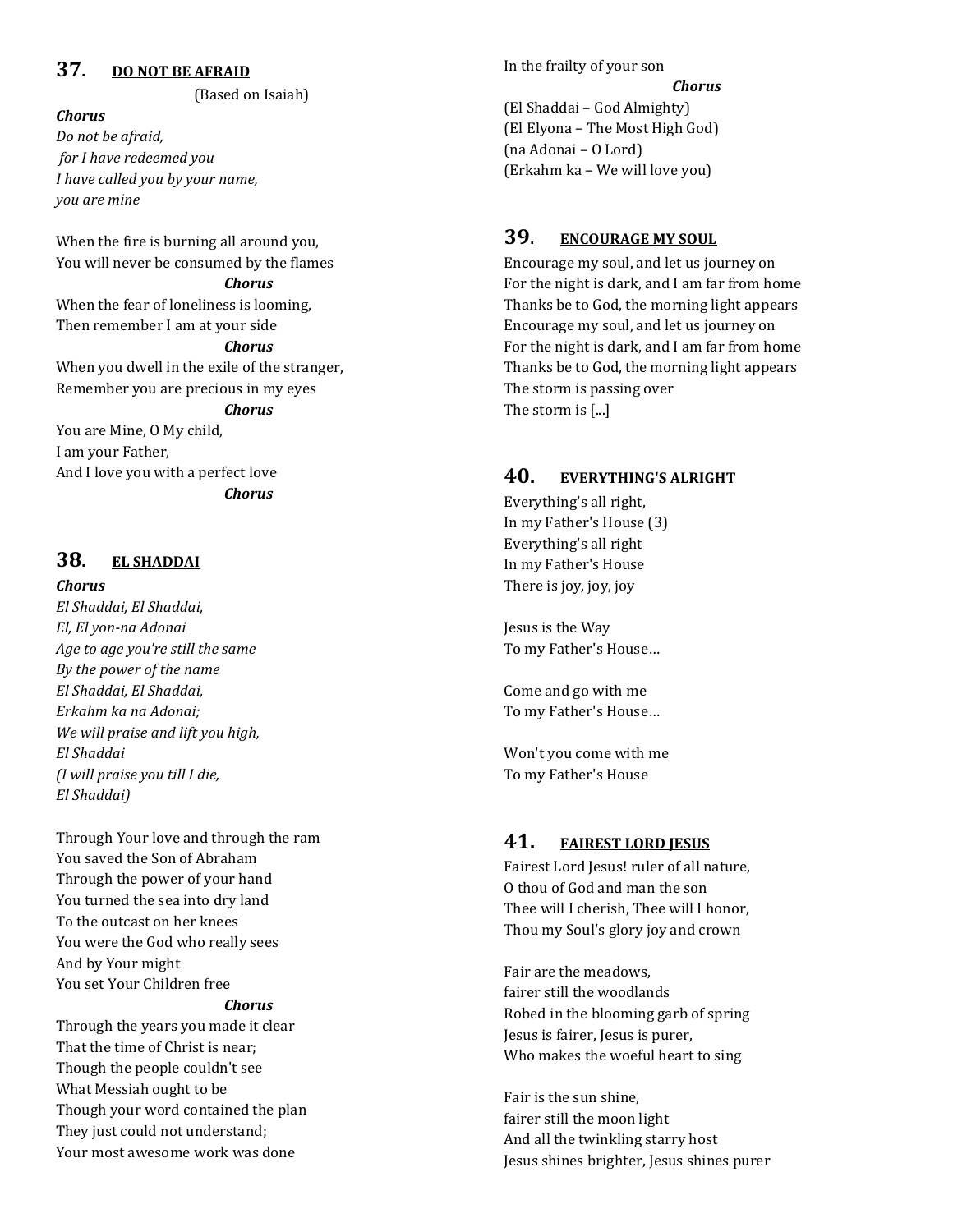# **37**. **DO NOT BE AFRAID**

(Based on Isaiah)

*Chorus Do not be afraid, for I have redeemed you I have called you by your name, you are mine*

When the fire is burning all around you, You will never be consumed by the flames *Chorus* When the fear of loneliness is looming, Then remember I am at your side *Chorus* When you dwell in the exile of the stranger, Remember you are precious in my eyes *Chorus* You are Mine, O My child, I am your Father,

And I love you with a perfect love *Chorus*

# **38**. **EL SHADDAI**

*Chorus*

*El Shaddai, El Shaddai, El, El yon-na Adonai Age to age you're still the same By the power of the name El Shaddai, El Shaddai, Erkahm ka na Adonai; We will praise and lift you high, El Shaddai (I will praise you till I die, El Shaddai)*

Through Your love and through the ram You saved the Son of Abraham Through the power of your hand You turned the sea into dry land To the outcast on her knees You were the God who really sees And by Your might You set Your Children free

#### *Chorus*

Through the years you made it clear That the time of Christ is near; Though the people couldn't see What Messiah ought to be Though your word contained the plan They just could not understand; Your most awesome work was done

In the frailty of your son *Chorus* (El Shaddai – God Almighty) (El Elyona – The Most High God) (na Adonai – O Lord) (Erkahm ka – We will love you)

# **39**. **ENCOURAGE MY SOUL**

Encourage my soul, and let us journey on For the night is dark, and I am far from home Thanks be to God, the morning light appears Encourage my soul, and let us journey on For the night is dark, and I am far from home Thanks be to God, the morning light appears The storm is passing over The storm is [...]

# **40. EVERYTHING'S ALRIGHT**

Everything's all right, In my Father's House (3) Everything's all right In my Father's House There is joy, joy, joy

Jesus is the Way To my Father's House…

Come and go with me To my Father's House…

Won't you come with me To my Father's House

### **41. FAIREST LORD JESUS**

Fairest Lord Jesus! ruler of all nature, O thou of God and man the son Thee will I cherish, Thee will I honor, Thou my Soul's glory joy and crown

Fair are the meadows, fairer still the woodlands Robed in the blooming garb of spring Jesus is fairer, Jesus is purer, Who makes the woeful heart to sing

Fair is the sun shine, fairer still the moon light And all the twinkling starry host Jesus shines brighter, Jesus shines purer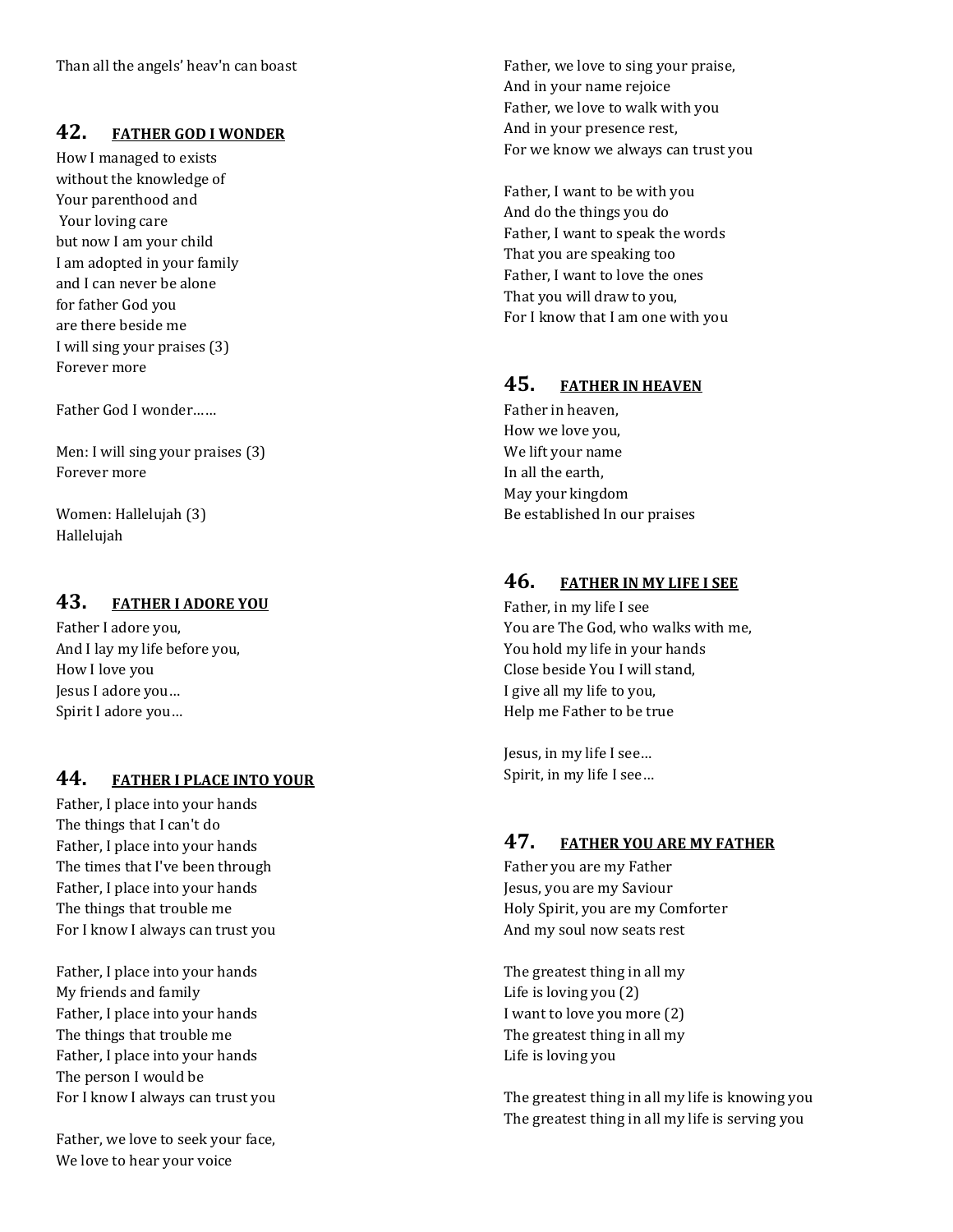# **42. FATHER GOD I WONDER**

How I managed to exists without the knowledge of Your parenthood and Your loving care but now I am your child I am adopted in your family and I can never be alone for father God you are there beside me I will sing your praises (3) Forever more

Father God I wonder……

Men: I will sing your praises (3) Forever more

Women: Hallelujah (3) Hallelujah

# **43. FATHER I ADORE YOU**

Father I adore you, And I lay my life before you, How I love you Jesus I adore you… Spirit I adore you…

# **44. FATHER I PLACE INTO YOUR**

Father, I place into your hands The things that I can't do Father, I place into your hands The times that I've been through Father, I place into your hands The things that trouble me For I know I always can trust you

Father, I place into your hands My friends and family Father, I place into your hands The things that trouble me Father, I place into your hands The person I would be For I know I always can trust you

Father, we love to seek your face, We love to hear your voice

Father, we love to sing your praise, And in your name rejoice Father, we love to walk with you And in your presence rest, For we know we always can trust you

Father, I want to be with you And do the things you do Father, I want to speak the words That you are speaking too Father, I want to love the ones That you will draw to you, For I know that I am one with you

### **45. FATHER IN HEAVEN**

Father in heaven, How we love you, We lift your name In all the earth, May your kingdom Be established In our praises

### **46. FATHER IN MY LIFE I SEE**

Father, in my life I see You are The God, who walks with me, You hold my life in your hands Close beside You I will stand, I give all my life to you, Help me Father to be true

Jesus, in my life I see… Spirit, in my life I see…

# **47. FATHER YOU ARE MY FATHER**

Father you are my Father Jesus, you are my Saviour Holy Spirit, you are my Comforter And my soul now seats rest

The greatest thing in all my Life is loving you (2) I want to love you more (2) The greatest thing in all my Life is loving you

The greatest thing in all my life is knowing you The greatest thing in all my life is serving you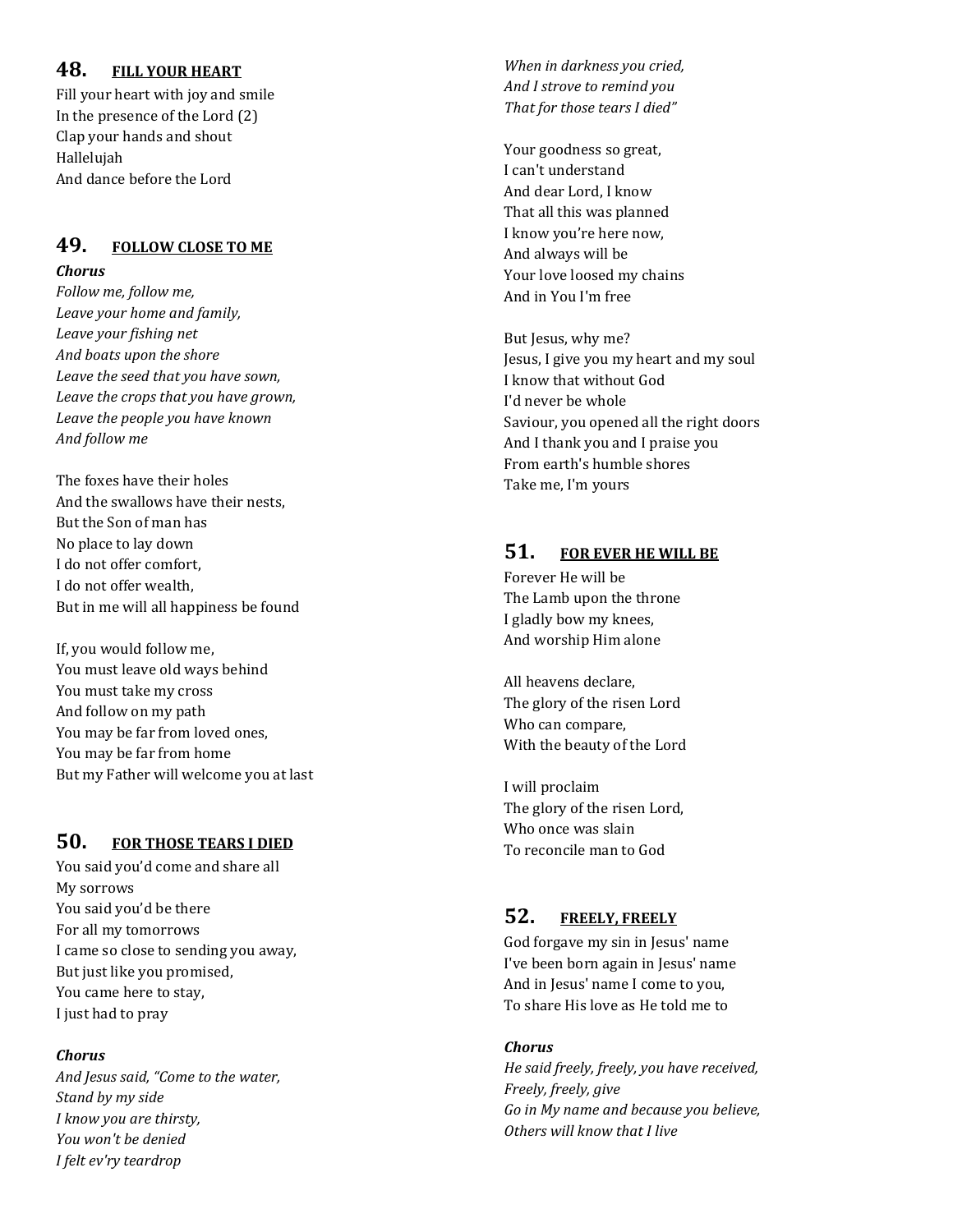# **48. FILL YOUR HEART**

Fill your heart with joy and smile In the presence of the Lord (2) Clap your hands and shout Hallelujah And dance before the Lord

# **49. FOLLOW CLOSE TO ME**

#### *Chorus*

*Follow me, follow me, Leave your home and family, Leave your fishing net And boats upon the shore Leave the seed that you have sown, Leave the crops that you have grown, Leave the people you have known And follow me*

The foxes have their holes And the swallows have their nests, But the Son of man has No place to lay down I do not offer comfort, I do not offer wealth, But in me will all happiness be found

If, you would follow me , You must leave old ways behind You must take my cross And follow on my path You may be far from loved ones, You may be far from home But my Father will welcome you at last

# **50. FOR THOSE TEARS I DIED**

You said you'd come and share all My sorrows You said you'd be there For all my tomorrows I came so close to sending you away, But just like you promised, You came here to stay, I just had to pray

### *Chorus*

*And Jesus said, "Come to the water, Stand by my side I know you are thirsty, You won't be denied I felt ev'ry teardrop*

*When in darkness you cried, And I strove to remind you That for those tears I died"*

Your goodness so great, I can't understand And dear Lord, I know That all this was planned I know you're here now, And always will be Your love loosed my chains And in You I'm free

But Jesus, why me? Jesus, I give you my heart and my soul I know that without God I'd never be whole Saviour, you opened all the right doors And I thank you and I praise you From earth's humble shores Take me, I'm yours

### **51. FOR EVER HE WILL BE**

Forever He will be The Lamb upon the throne I gladly bow my knees, And worship Him alone

All heavens declare, The glory of the risen Lord Who can compare, With the beauty of the Lord

I will proclaim The glory of the risen Lord, Who once was slain To reconcile man to God

# **52. FREELY, FREELY**

God forgave my sin in Jesus' name I've been born again in Jesus' name And in Jesus' name I come to you, To share His love as He told me to

### *Chorus*

*He said freely, freely, you have received, Freely, freely, give Go in My name and because you believe, Others will know that I live*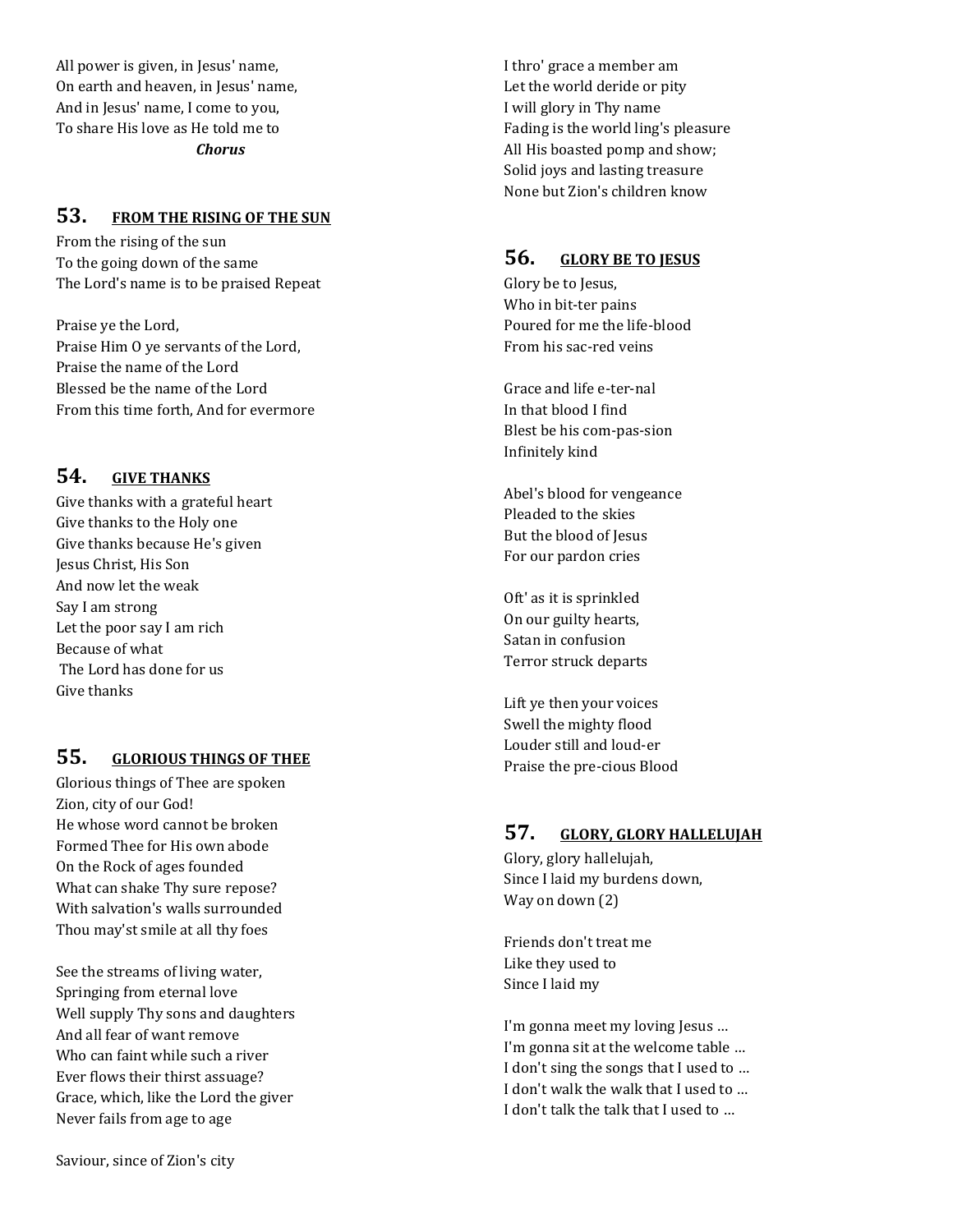All power is given, in Jesus' name, On earth and heaven, in Jesus' name, And in Jesus' name, I come to you, To share His love as He told me to *Chorus*

# **53. FROM THE RISING OF THE SUN**

From the rising of the sun To the going down of the same The Lord's name is to be praised Repeat

Praise ye the Lord, Praise Him O ye servants of the Lord, Praise the name of the Lord Blessed be the name of the Lord From this time forth, And for evermore

# **54. GIVE THANKS**

Give thanks with a grateful heart Give thanks to the Holy one Give thanks because He's given Jesus Christ, His Son And now let the weak Say I am strong Let the poor say I am rich Because of what The Lord has done for us Give thanks

# **55. GLORIOUS THINGS OF THEE**

Glorious things of Thee are spoken Zion, city of our God! He whose word cannot be broken Formed Thee for His own abode On the Rock of ages founded What can shake Thy sure repose? With salvation's walls surrounded Thou may'st smile at all thy foes

See the streams of living water, Springing from eternal love Well supply Thy sons and daughters And all fear of want remove Who can faint while such a river Ever flows their thirst assuage? Grace, which, like the Lord the giver Never fails from age to age

I thro' grace a member am Let the world deride or pity I will glory in Thy name Fading is the world ling's pleasure All His boasted pomp and show; Solid joys and lasting treasure None but Zion's children know

# **56. GLORY BE TO JESUS**

Glory be to Jesus, Who in bit -ter pains Poured for me the life -blood From his sac -red veins

Grace and life e -ter -nal In that blood I find Blest be his com -pas -sion Infinitely kind

Abel's blood for vengeance Pleaded to the skies But the blood of Jesus For our pardon cries

Oft' as it is sprinkled On our guilty hearts, Satan in confusion Terror struck departs

Lift ye then your voices Swell the mighty flood Louder still and loud -er Praise the pre -cious Blood

# **57. GLORY, GLORY HALLELUJAH**

Glory, glory hallelujah, Since I laid my burdens down, Way on down (2)

Friends don't treat me Like they used to Since I laid my

I'm gonna meet my loving Jesus … I'm gonna sit at the welcome table … I don't sing the songs that I used to … I don't walk the walk that I used to … I don't talk the talk that I used to …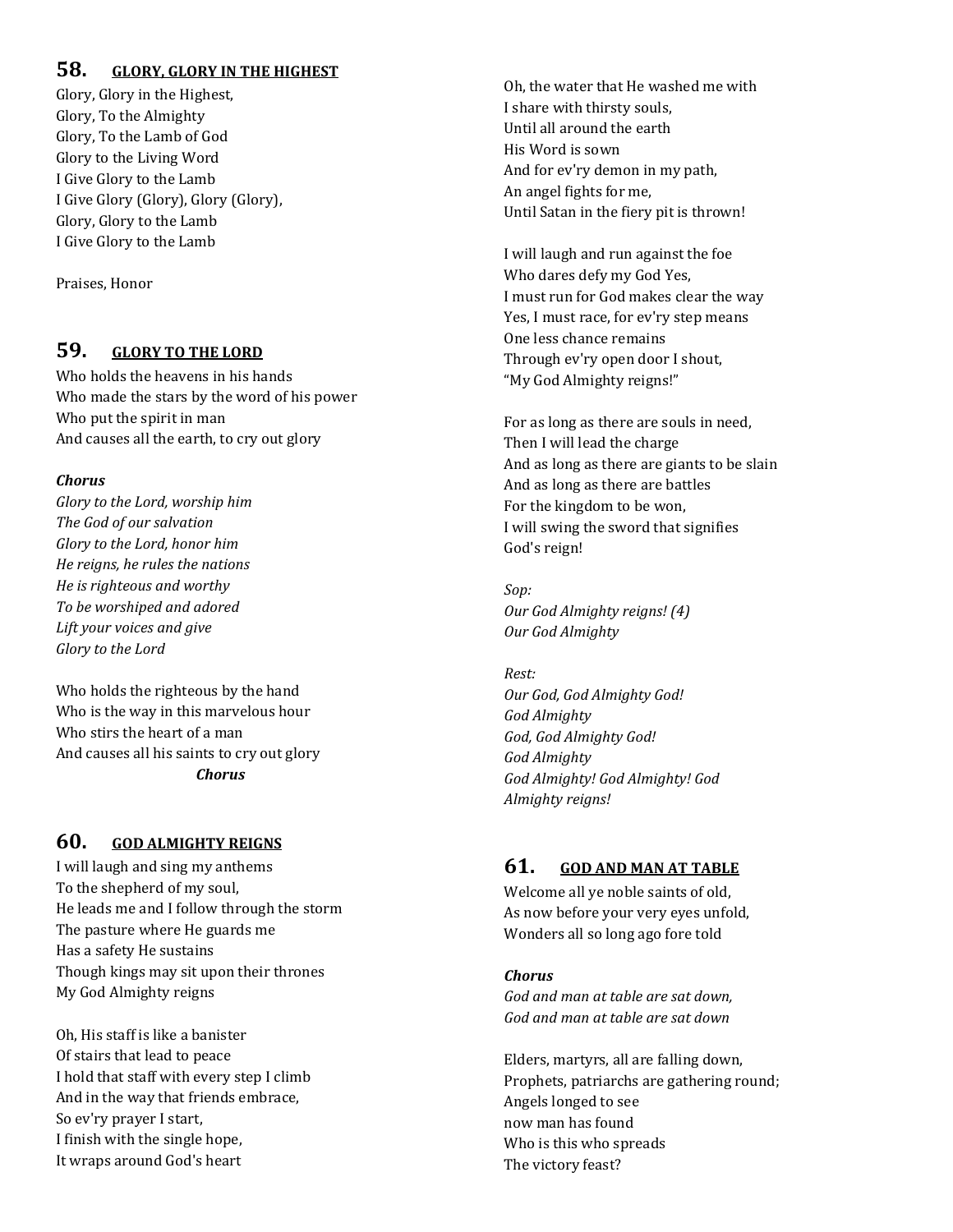# **58. GLORY, GLORY IN THE HIGHEST**

Glory, Glory in the Highest, Glory, To the Almighty Glory, To the Lamb of God Glory to the Living Word I Give Glory to the Lamb I Give Glory (Glory), Glory (Glory), Glory, Glory to the Lamb I Give Glory to the Lamb

Praises, Honor

# **59. GLORY TO THE LORD**

Who holds the heavens in his hands Who made the stars by the word of his power Who put the spirit in man And causes all the earth, to cry out glory

### *Chorus*

*Glory to the Lord, worship him The God of our salvation Glory to the Lord, honor him He reigns, he rules the nations He is righteous and worthy To be worshiped and adored Lift your voices and give Glory to the Lord*

Who holds the righteous by the hand Who is the way in this marvelous hour Who stirs the heart of a man And causes all his saints to cry out glory *Chorus*

### **60. GOD ALMIGHTY REIGNS**

I will laugh and sing my anthems To the shepherd of my soul, He leads me and I follow through the storm The pasture where He guards me Has a safety He sustains Though kings may sit upon their thrones My God Almighty reigns

Oh, His staff is like a banister Of stairs that lead to peace I hold that staff with every step I climb And in the way that friends embrace, So ev'ry prayer I start, I finish with the single hope, It wraps around God's heart

Oh, the water that He washed me with I share with thirsty souls, Until all around the earth His Word is sown And for ev'ry demon in my path, An angel fights for me, Until Satan in the fiery pit is thrown!

I will laugh and run against the foe Who dares defy my God Yes, I must run for God makes clear the way Yes, I must race, for ev'ry step means One less chance remains Through ev'ry open door I shout, "My God Almighty reigns!"

For as long as there are souls in need, Then I will lead the charge And as long as there are giants to be slain And as long as there are battles For the kingdom to be won, I will swing the sword that signifies God's reign!

*Sop: Our God Almighty reigns! (4) Our God Almighty*

*Rest: Our God, God Almighty God! God Almighty God, God Almighty God! God Almighty God Almighty! God Almighty! God Almighty reigns!*

# **61. GOD AND MAN AT TABLE**

Welcome all ye noble saints of old, As now before your very eyes unfold, Wonders all so long ago fore told

### *Chorus*

*God and man at table are sat down, God and man at table are sat down*

Elders, martyrs, all are falling down, Prophets, patriarchs are gathering round; Angels longed to see now man has found Who is this who spreads The victory feast?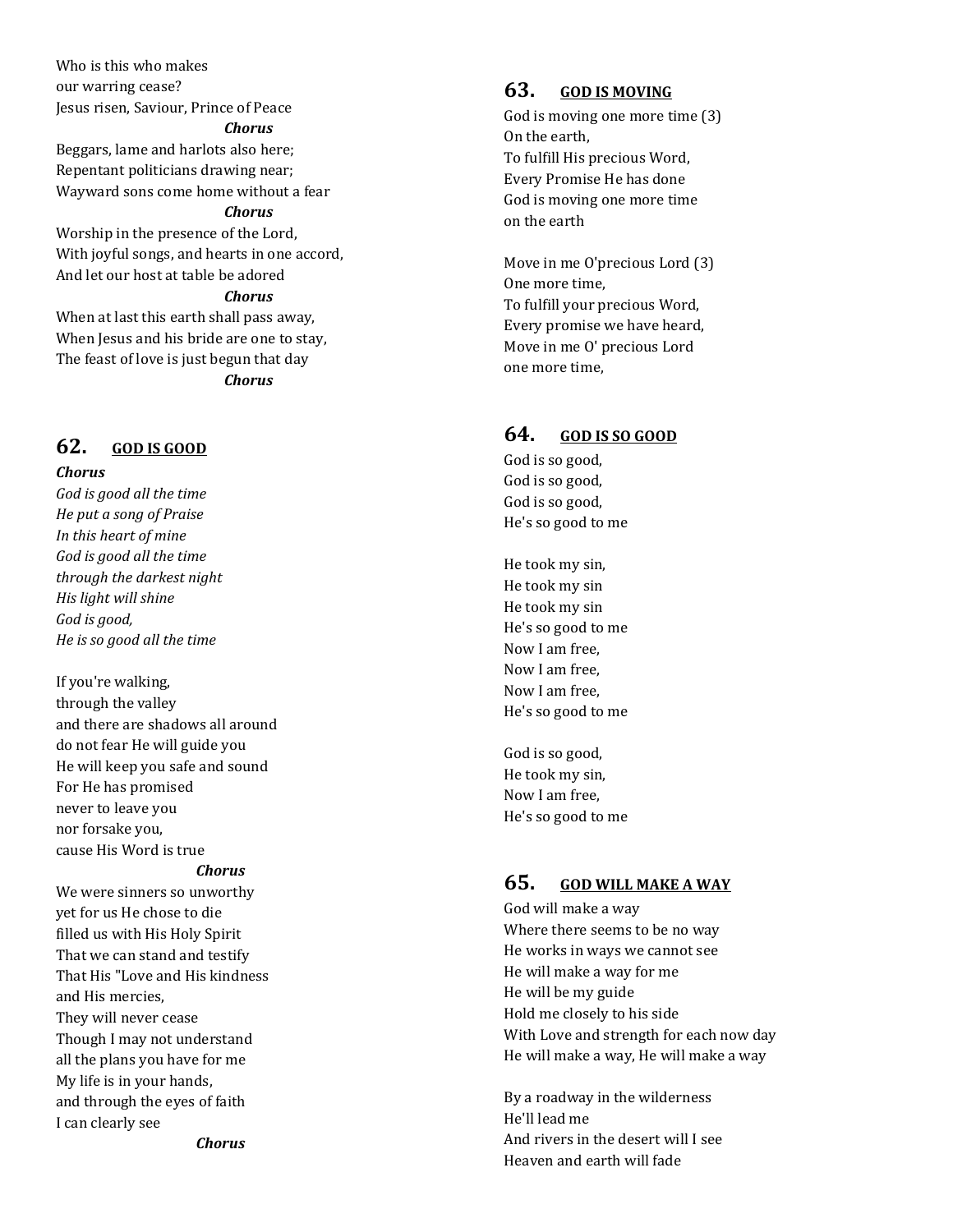Who is this who makes our warring cease? Jesus risen, Saviour, Prince of Peace *Chorus*

Beggars, lame and harlots also here; Repentant politicians drawing near; Wayward sons come home without a fear

#### *Chorus*

Worship in the presence of the Lord, With joyful songs, and hearts in one accord, And let our host at table be adored

*Chorus*

When at last this earth shall pass away, When Jesus and his bride are one to stay, The feast of love is just begun that day *Chorus*

# **62. GOD IS GOOD**

#### *Chorus*

*God is good all the time He put a song of Praise In this heart of mine God is good all the time through the darkest night His light will shine God is good, He is so good all the time*

If you're walking, through the valley and there are shadows all around do not fear He will guide you He will keep you safe and sound For He has promised never to leave you nor forsake you, cause His Word is true

#### *Chorus*

We were sinners so unworthy yet for us He chose to die filled us with His Holy Spirit That we can stand and testify That His "Love and His kindness and His mercies, They will never cease Though I may not understand all the plans you have for me My life is in your hands, and through the eyes of faith I can clearly see

*Chorus*

### **63. GOD IS MOVING**

God is moving one more time (3) On the earth, To fulfill His precious Word, Every Promise He has done God is moving one more time on the earth

Move in me O'precious Lord (3) One more time, To fulfill your precious Word, Every promise we have heard, Move in me O' precious Lord one more time,

### **64. GOD IS SO GOOD**

God is so good, God is so good, God is so good, He's so good to me

He took my sin, He took my sin He took my sin He's so good to me Now I am free, Now I am free, Now I am free, He's so good to me

God is so good, He took my sin, Now I am free, He's so good to me

# **65. GOD WILL MAKE A WAY**

God will make a way Where there seems to be no way He works in ways we cannot see He will make a way for me He will be my guide Hold me closely to his side With Love and strength for each now day He will make a way, He will make a way

By a roadway in the wilderness He'll lead me And rivers in the desert will I see Heaven and earth will fade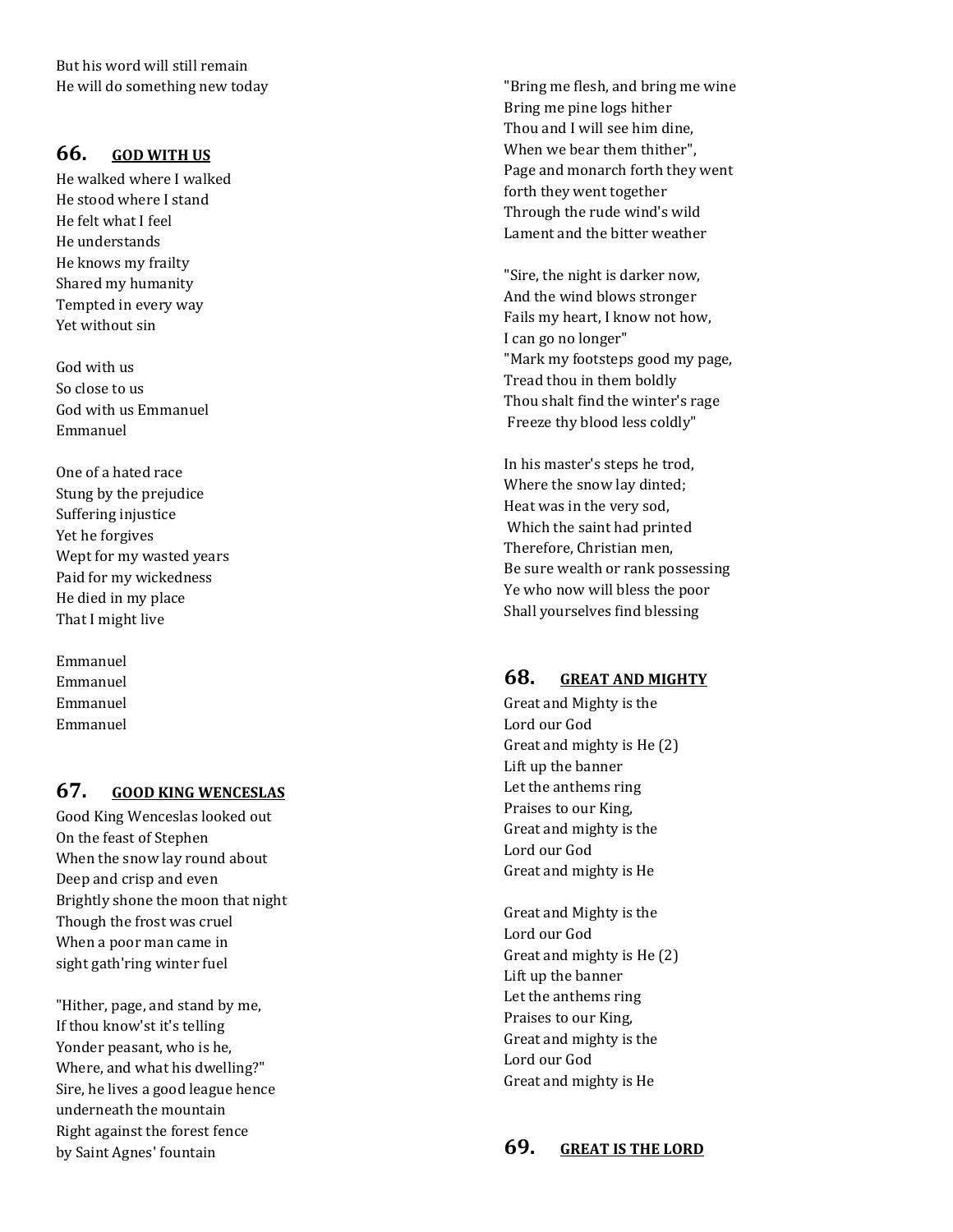But his word will still remain He will do something new today

# **66. GOD WITH US**

He walked where I walked He stood where I stand He felt what I feel He understands He knows my frailty Shared my humanity Tempted in every way Yet without sin

God with us So close to us God with us Emmanuel Emmanuel

One of a hated race Stung by the prejudice Suffering injustice Yet he forgives Wept for my wasted years Paid for my wickedness He died in my place That I might live

Emmanuel Emmanuel Emmanuel Emmanuel

# **67. GOOD KING WENCESLAS**

Good King Wenceslas looked out On the feast of Stephen When the snow lay round about Deep and crisp and even Brightly shone the moon that night Though the frost was cruel When a poor man came in sight gath'ring winter fuel

"Hither, page, and stand by me, If thou know'st it's telling Yonder peasant, who is he, Where, and what his dwelling?" Sire, he lives a good league hence underneath the mountain Right against the forest fence by Saint Agnes' fountain

"Bring me flesh, and bring me wine Bring me pine logs hither Thou and I will see him dine, When we bear them thither", Page and monarch forth they went forth they went together Through the rude wind's wild Lament and the bitter weather

"Sire, the night is darker now, And the wind blows stronger Fails my heart, I know not how, I can go no longer" "Mark my footsteps good my page, Tread thou in them boldly Thou shalt find the winter's rage Freeze thy blood less coldly"

In his master's steps he trod, Where the snow lay dinted; Heat was in the very sod, Which the saint had printed Therefore, Christian men, Be sure wealth or rank possessing Ye who now will bless the poor Shall yourselves find blessing

# **68. GREAT AND MIGHTY**

- Great and Mighty is the Lord our God Great and might y is He (2) Lift up the banner Let the anthems ring Praises to our King, Great and mighty is the Lord our God Great and mighty is He
- Great and Mighty is the Lord our God Great and mighty is He (2) Lift up the banner Let the anthems ring Praises to our King, Great and mighty is the Lord our God Great and mighty is He

**69. GREAT IS THE LORD**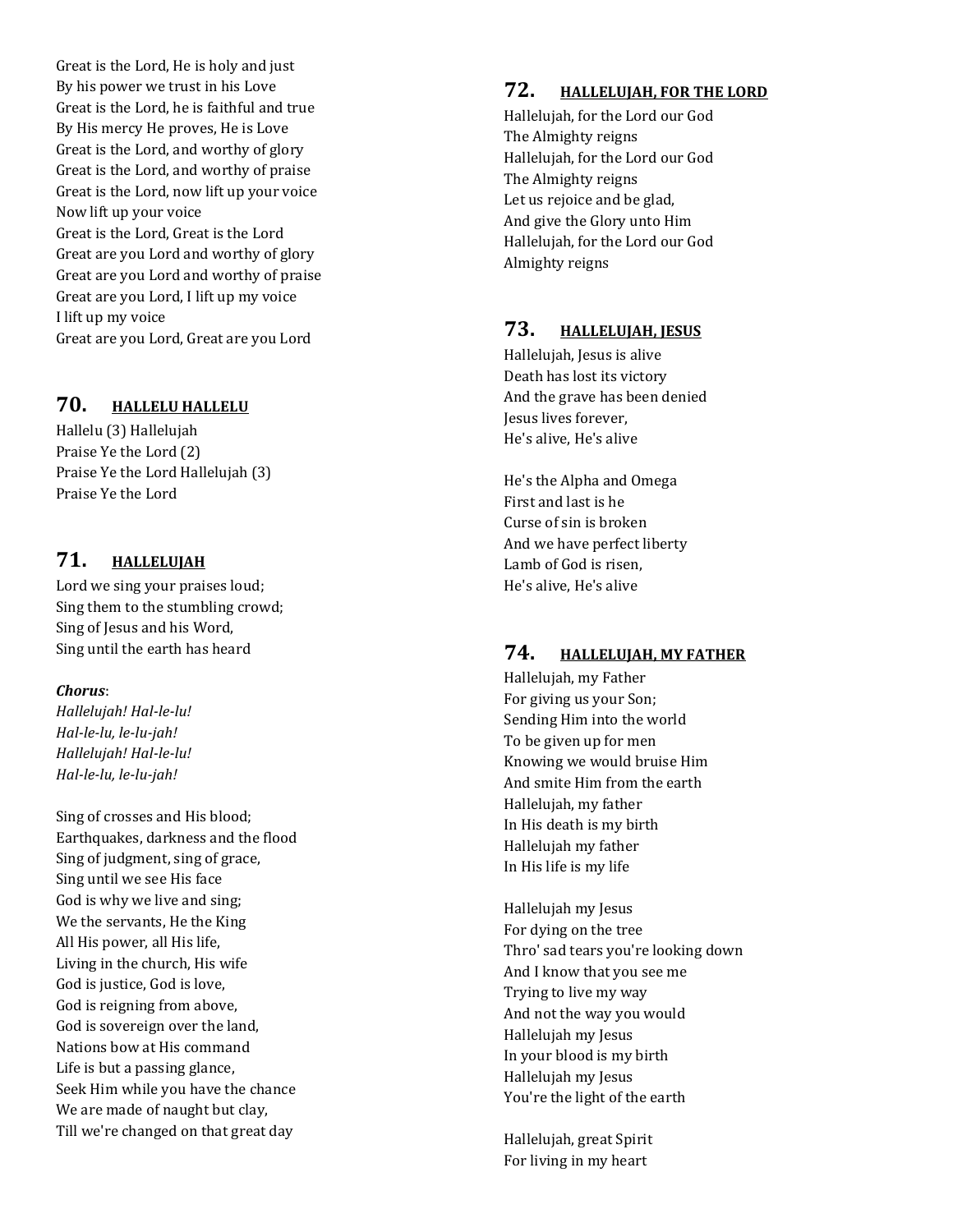Great is the Lord, He is holy and just By his power we trust in his Love Great is the Lord, he is faithful and true By His mercy He proves, He is Love Great is the Lord, and worthy of glory Great is the Lord, and worthy of praise Great is the Lord, now lift up your voice Now lift up your voice Great is the Lord, Great is the Lord Great are you Lord and worthy of glory Great are you Lord and worthy of praise Great are you Lord, I lift up my voice I lift up my voice Great are you Lord, Great are you Lord

# **70. HALLELU HALLELU**

Hallelu (3) Hallelujah Praise Ye the Lord (2) Praise Ye the Lord Hallelujah (3) Praise Ye the Lord

# **71. HALLELUJAH**

Lord we sing your praises loud; Sing them to the stumbling crowd; Sing of Jesus and his Word, Sing until the earth has heard

### *Chorus*:

*Hallelujah! Hal -le -lu! Hal -le -lu, le -lu -jah! Hallelujah! Hal -le -lu! Hal -le -lu, le -lu -jah!* 

Sing of crosses and His blood; Earthquakes, darkness and the flood Sing of judgment, sing of grace, Sing until we see His face God is why we live and sing; We the servants, He the King All His power, all His life, Living in the church, His wife God is justice, God is love, God is reigning from above, God is sovereign over the land, Nations bow at His command Life is but a passing glance, Seek Him while you have the chance We are made of naught but clay, Till we're changed on that great day

# **72. HALLELUJAH, FOR THE LORD**

Hallelujah, for the Lord our God The Almighty reigns Hallelujah, for the Lord our God The Almighty reigns Let us rejoice and be glad, And give the Glory unto Him Hallelujah, for the Lord our God Almighty reigns

# **73. HALLELUJAH, JESUS**

Hallelujah, Jesus is alive Death has lost its victory And the grave has been denied Jesus lives forever, He's alive, He's alive

He's the Alpha and Omega First and last is he Curse of sin is broken And we have perfect liberty Lamb of God is risen, He's alive, He's alive

# **74. HALLELUJAH, MY FATHER**

Hallelujah, my Father For giving us your Son; Sending Him into the world To be given up for men Knowing we would bruise Him And smite Him from the earth Hallelujah, my father In His death is my birth Hallelujah my father In His life is my life

Hallelujah my Jesus For dying on the tree Thro' sad tears you're looking down And I know that you see me Trying to live my way And not the way you would Hallelujah my Jesus In your blood is my birth Hallelujah my Jesus You're the light of the earth

Hallelujah, great Spirit For living in my heart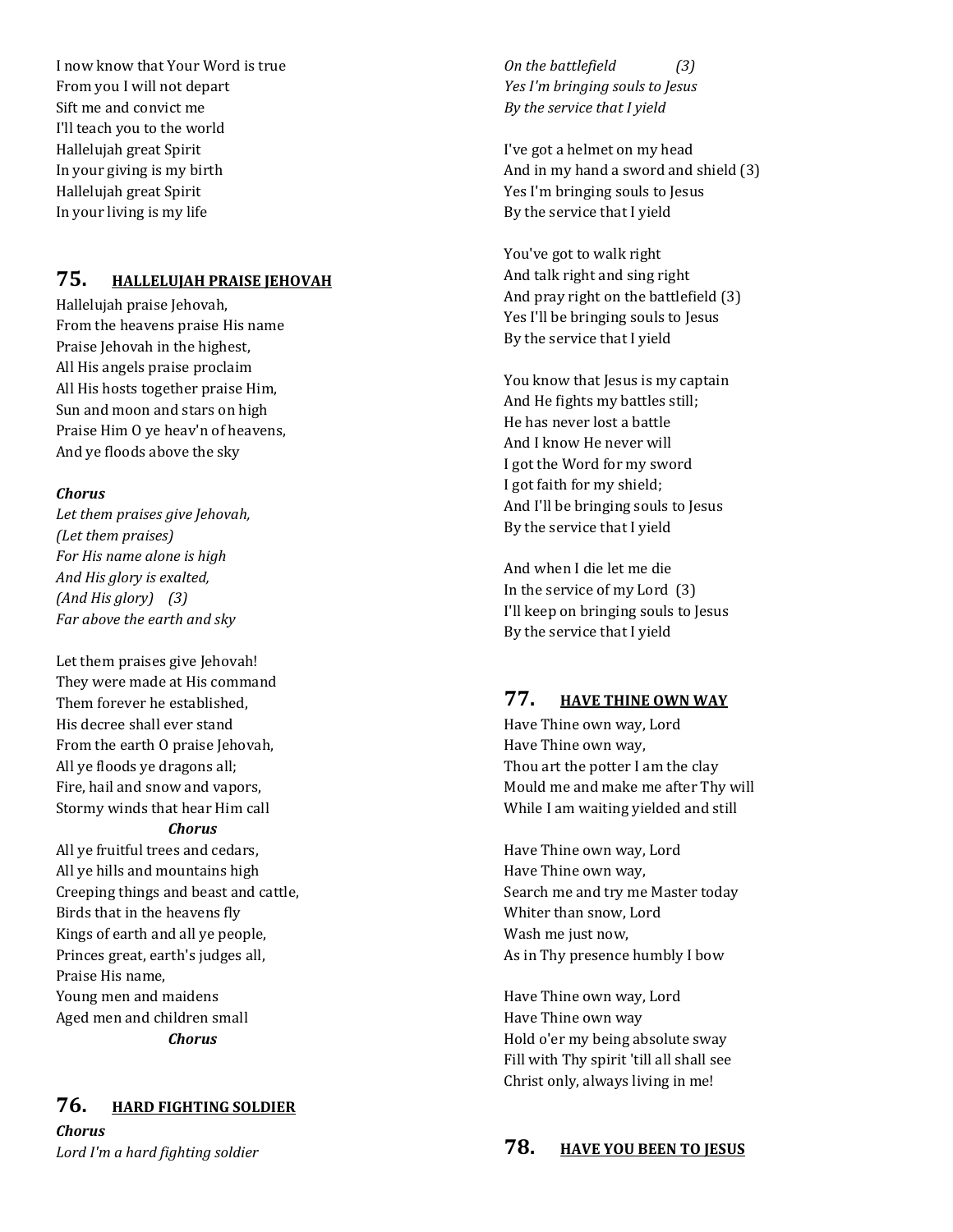I now know that Your Word is true From you I will not depart Sift me and convict me I'll teach you to the world Hallelujah great Spirit In your giving is my birth Hallelujah great Spirit In your living is my life

# **75. HALLELUJAH PRAISE JEHOVAH**

Hallelujah praise Jehovah, From the heavens praise His name Praise Jehovah in the highest, All His angels praise proclaim All His hosts together praise Him, Sun and moon and stars on high Praise Him O ye heav'n of heavens, And ye floods above the sky

#### *Chorus*

*Let them praises give Jehovah, (Let them praises) For His name alone is high And His glory is exalted, (And His glory) (3) Far above the earth and sky*

Let them praises give Jehovah! They were made at His command Them forever he established, His decree shall ever stand From the earth O praise Jehovah, All ye floods ye dragons all; Fire, hail and snow and vapors, Stormy winds that hear Him call *Chorus*

All ye fruitful trees and cedars, All ye hills and mountains high Creeping things and beast and cattle, Birds that in the heavens fly Kings of earth and all ye people, Princes great, earth's judges all, Praise His name, Young men and maidens Aged men and children small *Chorus*

# **76. HARD FIGHTING SOLDIER**

*Chorus Lord I'm a hard fighting soldier* *On the battlefield (3) Yes I'm bringing souls to Jesus By the service that I yield*

I've got a helmet on my head And in my hand a sword and shield (3) Yes I'm bringing souls to Jesus By the service that I yield

You've got to walk right And talk right and sing right And pray right on the battlefield (3) Yes I'll be bringing souls to Jesus By the service that I yield

You know that Jesus is my captain And He fights my battles still; He has never lost a battle And I know He never will I got the Word for my sword I got faith for my shield; And I'll be bringing souls to Jesus By the service that I yield

And when I die let me die In the service of my Lord (3) I'll keep on bringing souls to Jesus By the service that I yield

### **77. HAVE THINE OWN WAY**

Have Thine own way, Lord Have Thine own way, Thou art the potter I am the clay Mould me and make me after Thy will While I am waiting yielded and still

Have Thine own way, Lord Have Thine own way, Search me and try me Master today Whiter than snow, Lord Wash me just now, As in Thy presence humbly I bow

Have Thine own way, Lord Have Thine own way Hold o'er my being absolute sway Fill with Thy spirit 'till all shall see Christ only, always living in me!

### **78. HAVE YOU BEEN TO JESUS**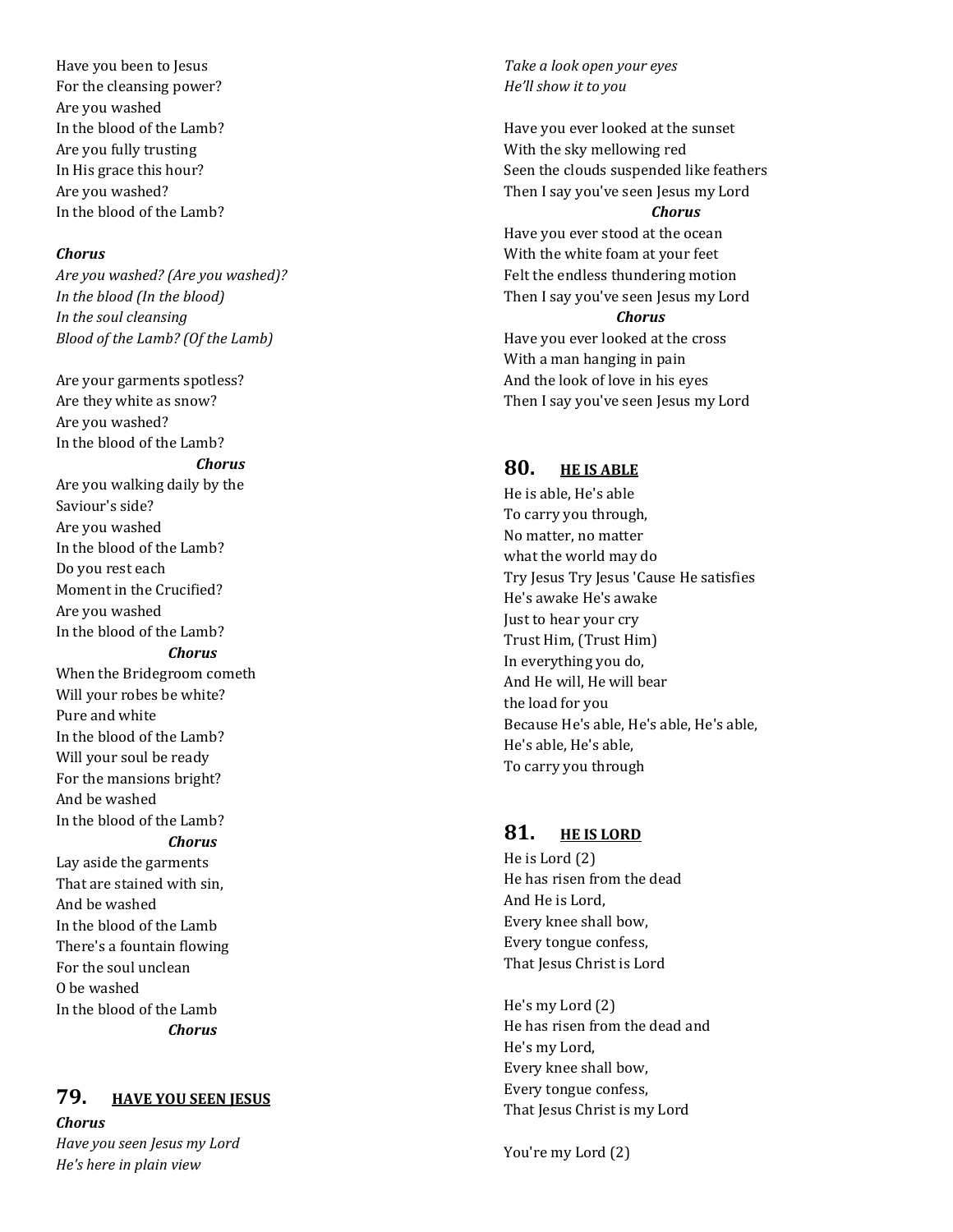Have you been to Jesus For the cleansing power? Are you washed In the blood of the Lamb? Are you fully trusting In His grace this hour? Are you washed? In the blood of the Lamb?

#### *Chorus*

*Are you washed? (Are you washed)? In the blood (In the blood) In the soul cleansing Blood of the Lamb? (Of the Lamb)*

Are your garments spotless? Are they white as snow? Are you washed? In the blood of the Lamb? *Chorus* Are you walking daily by the Saviour's side? Are you washed In the blood of the Lamb? Do you rest each Moment in the Crucified? Are you washed In the blood of the Lamb? *Chorus* When the Bridegroom cometh Will your robes be white? Pure and white In the blood of the Lamb? Will your soul be ready For the mansions bright? And be washed In the blood of the Lamb? *Chorus* Lay aside the garments That are stained with sin, And be washed In the blood of the Lamb There's a fountain flowing For the soul unclean O be washed In the blood of the Lamb *Chorus*

# **79. HAVE YOU SEEN JESUS**

*Chorus Have you seen Jesus my Lord He's here in plain view* 

*Take a look open your eyes He'll show it to you* 

Have you ever looked at the sunset With the sky mellowing red Seen the clouds suspended like feathers Then I say you've seen Jesus my Lord *Chorus*

Have you ever stood at the ocean With the white foam at your feet Felt the endless thundering motion Then I say you've seen Jesus my Lord

#### *Chorus*

Have you ever looked at the cross With a man hanging in pain And the look of love in his eyes Then I say you've seen Jesus my Lord

### **80. HE IS ABLE**

He is able, He's able To carry you through, No matter, no matter what the world may do Try Jesus Try Jesus 'Cause He satisfies He's awake He's awake Just to hear your cry Trust Him, (Trust Him) In everything you do, And He will, He will bear the load for you Because He's able, He's able, He's able, He's able, He's able, To carry you through

### **81. HE IS LORD**

He is Lord (2) He has risen from the dead And He is Lord, Every knee shall bow, Every tongue confess, That Jesus Christ is Lord

He's my Lord (2) He has risen from the dead and He's my Lord, Every knee shall bow, Every tongue confess, That Jesus Christ is my Lord

You're my Lord (2)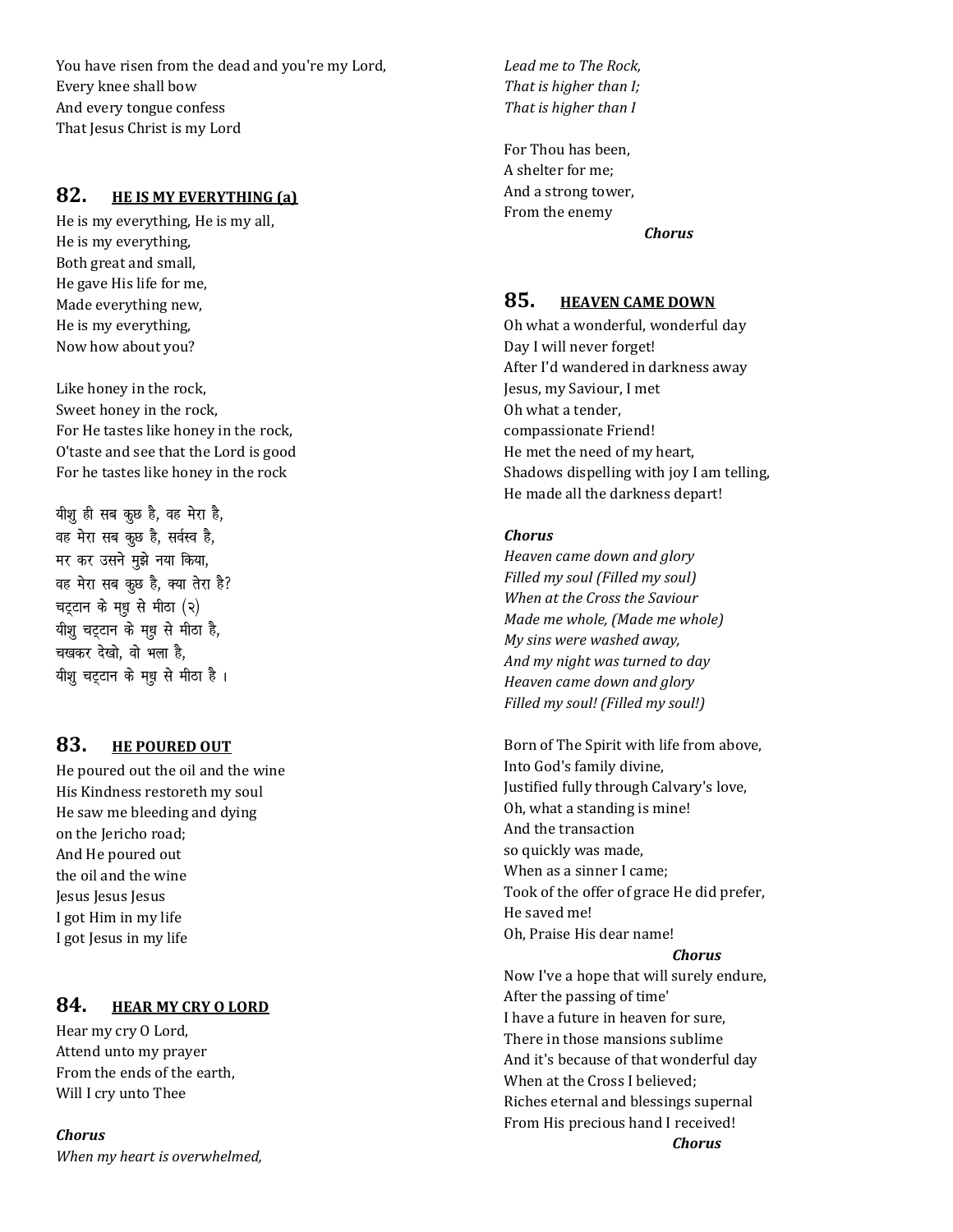You have risen from the dead and you're my Lord, Every knee shall bow And every tongue confess That Jesus Christ is my Lord

# **82. HE IS MY EVERYTHING (a)**

He is my everything, He is my all, He is my everything, Both great and small, He gave His life for me, Made everything new, He is my everything, Now how about you?

Like honey in the rock, Sweet honey in the rock, For He tastes like honey in the rock, O'taste and see that the Lord is good For he tastes like honey in the rock

यीशु ही सब कूछ है, वह मेरा है, वह मेरा सब कुछ है, सर्वस्व है, मर कर उसने मुझे नया किया, वह मेरा सब कुछ है, क्या तेरा है? चट्टान के मुध्न से मीठा  $(3)$ यीश चटटान के मध से मीठा है, चखकर देखो. वो भला है. यीशु चट्टान के मध़ से मीठा है।

### **83. HE POURED OUT**

He poured out the oil and the wine His Kindness restoreth my soul He saw me bleeding and dying on the Jericho road; And He poured out the oil and the wine Jesus Jesus Jesus I got Him in my life I got Jesus in my life

# **84. HEAR MY CRY O LORD**

Hear my cry O Lord, Attend unto my prayer From the ends of the earth, Will I cry unto Thee

#### *Chorus*

*When my heart is overwhelmed,*

*Lead me to The Rock, That is higher than I; That is higher than I*

For Thou has been, A shelter for me; And a strong tower, From the enemy *Chorus*

### **85. HEAVEN CAME DOWN**

Oh what a wonderful, wonderful day Day I will never forget! After I'd wandered in darkness away Jesus, my Saviour, I met Oh what a tender, compassionate Friend! He met the need of my heart, Shadows dispelling with joy I am telling, He made all the darkness depart!

### *Chorus*

*Heaven came down and glory Filled my soul (Filled my soul) When at the Cross the Saviour Made me whole, (Made me whole) My sins were washed away, And my night was turned to day Heaven came down and glory Filled my soul! (Filled my soul!)*

Born of The Spirit with life from above, Into God's family divine, Justified fully through Calvary's love, Oh, what a standing is mine! And the transaction so quickly was made, When as a sinner I came; Took of the offer of grace He did prefer, He saved me! Oh, Praise His dear name!

### *Chorus*

Now I've a hope that will surely endure, After the passing of time' I have a future in heaven for sure, There in those mansions sublime And it's because of that wonderful day When at the Cross I believed; Riches eternal and blessings supernal From His precious hand I received! *Chorus*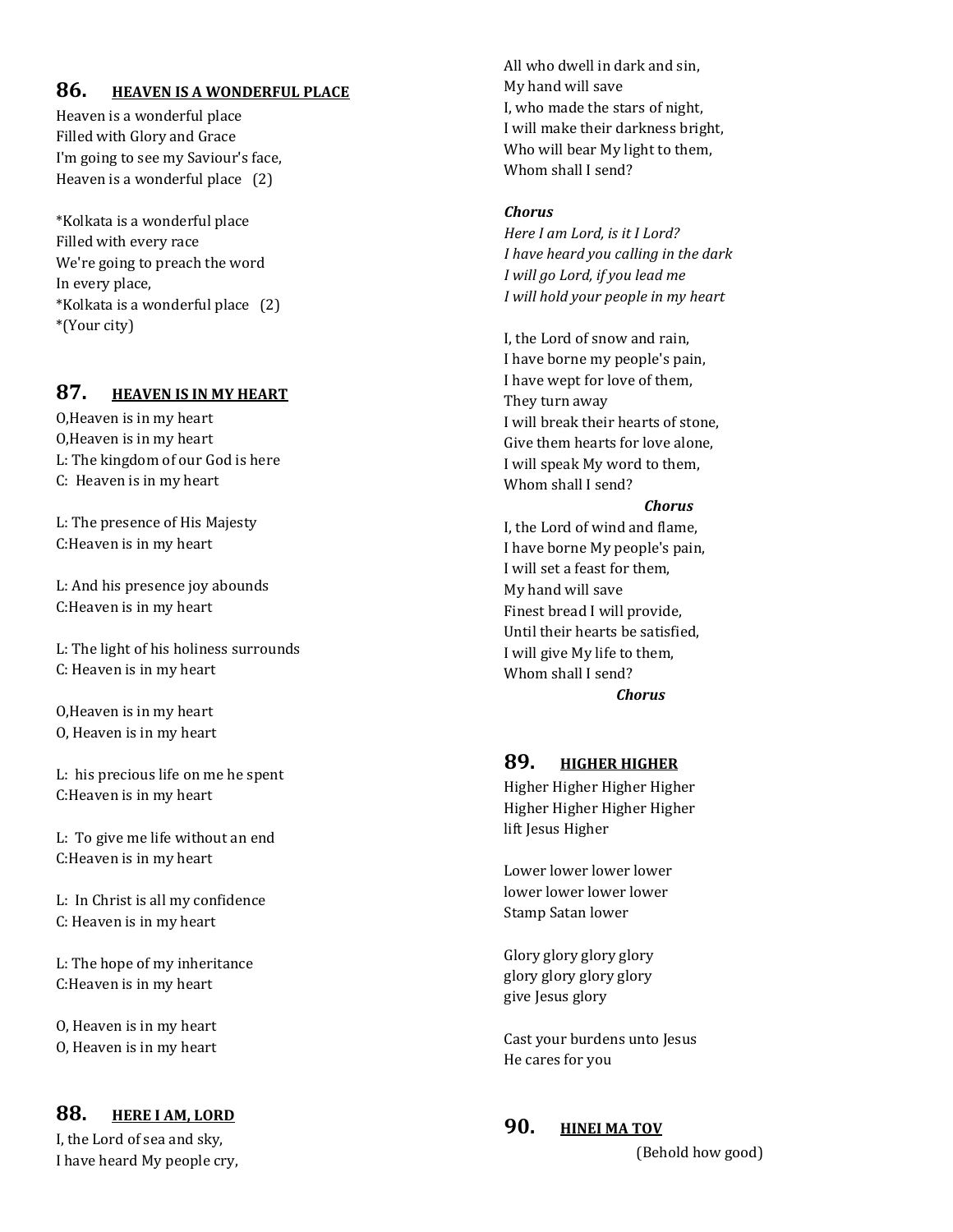# **86. HEAVEN IS A WONDERFUL PLACE**

Heaven is a wonderful place Filled with Glory and Grace I'm going to see my Saviour's face, Heaven is a wonderful place (2)

\*Kolkata is a wonderful place Filled with every race We're going to preach the word In every place, \*Kolkata is a wonderful place (2) \*(Your city)

# **87. HEAVEN IS IN MY HEART**

O,Heaven is in my heart O,Heaven is in my heart L: The kingdom of our God is here C: Heaven is in my heart

L: The presence of His Majesty C:Heaven is in my heart

L: And his presence joy abounds C:Heaven is in my heart

L: The light of his holiness surrounds C: Heaven is in my heart

O,Heaven is in my heart O, Heaven is in my heart

L: his precious life on me he spent C:Heaven is in my heart

L: To give me life without an end C:Heaven is in my heart

L: In Christ is all my confidence C: Heaven is in my heart

L: The hope of my inheritance C:Heaven is in my heart

O, Heaven is in my heart O, Heaven is in my heart

### **88. HERE I AM, LORD**

I, the Lord of sea and sky, I have heard My people cry,

All who dwell in dark and sin, My hand will save I, who made the stars of night, I will make their darkness bright, Who will bear My light to them, Whom shall I send?

### *Chorus*

*Here I am Lord, is it I Lord? I have heard you calling in the dark I will go Lord, if you lead me I will hold your people in my heart*

I, the Lord of snow and rain, I have borne my people's pain, I have wept for love of them, They turn away I will break their hearts of stone, Give them hearts for love alone, I will speak My word to them, Whom shall I send?

#### *Chorus*

I, the Lord of wind and flame, I have borne My people's pain, I will set a feast for them, My hand will save Finest bread I will provide, Until their hearts be satisfied, I will give My life to them, Whom shall I send? *Chorus*

# **89. HIGHER HIGHER**

Higher Higher Higher Higher Higher Higher Higher Higher lift Jesus Higher

Lower lower lower lower lower lower lower lower Stamp Satan lower

Glory glory glory glory glory glory glory glory give Jesus glory

Cast your burdens unto Jesus He cares for you

### **90. HINEI MA TOV**

(Behold how good)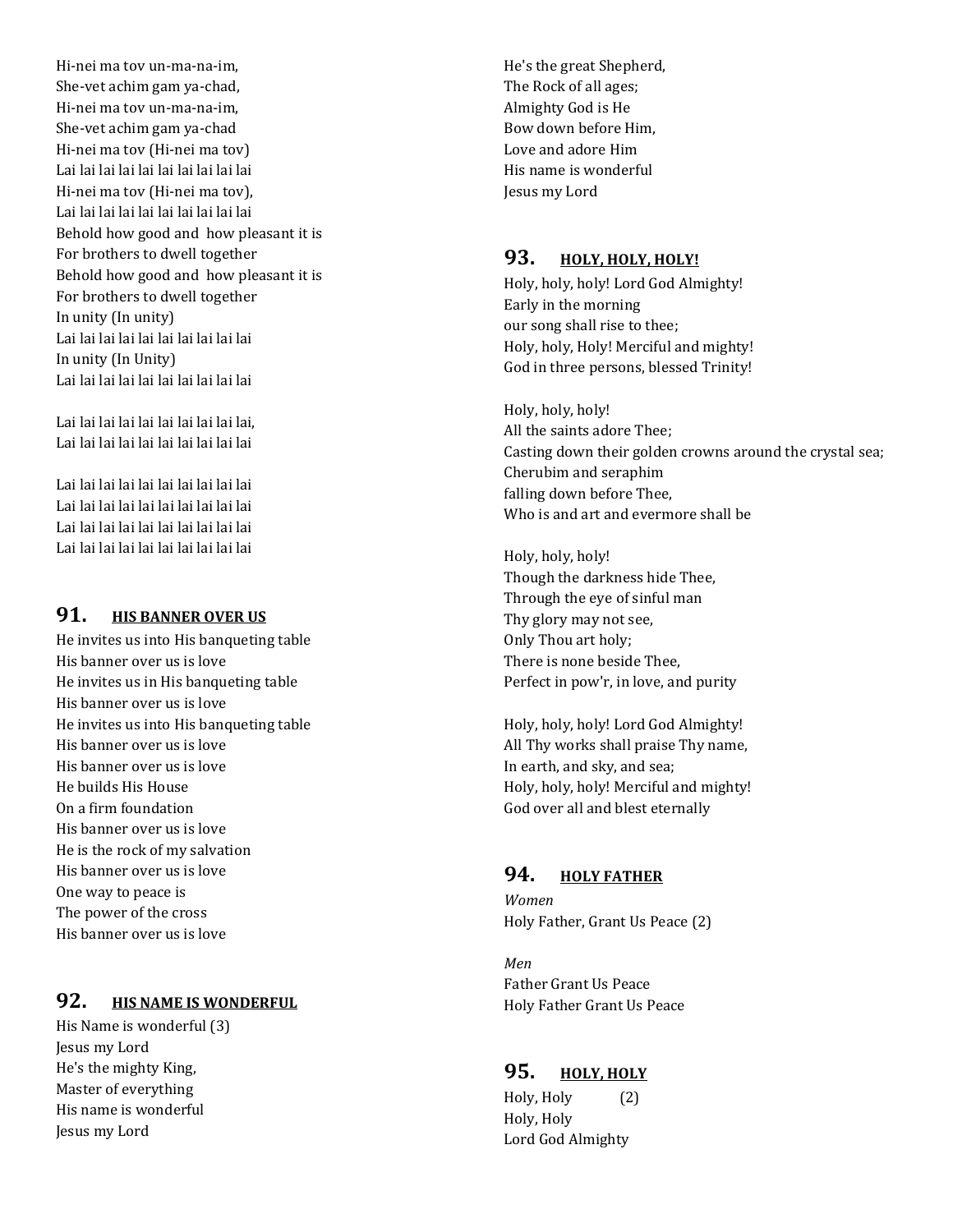Hi-nei ma tov un-ma-na-im, She-vet achim gam ya-chad, Hi-nei ma tov un-ma-na-im, She-vet achim gam ya-chad Hi-nei ma tov (Hi-nei ma tov) Lai lai lai lai lai lai lai lai lai lai Hi-nei ma tov (Hi-nei ma tov), Lai lai lai lai lai lai lai lai lai lai Behold how good and how pleasant it is For brothers to dwell together Behold how good and how pleasant it is For brothers to dwell together In unity (In unity) Lai lai lai lai lai lai lai lai lai lai In unity (In Unity) Lai lai lai lai lai lai lai lai lai lai

Lai lai lai lai lai lai lai lai lai lai, Lai lai lai lai lai lai lai lai lai lai

Lai lai lai lai lai lai lai lai lai lai Lai lai lai lai lai lai lai lai lai lai Lai lai lai lai lai lai lai lai lai lai Lai lai lai lai lai lai lai lai lai lai

### **91. HIS BANNER OVER US**

He invites us into His banqueting table His banner over us is love He invites us in His banqueting table His banner over us is love He invites us into His banqueting table His banner over us is love His banner over us is love He builds His House On a firm foundation His banner over us is love He is the rock of my salvation His banner over us is love One way to peace is The power of the cross His banner over us is love

# **92. HIS NAME IS WONDERFUL**

His Name is wonderful (3) Jesus my Lord He's the mighty King, Master of everything His name is wonderful Jesus my Lord

He's the great Shepherd, The Rock of all ages; Almighty God is He Bow down before Him, Love and adore Him His name is wonderful Jesus my Lord

### **93. HOLY, HOLY, HOLY!**

Holy, holy, holy! Lord God Almighty! Early in the morning our song shall rise to thee; Holy, holy, Holy! Merciful and mighty! God in three persons, blessed Trinity!

Holy, holy, holy! All the saints adore Thee; Casting down their golden crowns around the crystal sea; Cherubim and seraphim falling down before Thee, Who is and art and evermore shall be

Holy, holy, holy! Though the darkness hide Thee, Through the eye of sinful man Thy glory may not see, Only Thou art holy; There is none beside Thee, Perfect in pow'r, in love, and purity

Holy, holy, holy! Lord God Almighty! All Thy works shall praise Thy name, In earth, and sky, and sea; Holy, holy, holy! Merciful and mighty! God over all and blest eternally

# **94. HOLY FATHER**

*Women* Holy Father, Grant Us Peace (2)

*Men* Father Grant Us Peace Holy Father Grant Us Peace

# **95. HOLY, HOLY**

Holy, Holy (2) Holy, Holy Lord God Almighty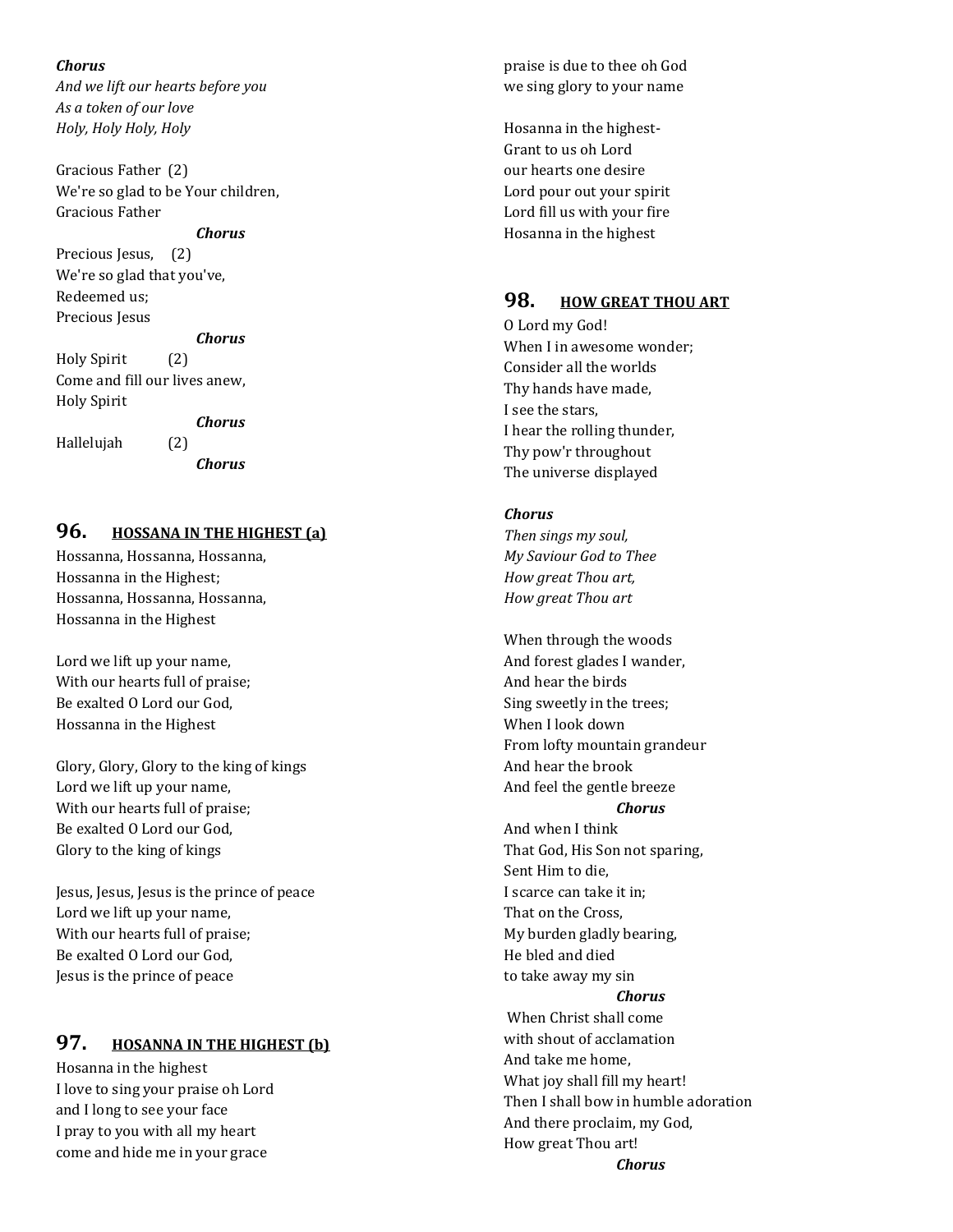#### *Chorus*

*And we lift our hearts before you As a token of our love Holy, Holy Holy, Holy*

Gracious Father (2) We're so glad to be Your children, Gracious Father

*Chorus*

Precious Jesus, (2) We're so glad that you've, Redeemed us; Precious Jesus *Chorus*

Holy Spirit (2) Come and fill our lives anew, Holy Spirit *Chorus* Hallelujah (2)

**96. HOSSANA IN THE HIGHEST (a)**

*Chorus*

Hossanna, Hossanna, Hossanna, Hossanna in the Highest; Hossanna, Hossanna, Hossanna, Hossanna in the Highest

Lord we lift up your name, With our hearts full of praise; Be exalted O Lord our God, Hossanna in the Highest

Glory, Glory, Glory to the king of kings Lord we lift up your name, With our hearts full of praise; Be exalted O Lord our God, Glory to the king of kings

Jesus, Jesus, Jesus is the prince of peace Lord we lift up your name, With our hearts full of praise; Be exalted O Lord our God, Jesus is the prince of peace

### **97. HOSANNA IN THE HIGHEST (b)**

Hosanna in the highest I love to sing your praise oh Lord and I long to see your face I pray to you with all my heart come and hide me in your grace

praise is due to thee oh God we sing glory to your name

Hosanna in the highest-Grant to us oh Lord our hearts one desire Lord pour out your spirit Lord fill us with your fire Hosanna in the highest

# **98. HOW GREAT THOU ART**

O Lord my God! When I in awesome wonder; Consider all the worlds Thy hands have made, I see the stars, I hear the rolling thunder, Thy pow'r throughout The universe displayed

### *Chorus*

*Then sings my soul, My Saviour God to Thee How great Thou art, How great Thou art* 

When through the woods And forest glades I wander, And hear the birds Sing sweetly in the trees; When I look down From lofty mountain grandeur And hear the brook And feel the gentle breeze *Chorus*

And when I think That God, His Son not sparing, Sent Him to die, I scarce can take it in; That on the Cross, My burden gladly bearing,

He bled and died to take away my sin

### *Chorus*

When Christ shall come with shout of acclamation And take me home, What joy shall fill my heart! Then I shall bow in humble adoration And there proclaim, my God, How great Thou art! *Chorus*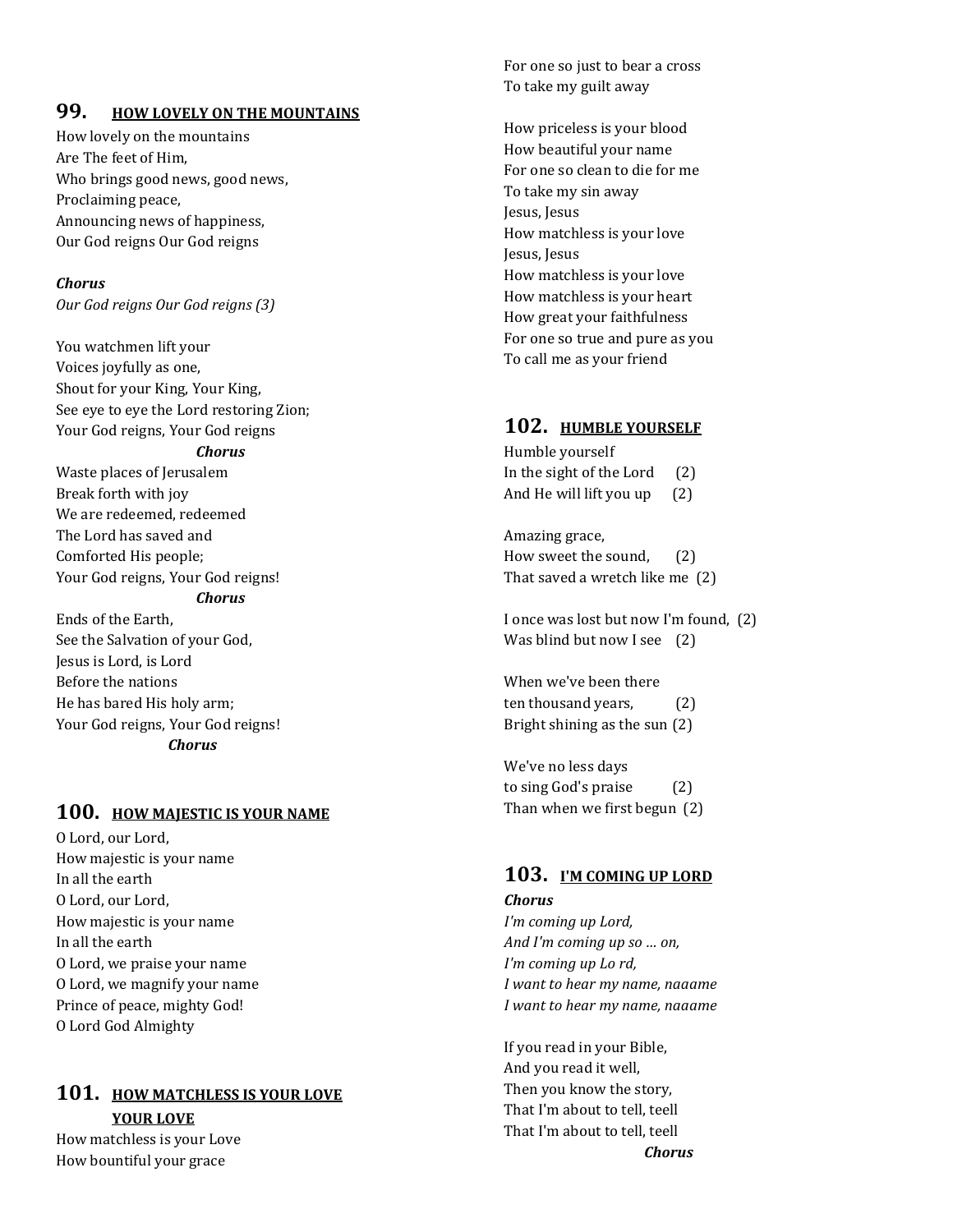### **99. HOW LOVELY ON THE MOUNTAINS**

How lovely on the mountains Are The feet of Him, Who brings good news, good news, Proclaiming peace, Announcing news of happiness, Our God reigns Our God reigns

### *Chorus*

*Our God reigns Our God reigns (3)* 

You watchmen lift your Voices joyfully as one, Shout for your King, Your King, See eye to eye the Lord restoring Zion; Your God reigns, Your God reigns

#### *Chorus*

Waste places of Jerusalem Break forth with joy We are redeemed, redeemed The Lord has saved and Comforted His people; Your God reigns, Your God reigns! *Chorus*

Ends of the Earth, See the Salvation of your God, Jesus is Lord, is Lord Before the nations He has bared His holy arm; Your God reigns, Your God reigns! *Chorus*

### **100. HOW MAJESTIC IS YOUR NAME**

O Lord, our Lord, How majestic is your name In all the earth O Lord, our Lord, How majestic is your name In all the earth O Lord, we praise your name O Lord, we magnify your name Prince of peace, mighty God! O Lord God Almighty

# **101. HOW MATCHLESS IS YOUR LOVE YOUR LOVE**

How matchless is your Love How bountiful your grace

For one so just to bear a cross To take my guilt away

How priceless is your blood How beautiful your name For one so clean to die for me To take my sin away Jesus, Jesus How matchless is your love Jesus, Jesus How matchless is your love How matchless is your heart How great your faithfulness For one so true and pure as you To call me as your friend

### **102. HUMBLE YOURSELF**

Humble yourself In the sight of the Lord (2) And He will lift you up (2)

Amazing grace, How sweet the sound, (2) That saved a wretch like me (2)

I once was lost but now I'm found, (2) Was blind but now I see (2)

When we've been there ten thousand years, (2) Bright shining as the sun (2)

We've no less days to sing God's praise (2) Than when we first begun (2)

### **103. I'M COMING UP LORD**  *Chorus*

*I'm coming up Lord, And I'm coming up so … on, I'm coming up Lo rd, I want to hear my name, naaame I want to hear my name, naaame*

If you read in your Bible, And you read it well, Then you know the story, That I'm about to tell, teell That I'm about to tell, teell *Chorus*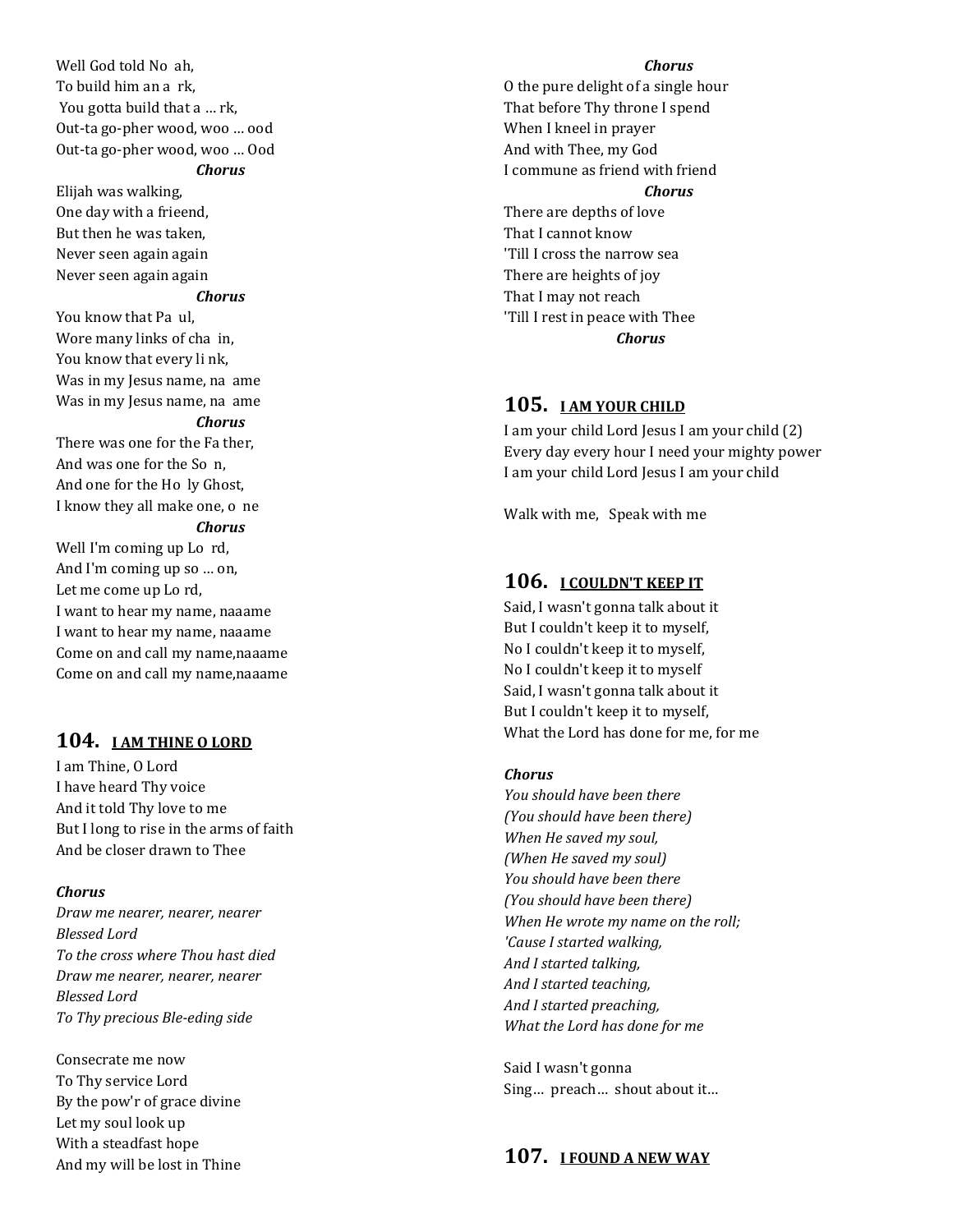Well God told No ah, To build him an a rk, You gotta build that a … rk, Out -ta go -pher wood, woo … ood Out -ta go -pher wood, woo … Ood *Chorus*

Elijah was walking, One day with a frieend, But then he was taken, Never seen again again Never seen again again

*Chorus*

You know that Pa ul, Wore many links of cha in, You know that every li nk, Was in my Jesus name, na ame Was in my Jesus name, na ame *Chorus*

There was one for the Fa ther, And was one for the So n, And one for the Ho ly Ghost, I know they all make one, o ne *Chorus*

Well I'm coming up Lo rd, And I'm coming up so … on, Let me come up Lo rd, I want to hear my name, naaame I want to hear my name, naaame Come on and call my name,naaame Come on and call my name,naaame

### **104. I AM THINE O LORD**

I am Thine, O Lord I have heard Thy voice And it told Thy love to me But I long to rise in the arms of faith And be closer drawn to Thee

#### *Chorus*

*Draw me nearer, nearer, nearer Blessed Lord To the cross where Thou hast died Draw me nearer, nearer, nearer Blessed Lord To Thy precious Ble -eding side*

Consecrate me now To Thy service Lord By the pow'r of grace divine Let my soul look up With a steadfast hope And my will be lost in Thine

#### *Chorus*

O the pure delight of a single hour That before Thy throne I spend When I kneel in prayer And with Thee, my God I commune as friend with friend *Chorus* There are depths of love That I cannot know

'Till I cross the narrow sea There are heights of joy That I may not reach 'Till I rest in peace with Thee *Chorus*

# **105. I AM YOUR CHILD**

I am your child Lord Jesus I am your child (2) Every day every hour I need your mighty power I am your child Lord Jesus I am your child

Walk with me, Speak with me

# **106. I COULDN'T KEEP IT**

Said, I wasn't gonna talk about it But I couldn't keep it to myself, No I couldn't keep it to myself, No I couldn't keep it to myself Said, I wasn't gonna talk about it But I couldn't keep it to myself, What the Lord has done for me, for me

#### *Chorus*

*You should have been there (You should have been there) When He saved my soul, (When He saved my soul) You should have been there (You should have been there) When He wrote my name on the roll; 'Cause I started walking, And I started talking, And I started teaching, And I started preaching, What the Lord has done for me*

Said I wasn't gonna Sing… preach… shout about it…

### **107. I FOUND A NEW WAY**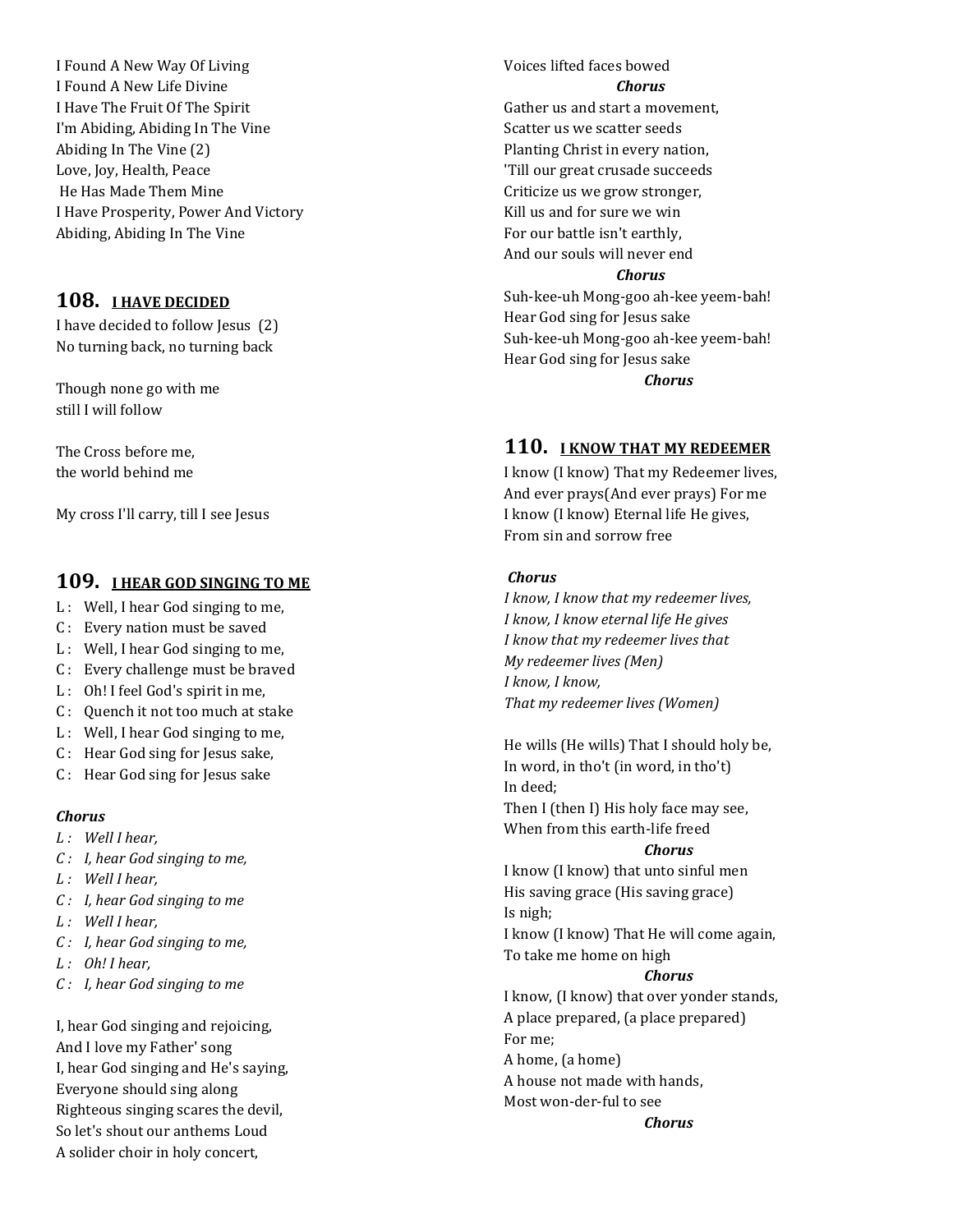I Found A New Way Of Living I Found A New Life Divine I Have The Fruit Of The Spirit I'm Abiding, Abiding In The Vine Abiding In The Vine (2) Love, Joy, Health, Peace He Has Made Them Mine I Have Prosperity, Power And Victory Abiding, Abiding In The Vine

### **108. I HAVE DECIDED**

I have decided to follow Jesus (2) No turning back, no turning back

Though none go with me still I will follow

The Cross before me, the world behind me

My cross I'll carry, till I see Jesus

### **109. I HEAR GOD SINGING TO ME**

- L : Well, I hear God singing to me,
- C : Every nation must be saved
- L : Well, I hear God singing to me,
- C : Every challenge must be braved
- L: Oh! I feel God's spirit in me,
- C : Quench it not too much at stake
- L : Well, I hear God singing to me,
- C : Hear God sing for Jesus sake,
- C : Hear God sing for Jesus sake

#### *Chorus*

- *L : Well I hear,*
- *C : I, hear God singing to me,*
- *L : Well I hear,*
- *C : I, hear God singing to me*
- *L : Well I hear,*
- *C : I, hear God singing to me,*
- *L : Oh! I hear,*
- *C : I, hear God singing to me*

I, hear God singing and rejoicing, And I love my Father' song I, hear God singing and He's saying, Everyone should sing along Righteous singing scares the devil, So let's shout our anthems Loud A solider choir in holy concert,

### Voices lifted faces bowed *Chorus*

Gather us and start a movement, Scatter us we scatter seeds Planting Christ in every nation, 'Till our great crusade succeeds Criticize us we grow stronger, Kill us and for sure we win For our battle isn't earthly, And our souls will never end

### *Chorus*

Suh -kee -uh Mong -goo ah -kee yeem -bah! Hear God sing for Jesus sake Suh -kee -uh Mong -goo ah -kee yeem -bah! Hear God sing for Jesus sake *Chorus*

### **110. I KNOW THAT MY REDEEMER**

I know (I know) That my Redeemer lives, And ever prays(And ever prays) For me I know (I know) Eternal life He gives, From sin and sorrow free

### *Chorus*

*I know, I know that my redeemer lives, I know, I know eternal life He gives I know that my redeemer lives that My redeemer lives (Men) I know, I know, That my redeemer lives (Women)*

He wills (He wills) That I should holy be, In word, in tho't (in word, in tho't) In deed; Then I (then I) His holy face may see, When from this earth -life freed

#### *Chorus*

I know (I know) that unto sinful men His saving grace (His saving grace) Is nigh;

I know (I know) That He will come again, To take me home on high

#### *Chorus*

I know, (I know) that over yonder stands, A place prepared, (a place prepared) For me; A home, (a home) A house not made with hands, Most won -der -ful to see *Chorus*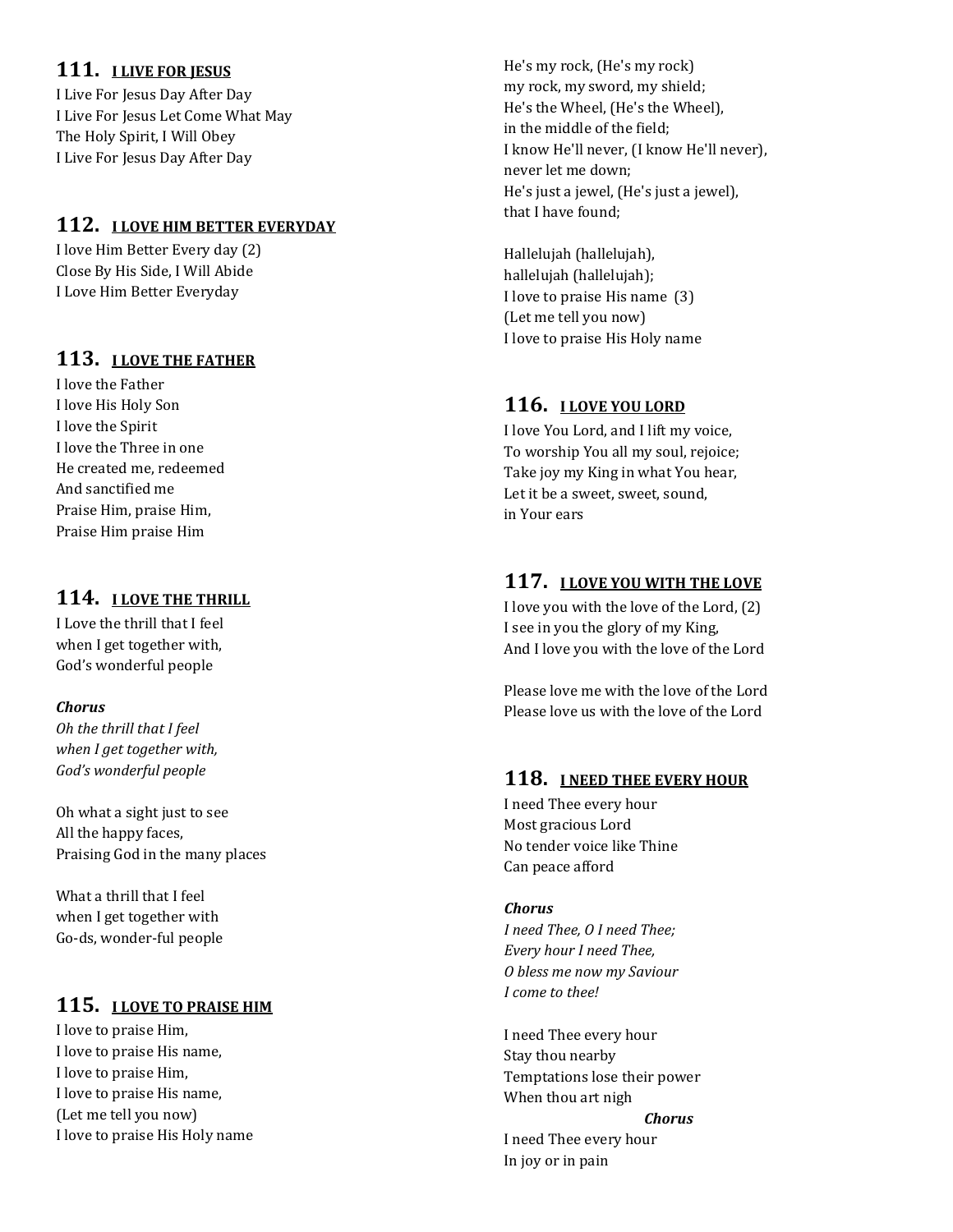### **111. I LIVE FOR JESUS**

I Live For Jesus Day After Day I Live For Jesus Let Come What May The Holy Spirit, I Will Obey I Live For Jesus Day After Day

# **112. I LOVE HIM BETTER EVERYDAY**

I love Him Better Every day (2) Close By His Side, I Will Abide I Love Him Better Everyday

### **113. I LOVE THE FATHER**

I love the Father I love His Holy Son I love the Spiri t I love the Three in one He created me, redeemed And sanctified me Praise Him, praise Him, Praise Him praise Him

# **114. I LOVE THE THRILL**

I Love the thrill that I feel when I get together with, God's wonderful people

#### *Chorus*

*Oh the thrill that I feel when I get together with, God's wonderful people*

Oh what a sight just to see All the happy faces, Praising God in the many places

What a thrill that I feel when I get together with Go -ds, wonder -ful people

# **115. I LOVE TO PRAISE HIM**

I love to praise Him, I love to praise His name, I love to praise Him, I love to praise His name, (Let me tell you now) I love to praise His Holy name

He's my rock, (He's my rock) my rock, my sword, my shield; He's the Wheel, (He's the Wheel), in the middle of the field; I know He'll never, (I know He'll never), never let me down; He's just a jewel, (He's just a jewel), that I have found;

Hallelujah (hallelujah), hallelujah (hallelujah); I love to praise His name (3) (Let me tell you now) I love to praise His Holy name

# **116. I LOVE YOU LORD**

I love You Lord, and I lift my voice, To worship You all my soul, rejoice; Take joy my King in what You hear, Let it be a sweet, sweet, sound, in Your ears

# **117. I LOVE YOU WITH THE LOVE**

I love you with the love of the Lord, (2) I see in you the glory of my King, And I love you with the love of the Lord

Please love me with the love of the Lord Please love us with the love of the Lord

### **118. I NEED THEE EVERY HOUR**

I need Thee every hour Most gracious Lord No tender voice like Thine Can peace afford

#### *Chorus*

*I need Thee, O I need Thee; Every hour I need Thee, O bless me now my Saviour I come to thee!*

I need Thee every hour Stay thou nearby Temptations lose their power When thou art nigh

*Chorus*

I need Thee every hour In joy or in pain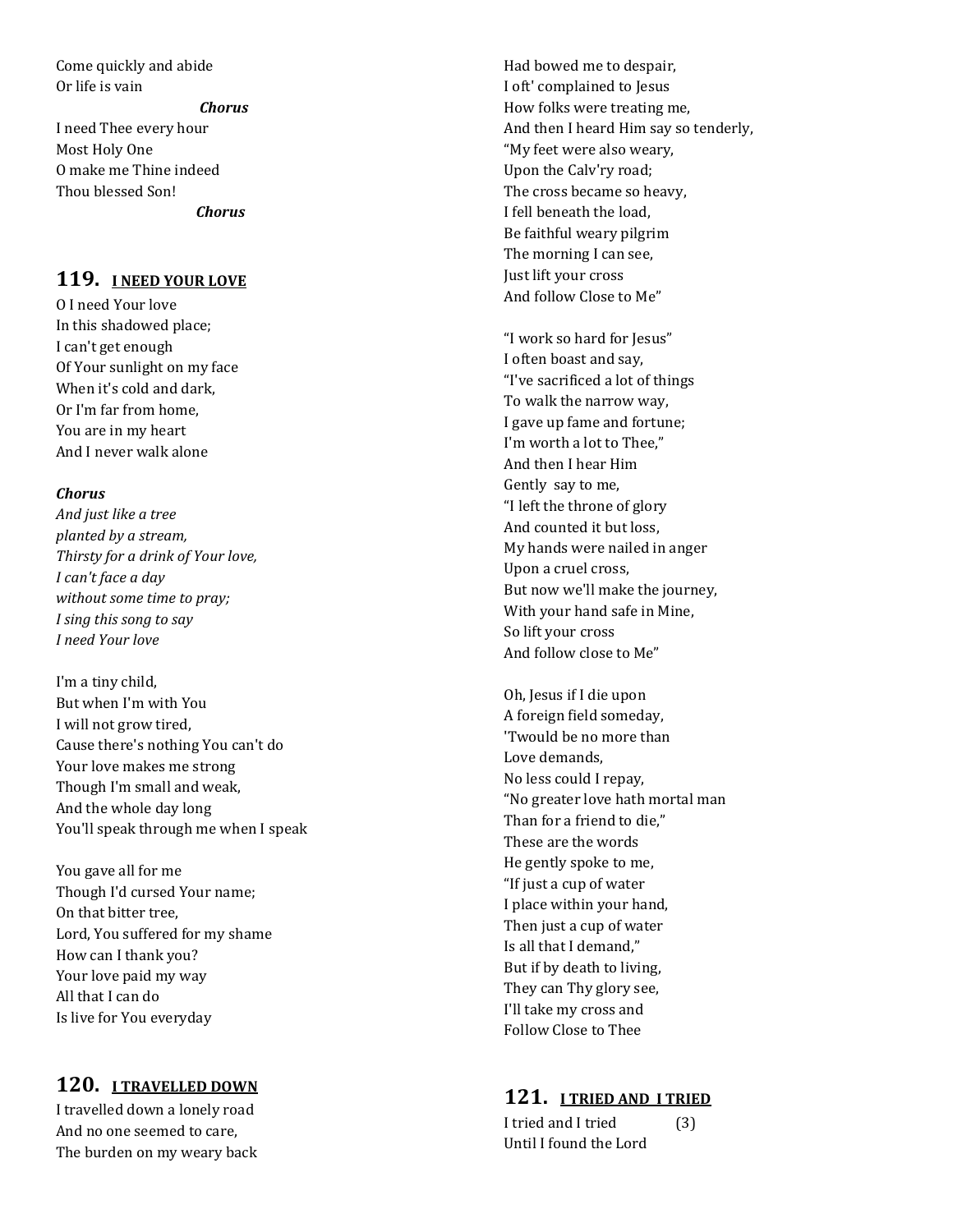Come quickly and abide Or life is vain

*Chorus* I need Thee every hour Most Holy One O make me Thine indeed Thou blessed Son! *Chorus*

# **119. I NEED YOUR LOVE**

O I need Your love In this shadowed place; I can't get enough Of Your sunlight on my face When it's cold and dark, Or I'm far from home, You are in my heart And I never walk alone

#### *Chorus*

*And just like a tree planted by a stream, Thirsty for a drink of Your love, I can't face a day without some time to pray; I sing this song to say I need Your love* 

I'm a tiny child, But when I'm with You I will not grow tired, Cause there's nothing You can't do Your love makes me strong Though I'm small and weak, And the whole day long You'll speak through me when I speak

You gave all for me Though I'd cursed Your name; On that bitter tree, Lord, You suffered for my shame How can I thank you? Your love paid my way All that I can do Is live for You everyday

### **120. I TRAVELLED DOWN**

I travelled down a lonely road And no one seemed to care, The burden on my weary back

Had bowed me to despair, I oft' complained to Jesus How folks were treating me, And then I heard Him say so tenderly, "My feet were also weary, Upon the Calv'ry road; The cross became so heavy, I fell beneath the load, Be faithful weary pilgrim The morning I can see, Just lift your cross And follow Close to Me"

"I work so hard for Jesus" I often boast and say, "I've sacrificed a lot of things To walk the narrow way, I gave up fame and fortune; I'm worth a lot to Thee," And then I hear Him Gently say to me, "I left the throne of glory And counted it but loss, My hands were nailed in anger Upon a cruel cross, But now we'll make the journey, With your hand safe in Mine, So lift your cross And follow close to Me"

Oh, Jesus if I die upon A foreign field someday, 'Twould be no more than Love demands, No less could I repay, "No greater love hath mortal man Than for a friend to die," These are the words He gently spoke to me, "If just a cup of water I place within your hand, Then just a cup of water Is all that I demand," But if by death to living, They can Thy glory see, I'll take my cross and Follow Close to Thee

### **121. I TRIED AND I TRIED**

I tried and I tried (3) Until I found the Lord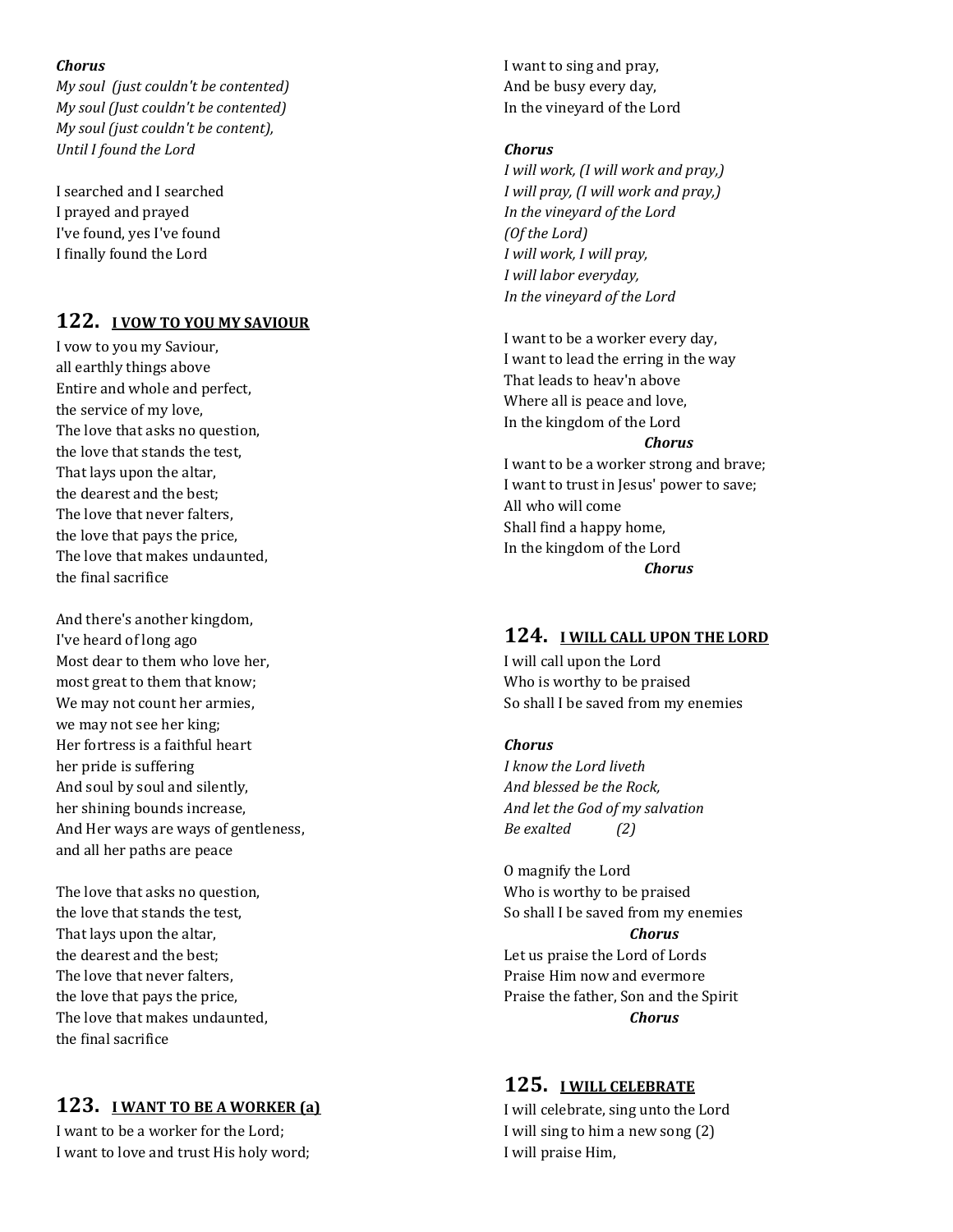#### *Chorus*

*My soul (just couldn't be contented) My soul (Just couldn't be contented) My soul (just couldn't be content), Until I found the Lord*

I searched and I searched I prayed and prayed I've found, yes I've found I finally found the Lord

### **122. I VOW TO YOU MY SAVIOUR**

I vow to you my Saviour, all earthly things above Entire and whole and perfect, the service of my love, The love that asks no question, the love that stands the test, That lays upon the altar, the dearest and the best; The love that never falters, the love that pays the price, The love that makes undaunted, the final sacrifice

And there's another kingdom, I've heard of long ago Most dear to them who love her, most great to them that know; We may not count her armies, we may not see her king; Her fortress is a faithful heart her pride is suffering And soul by soul and silently, her shining bounds increase, And Her ways are ways of gentleness, and all her paths are peace

The love that asks no question, the love that stands the test, That lays upon the altar, the dearest and the best; The love that never falters, the love that pays the price, The love that makes undaunted, the final sacrifice

### **123. I WANT TO BE A WORKER (a)**

I want to be a worker for the Lord; I want to love and trust His holy word; I want to sing and pray, And be busy every day, In the vineyard of the Lord

### *Chorus*

*I will work, (I will work and pray,) I will pray, (I will work and pray,) In the vineyard of the Lord (Of the Lord) I will work, I will pray, I will labor everyday, In the vineyard of the Lord*

I want to be a worker every day, I want to lead the erring in the way That leads to heav'n above Where all is peace and love, In the kingdom of the Lord *Chorus*

I want to be a worker strong and brave; I want to trust in Jesus' power to save; All who will come Shall find a happy home, In the kingdom of the Lord *Chorus*

### **124. I WILL CALL UPON THE LORD**

I will call upon the Lord Who is worthy to be praised So shall I be saved from my enemies

#### *Chorus*

*I know the Lord liveth And blessed be the Rock, And let the God of my salvation Be exalted (2)* 

O magnify the Lord Who is worthy to be praised So shall I be saved from my enemies *Chorus* Let us praise the Lord of Lords Praise Him now and evermore Praise the father, Son and the Spirit *Chorus*

# **125. I WILL CELEBRATE**

I will celebrate, sing unto the Lord I will sing to him a new song (2) I will praise Him,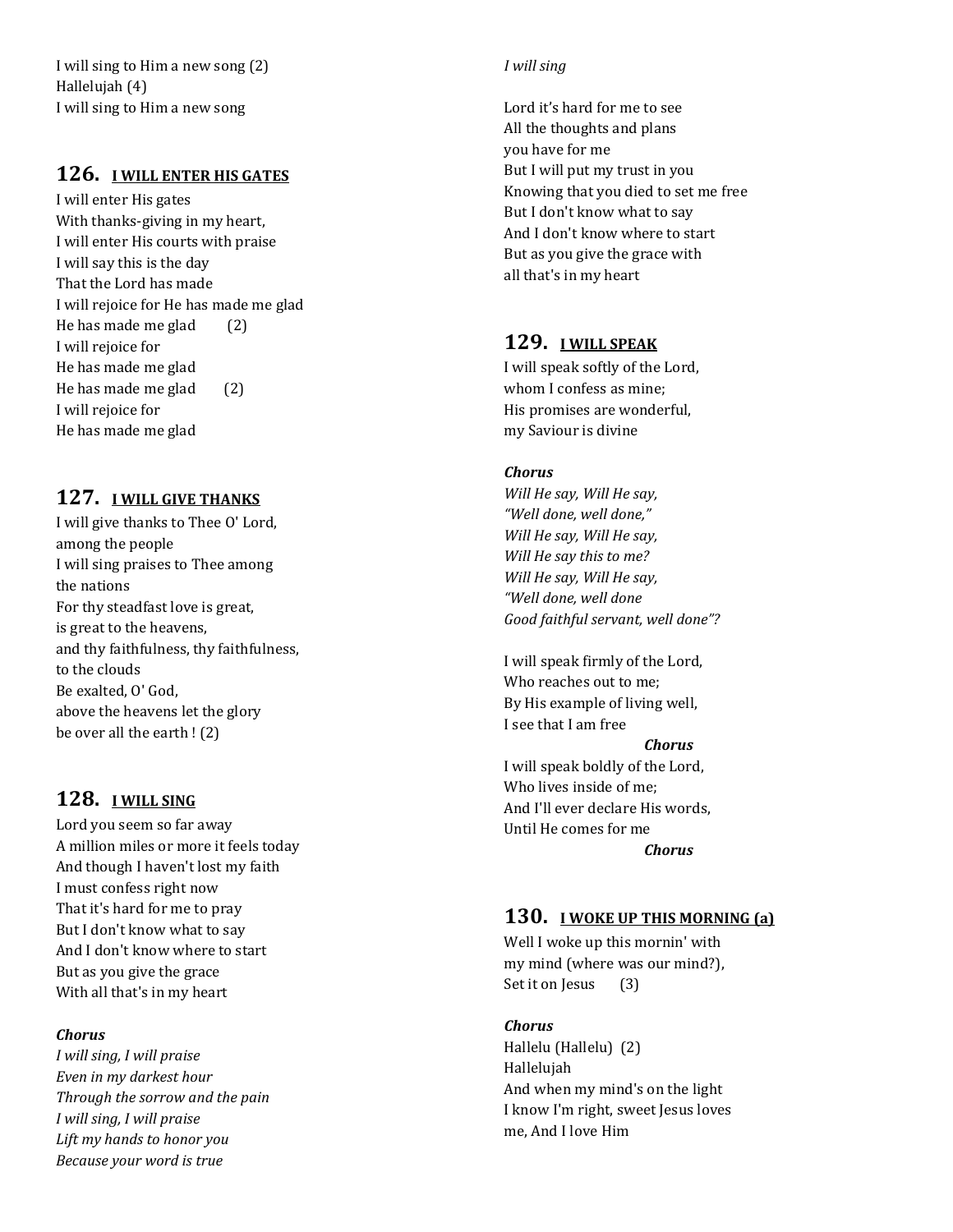I will sing to Him a new song (2) Hallelujah (4) I will sing to Him a new song

# **126. I WILL ENTER HIS GATES**

I will enter His gates With thanks -giving in my heart, I will enter His courts with praise I will say this is the day That the Lord has made I will rejoice for He has made me glad He has made me glad (2) I will rejoice for He has made me glad He has made me glad (2) I will rejoice for He has made me glad

# **127. I WILL GIVE THANKS**

I will give thanks to Thee O' Lord, among the people I will sing praises to Thee among the nations For thy steadfast love is great, is great to the heavens, and thy faithfulness, thy faithfulness, to the clouds Be exalted, O' God, above the heavens let the glory be over all the earth ! (2)

# **128. I WILL SING**

Lord you seem so far away A million miles or more it feels today And though I haven't lost my faith I must confess right now That it's hard for me to pray But I don't know what to say And I don't know where to start But as you give the grace With all that's in my heart

### *Chorus*

*I will sing, I will praise Even in my darkest hour Through the sorrow and the pain I will sing, I will praise Lift my hands to honor you Because your word is true*

### *I will sing*

Lord it's hard for me to see All the thoughts and plans you have for me But I will put my trust in you Knowing that you died to set me free But I don't know what to say And I don't know where to start But as you give the grace with all that's in my heart

# **129. I WILL SPEAK**

I will speak softly of the Lord, whom I confess as mine; His promises are wonderful, my Saviour is divine

### *Chorus*

*Will He say, Will He say, "Well done, well done," Will He say, Will He say, Will He say this to me? Will He say, Will He say, "Well done, well done Good faithful servant, well done"?*

I will speak firmly of the Lord, Who reaches out to me; By His example of living well, I see that I am free *Chorus* I will speak boldly of the Lord, Who lives inside of me; And I'll ever declare His words, Until He comes for me *Chorus*

# **130. I WOKE UP THIS MORNING (a)**

Well I woke up this mornin' with my mind (where was our mind?), Set it on Jesus (3)

### *Chorus*

Hallelu (Hallelu) (2) Hallelujah And when my mind's on the light I know I'm right, sweet Jesus loves me, And I love Him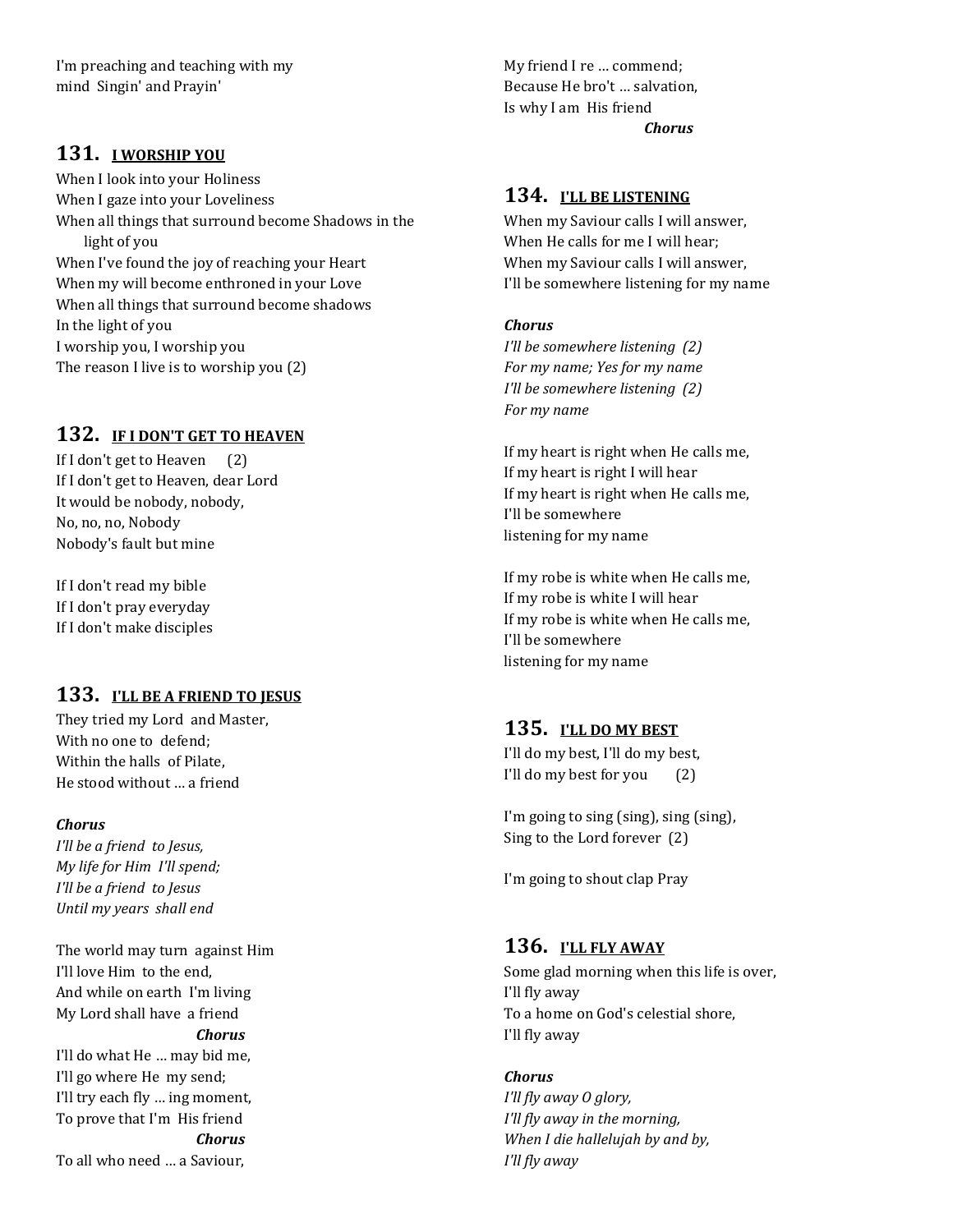I'm preaching and teaching with my mind Singin' and Prayin'

### **131. I WORSHIP YOU**

When I look into your Holiness When I gaze into your Loveliness When all things that surround become Shadows in the light of you When I've found the joy of reaching your Heart When my will become enthroned in your Love When all things that surround become shadows In the light of you I worship you, I worship you The reason I live is to worship you (2)

### **132. IF I DON'T GET TO HEAVEN**

If I don't get to Heaven (2) If I don't get to Heaven, dear Lord It would be nobody, nobody, No, no, no, Nobody Nobody's fault but mine

If I don't read my bible If I don't pray everyday If I don't make disciples

### **133. I'LL BE A FRIEND TO JESUS**

They tried my Lord and Master, With no one to defend; Within the halls of Pilate, He stood without … a friend

#### *Chorus*

*I'll be a friend to Jesus, My life for Him I'll spend; I'll be a friend to Jesus Until my years shall end*

The world may turn against Him I'll love Him to the end, And while on earth I'm living My Lord shall have a friend *Chorus* I'll do what He … may bid me, I'll go where He my send; I'll try each fly … ing moment, To prove that I'm His friend

*Chorus* To all who need … a Saviour,

My friend I re … commend; Because He bro't … salvation, Is why I am His friend *Chorus*

# **134. I'LL BE LISTENING**

When my Saviour calls I will answer, When He calls for me I will hear; When my Saviour calls I will answer, I'll be somewhere listening for my name

#### *Chorus*

*I'll be somewhere listening (2) For my name; Yes for my name I'll be somewhere listening (2) For my name*

If my heart is right when He calls me, If my heart is right I will hear If my heart is right when He calls me, I'll be somewhere listening for my name

If my robe is white when He calls me, If my robe is white I will hear If my robe is white when He calls me, I'll be somewhere listening for my name

### **135. I'LL DO MY BEST**

I'll do my best, I'll do my best, I'll do my best for you (2)

I'm going to sing (sing), sing (sing), Sing to the Lord forever (2)

I'm going to shout clap Pray

### **136. I'LL FLY AWAY**

Some glad morning when this life is over, I'll fly away To a home on God's celestial shore, I'll fly away

### *Chorus*

*I'll fly away O glory, I'll fly away in the morning, When I die hallelujah by and by, I'll fly away*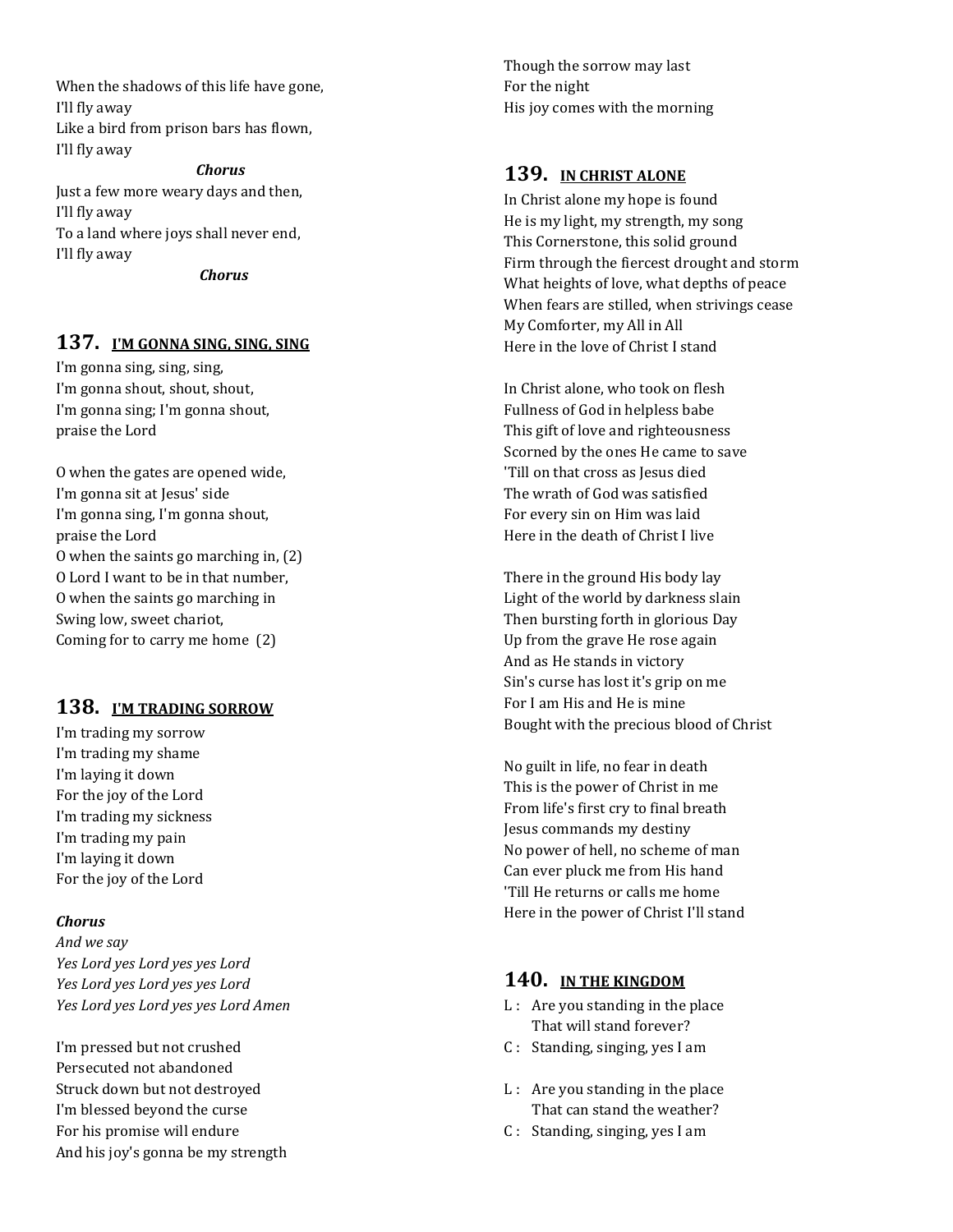When the shadows of this life have gone, I'll fly away Like a bird from prison bars has flown, I'll fly away

### *Chorus*

Just a few more weary days and then, I'll fly away To a land where joys shall never end, I'll fly away

*Chorus*

### **137. I'M GONNA SING, SING, SING**

I'm gonna sing, sing, sing, I'm gonna shout, shout, shout, I'm gonna sing; I'm gonna shout, praise the Lord

O when the gates are opened wide, I'm gonna sit at Jesus' side I'm gonna sing, I'm gonna shout, praise the Lord O when the saints go marching in, (2) O Lord I want to be in that number, O when the saints go marching in Swing low, sweet chariot, Coming for to carry me home (2)

# **138. I'M TRADING SORROW**

I'm trading my sorrow I'm trading my shame I'm laying it down For the joy of the Lord I'm trading my sickness I'm trading my pain I'm laying it down For the joy of the Lord

### *Chorus*

*And we say Yes Lord yes Lord yes yes Lord Yes Lord yes Lord yes yes Lord Yes Lord yes Lord yes yes Lord Amen* 

I'm pressed but not crushed Persecuted not abandoned Struck down but not destroyed I'm blessed beyond the curse For his promise will endure And his joy's gonna be my strength Though the sorrow may last For the night His joy comes with the morning

### **139. IN CHRIST ALONE**

In Christ alone my hope is found He is my light, my strength, my song This Cornerstone, this solid ground Firm through the fiercest drought and storm What heights of love, what depths of peace When fears are stilled, when strivings cease My Comforter, my All in All Here in the love of Christ I stand

In Christ alone, who took on flesh Fullness of God in helpless babe This gift of love and righteousness Scorned by the ones He came to save 'Till on that cross as Jesus died The wrath of God was satisfied For every sin on Him was laid Here in the death of Christ I live

There in the ground His body lay Light of the world by darkness slain Then bursting forth in glorious Day Up from the grave He rose again And as He stands in victory Sin's curse has lost it's grip on me For I am His and He is mine Bought with the precious blood of Christ

No guilt in life, no fear in death This is the power of Christ in me From life's first cry to final breath Jesus commands my destiny No power of hell, no scheme of man Can ever pluck me from His hand 'Till He returns or calls me home Here in the power of Christ I'll stand

### **140. IN THE KINGDOM**

- $L:$  Are you standing in the place That will stand forever?
- C : Standing, singing, yes I am
- $L:$  Are you standing in the place That can stand the weather?
- C : Standing, singing, yes I am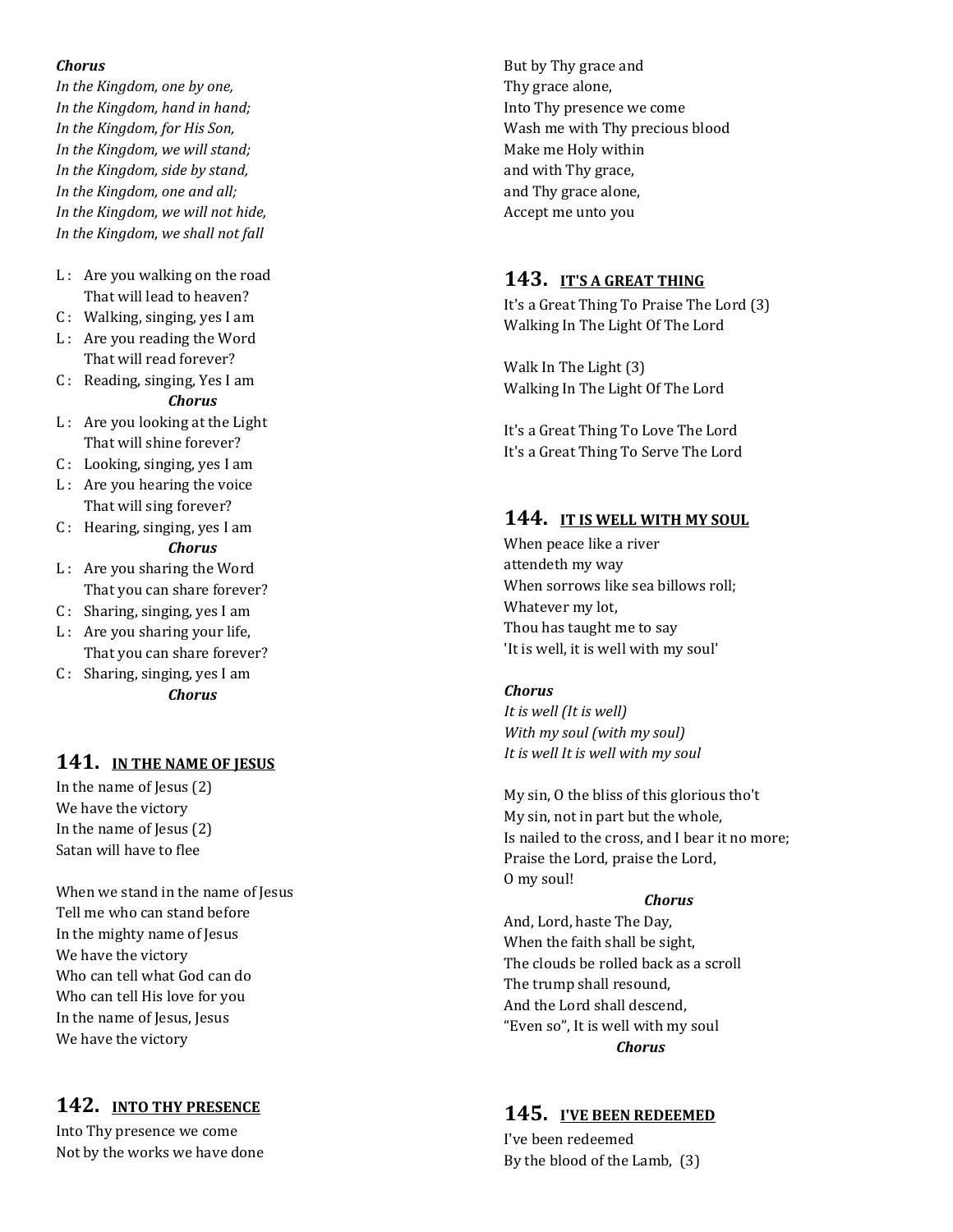#### *Chorus*

*In the Kingdom, one by one, In the Kingdom, hand in hand; In the Kingdom, for His Son, In the Kingdom, we will stand; In the Kingdom, side by stand, In the Kingdom, one and all; In the Kingdom, we will not hide, In the Kingdom, we shall not fall*

- L: Are you walking on the road That will lead to heaven?
- C : Walking, singing, yes I am
- L : Are you reading the Word That will read forever?
- C : Reading, singing, Yes I am

### *Chorus*

- $L:$  Are you looking at the Light That will shine forever?
- C : Looking, singing, yes I am
- L : Are you hearing the voice That will sing forever?
- C : Hearing, singing, yes I am *Chorus*
- L : Are you sharing the Word That you can share forever?
- C : Sharing, singing, yes I am
- L: Are you sharing your life, That you can share forever?
- C : Sharing, singing, yes I am *Chorus*

# **141. IN THE NAME OF JESUS**

In the name of Jesus (2) We have the victory In the name of Jesus (2) Satan will have to flee

When we stand in the name of Jesus Tell me who can stand before In the mighty name of Jesus We have the victory Who can tell what God can do Who can tell His love for you In the name of Jesus, Jesus We have the victory

# **142. INTO THY PRESENCE**

Into Thy presence we come Not by the works we have done But by Thy grace and Thy grace alone, Into Thy presence we come Wash me with Thy precious blood Make me Holy within and with Thy grace, and Thy grace alone, Accept me unto you

# **143. IT'S A GREAT THING**

It's a Great Thing To Praise The Lord (3) Walking In The Light Of The Lord

Walk In The Light (3) Walking In The Light Of The Lord

It's a Great Thing To Love The Lord It's a Great Thing To Serve The Lord

### **144. IT IS WELL WITH MY SOUL**

When peace like a river attendeth my way When sorrows like sea billows roll; Whatever my lot, Thou has taught me to say 'It is well, it is well with my soul'

#### *Chorus*

*It is well (It is well) With my soul (with my soul) It is well It is well with my soul*

My sin, O the bliss of this glorious tho't My sin, not in part but the whole, Is nailed to the cross, and I bear it no more; Praise the Lord, praise the Lord, O my soul!

#### *Chorus*

And, Lord, haste The Day, When the faith shall be sight, The clouds be rolled back as a scroll The trump shall resound, And the Lord shall descend, "Even so", It is well with my soul *Chorus*

### **145. I'VE BEEN REDEEMED**

I've been redeemed By the blood of the Lamb, (3)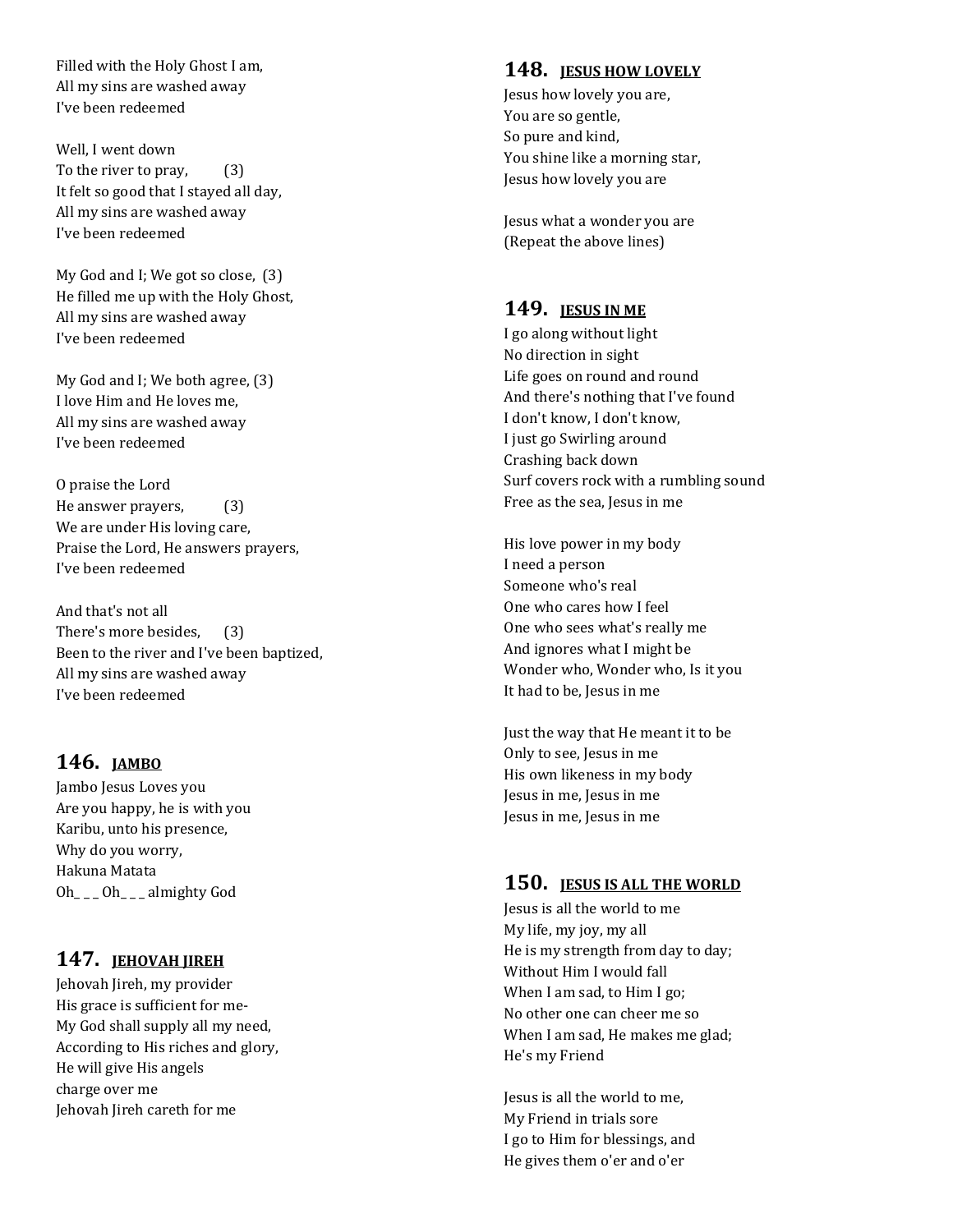Filled with the Holy Ghost I am, All my sins are washed away I've been redeemed

Well, I went down To the river to pray, (3) It felt so good that I stayed all day, All my sins are washed away I've been redeemed

My God and I; We got so close, (3) He filled me up with the Holy Ghost, All my sins are washed away I've been redeemed

My God and I; We both agree, (3) I love Him and He loves me, All my sins are washed away I've been redeemed

O praise the Lord He answer prayers, (3) We are under His loving care, Praise the Lord, He answers prayers, I've been redeemed

And that's not all There's more besides, (3) Been to the river and I've been baptized, All my sins are washed away I've been redeemed

# **146. JAMBO**

Jambo Jesus Loves you Are you happy, he is with you Karibu, unto his presence, Why do you worry, Hakuna Matata Oh\_ \_ \_ Oh\_ \_ \_ almighty God

# **147. JEHOVAH JIREH**

Jehovah Jireh, my provider His grace is sufficient for me - My God shall supply all my need, According to His riches and glory, He will give His angels charge over me Jehovah Jireh careth for me

### **148. JESUS HOW LOVELY**

Jesus how lovely you are, You are so gentle, So pure and kind, You shine like a morning star, Jesus how lovely you are

Jesus what a wonder you are (Repeat the above lines)

### **149. JESUS IN ME**

I go along without light No direction in sight Life goes on round and round And there's nothing that I've found I don't know, I don't know, I just go Swirling around Crashing back down Surf covers rock with a rumbling sound Free as the sea, Jesus in me

His love power in my body I need a person Someone who's real One who cares how I feel One who sees what's really me And ignores what I might be Wonder who, Wonder who, Is it you It had to be, Jesus in me

Just the way that He meant it to be Only to see, Jesus in me His own likeness in my body Jesus in me, Jesus in me Jesus in me, Jesus in me

### **150. JESUS IS ALL THE WORLD**

Jesus is all the world to me My life, my joy, my all He is my strength from day to day; Without Him I would fall When I am sad, to Him I go; No other one can cheer me so When I am sad, He makes me glad; He's my Friend

Jesus is all the world to me, My Friend in trials sore I go to Him for blessings, and He gives them o'er and o'er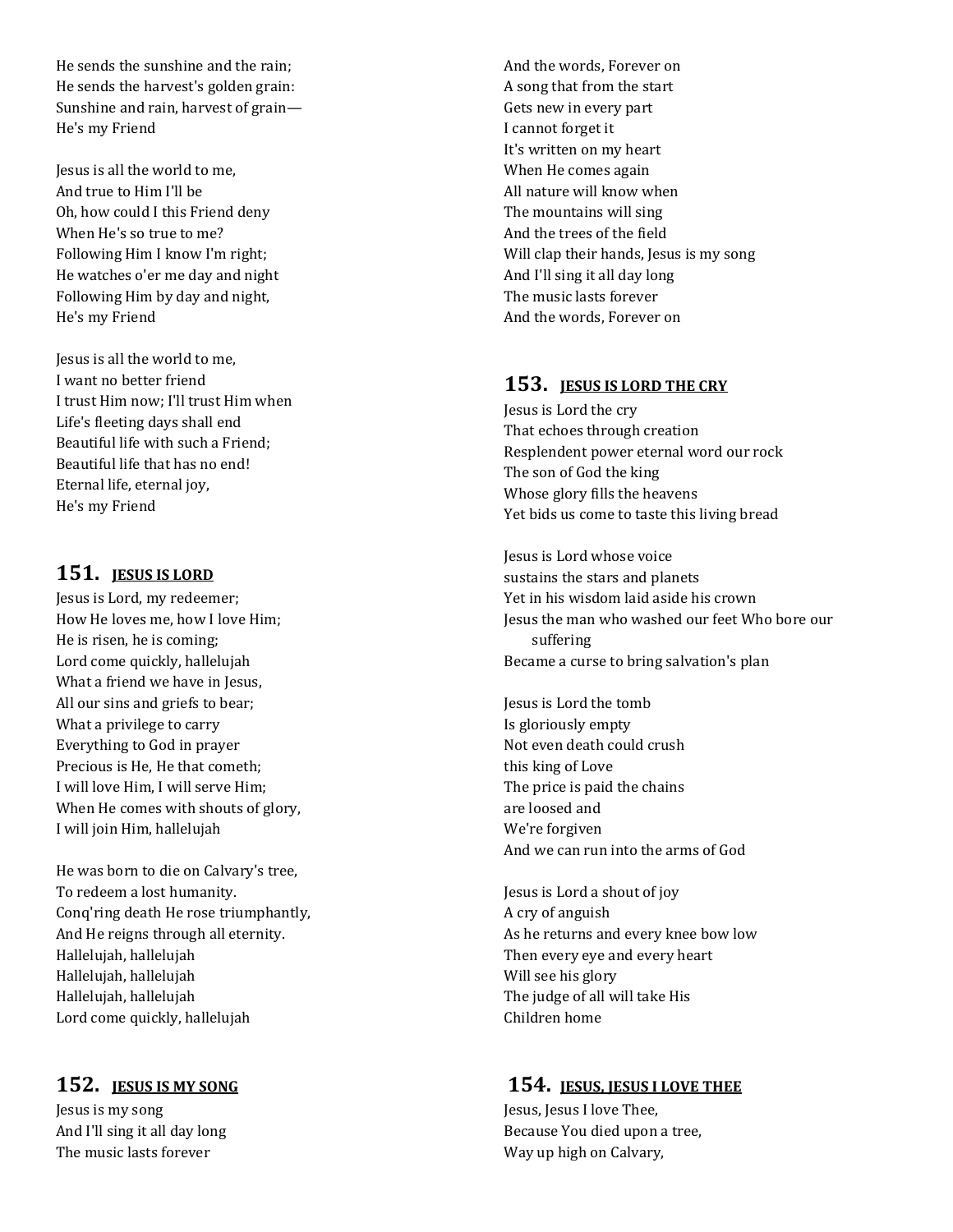He sends the sunshine and the rain; He sends the harvest's golden grain: Sunshine and rain, harvest of grain— He's my Friend

Jesus is all the world to me, And true to Him I'll be Oh, how could I this Friend deny When He's so true to me? Following Him I know I'm right; He watches o'er me day and night Following Him by day and night, He's my Friend

Jesus is all the world to me, I want no better friend I trust Him now; I'll trust Him when Life's fleeting days shall end Beautiful life with such a Friend; Beautiful life that has no end! Eternal life, eternal joy, He's my Friend

### **151. JESUS IS LORD**

Jesus is Lord, my redeemer; How He loves me, how I love Him; He is risen, he is coming; Lord come quickly, hallelujah What a friend we have in Jesus, All our sins and griefs to bear; What a privilege to carry Everything to God in prayer Precious is He, He that cometh; I will love Him, I will serve Him; When He comes with shouts of glory, I will join Him, hallelujah

He was born to die on Calvary's tree, To redeem a lost humanity. Conq'ring death He rose triumphantly, And He reigns through all eternity. Hallelujah, hallelujah Hallelujah, hallelujah Hallelujah, hallelujah Lord come quickly, hallelujah

# **152. JESUS IS MY SONG**

Jesus is my song And I'll sing it all day long The music lasts forever

And the words, Forever on A song that from the start Gets new in every part I cannot forget it It's written on my heart When He comes again All nature will know when The mountains will sing And the trees of the field Will clap their hands, Jesus is my song And I'll sing it all day long The music lasts forever And the words, Forever on

### **153. JESUS IS LORD THE CRY**

Jesus is Lord the cry That echoes through creation Resplendent power eternal word our rock The son of God the king Whose glory fills the heavens Yet bids us come to taste this living bread

Jesus is Lord whose voice sustains the stars and planets Yet in his wisdom laid aside his crown Jesus the man who washed our feet Who bore our suffering Became a curse to bring salvation's plan

Jesus is Lord the tomb Is gloriously empty Not even death could crush this king of Love The price is paid the chains are loosed and We're forgiven And we can run into the arms of God

Jesus is Lord a shout of joy A cry of anguish As he returns and every knee bow low Then every eye and every heart Will see his glory The judge of all will take His Children home

# **154. JESUS, JESUS I LOVE THEE**

Jesus, Jesus I love Thee, Because You died upon a tree, Way up high on Calvary,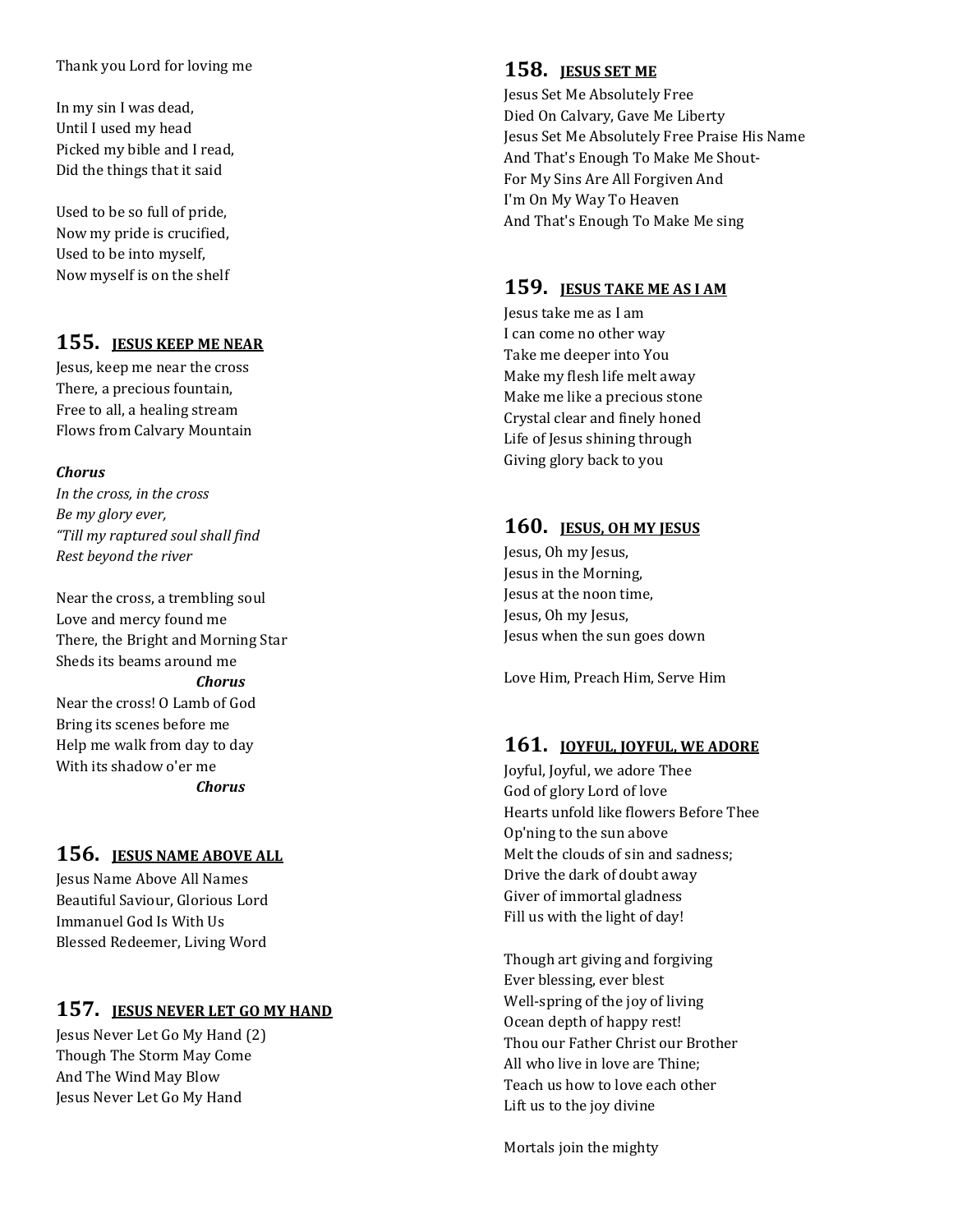### Thank you Lord for loving me

In my sin I was dead, Until I used my head Picked my bible and I read, Did the things that it said

Used to be so full of pride, Now my pride is crucified, Used to be into myself, Now myself is on the shelf

# **155. JESUS KEEP ME NEAR**

Jesus, keep me near the cross There, a precious fountain, Free to all, a healing stream Flows from Calvary Mountain

#### *Chorus*

*In the cross, in the cross Be my glory ever, "Till my raptured soul shall find Rest beyond the river*

Near the cross, a trembling soul Love and mercy found me There, the Bright and Morning Star Sheds its beams around me *Chorus* Near the cross! O Lamb of God Bring its scenes before me

Help me walk from day to day With its shadow o'er me *Chorus*

# **156. JESUS NAME ABOVE ALL**

Jesus Name Above All Names Beautiful Saviour, Glorious Lord Immanuel God Is With Us Blessed Redeemer, Living Word

### **157. JESUS NEVER LET GO MY HAND**

Jesus Never Let Go My Hand (2) Though The Storm May Come And The Wind May Blow Jesus Never Let Go My Hand

# **158. JESUS SET ME**

Jesus Set Me Absolutely Free Died On Calvary, Gave Me Liberty Jesus Set Me Absolutely Free Praise His Name And That's Enough To Make Me Shout - For My Sins Are All Forgiven And I'm On My Way To Heaven And That's Enough To Make Me sing

# **159. JESUS TAKE ME AS I AM**

Jesus take me as I am I can come no other way Take me deeper into You Make my flesh life melt away Make me like a precious stone Crystal clear and finely honed Life of Jesus shining through Giving glory back to you

### **160. JESUS, OH MY JESUS**

Jesus, Oh my Jesus, Jesus in the Morning, Jesus at the noon time, Jesus, Oh my Jesus, Jesus when the sun goes down

Love Him, Preach Him, Serve Him

### **161. JOYFUL, JOYFUL, WE ADORE**

Joyful, Joyful, we adore Thee God of glory Lord of love Hearts unfold like flowers Before Thee Op'ning to the sun above Melt the clouds of sin and sadness; Drive the dark of doubt away Giver of immortal gladness Fill us with the light of day!

Though art giving and forgiving Ever blessing, ever blest Well -spring of the joy of living Ocean depth of happy rest! Thou our Father Christ our Brother All who live in love are Thine; Teach us how to love each other Lift us to the joy divine

Mortals join the mighty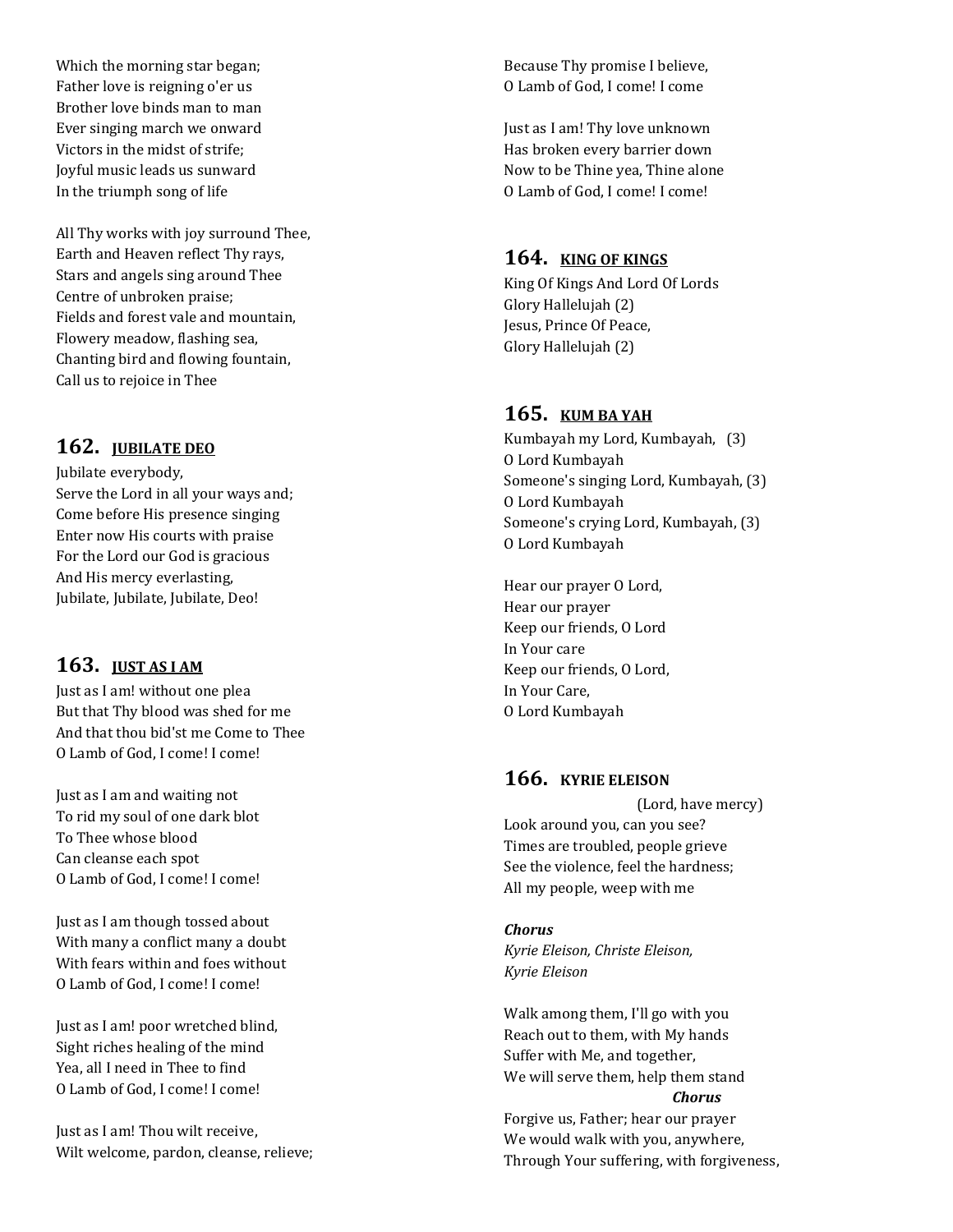Which the morning star began; Father love is reigning o'er us Brother love binds man to man Ever singing march we onward Victors in the midst of strife; Joyful music leads us sunward In the triumph song of life

All Thy works with joy surround Thee, Earth and Heaven reflect Thy rays, Stars and angels sing around Thee Centre of unbroken praise; Fields and forest vale and mountain, Flowery meadow, flashing sea, Chanting bird and flowing fountain, Call us to rejoice in Thee

# **162. JUBILATE DEO**

Jubilate everybody, Serve the Lord in all your ways and; Come before His presence singing Enter now His courts with praise For the Lord our God is gracious And His mercy everlasting, Jubilate, Jubilate, Jubilate, Deo!

# **163. JUST AS I AM**

Just as I am! without one plea But that Thy blood was shed for me And that thou bid'st me Come to Thee O Lamb of God, I come! I come!

Just as I am and waiting not To rid my soul of one dark blot To Thee whose blood Can cleanse each spot O Lamb of God, I come! I come!

Just as I am though tossed about With many a conflict many a doubt With fears within and foes without O Lamb of God, I come! I come!

Just as I am! poor wretched blind, Sight riches healing of the mind Yea, all I need in Thee to find O Lamb of God, I come! I come!

Just as I am! Thou wilt receive, Wilt welcome, pardon, cleanse, relieve; Because Thy promise I believe, O Lamb of God, I come! I come

Just as I am! Thy love unknown Has broken every barrier down Now to be Thine yea, Thine alone O Lamb of God, I come! I come!

### **164. KING OF KINGS**

King Of Kings And Lord Of Lords Glory Hallelujah (2) Jesus, Prince Of Peace, Glory Hallelujah (2)

### **165. KUM BA YAH**

Kumbayah my Lord, Kumbayah, (3) O Lord Kumbayah Someone's singing Lord, Kumbayah, (3) O Lord Kumbayah Someone's crying Lord, Kumbayah, (3) O Lord Kumbayah

Hear our prayer O Lord, Hear our prayer Keep our friends, O Lord In Your care Keep our friends, O Lord, In Your Care, O Lord Kumbayah

### **166. KYRIE ELEISON**

(Lord, have mercy) Look around you, can you see? Times are troubled, people grieve See the violence, feel the hardness; All my people, weep with me

#### *Chorus*

*Kyrie Eleison, Christe Eleison, Kyrie Eleison*

Walk among them, I'll go with you Reach out to them, with My hands Suffer with Me, and together, We will serve them, help them stand *Chorus*

Forgive us, Father; hear our prayer We would walk with you, anywhere, Through Your suffering, with forgiveness,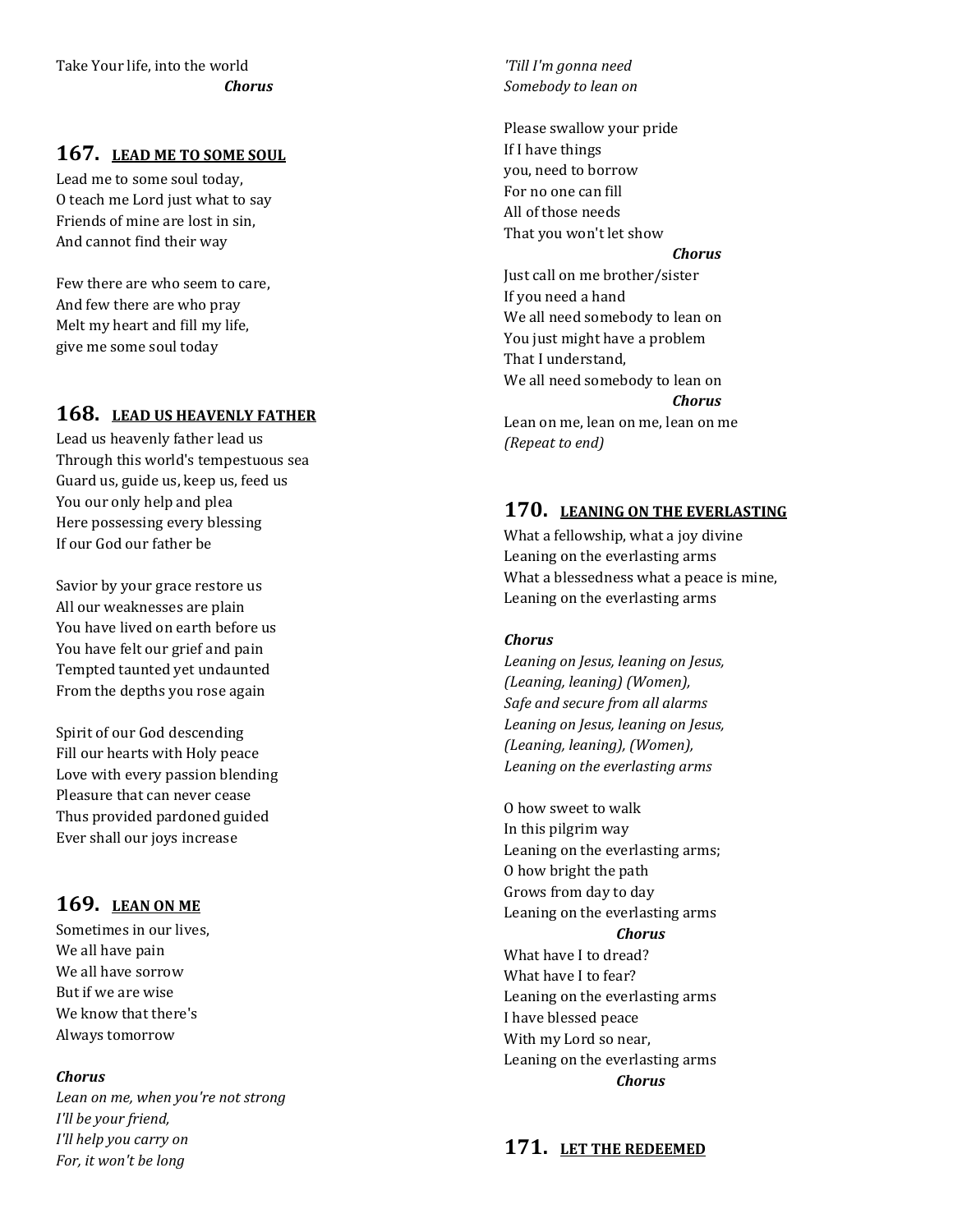### **167. LEAD ME TO SOME SOUL**

Lead me to some soul today, O teach me Lord just what to say Friends of mine are lost in sin, And cannot find their way

Few there are who seem to care, And few there are who pray Melt my heart and fill my life, give me some soul today

### **168. LEAD US HEAVENLY FATHER**

Lead us heavenly father lead us Through this world's tempestuous sea Guard us, guide us, keep us, feed us You our only help and plea Here possessing every blessing If our God our father be

Savior by your grace restore us All our weaknesses are plain You have lived on earth before us You have felt our grief and pain Tempted taunted yet undaunted From the depths you rose again

Spirit of our God descending Fill our hearts with Holy peace Love with every passion blending Pleasure that can never cease Thus provided pardoned guided Ever shall our joys increase

## **169. LEAN ON ME**

Sometimes in our lives, We all have pain We all have sorrow But if we are wise We know that there's Always tomorrow

### *Chorus*

*Lean on me, when you're not strong I'll be your friend, I'll help you carry on For, it won't be long*

*'Till I'm gonna need Somebody to lean on*

Please swallow your pride If I have things you, need to borrow For no one can fill All of those needs That you won't let show

### *Chorus*

Just call on me brother/sister If you need a hand We all need somebody to lean on You just might have a problem That I understand, We all need somebody to lean on *Chorus* Lean on me, lean on me, lean on me

### **170. LEANING ON THE EVERLASTING**

What a fellowship, what a joy divine Leaning on the everlasting arms What a blessedness what a peace is mine, Leaning on the everlasting arms

### *Chorus*

*(Repeat to end)*

*Leaning on Jesus, leaning on Jesus, (Leaning, leaning) (Women), Safe and secure from all alarms Leaning on Jesus, leaning on Jesus, (Leaning, leaning), (Women), Leaning on the everlasting arms*

O how sweet to walk In this pilgrim way Leaning on the everlasting arms; O how bright the path Grows from day to day Leaning on the everlasting arms *Chorus* What have I to dread? What have I to fear? Leaning on the everlasting arms I have blessed peace With my Lord so near, Leaning on the everlasting arms

**171. LET THE REDEEMED**

*Chorus*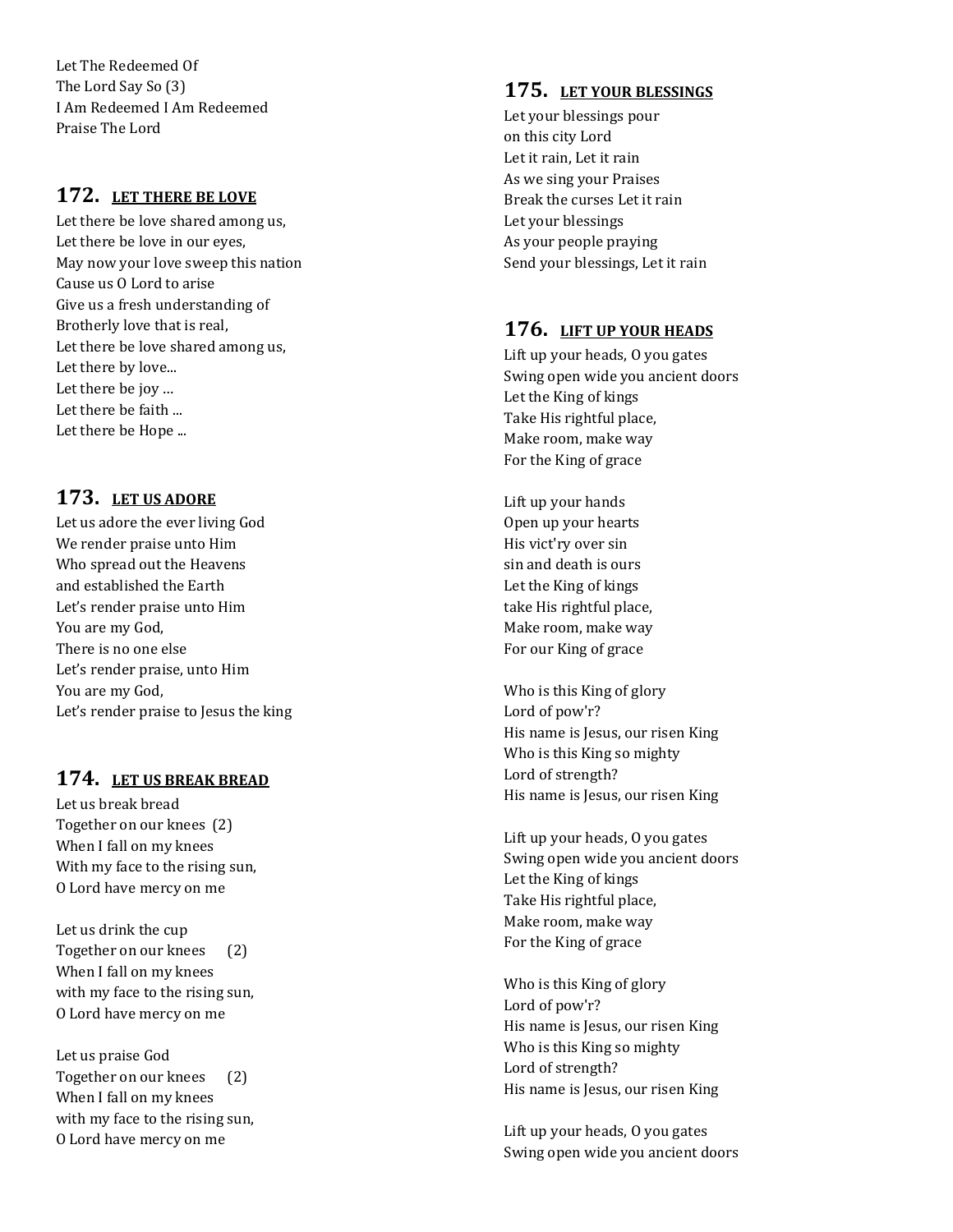Let The Redeemed Of The Lord Say So (3) I Am Redeemed I Am Redeemed Praise The Lord

### **172. LET THERE BE LOVE**

Let there be love shared among us, Let there be love in our eyes, May now your love sweep this nation Cause us O Lord to arise Give us a fresh understanding of Brotherly love that is real, Let there be love shared among us, Let there by love... Let there be joy … Let there be faith ... Let there be Hope ...

### **173. LET US ADORE**

Let us adore the ever living God We render praise unto Him Who spread out the Heavens and established the Earth Let's render praise unto Him You are my God, There is no one else Let's render praise, unto Him You are my God, Let's render praise to Jesus the king

### **174. LET US BREAK BREAD**

Let us break bread Together on our knees (2) When I fall on my knees With my face to the rising sun, O Lord have mercy on me

Let us drink the cup Together on our knees (2) When I fall on my knees with my face to the rising sun, O Lord have mercy on me

Let us praise God Together on our knees (2) When I fall on my knees with my face to the rising sun, O Lord have mercy on me

### **175. LET YOUR BLESSINGS**

Let your blessings pour on this city Lord Let it rain, Let it rain As we sing your Praises Break the curses Let it rain Let your blessings As your people praying Send your blessings, Let it rain

### **176. LIFT UP YOUR HEADS**

Lift up your heads, O you gates Swing open wide you ancient doors Let the King of kings Take His rightful place, Make room, make way For the King of grace

Lift up your hands Open up your hearts His vict'ry over sin sin and death is our s Let the King of kings take His rightful place, Make room, make way For our King of grace

Who is this King of glory Lord of pow'r? His name is Jesus, our risen King Who is this King so mighty Lord of strength? His name is Jesus, our risen King

Lift up your heads, O you gates Swing open wide you ancient doors Let the King of kings Take His rightful place, Make room, make way For the King of grace

Who is this King of glory Lord of pow'r? His name is Jesus, our risen King Who is this King so mighty Lord of strength? His name is Jesus, our risen King

Lift up your heads, O you gates Swing open wide you ancient doors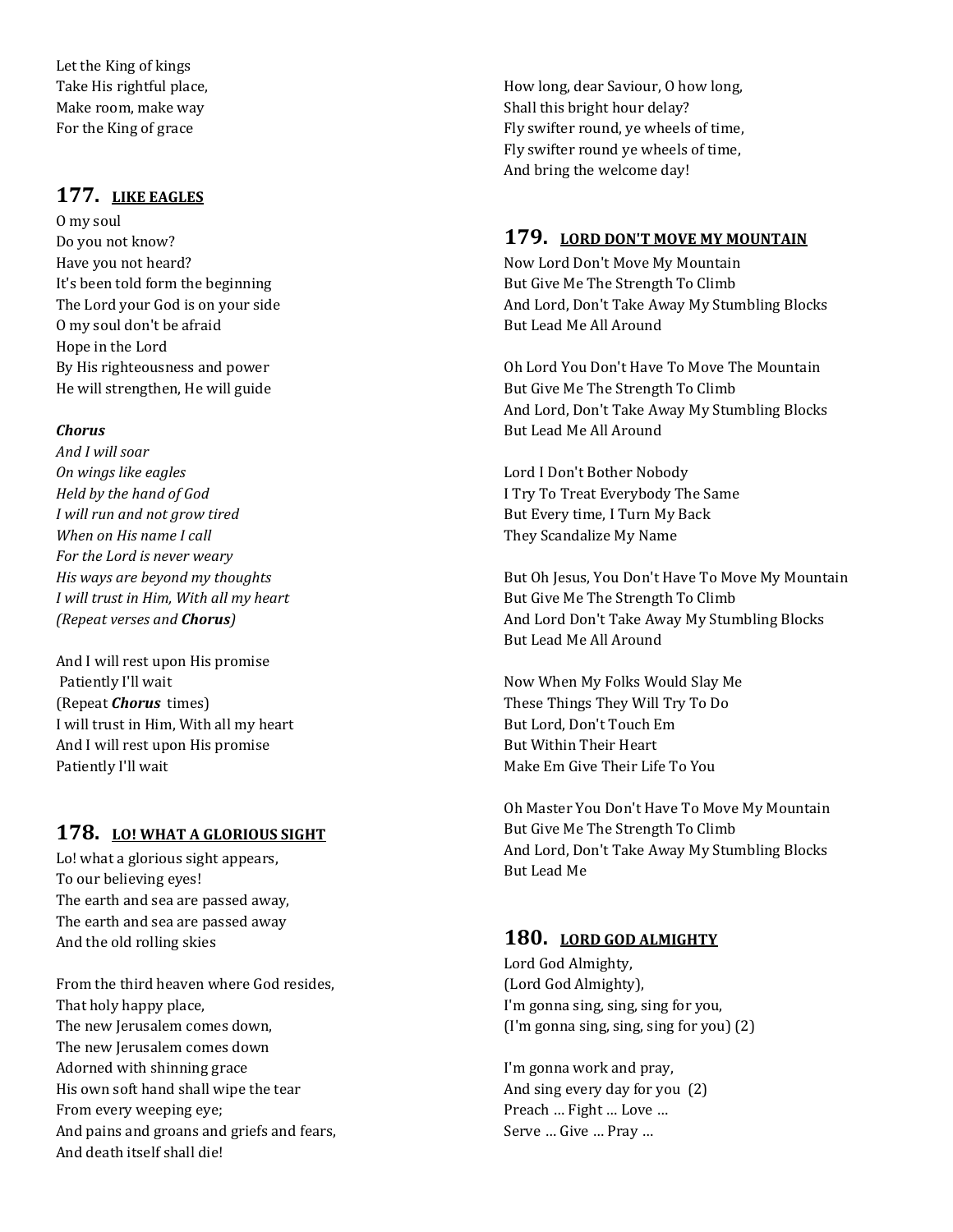Let the King of kings Take His rightful place, Make room, make way For the King of grace

### **177. LIKE EAGLES**

O my soul Do you not know? Have you not heard? It's been told form the beginning The Lord your God is on your side O my soul don't be afraid Hope in the Lord By His righteousness and power He will strengthen, He will guide

#### *Chorus*

*And I will soar On wings like eagles Held by the hand of God I will run and not grow tired When on His name I call For the Lord is never weary His ways are beyond my thoughts I will trust in Him, With all my heart (Repeat verses and Chorus)*

And I will rest upon His promise Patiently I'll wait (Repeat *Chorus* times) I will trust in Him, With all my heart And I will rest upon His promise Patiently I'll wait

### **178. LO! WHAT A GLORIOUS SIGHT**

Lo! what a glorious sight appears, To our believing eyes! The earth and sea are passed away, The earth and sea are passed away And the old rolling skies

From the third heaven where God resides, That holy happy place, The new Jerusalem comes down, The new Jerusalem comes down Adorned with shinning grace His own soft hand shall wipe the tear From every weeping eye; And pains and groans and griefs and fears, And death itself shall die!

How long, dear Saviour, O how long, Shall this bright hour delay? Fly swifter round, ye wheels of time, Fly swifter round ye wheels of time, And bring the welcome day!

### **179. LORD DON'T MOVE MY MOUNTAIN**

Now Lord Don't Move My Mountain But Give Me The Strength To Climb And Lord, Don't Take Away My Stumbling Blocks But Lead Me All Around

Oh Lord You Don't Have To Move The Mountain But Give Me The Strength To Climb And Lord, Don't Take Away My Stumbling Blocks But Lead Me All Around

Lord I Don't Bother Nobody I Try To Treat Everybody The Same But Every time, I Turn My Back They Scandalize My Name

But Oh Jesus, You Don't Have To Move My Mountain But Give Me The Strength To Climb And Lord Don't Take Away My Stumbling Blocks But Lead Me All Around

Now When My Folks Would Slay Me These Things They Will Try To Do But Lord, Don't Touch Em But Within Their Heart Make Em Give Their Life To You

Oh Master You Don't Have To Move My Mountain But Give Me The Strength To Climb And Lord, Don't Take Away My Stumbling Blocks But Lead Me

### **180. LORD GOD ALMIGHTY**

Lord God Almighty, (Lord God Almighty), I'm gonna sing, sing, sing for you, (I'm gonna sing, sing, sing for you) (2)

I'm gonna work and pray, And sing every day for you (2) Preach … Fight … Love … Serve … Give … Pray …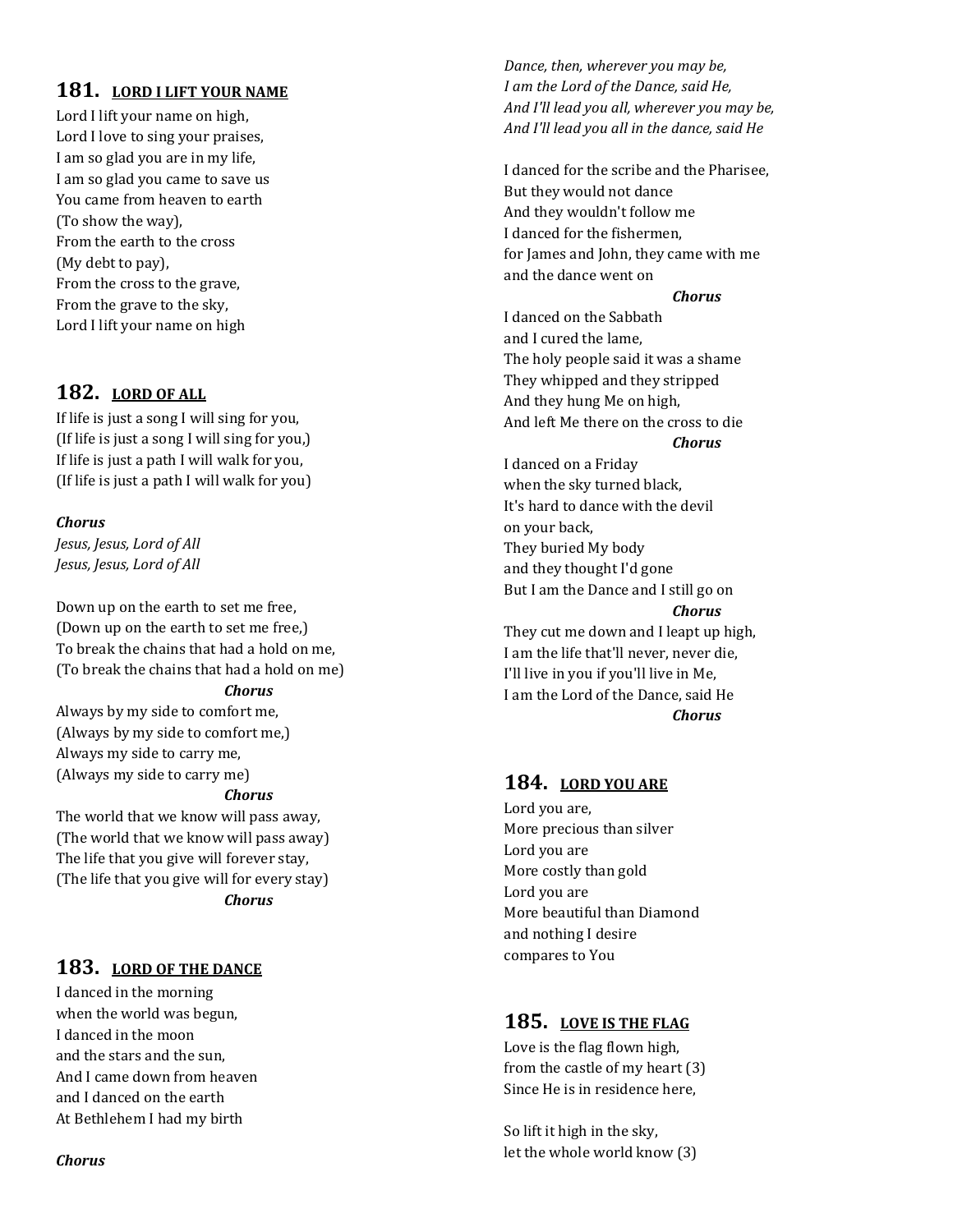### **181. LORD I LIFT YOUR NAME**

Lord I lift your name on high, Lord I love to sing your praises, I am so glad you are in my life, I am so glad you came to save us You came from heaven to earth (To show the way), From the earth to the cross (My debt to pay), From the cross to the grave, From the grave to the sky, Lord I lift your name on high

### **182. LORD OF ALL**

If life is just a song I will sing for you, (If life is just a song I will sing for you,) If life is just a path I will walk for you, (If life is just a path I will walk for you)

#### *Chorus*

*Jesus, Jesus, Lord of All Jesus, Jesus, Lord of All*

Down up on the earth to set me free, (Down up on the earth to set me free,) To break the chains that had a hold on me, (To break the chains that had a hold on me)

#### *Chorus*

Always by my side to comfort me, (Always by my side to comfort me,) Always my side to carry me, (Always my side to carry me)

#### *Chorus*

The world that we know will pass away, (The world that we know will pass away) The life that you give will forever stay, (The life that you give will for every stay) *Choru s*

### **183. LORD OF THE DANCE**

I danced in the morning when the world was begun, I danced in the moon and the stars and the sun, And I came down from heaven and I danced on the earth At Bethlehem I had my birth

*Dance, then, wherever you may be, I am the Lord of the Dance, said He, And I'll lead you all, wherever you may be, And I'll lead you all in the dance, said He*

I danced for the scribe and the Pharisee, But they would not dance And they wouldn't follow me I danced for the fishermen, for James and John, they came with me and the dance went on

#### *Chorus*

I danced on the Sabbath and I cured the lame, The holy people said it was a shame They whipped and they stripped And they hung Me on high, And left Me there on the cross to die

#### *Chorus*

I danced on a Friday when the sky turned black, It's hard to dance with the devil on your back, They buried My body and they thought I'd gone But I am the Dance and I still go on *Chorus*

They cut me down and I leapt up high, I am the life that'll never, never die, I'll live in you if you'll live in Me, I am the Lord of the Dance, said He *Chorus*

### **184. LORD YOU ARE**

Lord you are, More precious than silver Lord you are More costly than gold Lord you are More beautiful than Diamond and nothing I desire compares to You

### **185. LOVE IS THE FLAG**

Love is the flag flown high, from the castle of my heart (3) Since He is in residence here,

So lift it high in the sky, let the whole world know (3)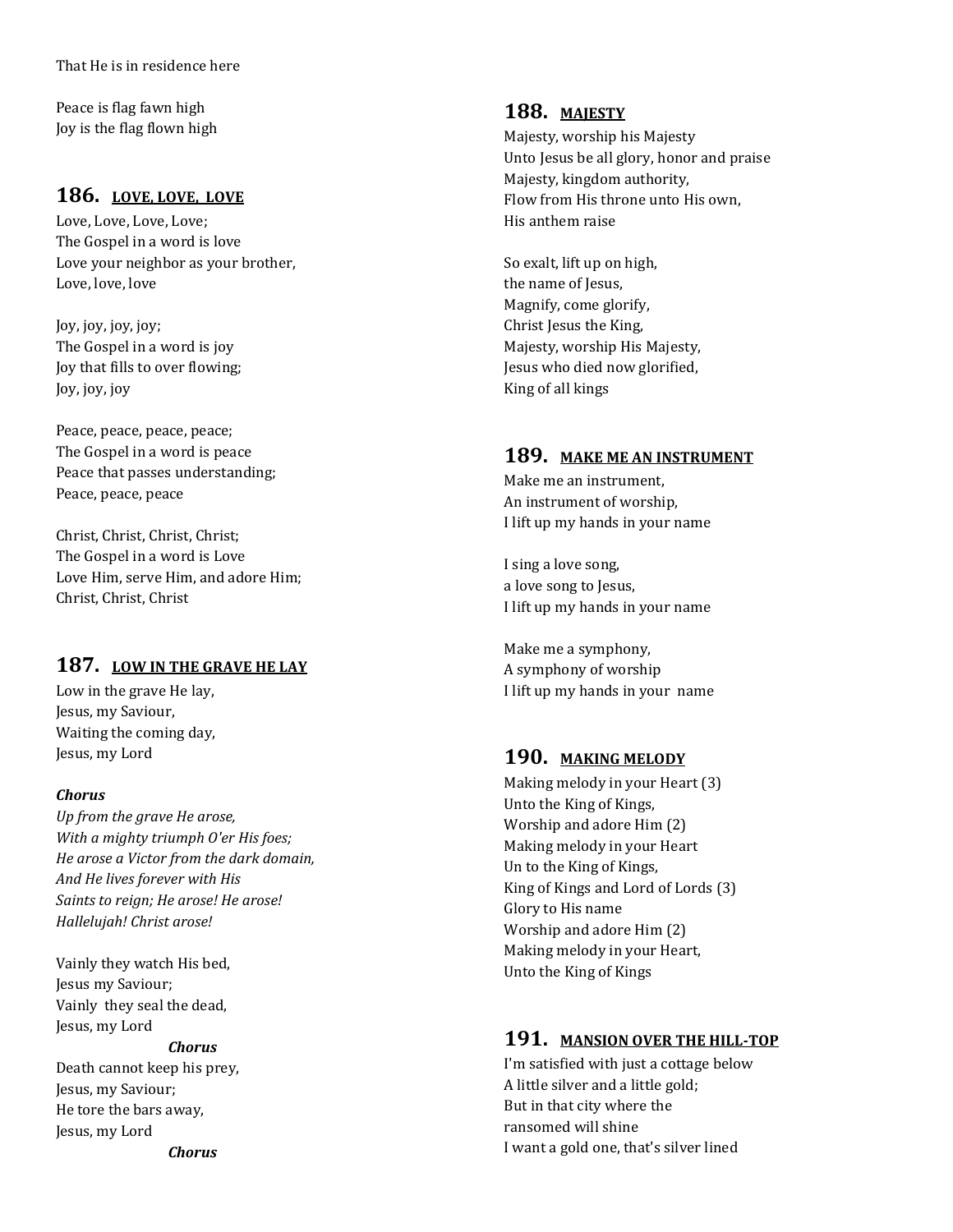That He is in residence here

Peace is flag fawn high Joy is the flag flown high

### **186. LOVE, LOVE, LOVE**

Love, Love, Love, Love; The Gospel in a word is love Love your neighbor as your brother, Love, love, love

Joy, joy, joy, joy; The Gospel in a word is joy Joy that fills to over flowing; Joy, joy, joy

Peace, peace, peace, peace; The Gospel in a word is peace Peace that passes understanding; Peace, peace, peace

Christ, Christ, Christ, Christ; The Gospel in a word is Love Love Him, serve Him, and adore Him; Christ, Christ, Christ

### **187. LOW IN THE GRAVE HE LAY**

Low in the grave He lay, Jesus, my Saviour, Waiting the coming day, Jesus, my Lord

#### *Chorus*

*Up from the grave He arose, With a mighty triumph O'er His foes; He arose a Victor from the dark domain, And He lives forever with His Saints to reign; He arose! He arose! Hallelujah! Christ arose!*

Vainly they watch His bed, Jesus my Saviour; Vainly they seal the dead, Jesus, my Lord *Chorus*

Death cannot keep his prey, Jesus, my Saviour; He tore the bars away, Jesus, my Lord *Chorus*

### **188. MAJESTY**

Majesty, worship his Majesty Unto Jesus be all glory, honor and praise Majesty, kingdom authority, Flow from His throne unto His own, His anthem raise

So exalt, lift up on high, the name of Jesus, Magnify, come glorify, Christ Jesus the King, Majesty, worship His Majesty, Jesus who died now glorified, King of all kings

### **189. MAKE ME AN INSTRUMENT**

Make me an instrument, An instrument of worship, I lift up my hands in your name

I sing a love song, a love song to Jesus, I lift up my hands in your name

Make me a symphony, A symphony of worship I lift up my hands in your name

### **190. MAKING MELODY**

Making melody in your Heart (3) Unto the King of Kings, Worship and adore Him (2) Making melody in your Heart Un to the King of Kings, King of Kings and Lord of Lords (3) Glory to His name Worship and adore Him (2) Making melody in your Heart, Unto the King of Kings

### **191. MANSION OVER THE HILL -TOP**

I'm satisfied with just a cottage below A little silver and a little gold; But in that city where the ransomed will shine I want a gold one, that's silver lined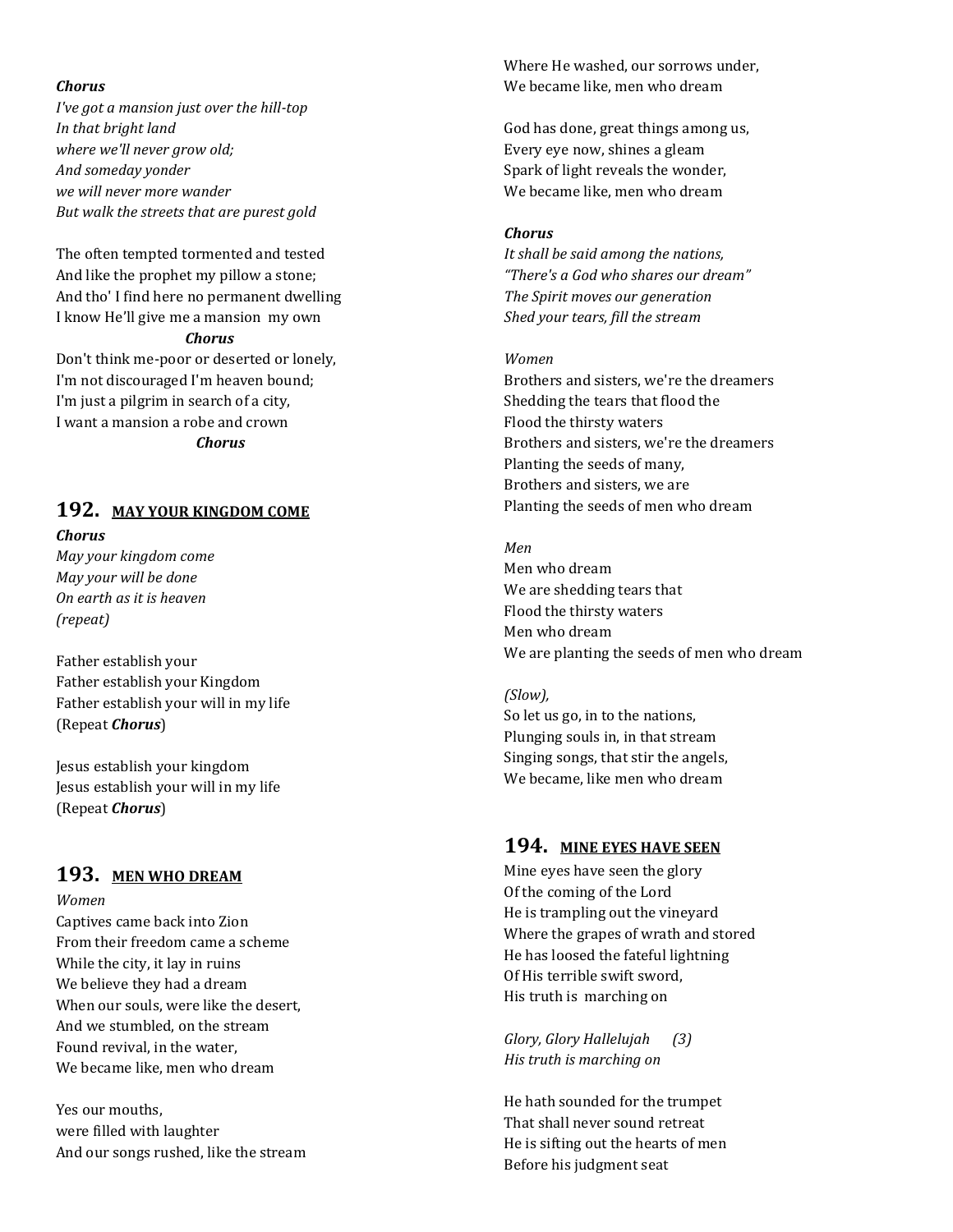#### *Chorus*

*I've got a mansion just over the hill-top In that bright land where we'll never grow old; And someday yonder we will never more wander But walk the streets that are purest gold*

The often tempted tormented and tested And like the prophet my pillow a stone; And tho' I find here no permanent dwelling I know He'll give me a mansion my own

#### *Chorus*

Don't think me-poor or deserted or lonely, I'm not discouraged I'm heaven bound; I'm just a pilgrim in search of a city, I want a mansion a robe and crown *Chorus*

### **192. MAY YOUR KINGDOM COME**

*Chorus May your kingdom come May your will be done On earth as it is heaven (repeat)*

Father establish your Father establish your Kingdom Father establish your will in my life (Repeat *Chorus*)

Jesus establish your kingdom Jesus establish your will in my life (Repeat *Chorus*)

### **193. MEN WHO DREAM**

*Women*

Captives came back into Zion From their freedom came a scheme While the city, it lay in ruins We believe they had a dream When our souls, were like the desert, And we stumbled, on the stream Found revival, in the water, We became like, men who dream

Yes our mouths, were filled with laughter And our songs rushed, like the stream Where He washed, our sorrows under, We became like, men who dream

God has done, great things among us, Every eye now, shines a gleam Spark of light reveals the wonder, We became like, men who dream

#### *Chorus*

*It shall be said among the nations, "There's a God who shares our dream" The Spirit moves our generation Shed your tears, fill the stream*

#### *Women*

Brothers and sisters, we're the dreamers Shedding the tears that flood the Flood the thirsty waters Brothers and sisters, we're the dreamers Planting the seeds of many, Brothers and sisters, we are Planting the seeds of men who dream

#### *Men*

Men who dream We are shedding tears that Flood the thirsty waters Men who dream We are planting the seeds of men who dream

#### *(Slow),*

So let us go, in to the nations, Plunging souls in, in that stream Singing songs, that stir the angels, We became, like men who dream

### **194. MINE EYES HAVE SEEN**

Mine eyes have seen the glory Of the coming of the Lord He is trampling out the vineyard Where the grapes of wrath and stored He has loosed the fateful lightning Of His terrible swift sword, His truth is marching on

*Glory, Glory Hallelujah (3) His truth is marching on*

He hath sounded for the trumpet That shall never sound retreat He is sifting out the hearts of men Before his judgment seat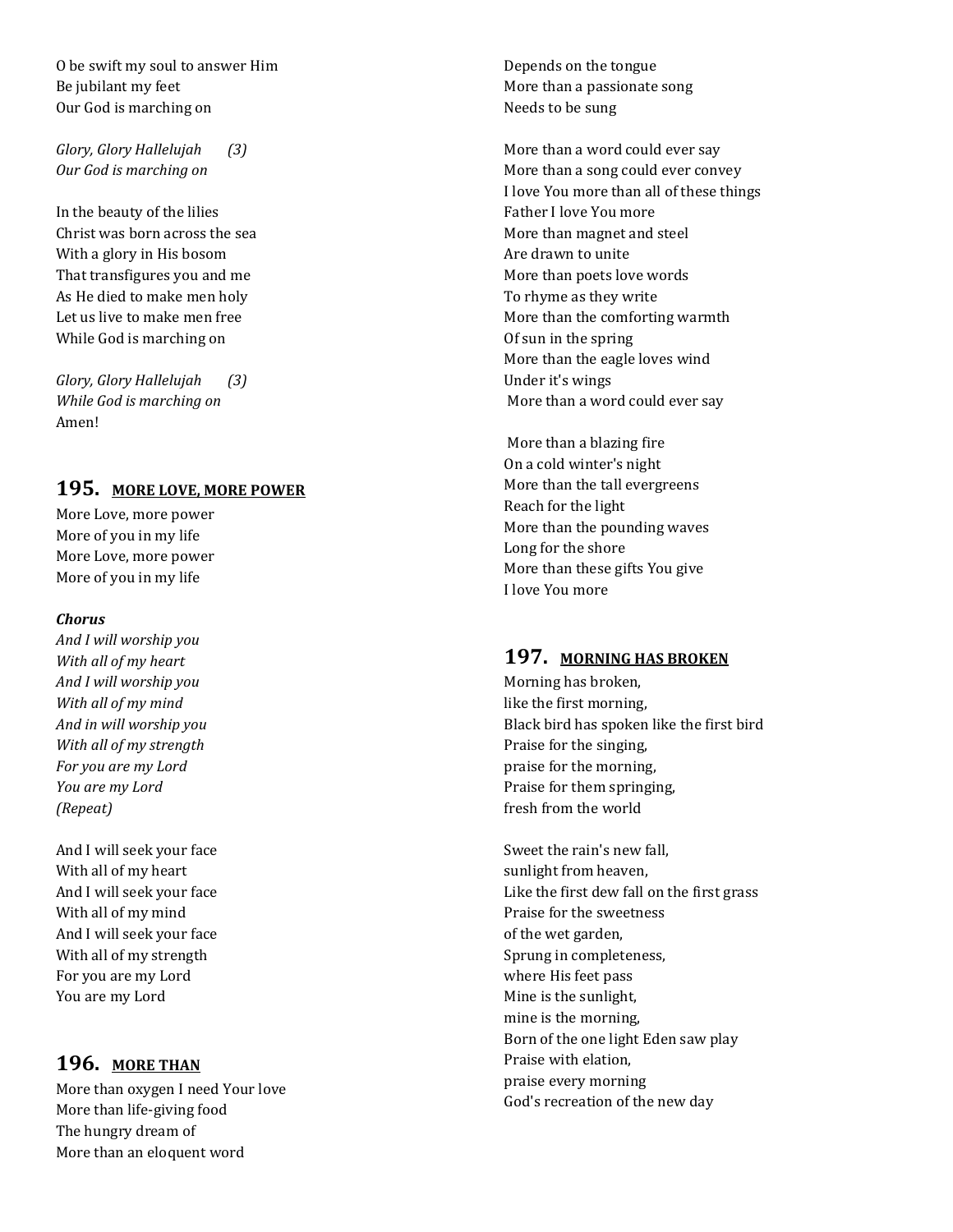O be swift my soul to answer Him Be jubilant my feet Our God is marching on

*Glory, Glory Hallelujah (3) Our God is marching on*

In the beauty of the lilies Christ was born across the sea With a glory in His bosom That transfigures you and me As He died to make men holy Let us live to make men free While God is marching on

*Glory, Glory Hallelujah (3) While God is marching on* Amen!

### **195. MORE LOVE, MORE POWER**

More Love, more power More of you in my life More Love, more power More of you in my life

#### *Chorus*

*And I will worship you With all of my heart And I will worship you With all of my mind And in will worship you With all of my strength For you are my Lord You are my Lord (Repeat)*

And I will seek your face With all of my heart And I will seek your face With all of my mind And I will seek your face With all of my strength For you are my Lord You are my Lord

### **196. MORE THAN**

More than oxygen I need Your love More than life-giving food The hungry dream of More than an eloquent word

Depends on the tongue More than a passionate song Needs to be sung

More than a word could ever say More than a song could ever convey I love You more than all of these things Father I love You more More than magnet and steel Are drawn to unite More than poets love words To rhyme as they write More than the comforting warmth Of sun in the spring More than the eagle loves wind Under it's wings More than a word could ever say

More than a blazing fire On a cold winter's night More than the tall evergreens Reach for the light More than the pounding waves Long for the shore More than these gifts You give I love You more

### **197. MORNING HAS BROKEN**

Morning has broken, like the first morning, Black bird has spoken like the first bird Praise for the singing, praise for the morning, Praise for them springing, fresh from the world

Sweet the rain's new fall, sunlight from heaven, Like the first dew fall on the first grass Praise for the sweetness of the wet garden, Sprung in completeness, where His feet pass Mine is the sunlight, mine is the morning, Born of the one light Eden saw play Praise with elation, praise every morning God's recreation of the new day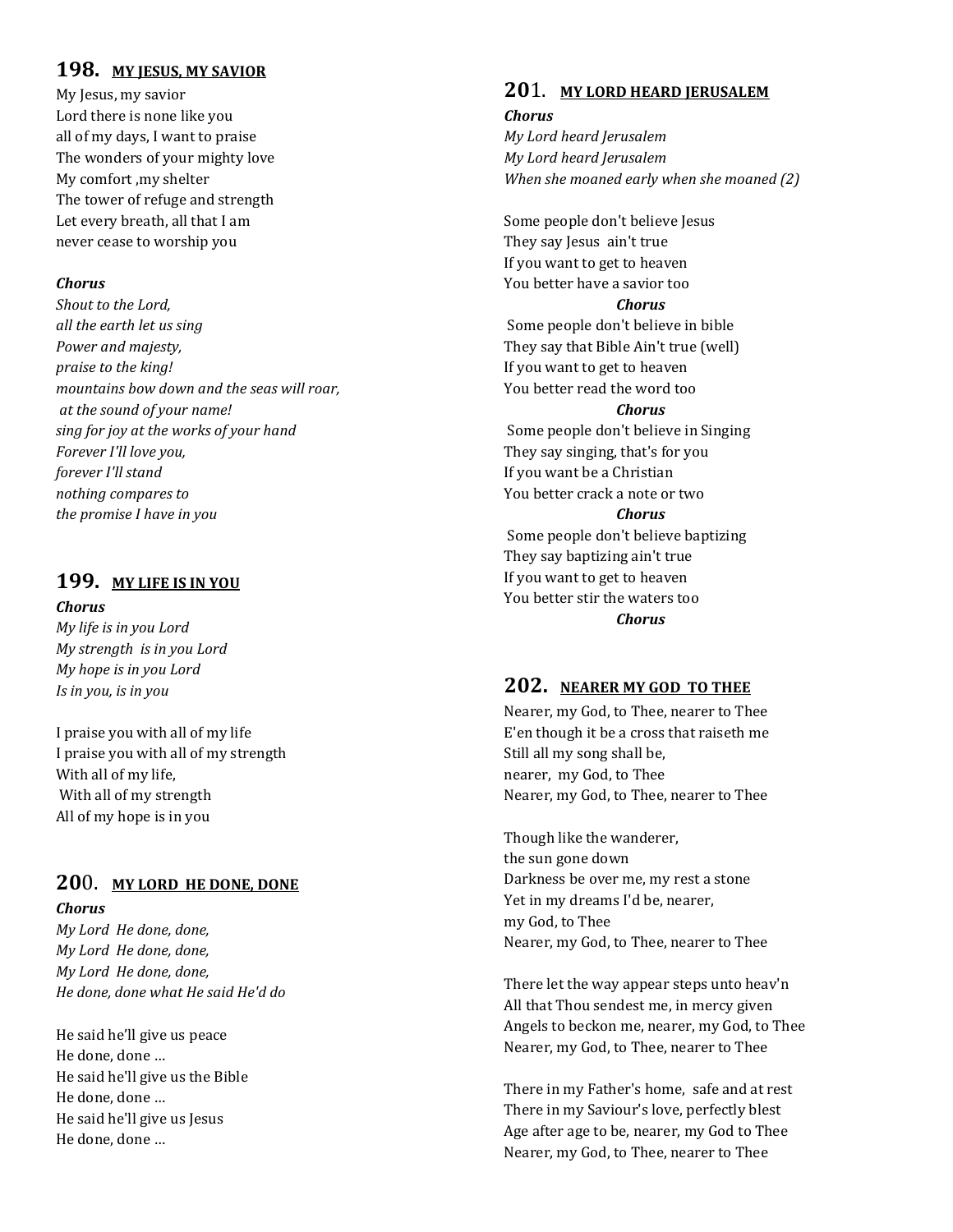### **198. MY JESUS, MY SAVIOR**

My Jesus, my savior Lord there is none like you all of my days, I want to praise The wonders of your mighty love My comfort ,my shelter The tower of refuge and strength Let every breath, all that I am never cease to worship you

#### *Chorus*

*Shout to the Lord, all the earth let us sing Power and majesty, praise to the king! mountains bow down and the seas will roar, at the sound of your name! sing for joy at the works of your hand Forever I'll love you, forever I'll stand nothing compares to the promise I have in you*

### **199. MY LIFE IS IN YOU**

#### *Chorus*

*My life is in you Lord My strength is in you Lord My hope is in you Lord Is in you, is in you*

I praise you with all of my life I praise you with all of my strength With all of my life, With all of my strength All of my hope is in you

### **20**0. **MY LORD HE DONE, DONE**

*Chorus*

*My Lord He done, done, My Lord He done, done, My Lord He done, done, He done, done what He said He'd do*

He said he'll give us peace He done, done … He said he'll give us the Bible He done, done … He said he'll give us Jesus He done, done …

### **20**1. **MY LORD HEARD JERUSALEM**

*Chorus My Lord heard Jerusalem My Lord heard Jerusalem When she moaned early when she moaned (2)*

Some people don't believe Jesus They say Jesus ain't true If you want to get to heaven You better have a savior too

*Chorus*

Some people don't believe in bible They say that Bible Ain't true (well) If you want to get to heaven You better read the word too

#### *Chorus*

Some people don't believe in Singing They say singing, that's for you If you want be a Christian You better crack a note or two

#### *Chorus*

Some people don't believe baptizing They say baptizing ain't true If you want to get to heaven You better stir the waters too *Chorus*

### **202. NEARER MY GOD TO THEE**

Nearer, my God, to Thee, nearer to Thee E'en though it be a cross that raiseth me Still all my song shall be, nearer, my God, to Thee Nearer, my God, to Thee, nearer to Thee

Though like the wanderer, the sun gone down Darkness be over me, my rest a stone Yet in my dreams I'd be, nearer, my God, to Thee Nearer, my God, to Thee, nearer to Thee

There let the way appear steps unto heav'n All that Thou sendest me, in mercy given Angels to beckon me, nearer, my God, to Thee Nearer, my God, to Thee, nearer to Thee

There in my Father's home, safe and at rest There in my Saviour's love, perfectly blest Age after age to be, nearer, my God to Thee Nearer, my God, to Thee, nearer to Thee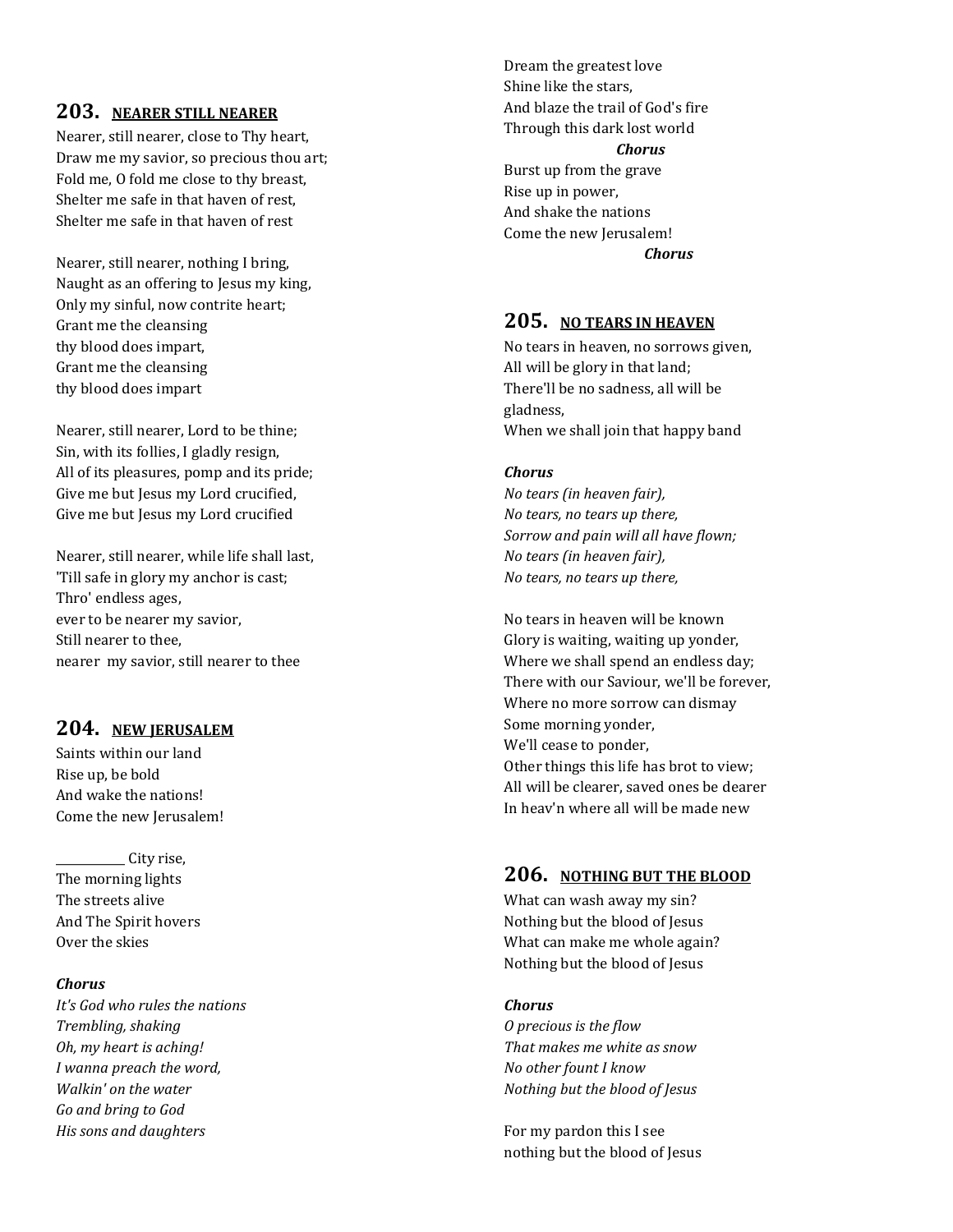### **203. NEARER STILL NEARER**

Nearer, still nearer, close to Thy heart, Draw me my savior, so precious thou art; Fold me, O fold me close to thy breast, Shelter me safe in that haven of rest, Shelter me safe in that haven of rest

Nearer, still nearer, nothing I bring, Naught as an offering to Jesus my king, Only my sinful, now contrite heart; Grant me the cleansing thy blood does impart, Grant me the cleansing thy blood does impart

Nearer, still nearer, Lord to be thine; Sin, with its follies, I gladly resign, All of its pleasures, pomp and its pride; Give me but Jesus my Lord crucified, Give me but Jesus my Lord crucified

Nearer, still nearer, while life shall last, 'Till safe in glory my anchor is cast; Thro' endless ages, ever to be nearer my savior, Still nearer to thee, nearer my savior, still nearer to thee

### **204. NEW JERUSALEM**

Saints within our land Rise up, be bold And wake the nations! Come the new Jerusalem!

City rise. The morning lights The streets alive And The Spirit hovers Over the skies

#### *Chorus*

*It's God who rules the nations Trembling, shaking Oh, my heart is aching! I wanna preach the word, Walkin' on the water Go and bring to God His sons and daughters*

Dream the greatest love Shine like the stars, And blaze the trail of God's fire Through this dark lost world *Chorus* Burst up from the grave Rise up in power, And shake the nations Come the new Jerusalem! *Chorus*

### **205. NO TEARS IN HEAVEN**

No tears in heaven, no sorrows given, All will be glory in that land; There'll be no sadness, all will be gladness, When we shall join that happy band

#### *Chorus*

*No tears (in heaven fair), No tears, no tears up there, Sorrow and pain will all have flown; No tears (in heaven fair), No tears, no tears up there,* 

No tears in heaven will be known Glory is waiting, waiting up yonder, Where we shall spend an endless day; There with our Saviour, we'll be forever, Where no more sorrow can dismay Some morning yonder, We'll cease to ponder, Other things this life has brot to view; All will be clearer, saved ones be dearer In heav'n where all will be made new

### **206. NOTHING BUT THE BLOOD**

What can wash away my sin? Nothing but the blood of Jesus What can make me whole again? Nothing but the blood of Jesus

#### *Chorus*

*O precious is the flow That makes me white as snow No other fount I know Nothing but the blood of Jesus*

For my pardon this I see nothing but the blood of Jesus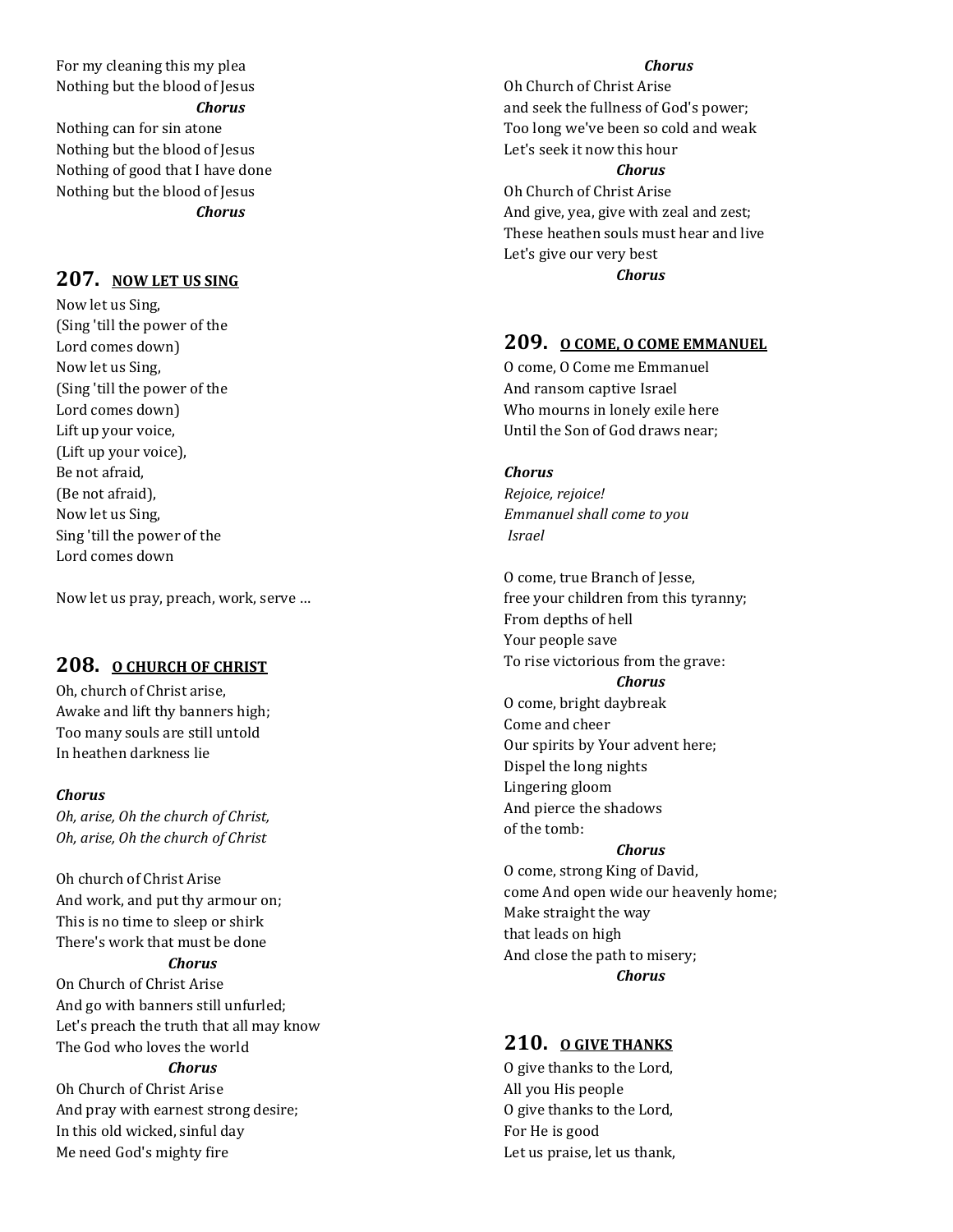For my cleaning this my plea Nothing but the blood of Jesus *Chorus*

Nothing can for sin atone Nothing but the blood of Jesus Nothing of good that I have done Nothing but the blood of Jesus *Chorus*

### **207. NOW LET US SING**

Now let us Sing, (Sing 'till the power of the Lord comes down) Now let us Sing, (Sing 'till the power of the Lord comes down) Lift up your voice, (Lift up your voice), Be not afraid, (Be not afraid), Now let us Sing, Sing 'till the power of the Lord comes down

Now let us pray, preach, work, serve …

#### **208. O CHURCH OF CHRIST**

Oh, church of Christ arise, Awake and lift thy banners high; Too many souls are still untold In heathen darkness lie

#### *Chorus*

*Oh, arise, Oh the church of Christ, Oh, arise, Oh the church of Christ*

Oh church of Christ Arise And work, and put thy armour on; This is no time to sleep or shirk There's work that must be done

#### *Chorus*

On Church of Christ Arise And go with banners still unfurled; Let's preach the truth that all may know The God who loves the world

#### *Chorus*

Oh Church of Christ Arise And pray with earnest strong desire; In this old wicked, sinful day Me need God's mighty fire

#### *Chorus*

Oh Church of Christ Arise and seek the fullness of God's power; Too long we've been so cold and weak Let's seek it now this hour *Chorus* Oh Church of Christ Arise And give, yea, give with zeal and zest; These heathen souls must hear and live Let's give our very best

*Chorus*

#### **209. O COME, O COME EMMANUEL**

O come, O Come me Emmanuel And ransom captive Israel Who mourns in lonely exile here Until the Son of God draws near;

#### *Chorus*

*Rejoice, rejoice! Emmanuel shall come to you Israel* 

O come, true Branch of Jesse, free your children from this tyranny; From depths of hell Your people save To rise victorious from the grave: *Chorus*

O come, bright daybreak Come and cheer Our spirits by Your advent here; Dispel the long nights Lingering gloom And pierce the shadows of the tomb:

#### *Chorus*

O come, strong King of David, come And open wide our heavenly home; Make straight the way that leads on high And close the path to misery; *Chorus*

### **210. O GIVE THANKS**

O give thanks to the Lord, All you His people O give thanks to the Lord, For He is good Let us praise, let us thank,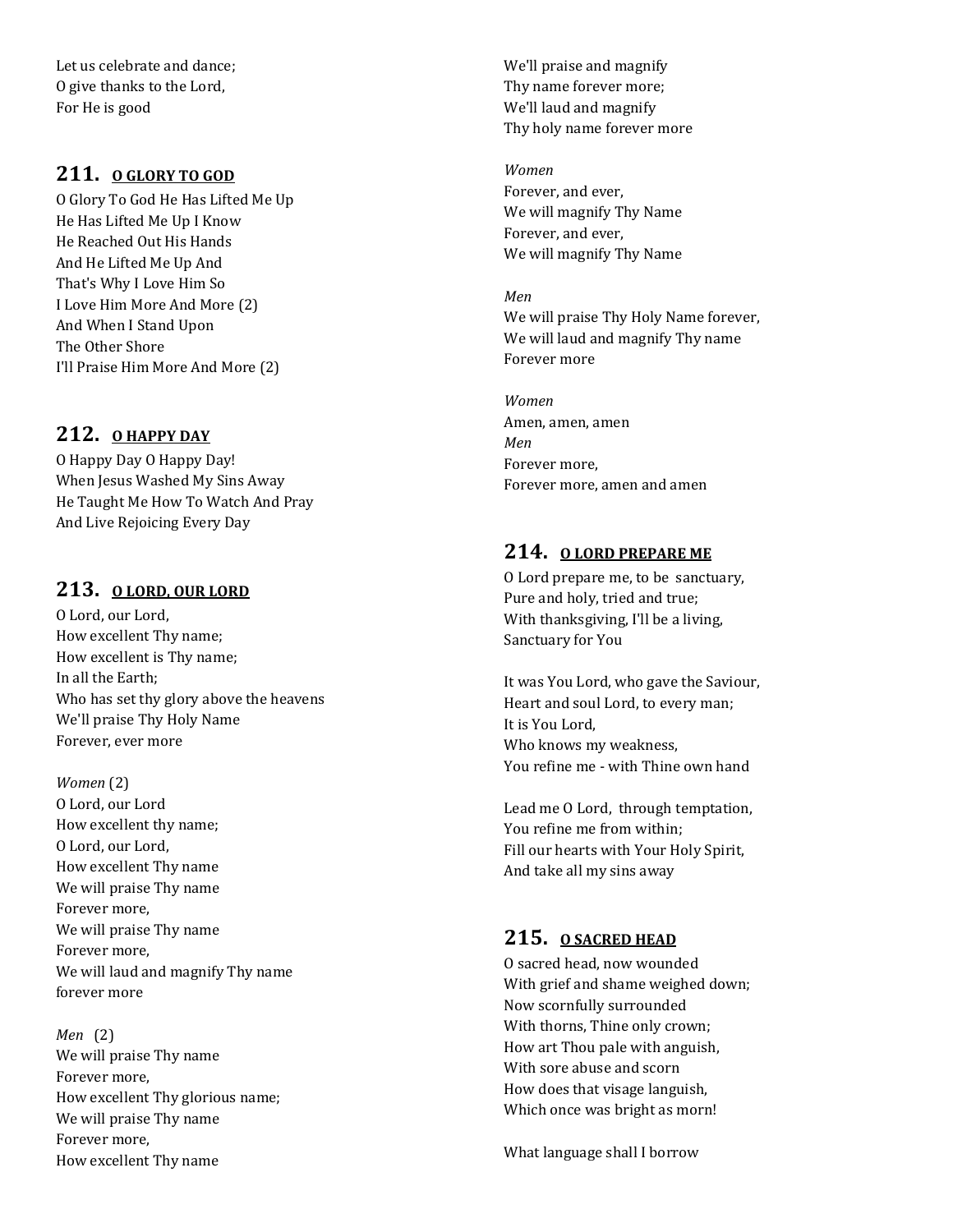Let us celebrate and dance; O give thanks to the Lord, For He is good

### **211. O GLORY TO GOD**

O Glory To God He Has Lifted Me Up He Has Lifted Me Up I Know He Reached Out His Hands And He Lifted Me Up And That's Why I Love Him So I Love Him More And More (2) And When I Stand Upon The Other Shore I'll Praise Him More And More (2)

### **212. O HAPPY DAY**

O Happy Day O Happy Day! When Jesus Washed My Sins Away He Taught Me How To Watch And Pray And Live Rejoicing Every Day

### **213. O LORD, OUR LORD**

O Lord, our Lord, How excellent Thy name; How excellent is Thy name; In all the Earth; Who has set thy glory above the heavens We'll praise Thy Holy Name Forever, ever more

*Women* (2) O Lord, our Lord How excellent thy name; O Lord, our Lord, How excellent Thy name We will praise Thy name Forever more, We will praise Thy name Forever more, We will laud and magnify Thy name forever more

*Men* (2) We will praise Thy name Forever more, How excellent Thy glorious name; We will praise Thy name Forever more, How excellent Thy name

We'll praise and magnify Thy name forever more; We'll laud and magnify Thy holy name forever more

*Women* Forever, and ever, We will magnify Thy Name Forever, and ever, We will magnify Thy Name

*Men* We will praise Thy Holy Name forever, We will laud and magnify Thy name Forever more

*Women* Amen, amen, amen *Men* Forever more, Forever more, amen and amen

### **214. O LORD PREPARE ME**

O Lord prepare me, to be sanctuary, Pure and holy, tried and true; With thanksgiving, I'll be a living, Sanctuary for You

It was You Lord, who gave the Saviour, Heart and soul Lord, to every man; It is You Lord, Who knows my weakness, You refine me - with Thine own hand

Lead me O Lord, through temptation, You refine me from within; Fill our hearts with Your Holy Spirit, And take all my sins away

### **215. O SACRED HEAD**

O sacred head, now wounded With grief and shame weighed down; Now scornfully surrounded With thorns, Thine only crown; How art Thou pale with anguish, With sore abuse and scorn How does that visage languish, Which once was bright as morn!

What language shall I borrow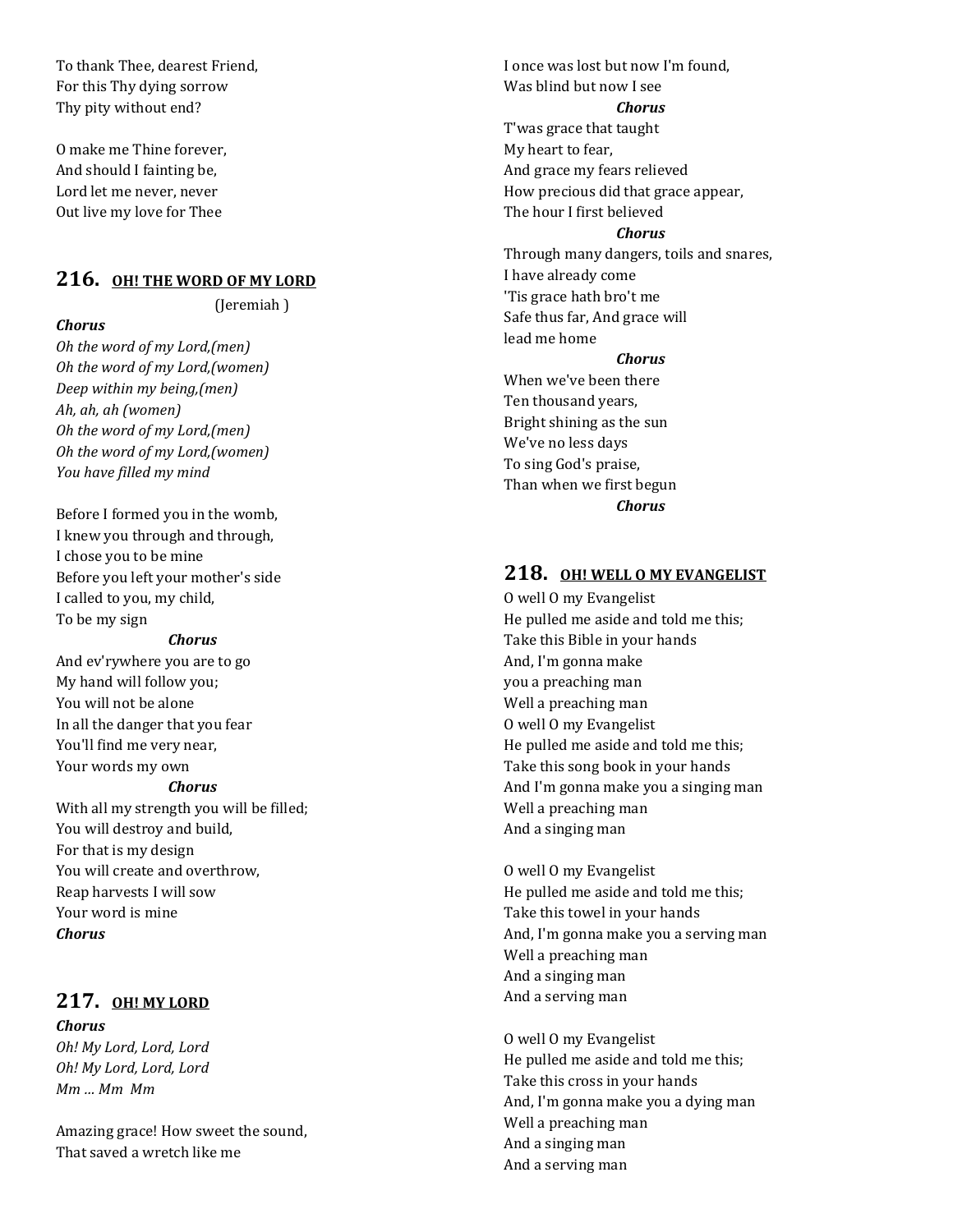To thank Thee, dearest Friend, For this Thy dying sorrow Thy pity without end?

O make me Thine forever, And should I fainting be, Lord let me never, never Out live my love for Thee

### **216. OH! THE WORD OF MY LORD**

(Jeremiah )

#### *Chorus*

*Oh the word of my Lord,(men) Oh the word of my Lord,(women) Deep within my being,(men) Ah, ah, ah (women) Oh the word of my Lord,(men) Oh the word of my Lord,(women) You have filled my mind*

Before I formed you in the womb, I knew you through and through, I chose you to be mine Before you left your mother's side I called to you, my child, To be my sign

#### *Chorus*

And ev'rywhere you are to go My hand will follow you; You will not be alone In all the danger that you fear You'll find me very near, Your words my own

#### *Chorus*

With all my strength you will be filled; You will destroy and build, For that is my design You will create and overthrow, Reap harvests I will sow Your word is mine *Chorus*

### **217. OH! MY LORD**

*Chorus Oh! My Lord, Lord, Lord Oh! My Lord, Lord, Lord Mm … Mm Mm*

Amazing grace! How sweet the sound, That saved a wretch like me

I once was lost but now I'm found, Was blind but now I see *Chorus* T'was grace that taught My heart to fear, And grace my fears relieved How precious did that grace appear, The hour I first believed

#### *Chorus*

Through many dangers, toils and snares, I have already come 'Tis grace hath bro't me Safe thus far, And grace will lead me home *Chorus*

When we've been there Ten thousand years, Bright shining as the sun We've no less days To sing God's praise, Than when we first begun *Chorus*

### **218. OH! WELL O MY EVANGELIST**

O well O my Evangelist He pulled me aside and told me this; Take this Bible in your hands And, I'm gonna make you a preaching man Well a preaching man O well O my Evangelist He pulled me aside and told me this; Take this song book in your hands And I'm gonna make you a singing man Well a preaching man And a singing man

O well O my Evangelist He pulled me aside and told me this; Take this towel in your hands And, I'm gonna make you a serving man Well a preaching man And a singing man And a serving man

O well O my Evangelist He pulled me aside and told me this; Take this cross in your hands And, I'm gonna make you a dying man Well a preaching man And a singing man And a serving man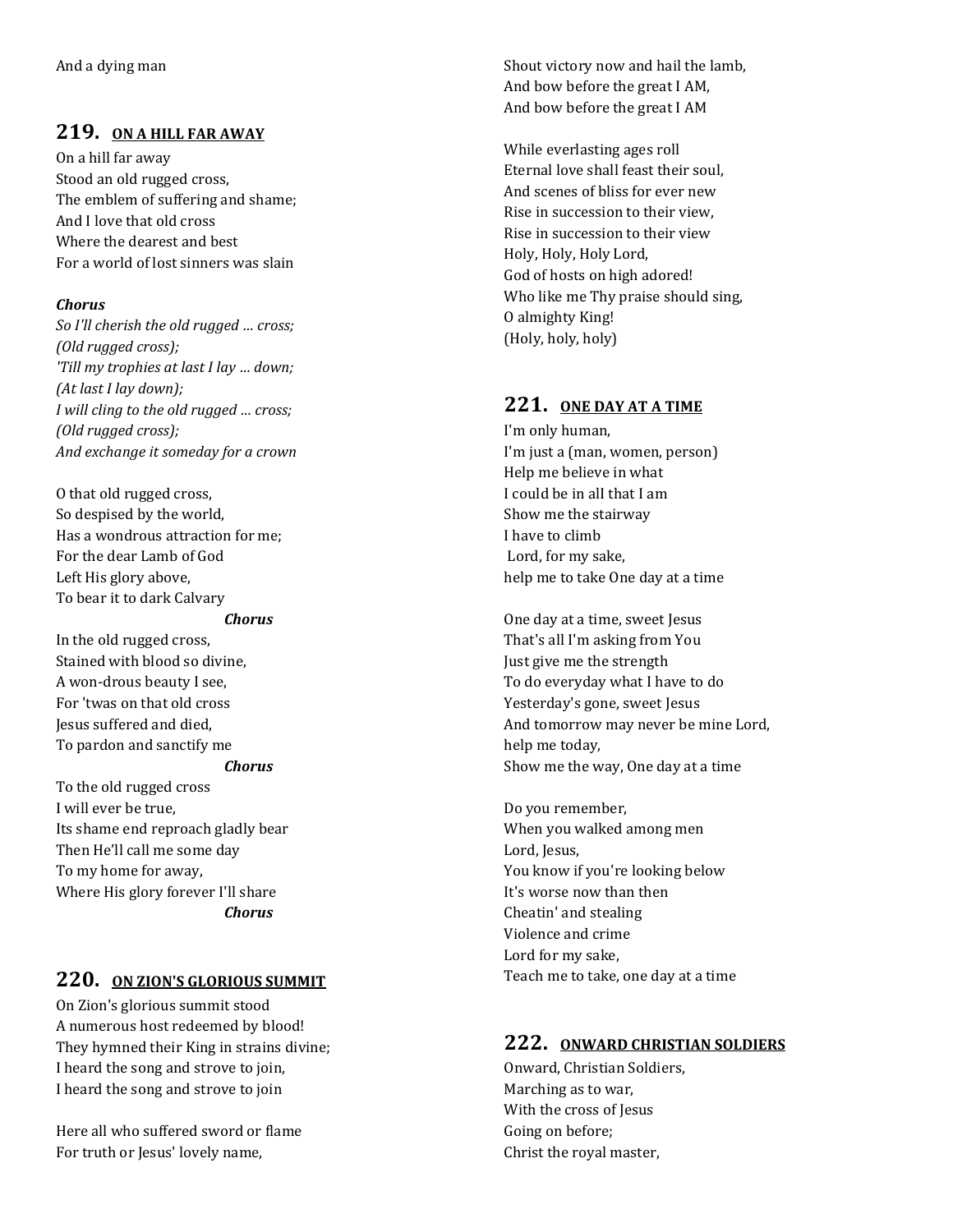### **219. ON A HILL FAR AWAY**

On a hill far away Stood an old rugged cross, The emblem of suffering and shame; And I love that old cross Where the dearest and best For a world of lost sinners was slain

### *Chorus*

*So I'll cherish the old rugged … cross; (Old rugged cross); 'Till my trophies at last I lay … down; (At last I lay down); I will cling to the old rugged … cross; (Old rugged cross); And exchange it someday for a crown*

O that old rugged cross, So despised by the world, Has a wondrous attraction for me; For the dear Lamb of God Left His glory above, To bear it to dark Calvary

*Chorus*

In the old rugged cross, Stained with blood so divine, A won-drous beauty I see, For 'twas on that old cross Jesus suffered and died, To pardon and sanctify me

*Chorus*

To the old rugged cross I will ever be true, Its shame end reproach gladly bear Then He'll call me some day To my home for away, Where His glory forever I'll share *Chorus*

### **220. ON ZION'S GLORIOUS SUMMIT**

On Zion's glorious summit stood A numerous host redeemed by blood! They hymned their King in strains divine; I heard the song and strove to join, I heard the song and strove to join

Here all who suffered sword or flame For truth or Jesus' lovely name,

Shout victory now and hail the lamb, And bow before the great I AM, And bow before the great I AM

While everlasting ages roll Eternal love shall feast their soul, And scenes of bliss for ever new Rise in succession to their view, Rise in succession to their view Holy, Holy, Holy Lord, God of hosts on high adored! Who like me Thy praise should sing, O almighty King! (Holy, holy, holy)

### **221. ONE DAY AT A TIME**

I'm only human, I'm just a (man, women, person) Help me believe in what I could be in alI that I am Show me the stairway I have to climb Lord, for my sake, help me to take One day at a time

One day at a time, sweet Jesus That's all I'm asking from You Just give me the strength To do everyday what I have to do Yesterday's gone, sweet Jesus And tomorrow may never be mine Lord, help me today, Show me the way, One day at a time

Do you remember, When you walked among men Lord, Jesus, You know if you're looking below It's worse now than then Cheatin' and stealing Violence and crime Lord for my sake, Teach me to take, one day at a time

### **222. ONWARD CHRISTIAN SOLDIERS**

Onward, Christian Soldiers, Marching as to war, With the cross of Jesus Going on before; Christ the royal master,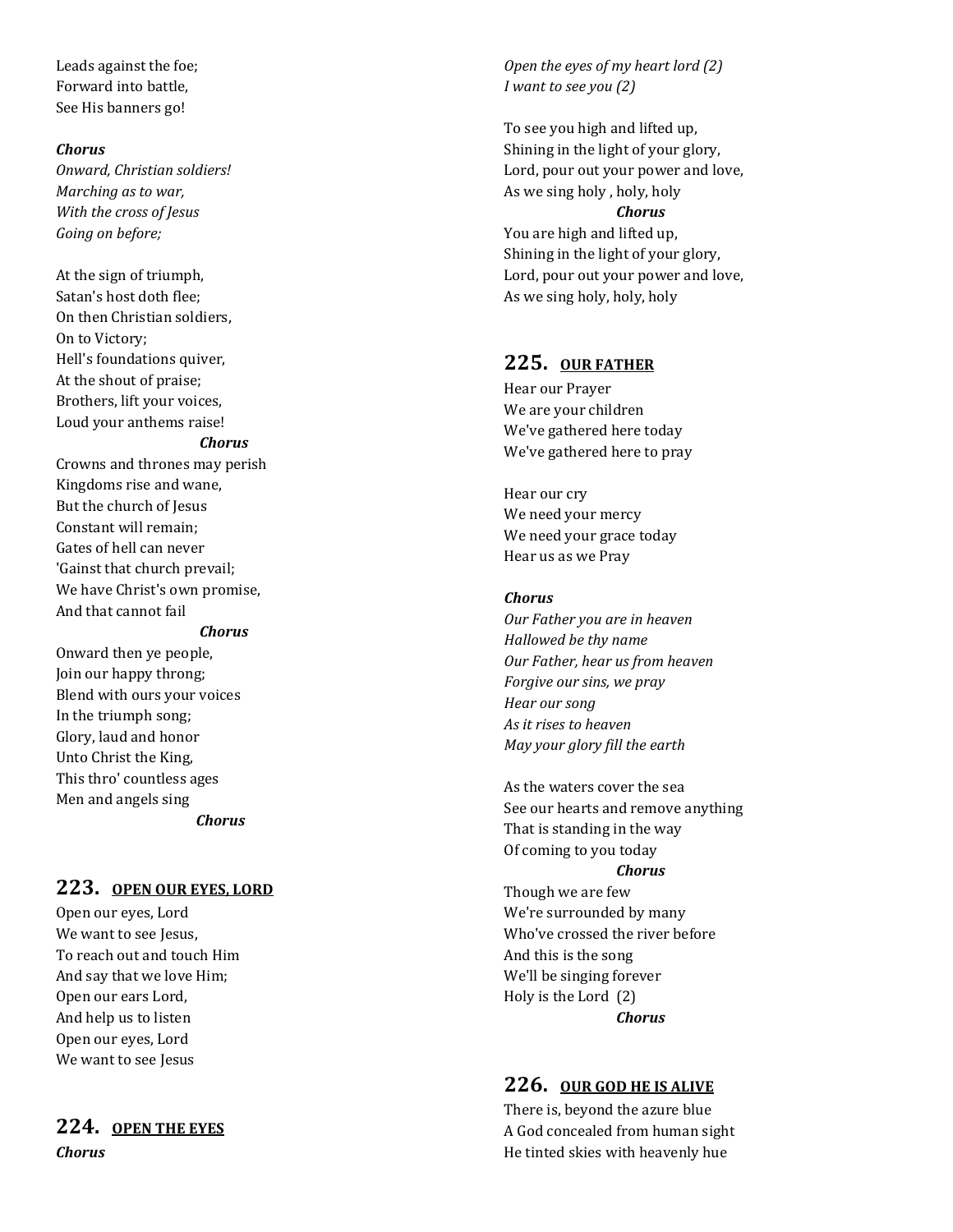Leads against the foe; Forward into battle, See His banners go!

#### *Chorus*

*Onward, Christian soldiers! Marching as to war, With the cross of Jesus Going on before;*

At the sign of triumph, Satan's host doth flee; On then Christian soldiers, On to Victory; Hell's foundations quiver, At the shout of praise; Brothers, lift your voices, Loud your anthems raise!

#### *Chorus*

Crowns and thrones may perish Kingdoms rise and wane, But the church of Jesus Constant will remain; Gates of hell can never 'Gainst that church prevail; We have Christ's own promise, And that cannot fail

#### *Chorus*

Onward then ye people, Join our happy throng; Blend with ours your voices In the triumph song; Glory, laud and honor Unto Christ the King, This thro' countless ages Men and angels sing

*Chorus*

### **223. OPEN OUR EYES, LORD**

Open our eyes, Lord We want to see Jesus, To reach out and touch Him And say that we love Him; Open our ears Lord, And help us to listen Open our eyes, Lord We want to see Jesus

# **224. OPEN THE EYES**

*Chorus*

*Open the eyes of my heart lord (2) I want to see you (2)*

To see you high and lifted up, Shining in the light of your glory, Lord, pour out your power and love, As we sing holy , holy, holy *Chorus*

You are high and lifted up, Shining in the light of your glory, Lord, pour out your power and love, As we sing holy, holy, holy

### **225. OUR FATHER**

Hear our Prayer We are your children We've gathered here today We've gathered here to pray

Hear our cry We need your mercy We need your grace today Hear us as we Pray

#### *Chorus*

*Our Father you are in heaven Hallowed be thy name Our Father, hear us from heaven Forgive our sins, we pray Hear our song As it rises to heaven May your glory fill the earth*

As the waters cover the sea See our hearts and remove anything That is standing in the way Of coming to you today *Chorus*

Though we are few We're surrounded by many

Who've crossed the river before And this is the song We'll be singing forever Holy is the Lord (2) *Chorus*

### **226. OUR GOD HE IS ALIVE**

There is, beyond the azure blue A God concealed from human sight He tinted skies with heavenly hue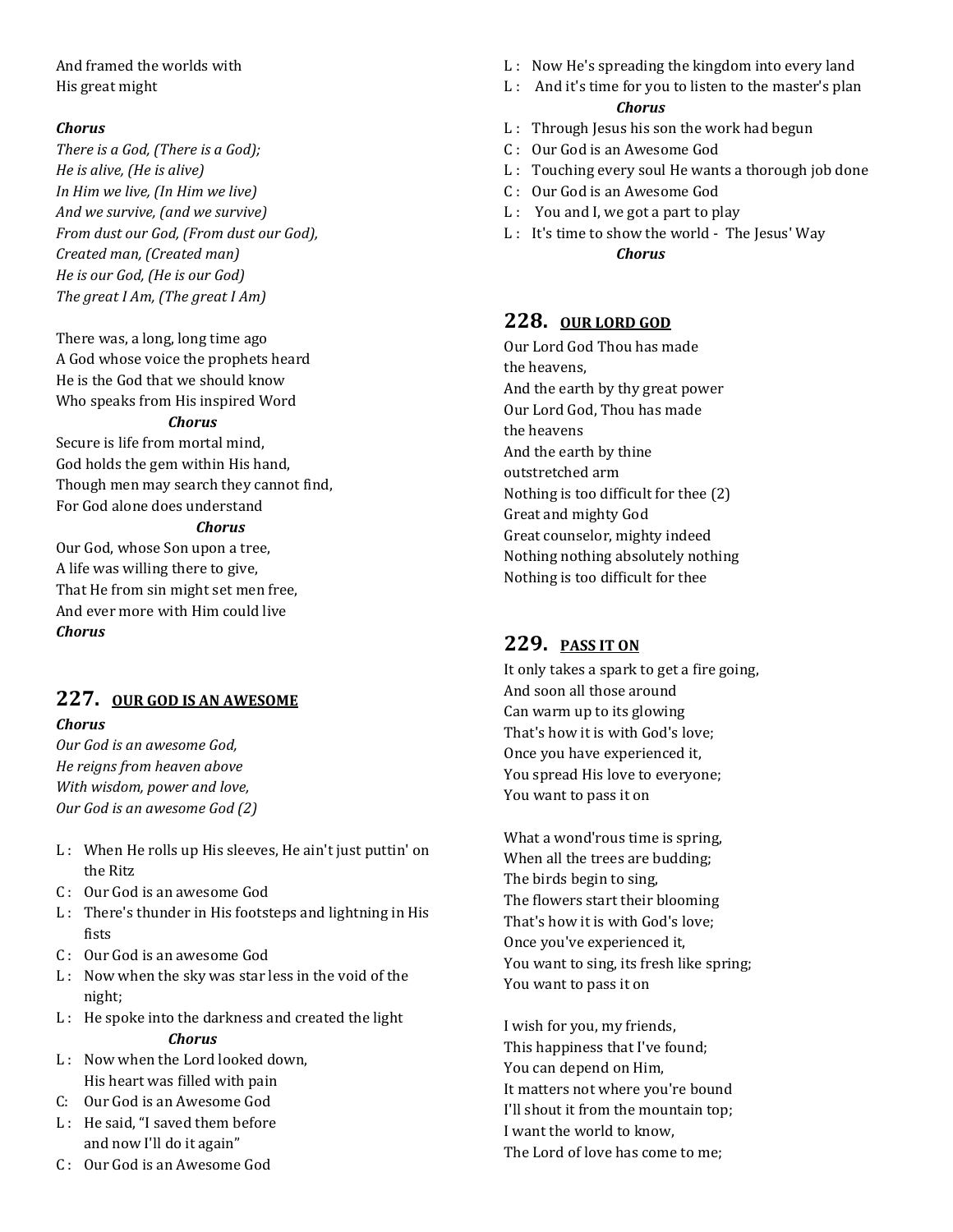And framed the worlds with His great might

#### *Chorus*

*There is a God, (There is a God); He is alive, (He is alive) In Him we live, (In Him we live) And we survive, (and we survive) From dust our God, (From dust our God), Created man, (Created man) He is our God, (He is our God) The great I Am, (The great I Am)*

There was, a long, long time ago A God whose voice the prophets heard He is the God that we should know Who speaks from His inspired Word

#### *Chorus*

Secure is life from mortal mind, God holds the gem within His hand, Though men may search they cannot find, For God alone does understand

#### *Chorus*

Our God, whose Son upon a tree, A life was willing there to give, That He from sin might set men free, And ever more with Him could live *Chorus*

### **227. OUR GOD IS AN AWESOME**

#### *Chorus*

*Our God is an awesome God, He reigns from heaven above With wisdom, power and love, Our God is an awesome God (2)*

- L : When He rolls up His sleeves, He ain't just puttin' on the Ritz
- C : Our God is an awesome God
- L : There's thunder in His footsteps and lightning in His fists
- C : Our God is an awesome God
- L : Now when the sky was star less in the void of the night;
- L : He spoke into the darkness and created the light *Chorus*
- L: Now when the Lord looked down, His heart was filled with pain
- C: Our God is an Awesome God
- L : He said, "I saved them before and now I'll do it again"
- C : Our God is an Awesome God
- L : Now He's spreading the kingdom into every land
- L : And it's time for you to listen to the master's plan *Chorus*
- L: Through Jesus his son the work had begun
- C : Our God is an Awesome God
- L : Touching every soul He wants a thorough job done
- C : Our God is an Awesome God
- L : You and I, we got a part to play
- L : It's time to show the world The Jesus' Way *Chorus*

### **228. OUR LORD GOD**

Our Lord God Thou has made the heavens, And the earth by thy great power Our Lord God, Thou has made the heavens And the earth by thine outstretched arm Nothing is too difficult for thee (2) Great and mighty God Great counselor, mighty indeed Nothing nothing absolutely nothing Nothing is too difficult for thee

### **229. PASS IT ON**

It only takes a spark to get a fire going, And soon all those around Can warm up to its glowing That's how it is with God's love; Once you have experienced it, You spread His love to everyone; You want to pass it on

What a wond'rous time is spring, When all the trees are budding; The birds begin to sing, The flowers start their blooming That's how it is with God's love; Once you've experienced it, You want to sing, its fresh like spring; You want to pass it on

I wish for you, my friends, This happiness that I've found; You can depend on Him, It matters not where you're bound I'll shout it from the mountain top; I want the world to know, The Lord of love has come to me;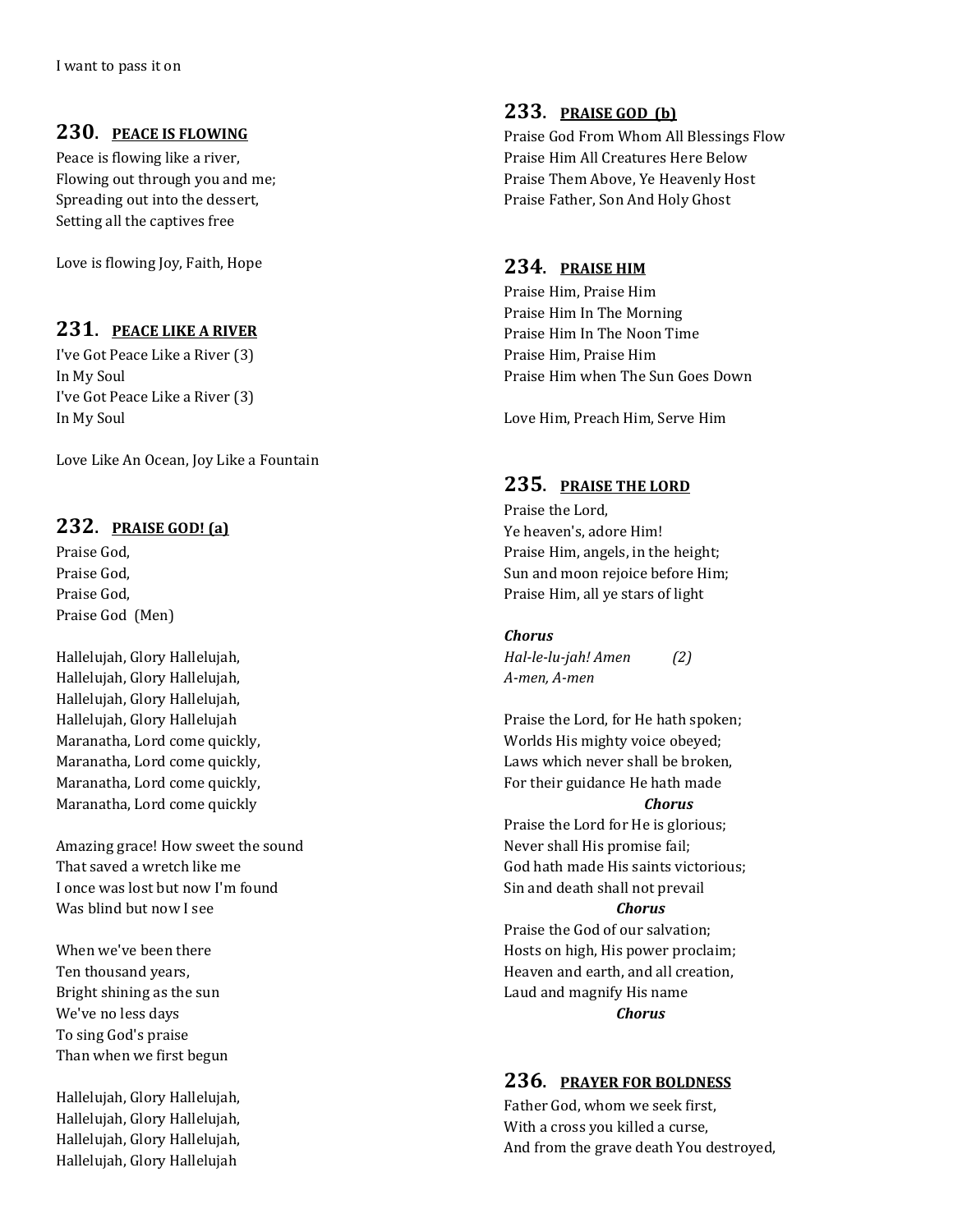### **230**. **PEACE IS FLOWING**

Peace is flowing like a river, Flowing out through you and me; Spreading out into the dessert, Setting all the captives free

Love is flowing Joy, Faith, Hope

### **231**. **PEACE LIKE A RIVER**

I've Got Peace Like a River (3) In My Soul I've Got Peace Like a River (3) In My Soul

Love Like An Ocean, Joy Like a Fountain

### **232**. **PRAISE GOD! (a)**

Praise God, Praise God, Praise God, Praise God (Men)

Hallelujah, Glory Hallelujah, Hallelujah, Glory Hallelujah, Hallelujah, Glory Hallelujah, Hallelujah, Glory Hallelujah Maranatha, Lord come quickly, Maranatha, Lord come quickly, Maranatha, Lord come quickly, Maranatha, Lord come quickly

Amazing grace! How sweet the sound That saved a wretch like me I once was lost but now I'm found Was blind but now I see

When we've been there Ten thousand years, Bright shining as the sun We've no less days To sing God's praise Than when we first begun

Hallelujah, Glory Hallelujah, Hallelujah, Glory Hallelujah, Hallelujah, Glory Hallelujah, Hallelujah, Glory Hallelujah

### **233**. **PRAISE GOD (b)**

Praise God From Whom All Blessings Flow Praise Him All Creatures Here Below Praise Them Above, Ye Heavenly Host Praise Father, Son And Holy Ghost

### **234**. **PRAISE HIM**

Praise Him, Praise Him Praise Him In The Morning Praise Him In The Noon Time Praise Him, Praise Him Praise Him when The Sun Goes Down

Love Him, Preach Him, Serve Him

### **235**. **PRAISE THE LORD**

Praise the Lord, Ye heaven's, adore Him! Praise Him, angels, in the height; Sun and moon rejoice before Him; Praise Him, all ye stars of light

#### *Chorus*

*Hal-le-lu-jah! Amen (2) A-men, A-men*

Praise the Lord, for He hath spoken; Worlds His mighty voice obeyed; Laws which never shall be broken, For their guidance He hath made

#### *Chorus*

Praise the Lord for He is glorious; Never shall His promise fail; God hath made His saints victorious; Sin and death shall not prevail

#### *Chorus*

Praise the God of our salvation; Hosts on high, His power proclaim; Heaven and earth, and all creation, Laud and magnify His name *Chorus*

### **236**. **PRAYER FOR BOLDNESS**

Father God, whom we seek first, With a cross you killed a curse, And from the grave death You destroyed,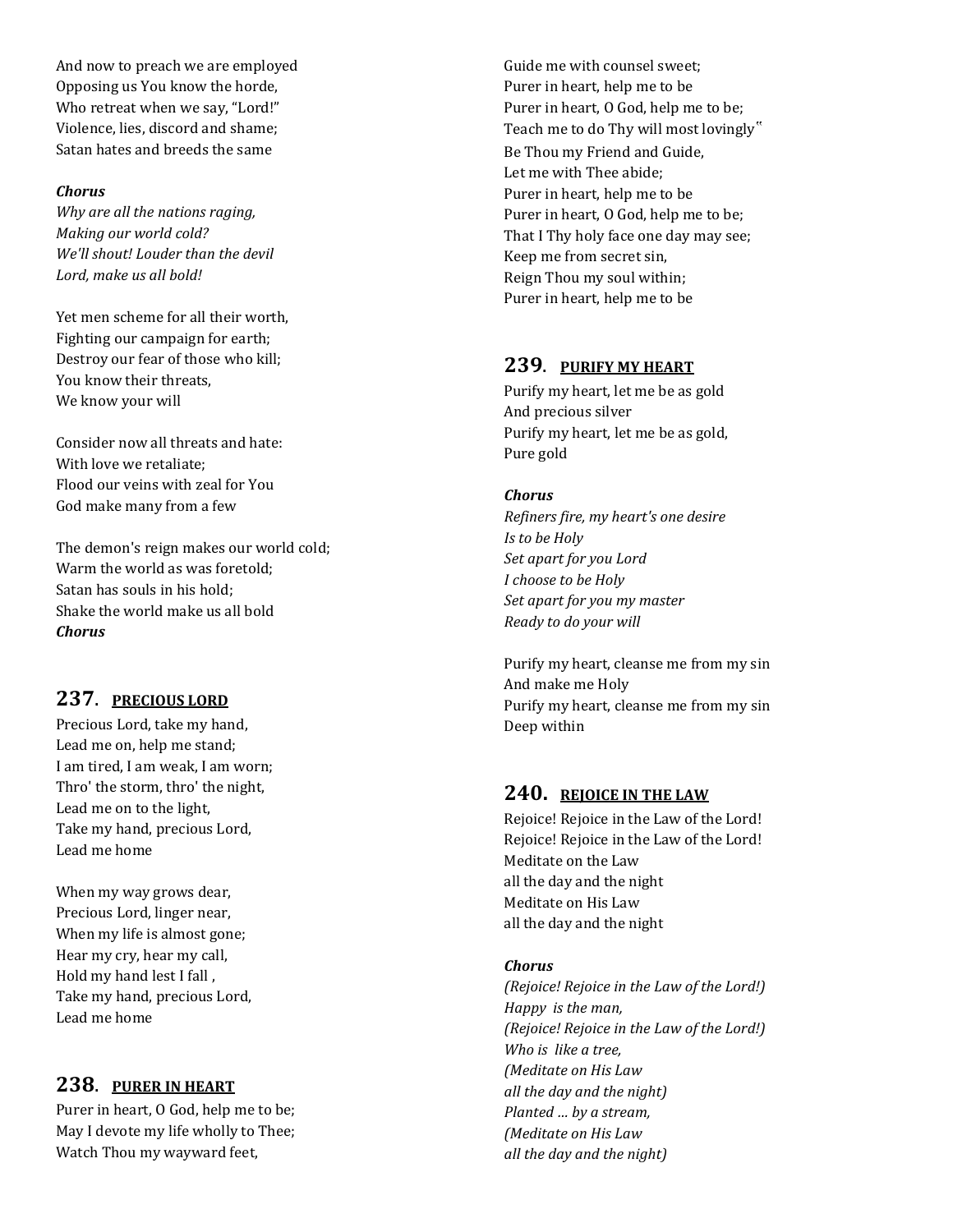And now to preach we are employed Opposing us You know the horde, Who retreat when we say, "Lord!" Violence, lies, discord and shame; Satan hates and breeds the same

#### *Chorus*

*Why are all the nations raging, Making our world cold? We'll shout! Louder than the devil Lord, make us all bold!*

Yet men scheme for all their worth, Fighting our campaign for earth; Destroy our fear of those who kill; You know their threats, We know your will

Consider now all threats and hate: With love we retaliate; Flood our veins with zeal for You God make many from a few

The demon's reign makes our world cold; Warm the world as was foretold; Satan has souls in his hold; Shake the world make us all bold *Chorus*

#### **237**. **PRECIOUS LORD**

Precious Lord, take my hand, Lead me on, help me stand; I am tired, I am weak, I am worn; Thro' the storm, thro' the night, Lead me on to the light, Take my hand, precious Lord, Lead me home

When my way grows dear, Precious Lord, linger near, When my life is almost gone; Hear my cry, hear my call, Hold my hand lest I fall , Take my hand, precious Lord, Lead me home

### **238**. **PURER IN HEART**

Purer in heart, O God, help me to be; May I devote my life wholly to Thee; Watch Thou my wayward feet,

Guide me with counsel sweet; Purer in heart, help me to be Purer in heart, O God, help me to be; Teach me to do Thy will most lovingly " Be Thou my Friend and Guide, Let me with Thee abide; Purer in heart, help me to be Purer in heart, O God, help me to be; That I Thy holy face one day may see; Keep me from secret sin, Reign Thou my soul within; Purer in heart, help me to be

### **239**. **PURIFY MY HEART**

Purify my heart, let me be as gold And precious silver Purify my heart, let me be as gold, Pure gold

#### *Chorus*

*Refiners fire, my heart's one desire Is to be Holy Set apart for you Lord I choose to be Holy Set apart for you my master Ready to do your will*

Purify my heart, cleanse me from my sin And make me Holy Purify my heart, cleanse me from my sin Deep within

### **240. REJOICE IN THE LAW**

Rejoice! Rejoice in the Law of the Lord! Rejoice! Rejoice in the Law of the Lord! Meditate on the Law all the day and the night Meditate on His Law all the day and the night

#### *Chorus*

*(Rejoice! Rejoice in the Law of the Lord!) Happy is the man, (Rejoice! Rejoice in the Law of the Lord!) Who is like a tree, (Meditate on His Law all the day and the night) Planted … by a stream, (Meditate on His Law all the day and the night)*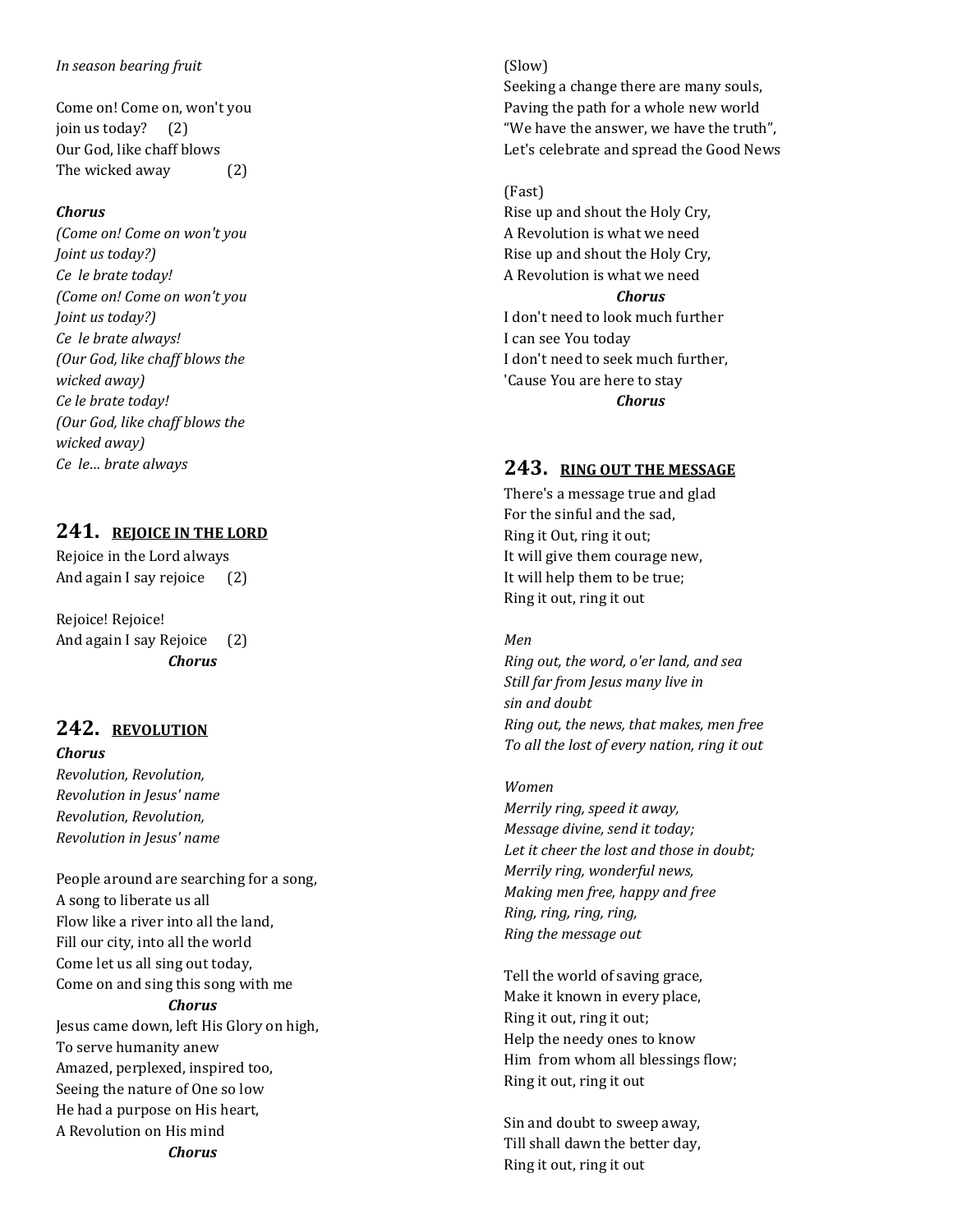#### *In season bearing fruit*

Come on! Come on, won't you join us today? (2) Our God, like chaff blows The wicked away (2)

#### *Chorus*

*(Come on! Come on won't you Joint us today?) Ce le brate today! (Come on! Come on won't you Joint us today?) Ce le brate always! (Our God, like chaff blows the wicked away) Ce le brate today! (Our God, like chaff blows the wicked away) Ce le… brate always*

### **241. REJOICE IN THE LORD**

Rejoice in the Lord always And again I say rejoice (2)

Rejoice! Rejoice! And again I say Rejoice (2) *Chorus*

### **242. REVOLUTION**

*Chorus*

*Revolution, Revolution, Revolution in Jesus' name Revolution, Revolution, Revolution in Jesus' name*

People around are searching for a song, A song to liberate us all Flow like a river into all the land, Fill our city, into all the world Come let us all sing out today, Come on and sing this song with me

#### *Chorus*

Jesus came down, left His Glory on high, To serve humanity anew Amazed, perplexed, inspired too, Seeing the nature of One so low He had a purpose on His heart, A Revolution on His mind *Chorus*

#### (Slow)

Seeking a change there are many souls, Paving the path for a whole new world "We have the answer, we have the truth", Let's celebrate and spread the Good News

#### (Fast)

Rise up and shout the Holy Cry, A Revolution is what we need Rise up and shout the Holy Cry, A Revolution is what we need *Chorus* I don't need to look much further I can see You today I don't need to seek much further, 'Cause You are here to stay *Chorus*

#### **243. RING OUT THE MESSAGE**

There's a message true and glad For the sinful and the sad, Ring it Out, ring it out; It will give them courage new, It will help them to be true; Ring it out, ring it out

#### *Men*

*Ring out, the word, o'er land, and sea Still far from Jesus many live in sin and doubt Ring out, the news, that makes, men free To all the lost of every nation, ring it out*

### *Women*

*Merrily ring, speed it away, Message divine, send it today; Let it cheer the lost and those in doubt; Merrily ring, wonderful news, Making men free, happy and free Ring, ring, ring, ring, Ring the message out* 

Tell the world of saving grace, Make it known in every place, Ring it out, ring it out; Help the needy ones to know Him from whom all blessings flow; Ring it out, ring it out

Sin and doubt to sweep away, Till shall dawn the better day, Ring it out, ring it out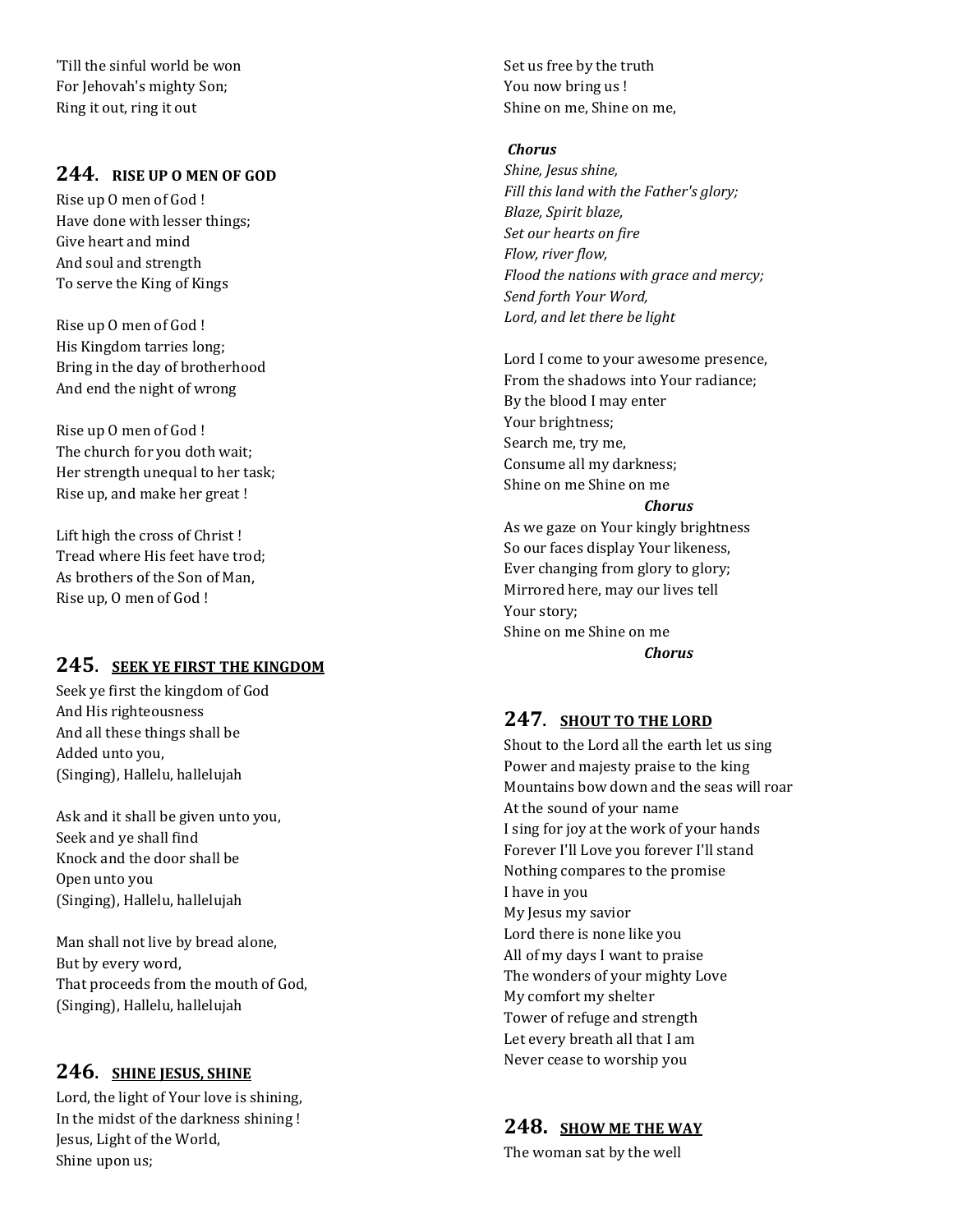'Till the sinful world be won For Jehovah's mighty Son; Ring it out, ring it out

### **24 4**. **RISE UP O MEN OF GOD**

Rise up O men of God ! Have done with lesser things; Give heart and mind And soul and strength To serve the King of Kings

Rise up O men of God ! His Kingdom tarries long; Bring in the day of brotherhood And end the night of wrong

Rise up O men of God ! The church for you doth wait; Her strength unequal to her task; Rise up, and make her great !

Lift high the cross of Christ ! Tread where His feet have trod; As brothers of the Son of Man, Rise up, O men of God !

### **24 5**. **SEEK YE FIRST THE KINGDOM**

Seek ye first the kingdom of God And His righteousness And all these things shall be Added unto you, (Singing), Hallelu, hallelujah

Ask and it shall be given unto you, Seek and ye shall find Knock and the door shall be Open unto you (Singing), Hallelu, hallelujah

Man shall not live by bread alone, But by every word, That proceeds from the mouth of God, (Singing), Hallelu, hallelujah

### **24 6**. **SHINE JESUS, SHINE**

Lord, the light of Your love is shining, In the midst of the darkness shining ! Jesus, Light of the World, Shine upon us;

Set us free by the truth You now bring us ! Shine on me, Shine on me,

#### *Chorus*

*Shine, Jesus shine, Fill this land with the Father's glory; Blaze, Spirit blaze, Set our hearts on fire Flow, river flow, Flood the nations with grace and mercy; Send forth Your Word, Lord, and let there be light*

Lord I come to your awesome presence, From the shadows into Your radiance; By the blood I may enter Your brightness; Search me, try me, Consume all my darkness; Shine on me Shine on me *Chorus* As we gaze on Your kingly brightness So our faces display Your likeness,

Ever changing from glory to glory; Mirrored here, may our lives tell Your story; Shine on me Shine on me *Chorus*

### **24 7**. **SHOUT TO THE LORD**

Shout to the Lord all the earth let us sing Power and majesty praise to the king Mountains bow down and the seas will roar At the sound of your name I sing for joy at the work of your hands Forever I'll Love you forever I'll stand Nothing compares to the promise I have in you My Jesus my savior Lord there is none like you All of my days I want to praise The wonders of your mighty Love My comfort my shelter Tower of refuge and strength Let every breath all that I am Never cease to worship you

### **248. SHOW ME THE WAY**

The woman sat by the well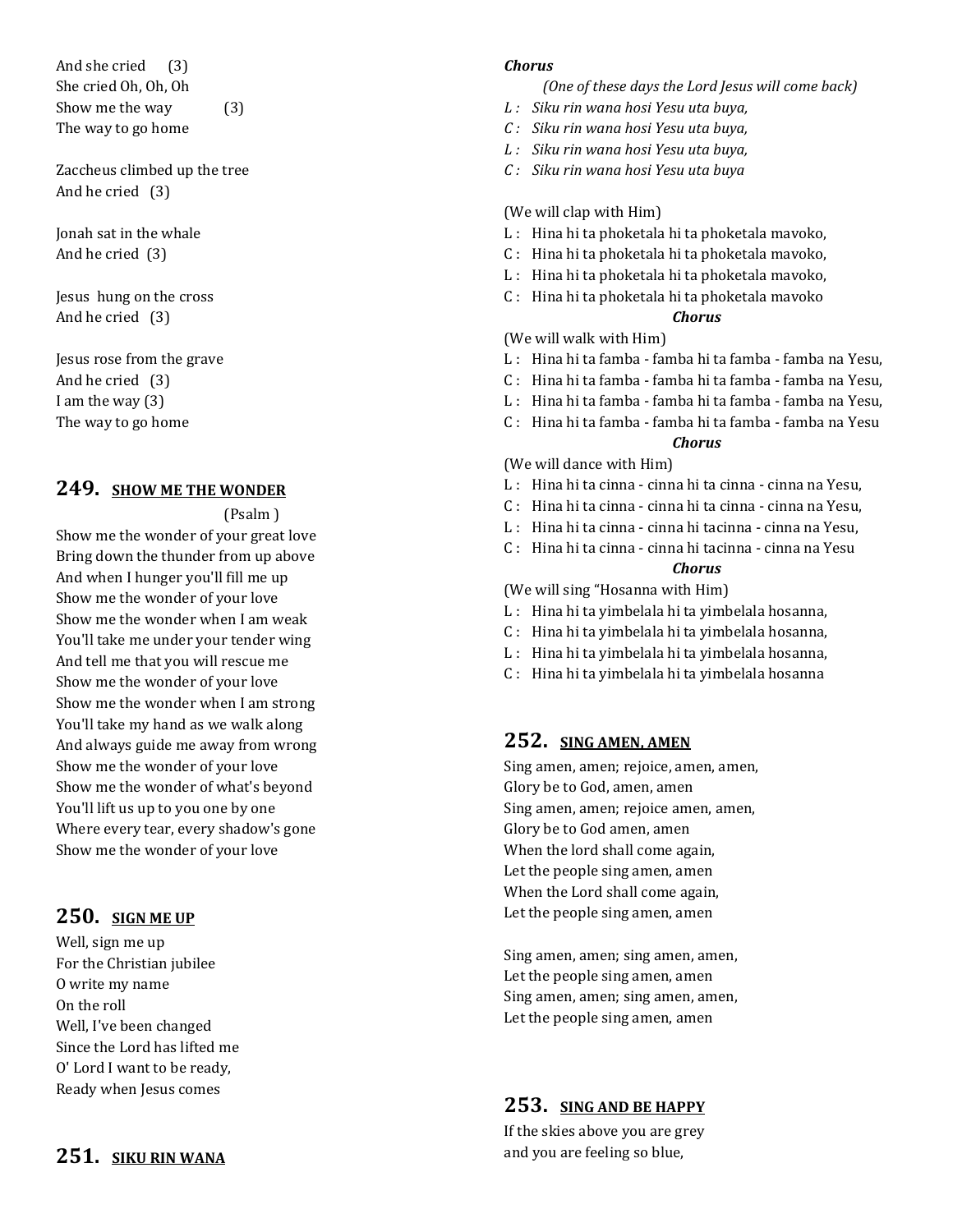And she cried (3) She cried Oh, Oh, Oh Show me the way (3) The way to go home

Zaccheus climbed up the tree And he cried (3)

Jonah sat in the whale And he cried (3)

Jesus hung on the cross And he cried (3)

Jesus rose from the grave And he cried (3) I am the way (3) The way to go home

### **249. SHOW ME THE WONDER**

(Psalm )

Show me the wonder of your great love Bring down the thunder from up above And when I hunger you'll fill me up Show me the wonder of your love Show me the wonder when I am weak You'll take me under your tender wing And tell me that you will rescue me Show me the wonder of your love Show me the wonder when I am strong You'll take my hand as we walk along And always guide me away from wrong Show me the wonder of your love Show me the wonder of what's beyond You'll lift us up to you one by one Where every tear, every shadow's gone Show me the wonder of your love

### **250. SIGN ME UP**

Well, sign me up For the Christian jubilee O write my name On the roll Well, I've been changed Since the Lord has lifted me O' Lord I want to be ready, Ready when Jesus comes

### **251. SIKU RIN WANA**

#### *Chorus*

#### *(One of these days the Lord Jesus will come back)*

- *L : Siku rin wana hosi Yesu uta buya,*
- *C : Siku rin wana hosi Yesu uta buya,*
- *L : Siku rin wana hosi Yesu uta buya,*
- *C : Siku rin wana hosi Yesu uta buya*

#### (We will clap with Him)

- L : Hina hi ta phoketala hi ta phoketala mavoko,
- C : Hina hi ta phoketala hi ta phoketala mavoko,
- L : Hina hi ta phoketala hi ta phoketala mavoko,
- C : Hina hi ta phoketala hi ta phoketala mavoko

#### *Chorus*

(We will walk with Him)

- L : Hina hi ta famba famba hi ta famba famba na Yesu,
- C : Hina hi ta famba famba hi ta famba famba na Yesu,
- L : Hina hi ta famba famba hi ta famba famba na Yesu,
- C : Hina hi ta famba famba hi ta famba famba na Yesu

#### *Chorus*

(We will dance with Him)

- L : Hina hi ta cinna cinna hi ta cinna cinna na Yesu,
- C : Hina hi ta cinna cinna hi ta cinna cinna na Yesu,
- L : Hina hi ta cinna cinna hi tacinna cinna na Yesu,
- C : Hina hi ta cinna cinna hi tacinna cinna na Yesu

### *Chorus*

(We will sing "Hosanna with Him)

- L : Hina hi ta yimbelala hi ta yimbelala hosanna,
- C : Hina hi ta yimbelala hi ta yimbelala hosanna,
- L : Hina hi ta yimbelala hi ta yimbelala hosanna,
- C : Hina hi ta yimbelala hi ta yimbelala hosanna

### **252. SING AMEN, AMEN**

Sing amen, amen; rejoice, amen, amen, Glory be to God, amen, amen Sing amen, amen; rejoice amen, amen, Glory be to God amen, amen When the lord shall come again, Let the people sing amen, amen When the Lord shall come again, Let the people sing amen, amen

Sing amen, amen; sing amen, amen, Let the people sing amen, amen Sing amen, amen; sing amen, amen, Let the people sing amen, amen

### **253. SING AND BE HAPPY**

If the skies above you are grey and you are feeling so blue,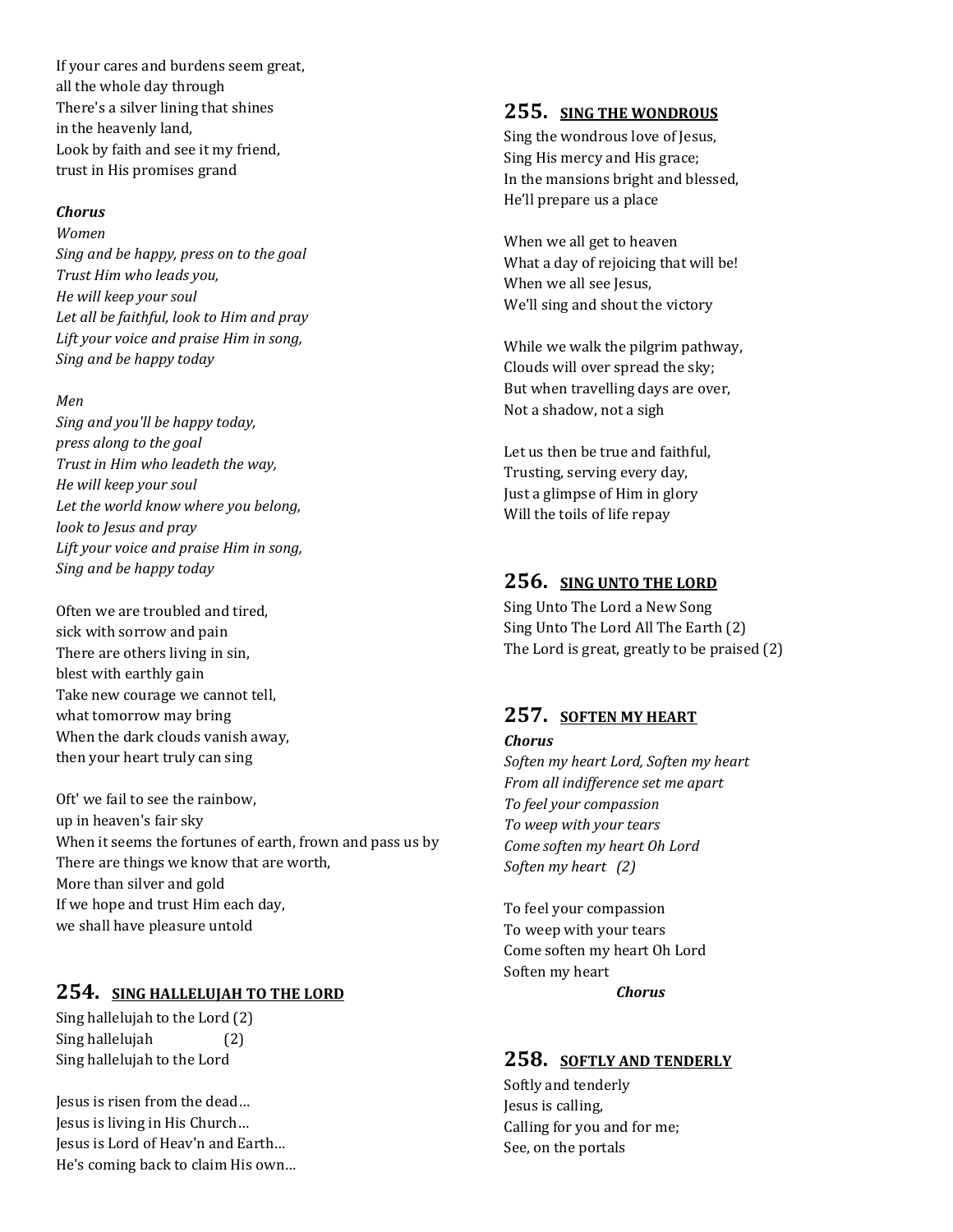If your cares and burdens seem great, all the whole day through There's a silver lining that shines in the heavenly land, Look by faith and see it my friend, trust in His promises grand

#### *Chorus*

*Women Sing and be happy, press on to the goal Trust Him who leads you, He will keep your soul Let all be faithful, look to Him and pray Lift your voice and praise Him in song, Sing and be happy today*

#### *Men*

*Sing and you'll be happy today, press along to the goal Trust in Him who leadeth the way, He will keep your soul Let the world know where you belong, look to Jesus and pray Lift your voice and praise Him in song, Sing and be happy today*

Often we are troubled and tired, sick with sorrow and pain There are others living in sin, blest with earthly gain Take new courage we cannot tell, what tomorrow may bring When the dark clouds vanish away, then your heart truly can sing

Oft' we fail to see the rainbow, up in heaven's fair sky When it seems the fortunes of earth, frown and pass us by There are things we know that are worth, More than silver and gold If we hope and trust Him each day, we shall have pleasure untold

### **254. SING HALLELUJAH TO THE LORD**

Sing hallelujah to the Lord (2) Sing hallelujah (2) Sing hallelujah to the Lord

Jesus is risen from the dead… Jesus is living in His Church… Jesus is Lord of Heav'n and Earth… He's coming back to claim His own…

### **255. SING THE WONDROUS**

Sing the wondrous love of Jesus, Sing His mercy and His grace; In the mansions bright and blessed, He'll prepare us a place

When we all get to heaven What a day of rejoicing that will be! When we all see Jesus, We'll sing and shout the victory

While we walk the pilgrim pathway, Clouds will over spread the sky; But when travelling days are over, Not a shadow, not a sigh

Let us then be true and faithful, Trusting, serving every day, Just a glimpse of Him in glory Will the toils of life repay

### **256. SING UNTO THE LORD**

Sing Unto The Lord a New Song Sing Unto The Lord All The Earth (2) The Lord is great, greatly to be praised (2)

### **257. SOFTEN MY HEART**

*Chorus Soften my heart Lord, Soften my heart From all indifference set me apart To feel your compassion To weep with your tears Come soften my heart Oh Lord Soften my heart (2)*

To feel your compassion To weep with your tears Come soften my heart Oh Lord Soften my heart *Chorus*

### **258. SOFTLY AND TENDERLY**

Softly and tenderly Jesus is calling, Calling for you and for me; See, on the portals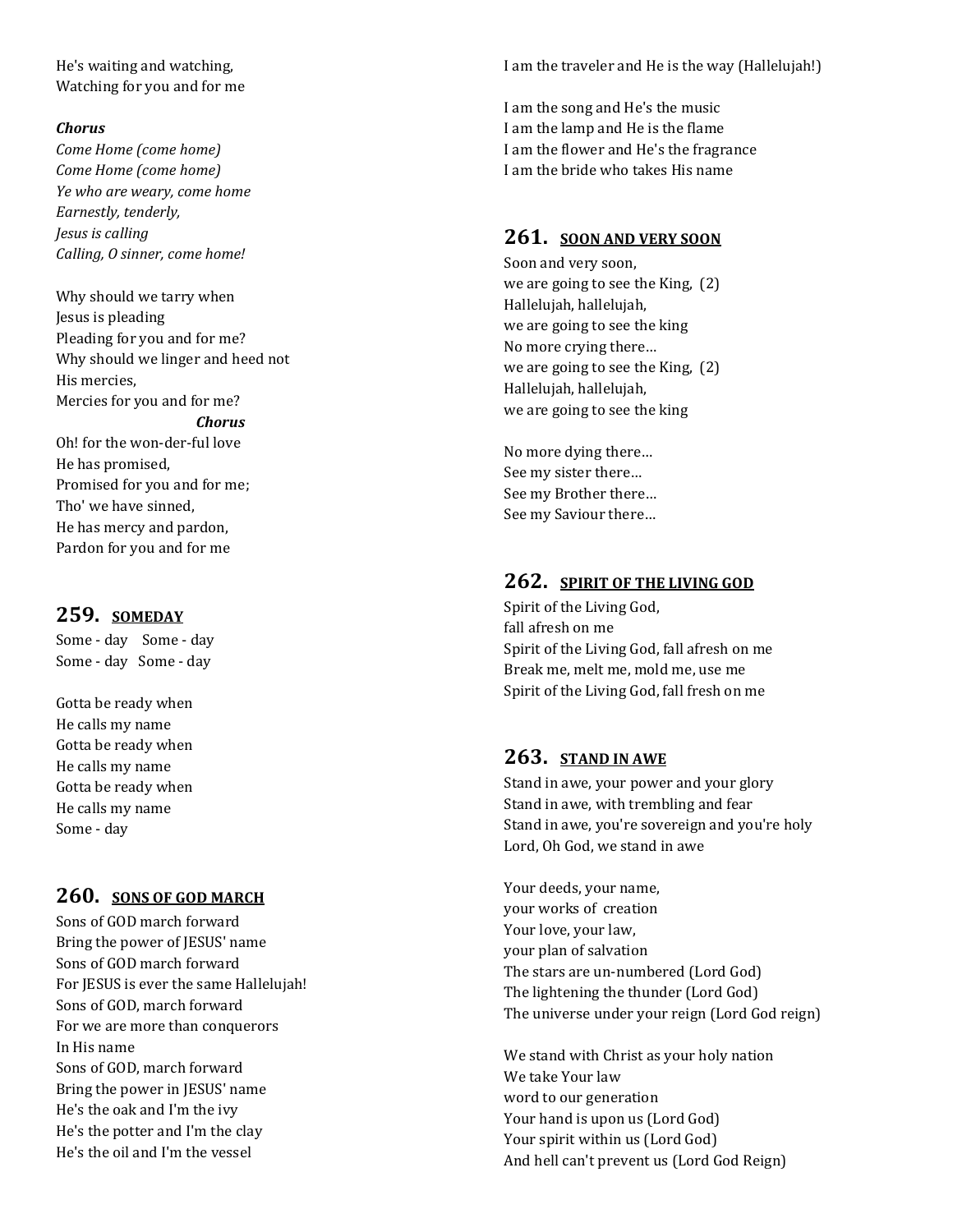He's waiting and watching, Watching for you and for me

#### *Chorus*

*Come Home (come home) Come Home (come home) Ye who are weary, come home Earnestly, tenderly, Jesus is calling Calling, O sinner, come home!*

Why should we tarry when Jesus is pleading Pleading for you and for me? Why should we linger and heed not His mercies, Mercies for you and for me? *Chorus*

Oh! for the won -der -ful love He has promised, Promised for you and for me; Tho' we have sinned, He has mercy and pardon, Pardon for you and for me

### **259. SOMEDAY**

Some - day Some - day Some - day Some - day

Gotta be ready when He calls my name Gotta be ready when He calls my name Gotta be ready when He calls my name Some - day

### **260. SONS OF GOD MARCH**

Sons of GOD march forward Bring the power of JESUS' name Sons of GOD march forward For JESUS is ever the same Hallelujah! Sons of GOD, march forward For we are more than conquerors In His name Sons of GOD, march forward Bring the power in JESUS' name He's the oak and I'm the ivy He's the potter and I'm the clay He's the oil and I'm the vessel

I am the traveler and He is the way (Hallelujah!)

I am the song and He's the music I am the lamp and He is the flame I am the flower and He's the fragrance I am the bride who takes His name

### **261. SOON AND VERY SOON**

Soon and very soon, we are going to see the King, (2) Hallelujah, hallelujah, we are going to see the king No more crying there… we are going to see the King, (2) Hallelujah, hallelujah, we are going to see the king

No more dying there… See my sister there… See my Brother there… See my Saviour there…

### **262. SPIRIT OF THE LIVING GOD**

Spirit of the Living God, fall afresh on me Spirit of the Living God, fall afresh on me Break me, melt me, mold me, use me Spirit of the Living God, fall fresh on me

### **263. STAND IN AWE**

Stand in awe, your power and your glory Stand in awe, with trembling and fear Stand in awe, you're sovereign and you're holy Lord, Oh God, we stand in awe

Your deeds, your name, your works of creation Your love, your law, your plan of salvation The stars are un -numbered (Lord God) The lightening the thunder (Lord God) The universe under your reign (Lord God reign)

We stand with Christ as your holy nation We take Your law word to our generation Your hand is upon us (Lord God) Your spirit within us (Lord God) And hell can't prevent us (Lord God Reign)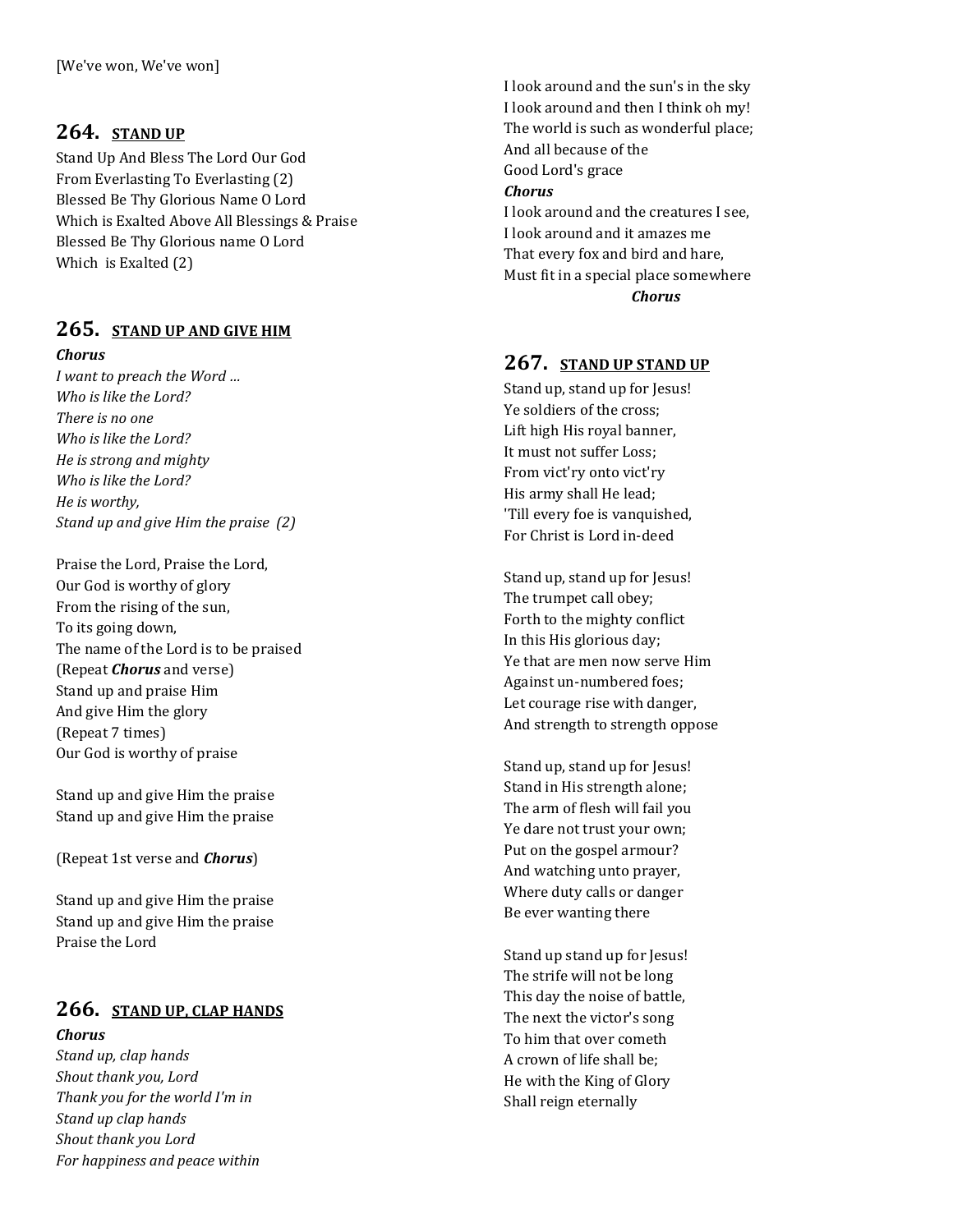### **264. STAND UP**

Stand Up And Bless The Lord Our God From Everlasting To Everlasting (2) Blessed Be Thy Glorious Name O Lord Which is Exalted Above All Blessings & Praise Blessed Be Thy Glorious name O Lord Which is Exalted (2)

### **265. STAND UP AND GIVE HIM**

### *Chorus*

*I want to preach the Word … Who is like the Lord? There is no one Who is like the Lord? He is strong and mighty Who is like the Lord? He is worthy, Stand up and give Him the praise (2)* 

Praise the Lord, Praise the Lord, Our God is worthy of glory From the rising of the sun, To its going down, The name of the Lord is to be praised (Repeat *Chorus* and verse) Stand up and praise Him And give Him the glory (Repeat 7 times) Our God is worthy of praise

Stand up and give Him the praise Stand up and give Him the praise

(Repeat 1st verse and *Chorus* )

Stand up and give Him the praise Stand up and give Him the praise Praise the Lord

### **266. STAND UP, CLAP HANDS** *Chorus*

*Stand up, clap hands Shout thank you, Lord Thank you for the world I'm in Stand up clap hands Shout thank you Lord For happiness and peace within* I look around and the sun's in the sky I look around and then I think oh my! The world is such as wonderful place; And all because of the Good Lord's grace *Chorus* I look around and the creatures I see, I look around and it amazes me That every fox and bird and hare, Must fit in a special place somewhere *Chorus*

### **267. STAND UP STAND UP**

Stand up, stand up for Jesus! Ye soldiers of the cross; Lift high His royal banner, It must not suffer Loss; From vict'ry onto vict'ry His army shall He lead; 'Till every foe is vanquished, For Christ is Lord in -deed

Stand up, stand up for Jesus! The trumpet call obey; Forth to the mighty conflict In this His glorious day; Ye that are men now serve Him Against un -numbered foes; Let courage rise with danger, And strength to strength oppose

Stand up, stand up for Jesus! Stand in His strength alone; The arm of flesh will fail you Ye dare not trust your own; Put on the gospel armour? And watching unto prayer, Where duty calls or danger Be ever wanting there

Stand up stand up for Jesus! The strife will not be long This day the noise of battle, The next the victor's song To him that over cometh A crown of life shall be; He with the King of Glory Shall reign eternally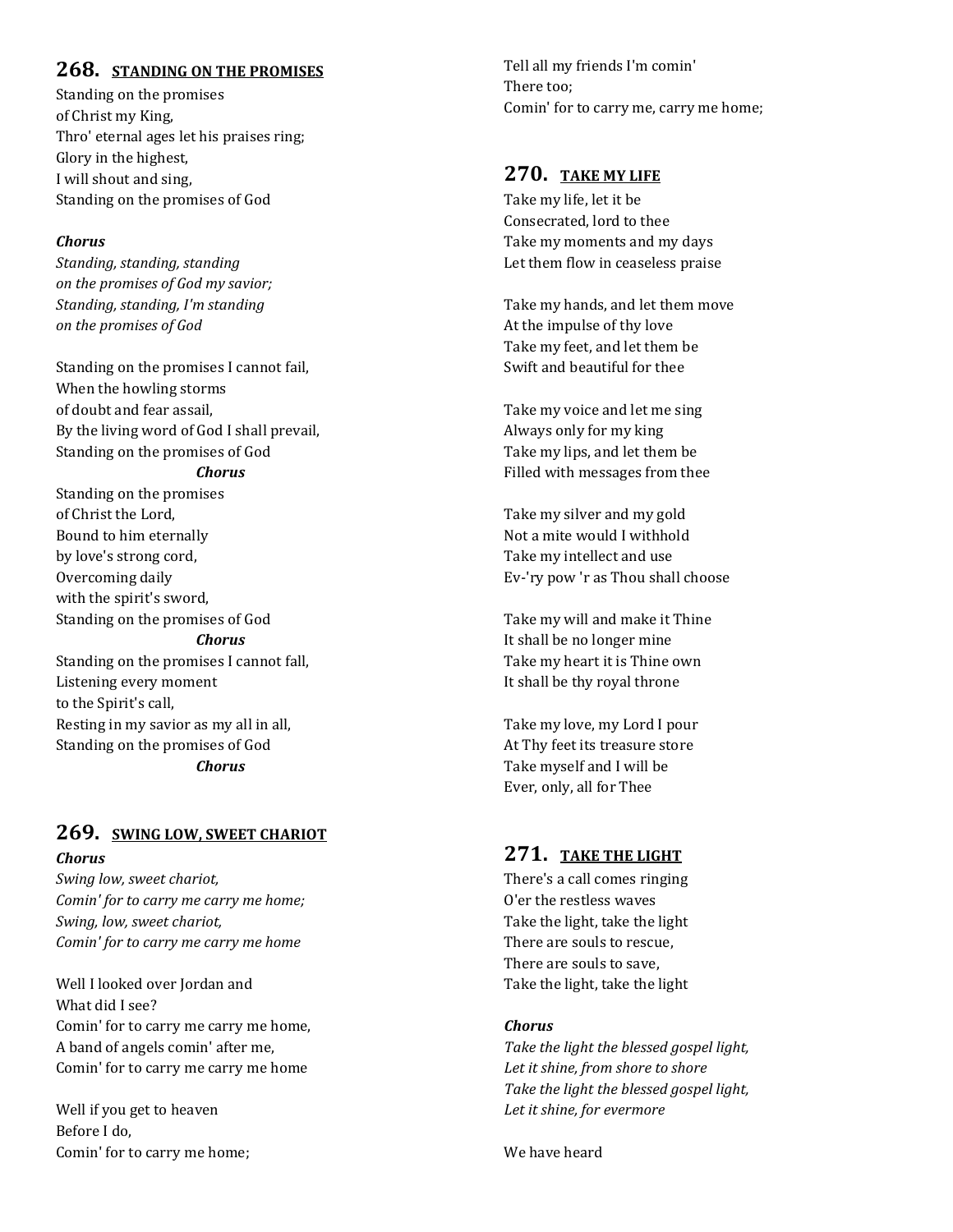### **268. STANDING ON THE PROMISES**

Standing on the promises of Christ my King, Thro' eternal ages let his praises ring; Glory in the highest, I will shout and sing, Standing on the promises of God

#### *Chorus*

*Standing, standing, standing on the promises of God my savior; Standing, standing, I'm standing on the promises of God*

Standing on the promises I cannot fail, When the howling storms of doubt and fear assail, By the living word of God I shall prevail, Standing on the promises of God

*Chorus*

Standing on the promises of Christ the Lord, Bound to him eternally by love's strong cord, Overcoming daily with the spirit's sword, Standing on the promises of God *Chorus* Standing on the promises I cannot fall, Listening every moment to the Spirit's call, Resting in my savior as my all in all, Standing on the promises of God

*Chorus*

# **269. SWING LOW, SWEET CHARIOT**

*Chorus*

*Swing low, sweet chariot, Comin' for to carry me carry me home; Swing, low, sweet chariot, Comin' for to carry me carry me home*

Well I looked over Jordan and What did I see? Comin' for to carry me carry me home, A band of angels comin' after me, Comin' for to carry me carry me home

Well if you get to heaven Before I do, Comin' for to carry me home; Tell all my friends I'm comin' There too; Comin' for to carry me, carry me home;

### **270. TAKE MY LIFE**

Take my life, let it be Consecrated, lord to thee Take my moments and my days Let them flow in ceaseless praise

Take my hands, and let them move At the impulse of thy love Take my feet, and let them be Swift and beautiful for thee

Take my voice and let me sing Always only for my king Take my lips, and let them be Filled with messages from thee

Take my silver and my gold Not a mite would I withhold Take my intellect and use Ev-'ry pow 'r as Thou shall choose

Take my will and make it Thine It shall be no longer mine Take my heart it is Thine own It shall be thy royal throne

Take my love, my Lord I pour At Thy feet its treasure store Take myself and I will be Ever, only, all for Thee

### **271. TAKE THE LIGHT**

There's a call comes ringing O'er the restless waves Take the light, take the light There are souls to rescue, There are souls to save, Take the light, take the light

### *Chorus*

*Take the light the blessed gospel light, Let it shine, from shore to shore Take the light the blessed gospel light, Let it shine, for evermore*

We have heard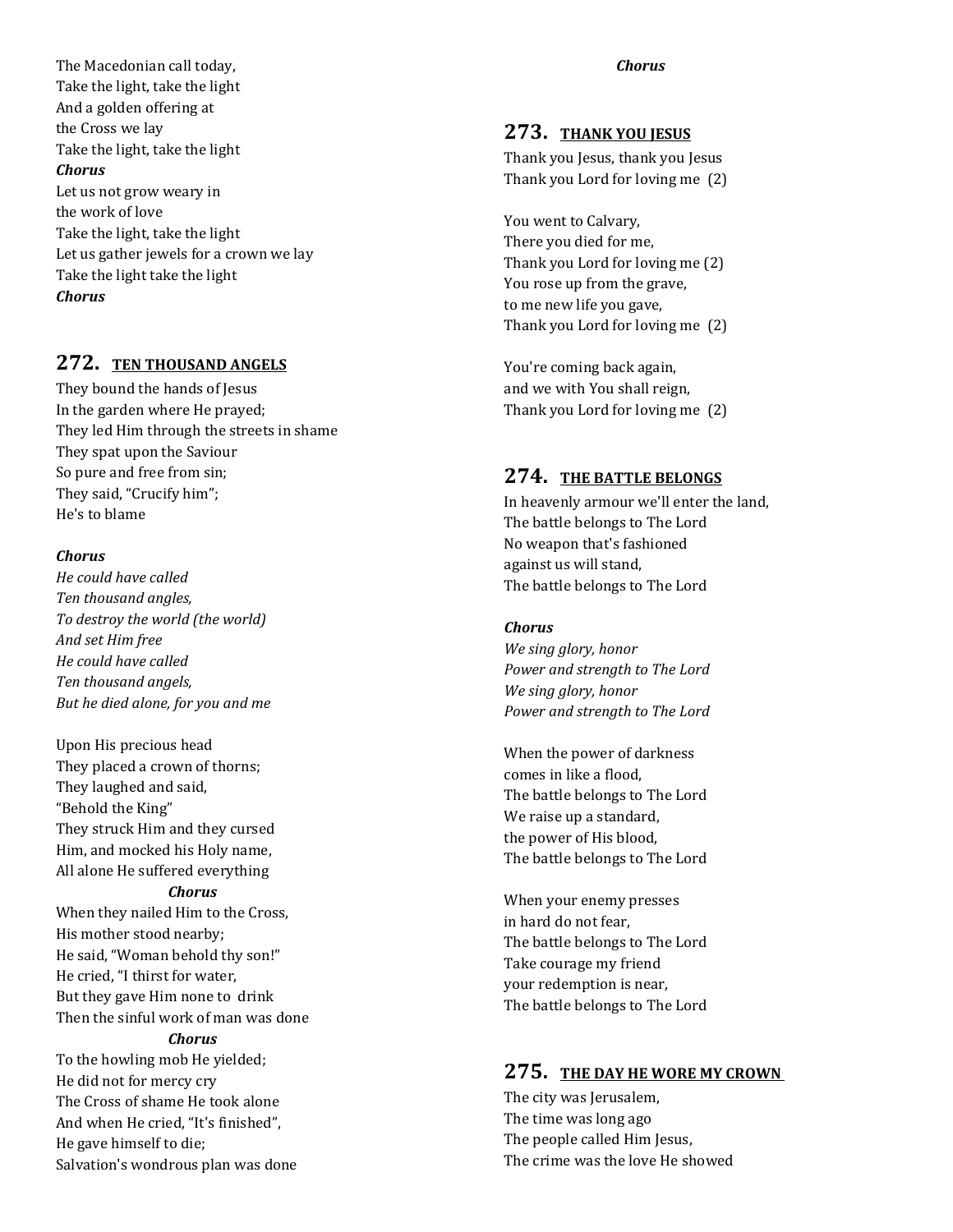The Macedonian call today, Take the light, take the light And a golden offering at the Cross we lay Take the light, take the light *Chorus* Let us not grow weary in the work of love Take the light, take the light Let us gather jewels for a crown we lay Take the light take the light *Chorus*

### **272. TEN THOUSAND ANGELS**

They bound the hands of Jesus In the garden where He prayed; They led Him through the streets in shame They spat upon the Saviour So pure and free from sin; They said, "Crucify him"; He's to blame

#### *Chorus*

*He could have called Ten thousand angles, To destroy the world (the world) And set Him free He could have called Ten thousand angels, But he died alone, for you and me*

Upon His precious head They placed a crown of thorns; They laughed and said, "Behold the King" They struck Him and they cursed Him, and mocked his Holy name, All alone He suffered everything

#### *Chorus*

When they nailed Him to the Cross, His mother stood nearby; He said, "Woman behold thy son!" He cried, "I thirst for water, But they gave Him none to drink Then the sinful work of man was done

#### *Chorus*

To the howling mob He yielded; He did not for mercy cry The Cross of shame He took alone And when He cried, "It's finished", He gave himself to die; Salvation's wondrous plan was done

### **273. THANK YOU JESUS**

Thank you Jesus, thank you Jesus Thank you Lord for loving me (2)

You went to Calvary, There you died for me, Thank you Lord for loving me (2) You rose up from the grave, to me new life you gave, Thank you Lord for loving me (2)

You're coming back again, and we with You shall reign, Thank you Lord for loving me (2)

#### **274. THE BATTLE BELONGS**

In heavenly armour we'll enter the land, The battle belongs to The Lord No weapon that's fashioned against us will stand, The battle belongs to The Lord

#### *Chorus*

*We sing glory, honor Power and strength to The Lord We sing glory, honor Power and strength to The Lord*

When the power of darkness comes in like a flood, The battle belongs to The Lord We raise up a standard, the power of His blood, The battle belongs to The Lord

When your enemy presses in hard do not fear, The battle belongs to The Lord Take courage my friend your redemption is near, The battle belongs to The Lord

### **275. THE DAY HE WORE MY CROWN**

The city was Jerusalem, The time was long ag o The people called Him Jesus, The crime was the love He showed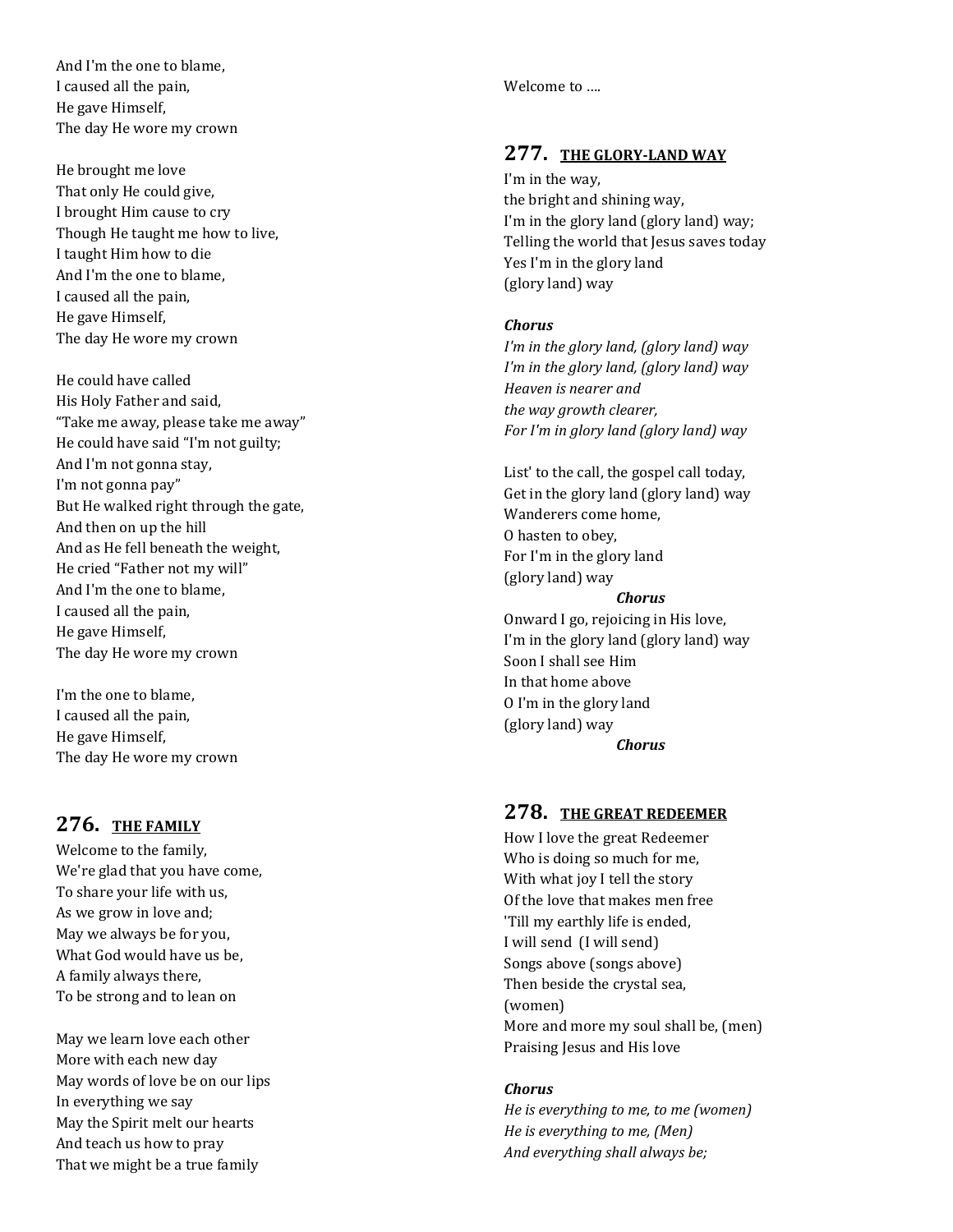And I'm the one to blame, I caused all the pain, He gave Himself, The day He wore my crown

He brought me love That only He could give, I brought Him cause to cry Though He taught me how to live, I taught Him how to die And I'm the one to blame, I caused all the pain, He gave Himself, The day He wore my crown

He could have called His Holy Father and said, "Take me away, please take me away" He could have said "I'm not guilty; And I'm not gonna stay, I'm not gonna pay" But He walked right through the gate, And then on up the hill And as He fell beneath the weight, He cried "Father not my will" And I'm the one to blame, I caused all the pain, He gave Himself, The day He wore my crown

I'm the one to blame, I caused all the pain, He gave Himself, The day He wore my crown

### **276. THE FAMILY**

Welcome to the family, We're glad that you have come, To share your life with us, As we grow in love and; May we always be for you, What God would have us be, A family always there, To be strong and to lean on

May we learn love each other More with each new day May words of love be on our lips In everything we say May the Spirit melt our hearts And teach us how to pray That we might be a true family

Welcome to ….

### **277. THE GLORY -LAND WAY**

I'm in the way, the bright and shining way, I'm in the glory land (glory land) way; Telling the world that Jesus saves today Yes I'm in the glory land (glory land) way

#### *Chorus*

*I'm in the glory land, (glory land) way I'm in the glory land, (glory land) way Heaven is nearer and the way growth clearer, For I'm in glory land (glory land) way*

List' to the call, the gospel call today, Get in the glory land (glory land) way Wanderers come home, O hasten to obey, For I'm in the glory land (glory land) way

#### *Chorus*

Onward I go, rejoicing in His love, I'm in the glory land (glory land) way Soon I shall see Him In that home above O I'm in the glory land (glory land) way *Chorus*

### **278. THE GREAT REDEEMER**

How I love the great Redeemer Who is doing so much for me, With what joy I tell the story Of the love that makes men free 'Till my earthly life is ended, I will send (I will send) Songs above (songs above) Then beside the crystal sea, (women) More and more my soul shall be, (men) Praising Jesus and His love

### *Chorus*

*He is everything to me, to me (women) He is everything to me, (Men) And everything shall always be;*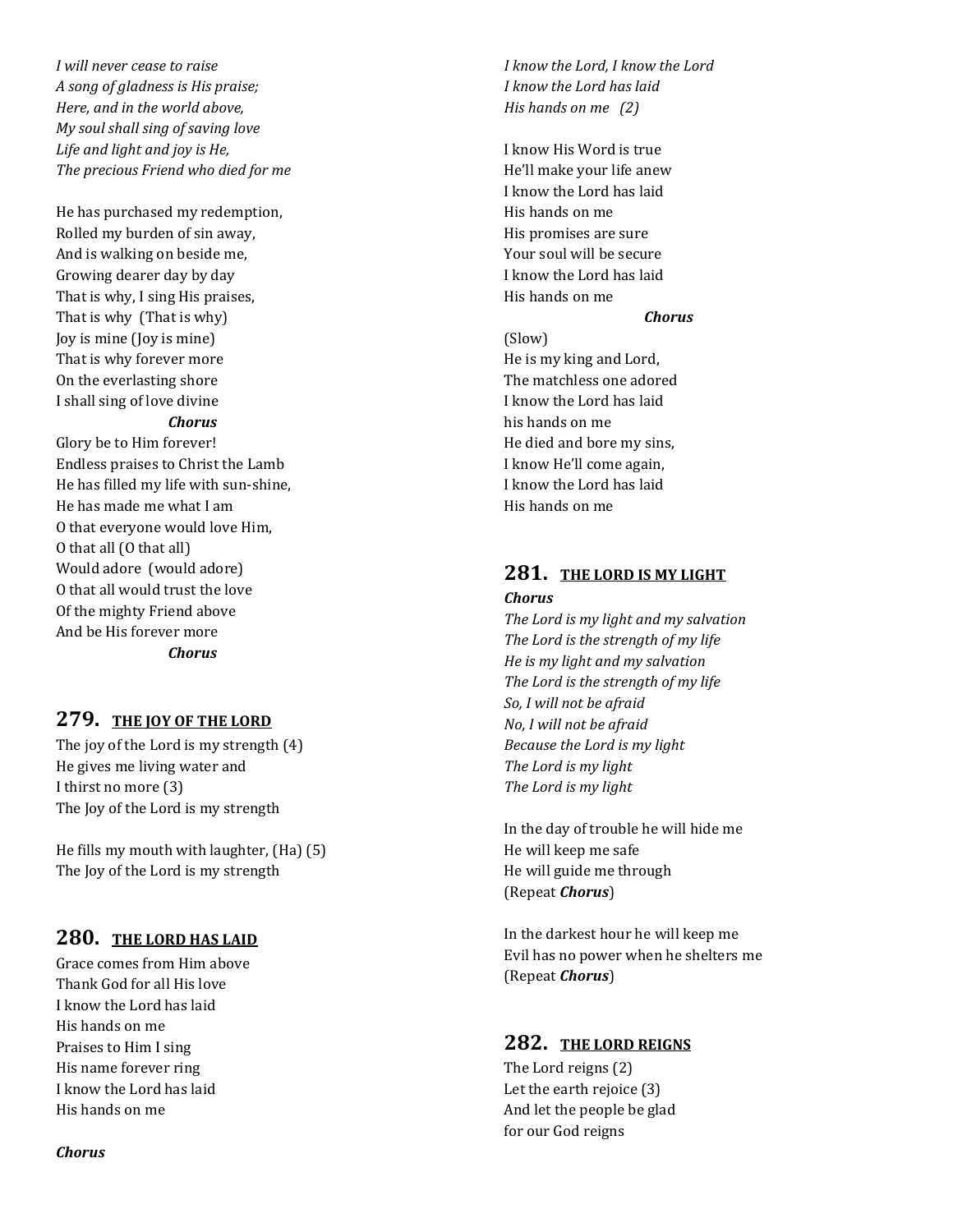*I will never cease to raise A song of gladness is His praise; Here, and in the world above, My soul shall sing of saving love Life and light and joy is He, The precious Friend who died for me*

He has purchased my redemption, Rolled my burden of sin away, And is walking on beside me, Growing dearer day by day That is why, I sing His praises, That is why (That is why) Joy is mine (Joy is mine) That is why forever more On the everlasting shore I shall sing of love divine *Chorus*

Glory be to Him forever! Endless praises to Christ the Lamb He has filled my life with sun-shine, He has made me what I am O that everyone would love Him, O that all (O that all) Would adore (would adore) O that all would trust the love Of the mighty Friend above And be His forever more *Chorus*

### **279. THE JOY OF THE LORD**

The joy of the Lord is my strength (4) He gives me living water and I thirst no more (3) The Joy of the Lord is my strength

He fills my mouth with laughter, (Ha) (5) The Joy of the Lord is my strength

### **280. THE LORD HAS LAID**

Grace comes from Him above Thank God for all His love I know the Lord has laid His hands on me Praises to Him I sing His name forever ring I know the Lord has laid His hands on me

#### *Chorus*

*I know the Lord, I know the Lord I know the Lord has laid His hands on me (2)* 

I know His Word is true He'll make your life anew I know the Lord has laid His hands on me His promises are sure Your soul will be secure I know the Lord has laid His hands on me

#### *Chorus*

(Slow) He is my king and Lord, The matchless one adored I know the Lord has laid his hands on me He died and bore my sins, I know He'll come again, I know the Lord has laid His hands on me

### **281. THE LORD IS MY LIGHT**  *Chorus*

*The Lord is my light and my salvation The Lord is the strength of my life He is my light and my salvation The Lord is the strength of my life So, I will not be afraid No, I will not be afraid Because the Lord is my light The Lord is my light The Lord is my light*

In the day of trouble he will hide me He will keep me safe He will guide me through (Repeat *Chorus*)

In the darkest hour he will keep me Evil has no power when he shelters me (Repeat *Chorus*)

### **282. THE LORD REIGNS**

The Lord reigns (2) Let the earth rejoice (3) And let the people be glad for our God reigns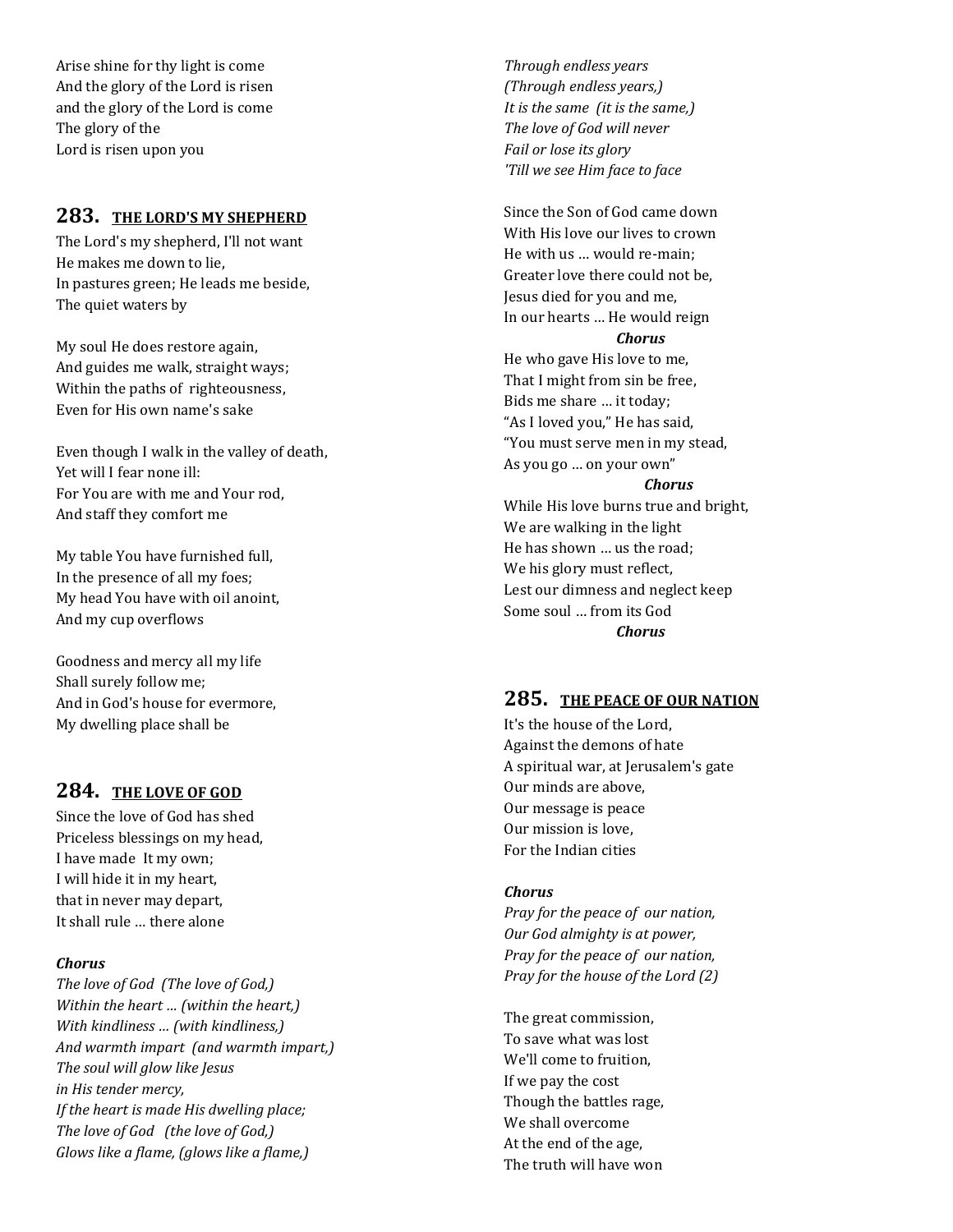Arise shine for thy light is come And the glory of the Lord is risen and the glory of the Lord is come The glory of the Lord is risen upon you

### **283. THE LORD'S MY SHEPHERD**

The Lord's my shepherd, I'll not want He makes me down to lie, In pastures green; He leads me beside, The quiet waters by

My soul He does restore again, And guides me walk, straight ways; Within the paths of righteousness, Even for His own name's sake

Even though I walk in the valley of death, Yet will I fear none ill: For You are with me and Your rod, And staff they comfort me

My table You have furnished full, In the presence of all my foes; My head You have with oil anoint, And my cup overflows

Goodness and mercy all my life Shall surely follow me; And in God's house for evermore, My dwelling place shall be

### **284. THE LOVE OF GOD**

Since the love of God has shed Priceless blessings on my head, I have made It my own; I will hide it in my heart, that in never may depart, It shall rule … there alone

#### *Chorus*

*The love of God (The love of God,) Within the heart … (within the heart,) With kindliness … (with kindliness,) And warmth impart (and warmth impart,) The soul will glow like Jesus in His tender mercy, If the heart is made His dwelling place; The love of God (the love of God,) Glows like a flame, (glows like a flame,)*

*Through endless years (Through endless years,) It is the same (it is the same,) The love of God will never Fail or lose its glory 'Till we see Him face to face*

Since the Son of God came down With His love our lives to crown He with us … would re -main; Greater love there could not be, Jesus died for you and me, In our hearts … He would reign *Chorus* He who gave His love to me, That I might from sin be free, Bids me share … it today; "As I loved you," He has said, "You must serve men in my stead, As you go … on your own" *Chorus* While His love burns true and bright, We are walking in the light He has shown … us the road; We his glory must reflect, Lest our dimness and neglect keep Some soul … from its God *Chorus*

### **285. THE PEACE OF OUR NATION**

It's the house of the Lord, Against the demons of hate A spiritual war, at Jerusalem's gate Our minds are above, Our message is peace Our mission is love, For the Indian cities

#### *Chorus*

*Pray for the peace of our nation, Our God almighty is at power, Pray for the peace of our nation, Pray for the house of the Lord (2)* 

The great commission, To save what was lost We'll come to fruition, If we pay the cost Though the battles rage, We shall overcome At the end of the age, The truth will have won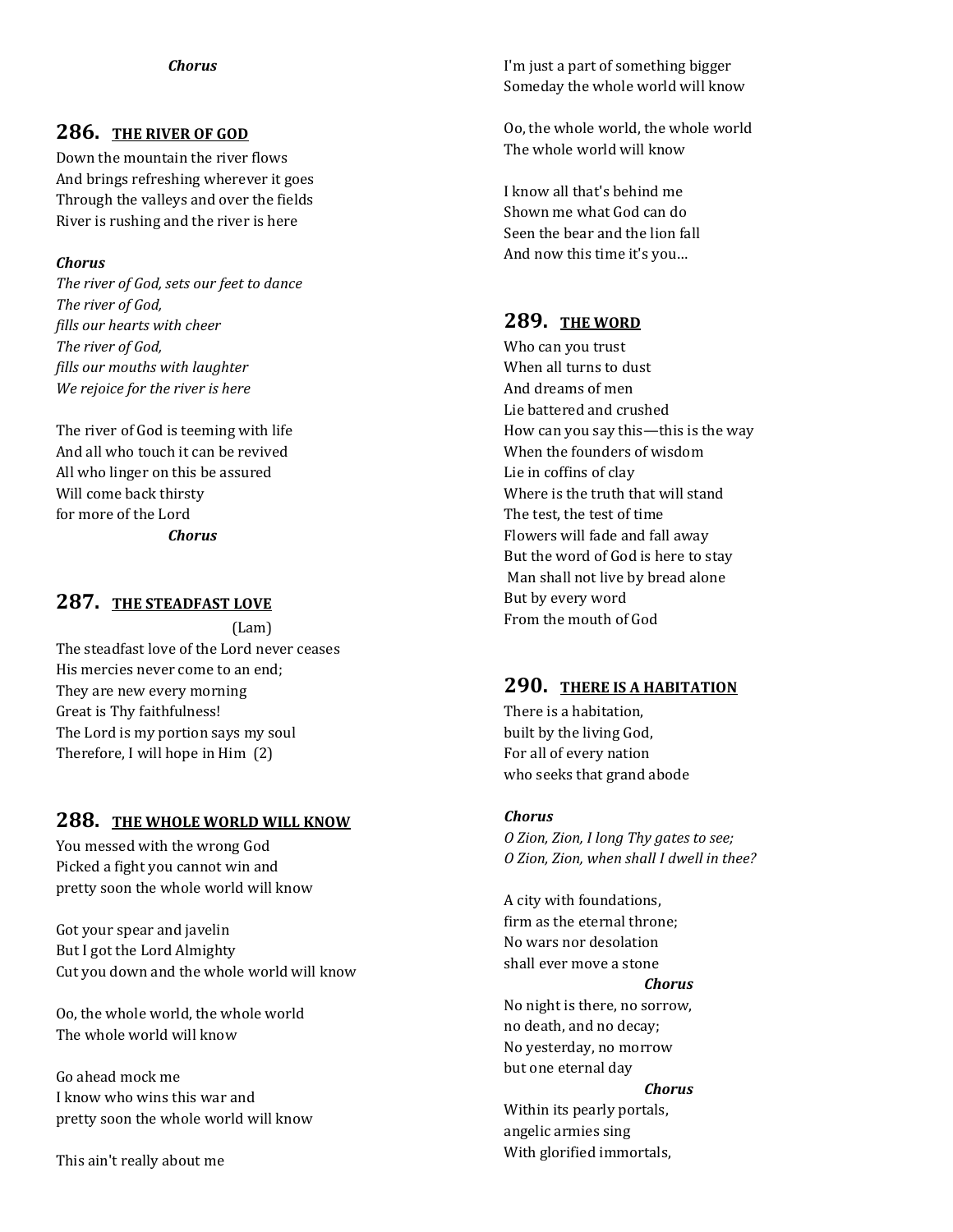### **286. THE RIVER OF GOD**

Down the mountain the river flows And brings refreshing wherever it goes Through the valleys and over the fields River is rushing and the river is here

#### *Chorus*

*The river of God, sets our feet to dance The river of God, fills our hearts with cheer The river of God, fills our mouths with laughter We rejoice for the river is here*

The river of God is teeming with life And all who touch it can be revived All who linger on this be assured Will come back thirsty for more of the Lord *Chorus*

### **287. THE STEADFAST LOVE**

(Lam) The steadfast love of the Lord never ceases His mercies never come to an end; They are new every morning Great is Thy faithfulness! The Lord is my portion says my soul Therefore, I will hope in Him (2)

### **288. THE WHOLE WORLD WILL KNOW**

You messed with the wrong God Picked a fight you cannot win and pretty soon the whole world will know

Got your spear and javelin But I got the Lord Almighty Cut you down and the whole world will know

Oo, the whole world, the whole world The whole world will know

Go ahead mock me I know who wins this war and pretty soon the whole world will know

This ain't really about me

I'm just a part of something bigger Someday the whole world will know

Oo, the whole world, the whole world The whole world will know

I know all that's behind me Shown me what God can do Seen the bear and the lion fall And now this time it's you…

### **289. THE WORD**

Who can you trust When all turns to dust And dreams of men Lie battered and crushed How can you say this—this is the way When the founders of wisdom Lie in coffins of clay Where is the truth that will stand The test, the test of time Flowers will fade and fall away But the word of God is here to stay Man shall not live by bread alone But by every word From the mouth of God

### **290. THERE IS A HABITATION**

There is a habitation, built by the living God, For all of every nation who seeks that grand abode

#### *Chorus*

*O Zion, Zion, I long Thy gates to see; O Zion, Zion, when shall I dwell in thee?*

A city with foundations, firm as the eternal throne; No wars nor desolation shall ever move a stone

#### *Chorus*

No night is there, no sorrow, no death, and no decay; No yesterday, no morrow but one eternal day

#### *Chorus*

Within its pearly portals, angelic armies sing With glorified immortals,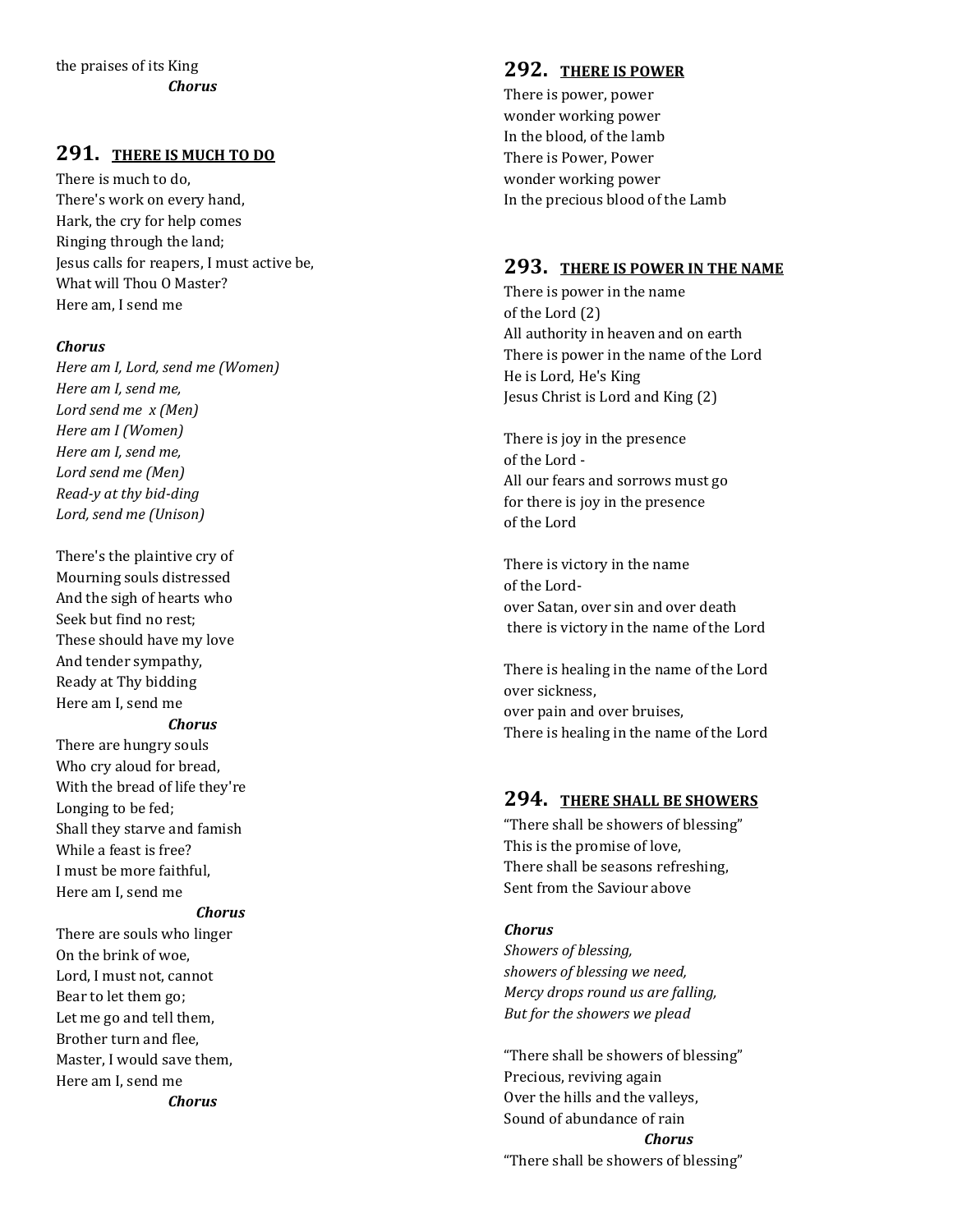### **291. THERE IS MUCH TO DO**

There is much to do, There's work on every hand, Hark, the cry for help comes Ringing through the land; Jesus calls for reapers, I must active be, What will Thou O Master? Here am, I send me

#### *Chorus*

*Here am I, Lord, send me (Women) Here am I, send me, Lord send me x (Men) Here am I (Women) Here am I, send me, Lord send me (Men) Read -y at thy bid -ding Lord, send me (Unison)*

There's the plaintive cry of Mourning souls distressed And the sigh of hearts who Seek but find no rest; These should have my love And tender sympathy, Ready at Thy bidding Here am I, send me

#### *Chorus*

There are hungry souls Who cry aloud for bread, With the bread of life they're Longing to be fed; Shall they starve and famish While a feast is free? I must be more faithful, Here am I, send me

*Chorus*

There are souls who linger On the brink of woe, Lord, I must not, cannot Bear to let them go; Let me go and tell them, Brother turn and flee, Master, I would save them, Here am I, send me *Chorus*

**292. THERE IS POWER**

There is power, power wonder working power In the blood, of the lamb There is Power, Power wonder working power In the precious blood of the Lamb

### **293. THERE IS POWER IN THE NAME**

There is power in the name of the Lord (2) All authority in heaven and on earth There is power in the name of the Lord He is Lord, He's King Jesus Christ is Lord and King (2)

There is joy in the presence of the Lord - All our fears and sorrows must go for there is joy in the presence of the Lord

There is victory in the name of the Lord over Satan, over sin and over death there is victory in the name of the Lord

There is healing in the name of the Lord over sickness, over pain and over bruises, There is healing in the name of the Lord

### **294. THERE SHALL BE SHOWERS**

"There shall be showers of blessing" This is the promise of love, There shall be seasons refreshing, Sent from the Saviour above

#### *Chorus*

*Showers of blessing, showers of blessing we need, Mercy drops round us are falling, But for the showers we plead*

"There shall be showers of blessing" Precious, reviving again Over the hills and the valleys, Sound of abundance of rain *Chorus* "There shall be showers of blessing"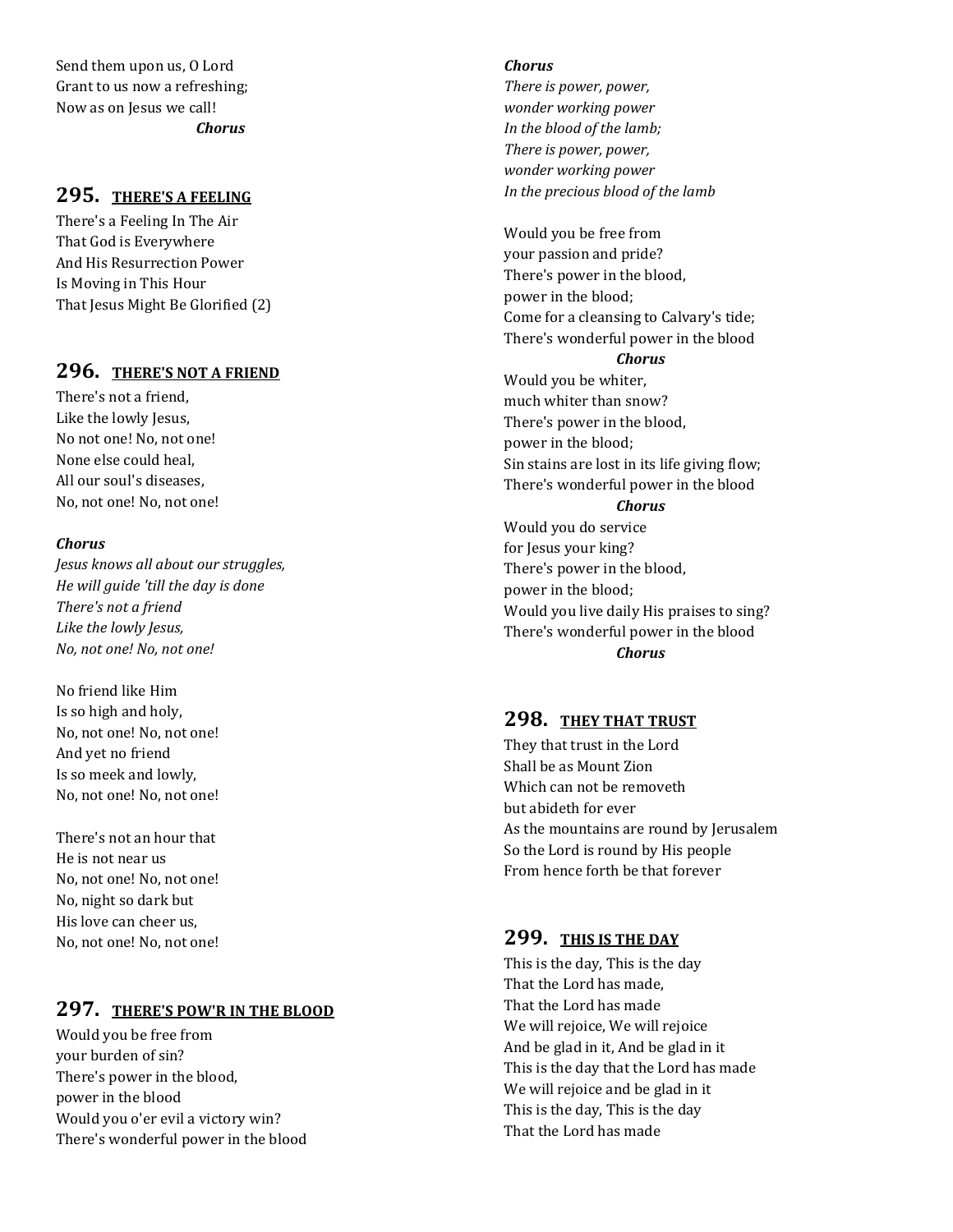Send them upon us, O Lord Grant to us now a refreshing; Now as on Jesus we call! *Chorus*

### **295. THERE'S A FEELING**

There's a Feeling In The Air That God is Everywhere And His Resurrection Power Is Moving in This Hour That Jesus Might Be Glorified (2)

### **296. THERE'S NOT A FRIEND**

There's not a friend, Like the lowly Jesus, No not one! No, not one! None else could heal, All our soul's diseases, No, not one! No, not one!

#### *Chorus*

*Jesus knows all about our struggles, He will guide 'till the day is done There's not a friend Like the lowly Jesus, No, not one! No, not one!*

No friend like Him Is so high and holy, No, not one! No, not one! And yet no friend Is so meek and lowly, No, not one! No, not one!

There's not an hour that He is not near us No, not one! No, not one! No, night so dark but His love can cheer us, No, not one! No, not one!

### **297. THERE'S POW'R IN THE BLOOD**

Would you be free from your burden of sin? There's power in the blood, power in the blood Would you o'er evil a victory win? There's wonderful power in the blood

#### *Chorus*

*There is power, power, wonder working power In the blood of the lamb; There is power, power, wonder working power In the precious blood of the lamb*

Would you be free from your passion and pride? There's power in the blood, power in the blood; Come for a cleansing to Calvary's tide; There's wonderful power in the blood *Chorus* Would you be whiter, much whiter than snow? There's power in the blood, power in the blood; Sin stains are lost in its life giving flow; There's wonderful power in the blood *Chorus* Would you do service for Jesus your king? There's power in the blood, power in the blood; Would you live daily His praises to sing? There's wonderful power in the blood *Chorus*

### **298. THEY THAT TRUST**

They that trust in the Lord Shall be as Mount Zion Which can not be removeth but abideth for ever As the mountains are round by Jerusalem So the Lord is round by His people From hence forth be that forever

### **299. THIS IS THE DAY**

This is the day, This is the day That the Lord has made, That the Lord has made We will rejoice, We will rejoice And be glad in it, And be glad in it This is the day that the Lord has made We will rejoice and be glad in it This is the day, This is the day That the Lord has made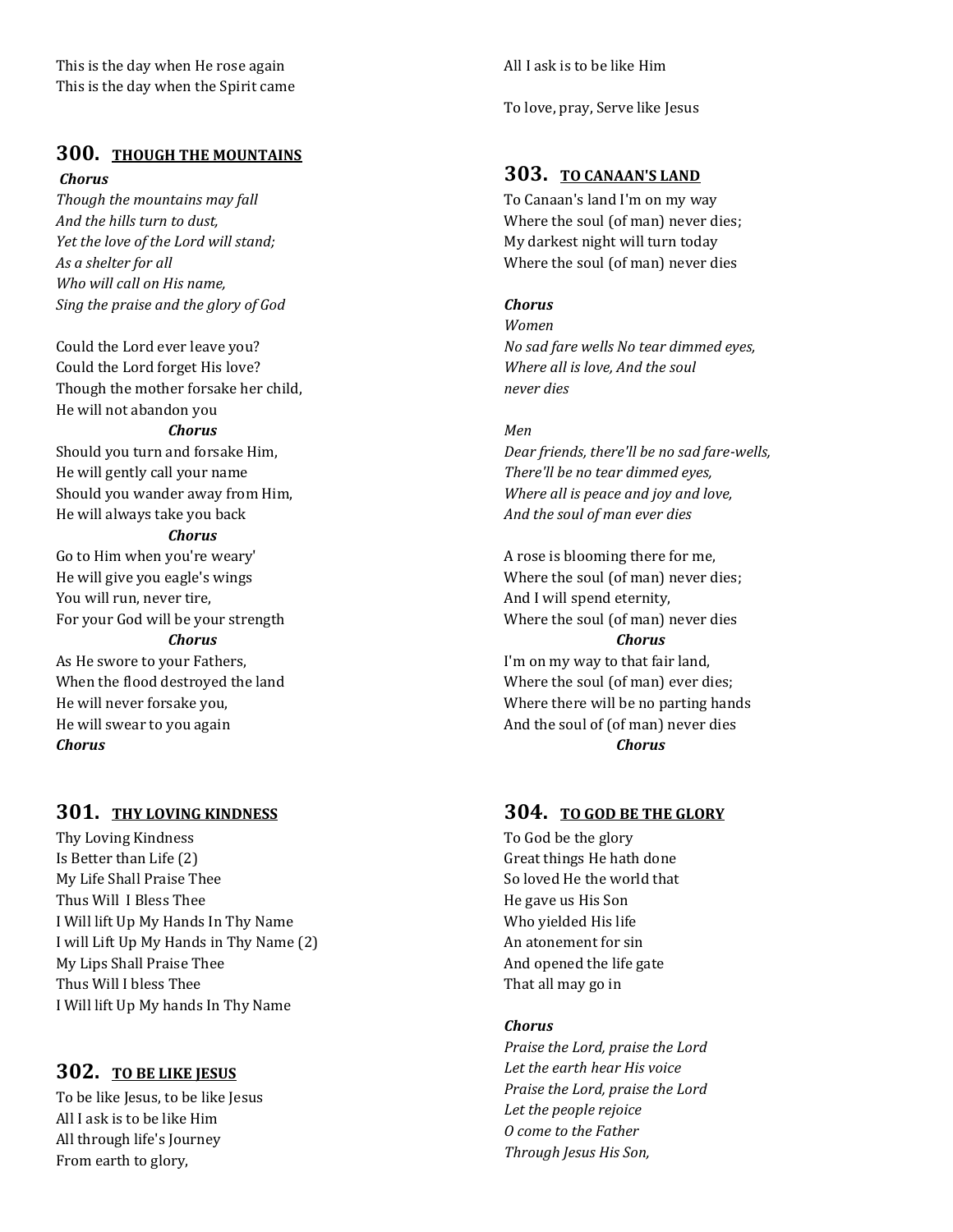This is the day when He rose again This is the day when the Spirit came

### **300. THOUGH THE MOUNTAINS**

#### *Chorus*

*Though the mountains may fall And the hills turn to dust, Yet the love of the Lord will stand; As a shelter for all Who will call on His name, Sing the praise and the glory of God*

Could the Lord ever leave you? Could the Lord forget His love? Though the mother forsake her child, He will not abandon you

### *Chorus*

Should you turn and forsake Him, He will gently call your name Should you wander away from Him, He will always take you back

### *Chorus*

Go to Him when you're weary' He will give you eagle's wings You will run, never tire, For your God will be your strength *Chorus*

As He swore to your Fathers, When the flood destroyed the land He will never forsake you, He will swear to you again *Chorus*

### **301. THY LOVING KINDNESS**

Thy Loving Kindness Is Better than Life (2) My Life Shall Praise Thee Thus Will I Bless Thee I Will lift Up My Hands In Thy Name I will Lift Up My Hands in Thy Name (2) My Lips Shall Praise Thee Thus Will I bless Thee I Will lift Up My hands In Thy Name

### **302. TO BE LIKE JESUS**

To be like Jesus, to be like Jesus All I ask is to be like Him All through life's Journey From earth to glory,

All I ask is to be like Him

To love, pray, Serve like Jesus

### **303. TO CANAAN'S LAND**

To Canaan's land I'm on my way Where the soul (of man) never dies; My darkest night will turn today Where the soul (of man) never dies

#### *Chorus*

*Women No sad fare wells No tear dimmed eyes, Where all is love, And the soul never dies*

#### *Men*

*Dear friends, there'll be no sad fare-wells, There'll be no tear dimmed eyes, Where all is peace and joy and love, And the soul of man ever dies*

A rose is blooming there for me, Where the soul (of man) never dies; And I will spend eternity, Where the soul (of man) never dies

### *Chorus*

I'm on my way to that fair land, Where the soul (of man) ever dies; Where there will be no parting hands And the soul of (of man) never dies *Chorus*

### **304. TO GOD BE THE GLORY**

To God be the glory Great things He hath done So loved He the world that He gave us His Son Who yielded His life An atonement for sin And opened the life gate That all may go in

#### *Chorus*

*Praise the Lord, praise the Lord Let the earth hear His voice Praise the Lord, praise the Lord Let the people rejoice O come to the Father Through Jesus His Son,*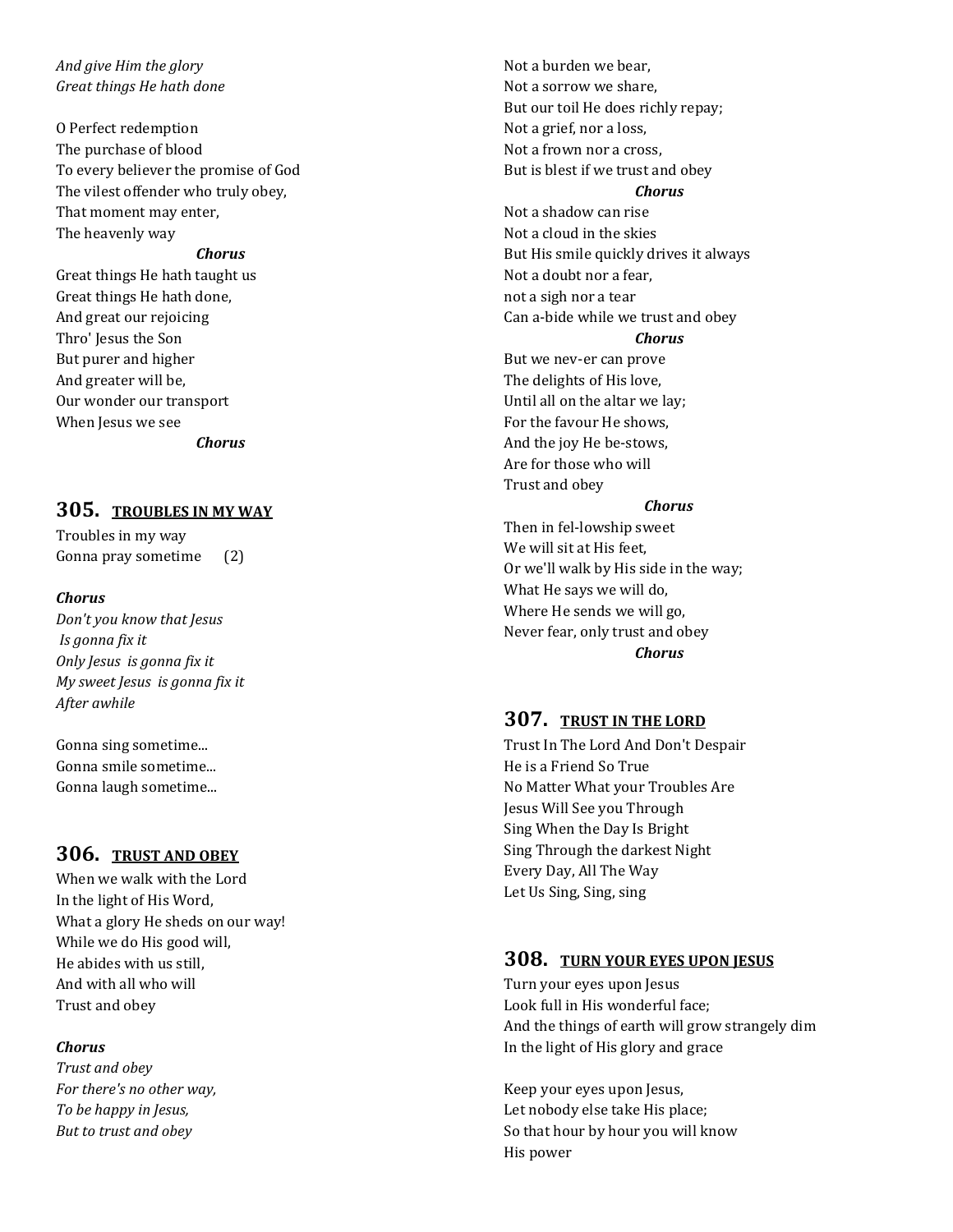#### *And give Him the glory Great things He hath done*

O Perfect redemption The purchase of blood To every believer the promise of God The vilest offender who truly obey, That moment may enter, The heavenly way

#### *Chorus*

Great things He hath taught us Great things He hath done, And great our rejoicing Thro' Jesus the Son But purer and higher And greater will be, Our wonder our transport When Jesus we see

*Chorus*

### **305. TROUBLES IN MY WAY**

Troubles in my way Gonna pray sometime (2)

#### *Chorus*

*Don't you know that Jesus Is gonna fix it Only Jesus is gonna fix it My sweet Jesus is gonna fix it After awhile*

Gonna sing sometime... Gonna smile sometime... Gonna laugh sometime...

### **306. TRUST AND OBEY**

When we walk with the Lord In the light of His Word, What a glory He sheds on our way! While we do His good will, He abides with us still, And with all who will Trust and obey

#### *Chorus*

*Trust and obey For there's no other way, To be happy in Jesus, But to trust and obey*

Not a burden we bear, Not a sorrow we share, But our toil He does richly repay; Not a grief, nor a loss, Not a frown nor a cross, But is blest if we trust and obey *Chorus* Not a shadow can rise Not a cloud in the skies But His smile quickly drives it always Not a doubt nor a fear, not a sigh nor a tear Can a-bide while we trust and obey *Chorus* But we nev-er can prove The delights of His love, Until all on the altar we lay; For the favour He shows, And the joy He be-stows, Are for those who will Trust and obey

#### *Chorus*

Then in fel-lowship sweet We will sit at His feet, Or we'll walk by His side in the way; What He says we will do, Where He sends we will go, Never fear, only trust and obey *Chorus*

### **307. TRUST IN THE LORD**

Trust In The Lord And Don't Despair He is a Friend So True No Matter What your Troubles Are Jesus Will See you Through Sing When the Day Is Bright Sing Through the darkest Night Every Day, All The Way Let Us Sing, Sing, sing

### **308. TURN YOUR EYES UPON JESUS**

Turn your eyes upon Jesus Look full in His wonderful face; And the things of earth will grow strangely dim In the light of His glory and grace

Keep your eyes upon Jesus, Let nobody else take His place; So that hour by hour you will know His power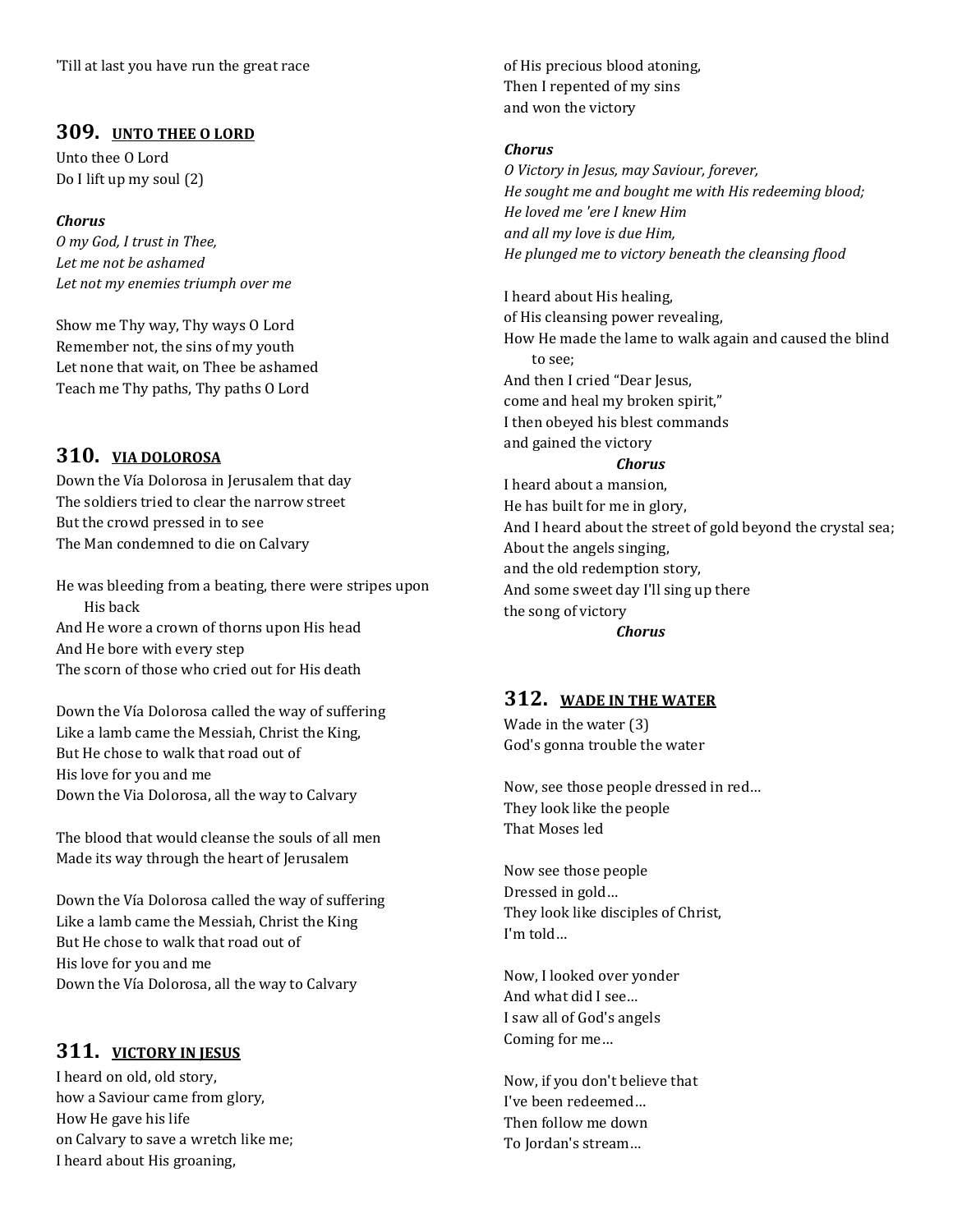## **309. UNTO THEE O LORD**

Unto thee O Lord Do I lift up my soul (2)

### *Chorus*

*O my God, I trust in Thee, Let me not be ashamed Let not my enemies triumph over me*

Show me Thy way, Thy ways O Lord Remember not, the sins of my youth Let none that wait, on Thee be ashamed Teach me Thy paths, Thy paths O Lord

### **310. VIA DOLOROSA**

Down the Vía Dolorosa in Jerusalem that day The soldiers tried to clear the narrow street But the crowd pressed in to see The Man condemned to die on Calvary

He was bleeding from a beating, there were stripes upon His back And He wore a crown of thorns upon His head And He bore with every step The scorn of those who cried out for His death

Down the Vía Dolorosa called the way of suffering Like a lamb came the Messiah, Christ the King, But He chose to walk that road out of His love for you and me Down the Via Dolorosa, all the way to Calvary

The blood that would cleanse the souls of all men Made its way through the heart of Jerusalem

Down the Vía Dolorosa called the way of suffering Like a lamb came the Messiah, Christ the King But He chose to walk that road out of His love for you and me Down the Vía Dolorosa, all the way to Calvary

### **311. VICTORY IN JESUS**

I heard on old, old story, how a Saviour came from glory, How He gave his life on Calvary to save a wretch like me; I heard about His groaning,

of His precious blood atoning, Then I repented of my sins and won the victory

### *Chorus*

*O Victory in Jesus, may Saviour, forever, He sought me and bought me with His redeeming blood; He loved me 'ere I knew Him and all my love is due Him, He plunged me to victory beneath the cleansing flood*

I heard about His healing, of His cleansing power revealing, How He made the lame to walk again and caused the blind to see; And then I cried "Dear Jesus, come and heal my broken spirit," I then obeyed his blest commands and gained the victory *Chorus* I heard about a mansion, He has built for me in glory,

And I heard about the street of gold beyond the crystal sea; About the angels singing, and the old redemption story, And some sweet day I'll sing up there the song of victory

*Chorus*

### **312. WADE IN THE WATER**

Wade in the water (3) God's gonna trouble the water

Now, see those people dressed in red… They look like the people That Moses led

Now see those people Dressed in gold… They look like disciples of Christ, I'm told…

Now, I looked over yonder And what did I see… I saw all of God's angels Coming for me…

Now, if you don't believe that I've been redeemed… Then follow me down To Jordan's stream…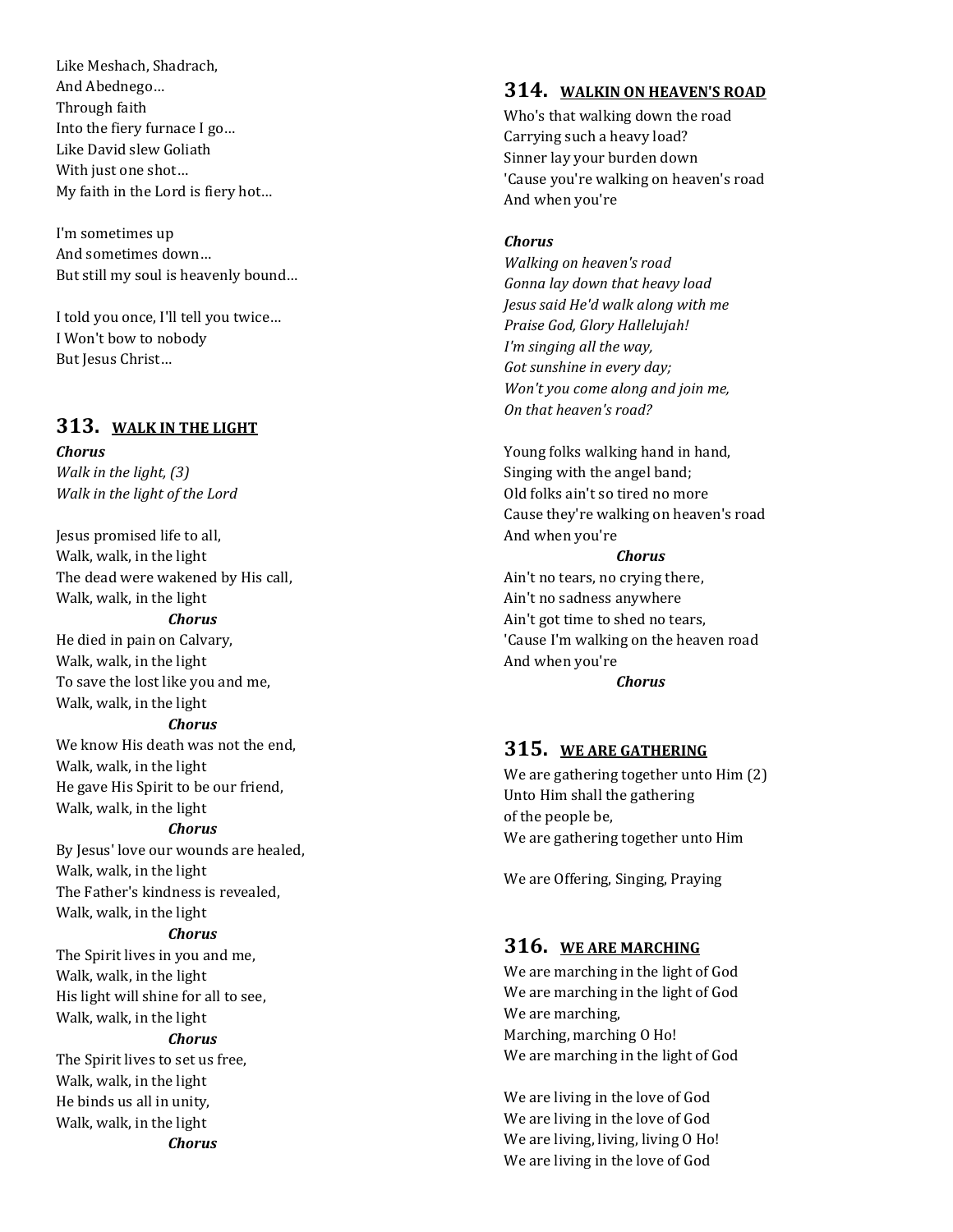Like Meshach, Shadrach, And Abednego… Through faith Into the fiery furnace I go… Like David slew Goliath With just one shot… My faith in the Lord is fiery hot…

I'm sometimes up And sometimes down… But still my soul is heavenly bound…

I told you once, I'll tell you twice… I Won't bow to nobody But Jesus Christ…

### **313. WALK IN THE LIGHT**

*Chorus Walk in the light, (3) Walk in the light of the Lord*

Jesus promised life to all, Walk, walk, in the light The dead were wakened by His call, Walk, walk, in the light *Chorus*

He died in pain on Calvary, Walk, walk, in the light To save the lost like you and me, Walk, walk, in the light

### *Chorus*

We know His death was not the end, Walk, walk, in the light He gave His Spirit to be our friend, Walk, walk, in the light

#### *Chorus*

By Jesus' love our wounds are healed, Walk, walk, in the light The Father's kindness is revealed, Walk, walk, in the light

### *Chorus*

The Spirit lives in you and me, Walk, walk, in the light His light will shine for all to see, Walk, walk, in the light

#### *Chorus*

The Spirit lives to set us free, Walk, walk, in the light He binds us all in unity, Walk, walk, in the light *Chorus*

### **314. WALKIN ON HEAVEN'S ROAD**

Who's that walking down the road Carrying such a heavy load? Sinner lay your burden down 'Cause you're walking on heaven's road And when you're

#### *Chorus*

*Walking on heaven's road Gonna lay down that heavy load Jesus said He'd walk along with me Praise God, Glory Hallelujah! I'm singing all the way, Got sunshine in every day; Won't you come along and join me, On that heaven's road?*

Young folks walking hand in hand, Singing with the angel band; Old folks ain't so tired no more Cause they're walking on heaven's road And when you're

#### *Chorus*

Ain't no tears, no crying there, Ain't no sadness anywhere Ain't got time to shed no tears, 'Cause I'm walking on the heaven road And when you're

*Chorus*

### **315. WE ARE GATHERING**

We are gathering together unto Him (2) Unto Him shall the gathering of the people be, We are gathering together unto Him

We are Offering, Singing, Praying

### **316. WE ARE MARCHING**

We are marching in the light of God We are marching in the light of God We are marching, Marching, marching O Ho! We are marching in the light of God

We are living in the love of God We are living in the love of God We are living, living, living 0 Ho! We are living in the love of God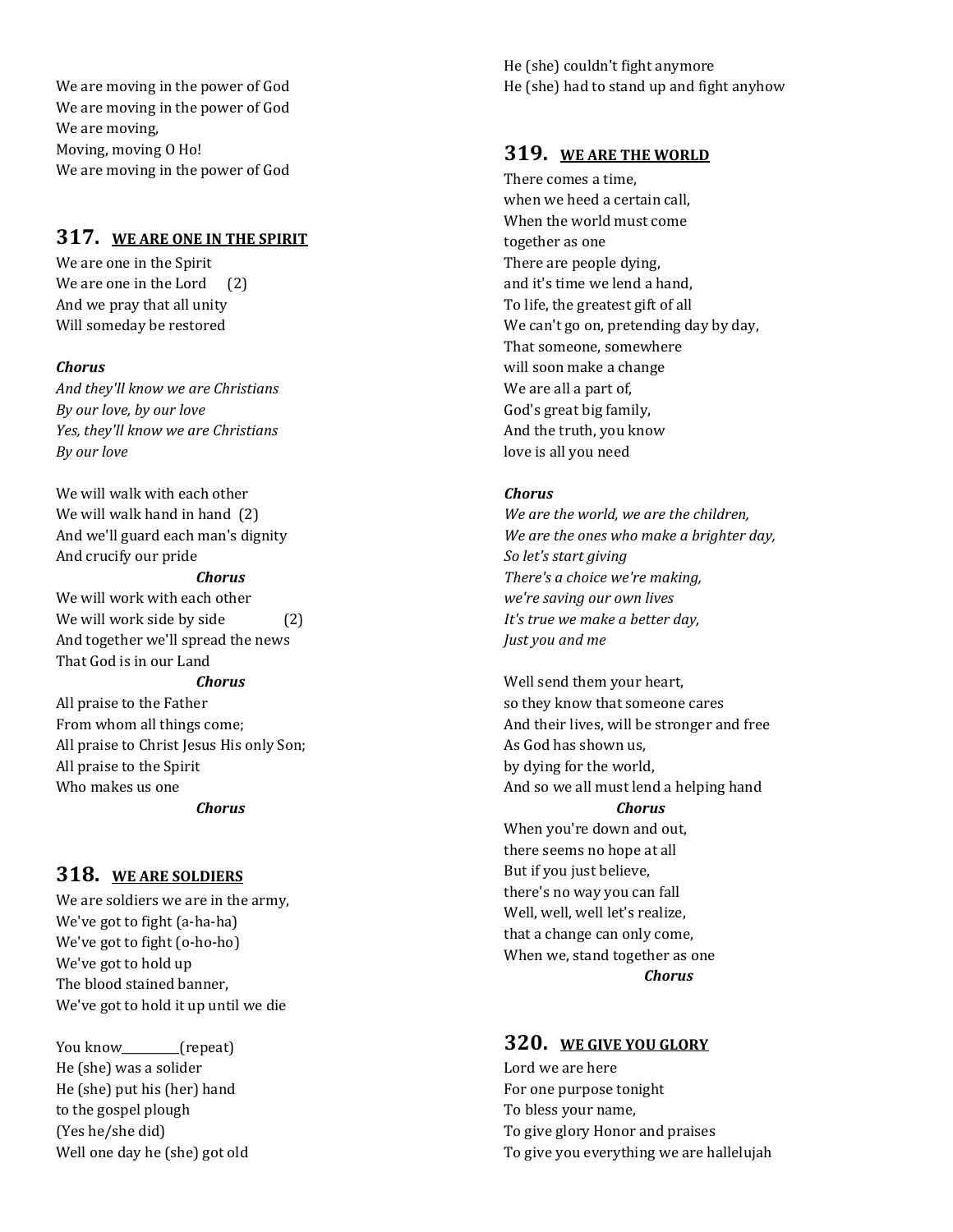We are moving in the power of God We are moving in the power of God We are moving, Moving, moving O Ho! We are moving in the power of God

### **317. WE ARE ONE IN THE SPIRIT**

We are one in the Spirit We are one in the Lord (2) And we pray that all unity Will someday be restored

#### *Chorus*

*And they'll know we are Christians By our love, by our love Yes, they'll know we are Christians By our love*

We will walk with each other We will walk hand in hand (2) And we'll guard each man's dignity And crucify our pride

#### *Chorus*

We will work with each other We will work side by side (2) And together we'll spread the news That God is in our Land

*Chorus*

All praise to the Father From whom all things come; All praise to Christ Jesus His only Son; All praise to the Spirit Who makes us one *Chorus*

### **318. WE ARE SOLDIERS**

We are soldiers we are in the army, We've got to fight (a-ha-ha) We've got to fight (o-ho-ho) We've got to hold up The blood stained banner, We've got to hold it up until we die

You know\_\_\_\_\_\_\_(repeat) He (she) was a solider He (she) put his (her) hand to the gospel plough (Yes he/she did) Well one day he (she) got old He (she) couldn't fight anymore He (she) had to stand up and fight anyhow

### **319. WE ARE THE WORLD**

There comes a time, when we heed a certain call, When the world must come together as one There are people dying, and it's time we lend a hand, To life, the greatest gift of all We can't go on, pretending day by day, That someone, somewhere will soon make a change We are all a part of, God's great big family, And the truth, you know love is all you need

#### *Chorus*

*We are the world, we are the children, We are the ones who make a brighter day, So let's start giving There's a choice we're making, we're saving our own lives It's true we make a better day, Just you and me*

Well send them your heart, so they know that someone cares And their lives, will be stronger and free As God has shown us, by dying for the world, And so we all must lend a helping hand *Chorus* When you're down and out, there seems no hope at all But if you just believe, there's no way you can fall Well, well, well let's realize, that a change can only come,

#### *Chorus*

### **320. WE GIVE YOU GLORY**

When we, stand together as one

Lord we are here For one purpose tonight To bless your name, To give glory Honor and praises To give you everything we are hallelujah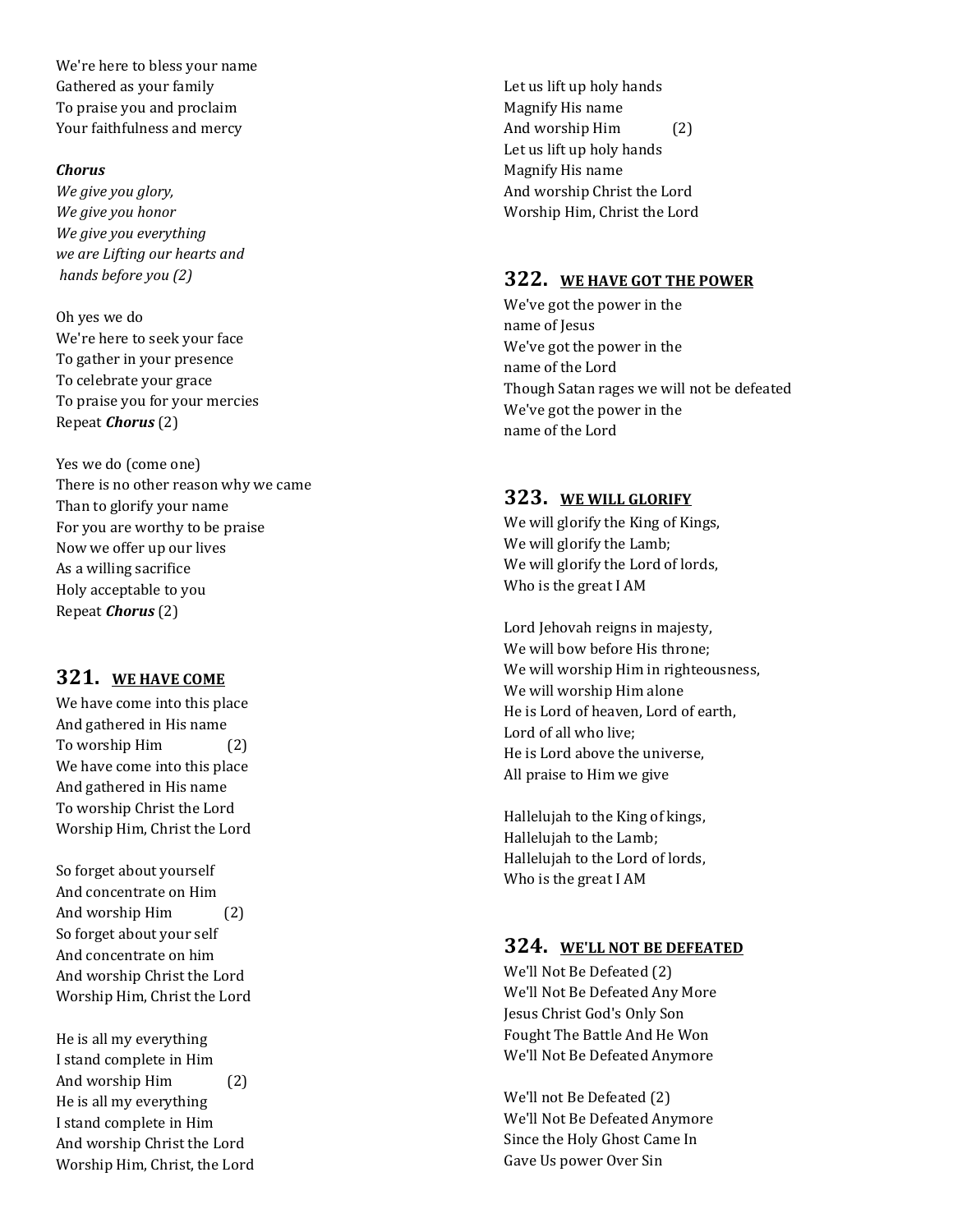We're here to bless your name Gathered as your family To praise you and proclaim Your faithfulness and mercy

#### *Chorus*

*We give you glory, We give you honor We give you everything we are Lifting our hearts and hands before you (2)*

Oh yes we do We're here to seek your face To gather in your presence To celebrate your grace To praise you for your mercies Repeat *Chorus* (2)

Yes we do (come one) There is no other reason why we came Than to glorify your name For you are worthy to be praise Now we offer up our lives As a willing sacrifice Holy acceptable to you Repeat *Chorus* (2)

## **321. WE HAVE COME**

We have come into this place And gathered in His name To worship Him (2) We have come into this place And gathered in His name To worship Christ the Lord Worship Him, Christ the Lord

So forget about yourself And concentrate on Him And worship Him (2) So forget about your self And concentrate on him And worship Christ the Lord Worship Him, Christ the Lord

He is all my everything I stand complete in Him And worship Him (2) He is all my everything I stand complete in Him And worship Christ the Lord Worship Him, Christ, the Lord Let us lift up holy hands Magnify His name And worship Him (2) Let us lift up holy hands Magnify His name And worship Christ the Lord Worship Him, Christ the Lord

## **322. WE HAVE GOT THE POWER**

We've got the power in the name of Jesus We've got the power in the name of the Lord Though Satan rages we will not be defeated We've got the power in the name of the Lord

## **323. WE WILL GLORIFY**

We will glorify the King of Kings, We will glorify the Lamb; We will glorify the Lord of lords, Who is the great I AM

Lord Jehovah reigns in majesty, We will bow before His throne; We will worship Him in righteousness, We will worship Him alone He is Lord of heaven, Lord of earth, Lord of all who live; He is Lord above the universe, All praise to Him we give

Hallelujah to the King of kings, Hallelujah to the Lamb; Hallelujah to the Lord of lords, Who is the great I AM

## **324. WE'LL NOT BE DEFEATED**

We'll Not Be Defeated (2) We'll Not Be Defeated Any More Jesus Christ God's Only Son Fought The Battle And He Won We'll Not Be Defeated Anymore

We'll not Be Defeated (2) We'll Not Be Defeated Anymore Since the Holy Ghost Came In Gave Us power Over Sin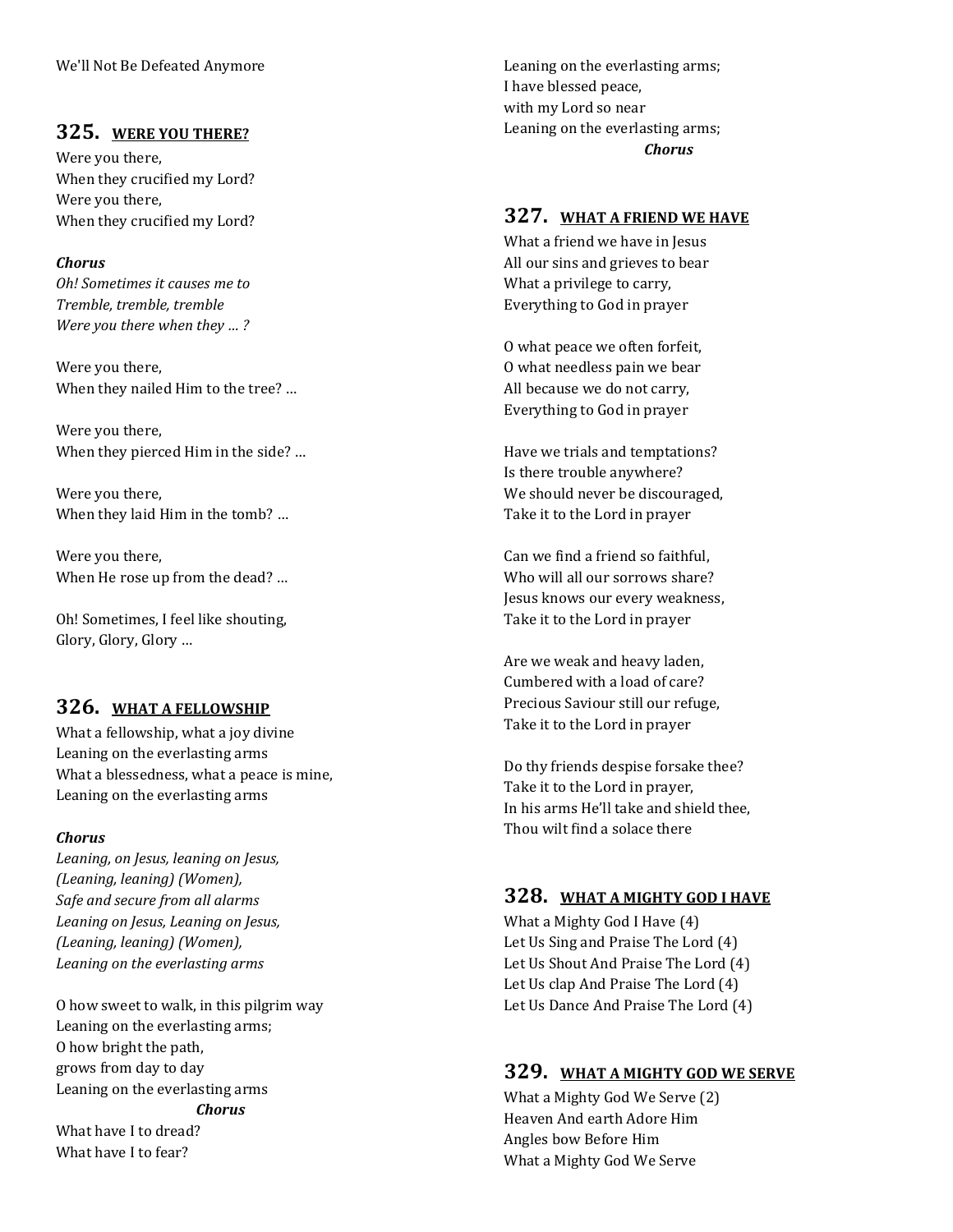# **325. WERE YOU THERE?**

Were you there, When they crucified my Lord? Were you there, When they crucified my Lord?

#### *Chorus*

*Oh! Sometimes it causes me to Tremble, tremble, tremble Were you there when they … ?*

Were you there, When they nailed Him to the tree? …

Were you there, When they pierced Him in the side? …

Were you there, When they laid Him in the tomb? …

Were you there, When He rose up from the dead? …

Oh! Sometimes, I feel like shouting, Glory, Glory, Glory …

# **326. WHAT A FELLOWSHIP**

What a fellowship, what a joy divine Leaning on the everlasting arms What a blessedness, what a peace is mine, Leaning on the everlasting arms

#### *Chorus*

*Leaning, on Jesus, leaning on Jesus, (Leaning, leaning) (Women), Safe and secure from all alarms Leaning on Jesus, Leaning on Jesus, (Leaning, leaning) (Women), Leaning on the everlasting arms*

O how sweet to walk, in this pilgrim way Leaning on the everlasting arms; O how bright the path, grows from day to day Leaning on the everlasting arms *Chorus* What have I to dread? What have I to fear?

Leaning on the everlasting arms; I have blessed peace, with my Lord so near Leaning on the everlasting arms; *Chorus*

# **327. WHAT A FRIEND WE HAVE**

What a friend we have in Jesus All our sins and grieves to bear What a privilege to carry, Everything to God in prayer

O what peace we often forfeit, O what needless pain we bear All because we do not carry, Everything to God in prayer

Have we trials and temptations? Is there trouble anywhere? We should never be discouraged, Take it to the Lord in prayer

Can we find a friend so faithful, Who will all our sorrows share? Jesus knows our every weakness, Take it to the Lord in prayer

Are we weak and heavy laden, Cumbered with a load of care? Precious Saviour still our refuge, Take it to the Lord in prayer

Do thy friends despise forsake thee? Take it to the Lord in prayer, In his arms He'll take and shield thee, Thou wilt find a solace there

#### **328. WHAT A MIGHTY GOD I HAVE**

What a Mighty God I Have (4) Let Us Sing and Praise The Lord (4) Let Us Shout And Praise The Lord (4) Let Us clap And Praise The Lord (4) Let Us Dance And Praise The Lord (4)

# **329. WHAT A MIGHTY GOD WE SERVE**

What a Mighty God We Serve (2) Heaven And earth Adore Him Angles bow Before Him What a Mighty God We Serve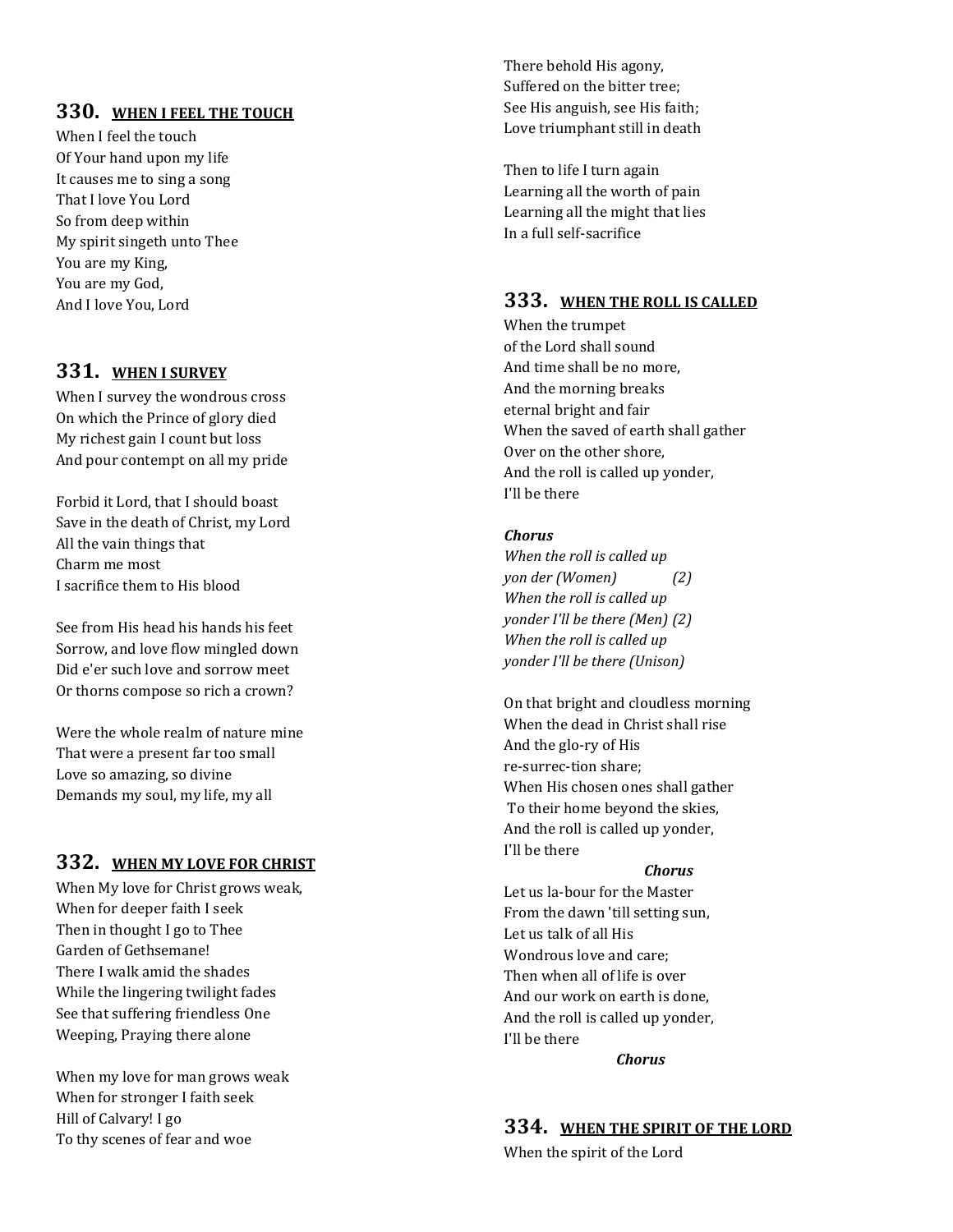## **330. WHEN I FEEL THE TOUCH**

When I feel the touch Of Your hand upon my life It causes me to sing a song That I love You Lord So from deep within My spirit singeth unto Thee You are my King, You are my God, And I love You, Lord

#### **331. WHEN I SURVEY**

When I survey the wondrous cross On which the Prince of glory died My richest gain I count but loss And pour contempt on all my pride

Forbid it Lord, that I should boast Save in the death of Christ, my Lord All the vain things that Charm me most I sacrifice them to His blood

See from His head his hands his feet Sorrow, and love flow mingled down Did e'er such love and sorrow meet Or thorns compose so rich a crown?

Were the whole realm of nature mine That were a present far too small Love so amazing, so divine Demands my soul, my life, my all

#### **332. WHEN MY LOVE FOR CHRIST**

When My love for Christ grows weak, When for deeper faith I seek Then in thought I go to Thee Garden of Gethsemane! There I walk amid the shades While the lingering twilight fades See that suffering friendless One Weeping, Praying there alone

When my love for man grows weak When for stronger I faith seek Hill of Calvary! I go To thy scenes of fear and woe

There behold His agony, Suffered on the bitter tree; See His anguish, see His faith; Love triumphant still in death

Then to life I turn again Learning all the worth of pain Learning all the might that lies In a full self-sacrifice

## **333. WHEN THE ROLL IS CALLED**

When the trumpet of the Lord shall sound And time shall be no more, And the morning breaks eternal bright and fair When the saved of earth shall gather Over on the other shore, And the roll is called up yonder, I'll be there

#### *Chorus*

*When the roll is called up yon der (Women) (2) When the roll is called up yonder I'll be there (Men) (2) When the roll is called up yonder I'll be there (Unison)* 

On that bright and cloudless morning When the dead in Christ shall rise And the glo -ry of His re -surrec -tion share; When His chosen ones shall gather To their home beyond the skies, And the roll is called up yonder, I'll be there

#### *Chorus*

Let us la -bour for the Master From the dawn 'till setting sun, Let us talk of all His Wondrous love and care; Then when all of life is over And our work on earth is done, And the roll is called up yonder, I'll be there

*Chorus*

**334. WHEN THE SPIRIT OF THE LORD**

When the spirit of the Lord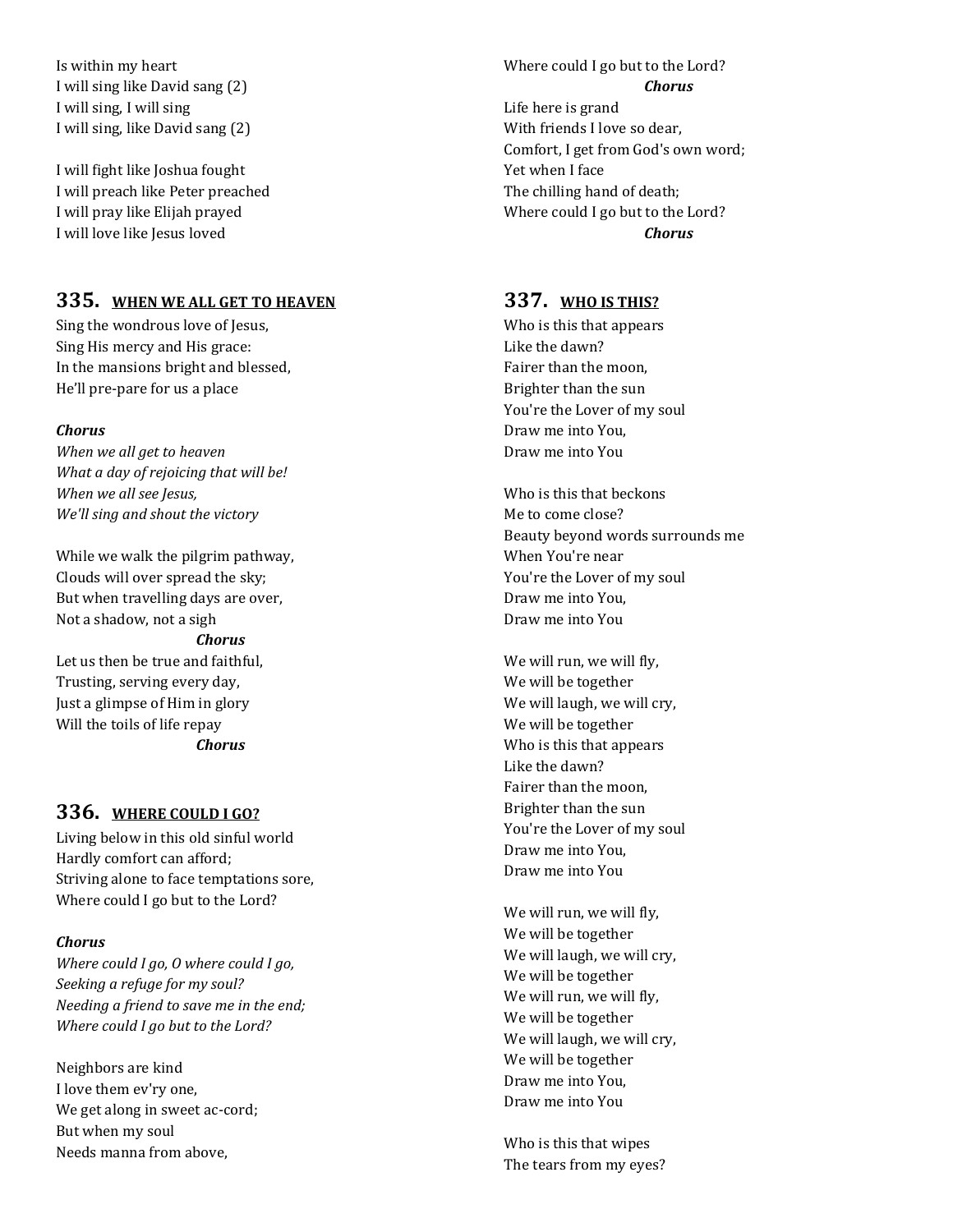Is within my heart I will sing like David sang (2) I will sing, I will sing I will sing, like David sang (2)

I will fight like Joshua fought I will preach like Peter preached I will pray like Elijah prayed I will love like Jesus loved

## **335. WHEN WE ALL GET TO HEAVEN**

Sing the wondrous love of Jesus, Sing His mercy and His grace: In the mansions bright and blessed, He'll pre-pare for us a place

#### *Chorus*

*When we all get to heaven What a day of rejoicing that will be! When we all see Jesus, We'll sing and shout the victory*

While we walk the pilgrim pathway, Clouds will over spread the sky; But when travelling days are over, Not a shadow, not a sigh

#### *Chorus*

Let us then be true and faithful, Trusting, serving every day, Just a glimpse of Him in glory Will the toils of life repay *Chorus*

## **336. WHERE COULD I GO?**

Living below in this old sinful world Hardly comfort can afford; Striving alone to face temptations sore, Where could I go but to the Lord?

#### *Chorus*

*Where could I go, O where could I go, Seeking a refuge for my soul? Needing a friend to save me in the end; Where could I go but to the Lord?*

Neighbors are kind I love them ev'ry one, We get along in sweet ac-cord; But when my soul Needs manna from above,

Where could I go but to the Lord? *Chorus* Life here is grand

With friends I love so dear, Comfort, I get from God's own word; Yet when I face The chilling hand of death; Where could I go but to the Lord? *Chorus*

## **337. WHO IS THIS?**

Who is this that appears Like the dawn? Fairer than the moon, Brighter than the sun You're the Lover of my soul Draw me into You, Draw me into You

Who is this that beckons Me to come close? Beauty beyond words surrounds me When You're near You're the Lover of my soul Draw me into You, Draw me into You

We will run, we will fly, We will be together We will laugh, we will cry, We will be together Who is this that appears Like the dawn? Fairer than the moon, Brighter than the sun You're the Lover of my soul Draw me into You, Draw me into You

We will run, we will fly, We will be together We will laugh, we will cry, We will be together We will run, we will fly, We will be together We will laugh, we will cry, We will be together Draw me into You, Draw me into You

Who is this that wipes The tears from my eyes?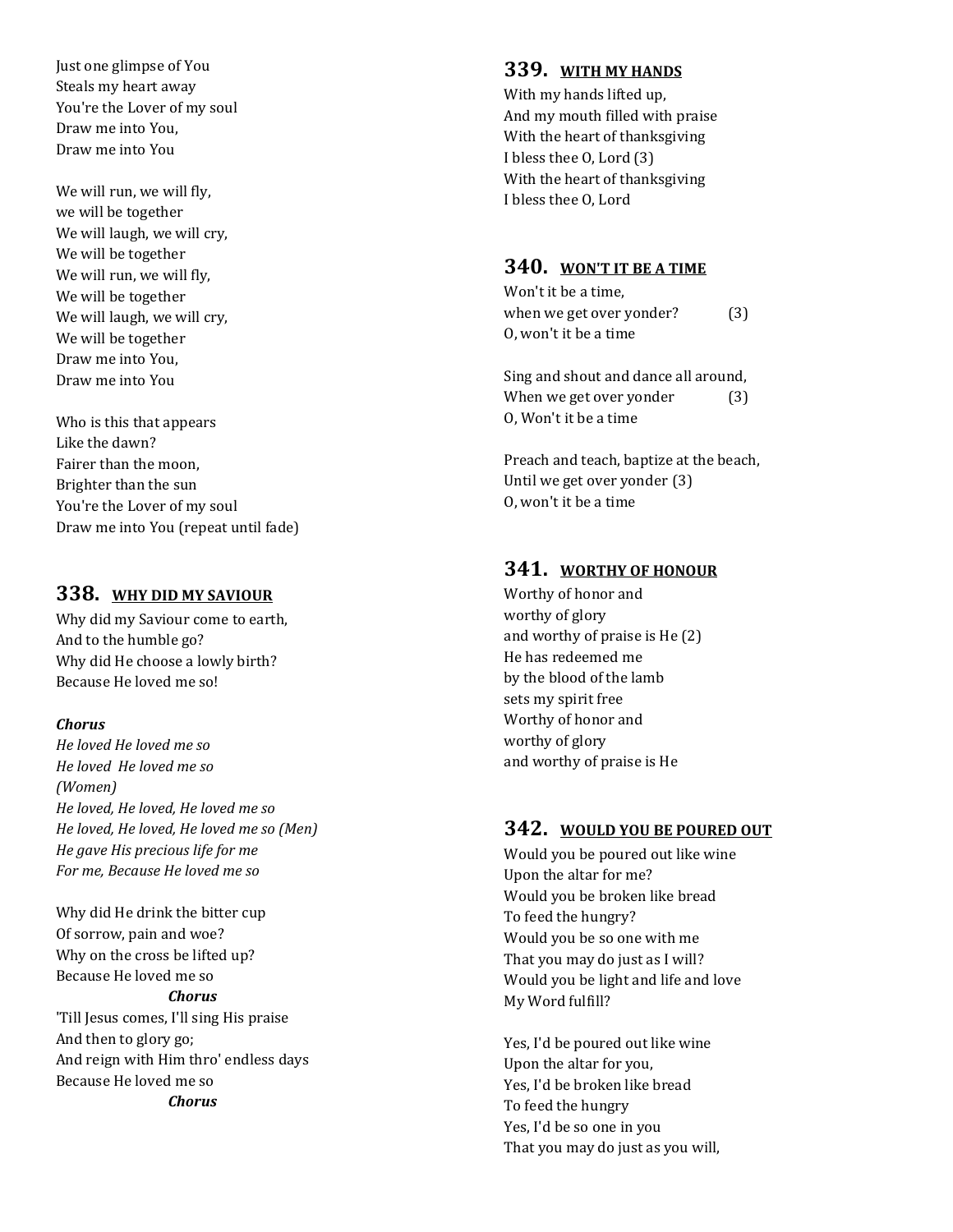Just one glimpse of You Steals my heart away You're the Lover of my soul Draw me into You, Draw me into You

We will run, we will fly, we will be together We will laugh, we will cry, We will be together We will run, we will fly, We will be together We will laugh, we will cry, We will be together Draw me into You, Draw me into You

Who is this that appears Like the dawn? Fairer than the moon, Brighter than the sun You're the Lover of my soul Draw me into You (repeat until fade)

## **338. WHY DID MY SAVIOUR**

Why did my Saviour come to earth, And to the humble go? Why did He choose a lowly birth? Because He loved me so!

#### *Chorus*

*He loved He loved me so He loved He loved me so (Women) He loved, He loved, He loved me so He loved, He loved, He loved me so (Men) He gave His precious life for me For me, Because He loved me so*

Why did He drink the bitter cup Of sorrow, pain and woe? Why on the cross be lifted up? Because He loved me so *Chorus* 'Till Jesus comes, I'll sing His praise And then to glory go; And reign with Him thro' endless days Because He loved me so *Chorus*

# **339. WITH MY HANDS**

With my hands lifted up, And my mouth filled with praise With the heart of thanksgiving I bless thee O, Lord (3) With the heart of thanksgiving I bless thee O, Lord

# **34 0 . WON'T IT BE A TIME**

Won't it be a time, when we get over yonder? (3) O, won't it be a time

Sing and shout and dance all around, When we get over yonder (3) O, Won't it be a time

Preach and teach, baptize at the beach, Until we get over yonder (3) O, won't it be a time

# **34 1 . WORTHY OF HONOUR**

Worthy of honor and worthy of glory and worthy of praise is He (2) He has redeemed me by the blood of the lamb sets my spirit free Worthy of honor and worthy of glory and worthy of praise is He

# **34 2 . WOULD YOU BE POURED OUT**

Would you be poured out like wine Upon the altar for me? Would you be broken like bread To feed the hungry? Would you be so one with me That you may do just as I will? Would you be light and life and love My Word fulfill ?

Yes, I'd be poured out like wine Upon the altar for you, Yes, I'd be broken like bread To feed the hungry Yes, I'd be so one in you That you may do just as you will,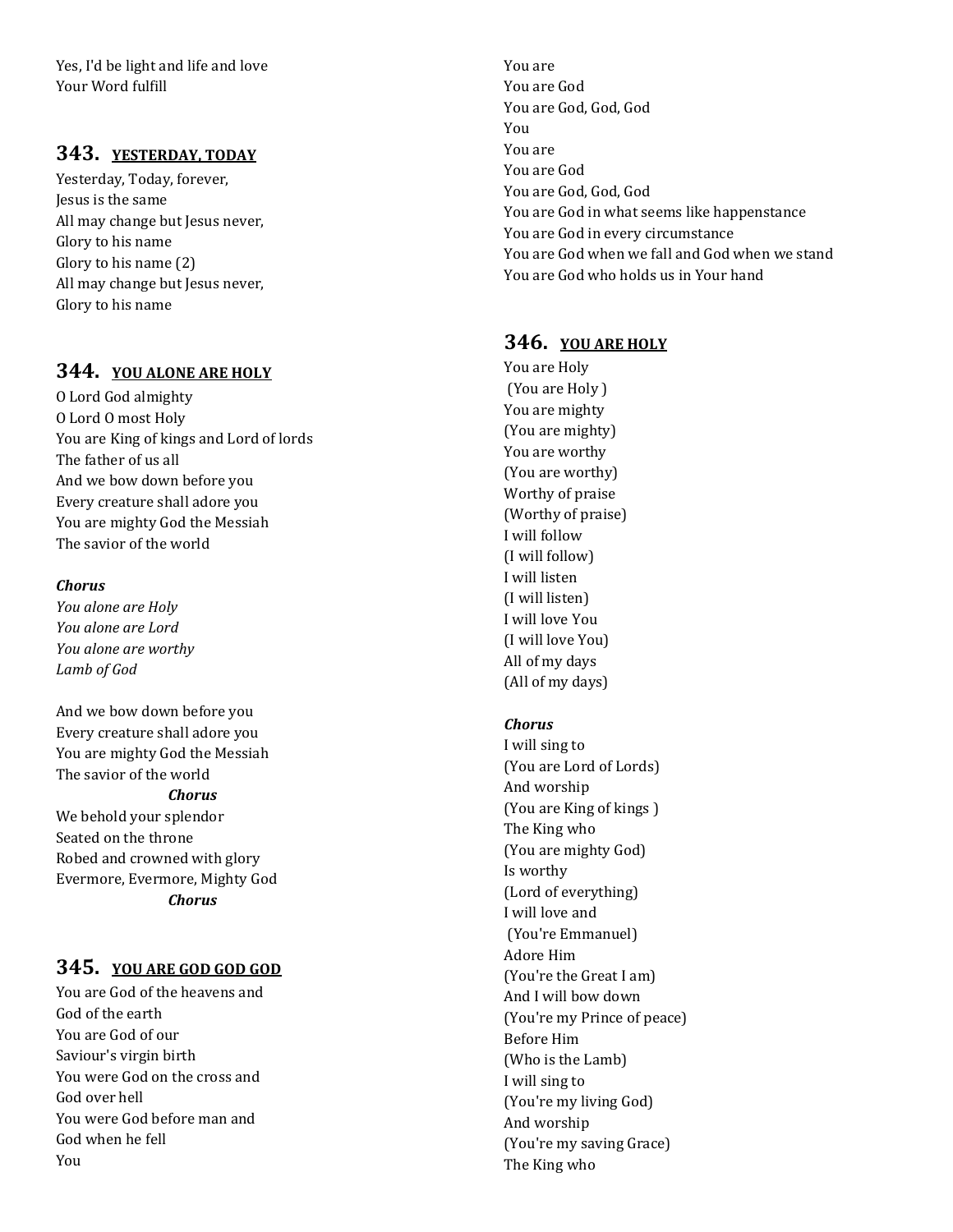Yes, I'd be light and life and love Your Word fulfill

# **34 3 . YESTERDAY, TODAY**

Yesterday, Today, forever, Jesus is the same All may change but Jesus never, Glory to his name Glory to his name (2) All may change but Jesus never, Glory to his name

# **34 4 . YOU ALONE ARE HOLY**

O Lord God almighty O Lord O most Holy You are King of kings and Lord of lords The father of us all And we bow down before you Every creature shall adore you You are mighty God the Messiah The savior of the world

#### *Chorus*

*You alone are Holy You alone are Lord You alone are worthy Lamb of God*

And we bow down before you Every creature shall adore you You are mighty God the Messiah The savior of the world *Chorus* We behold your splendor Seated on the throne Robed and crowned with glory Evermore, Evermore, Mighty God

*Chorus*

# **34 5 . YOU ARE GOD GOD GOD**

You are God of the heavens and God of the earth You are God of our Saviour's virgin birth You were God on the cross and God over hell You were God before man and God when he fell You

You are You are God You are God, God, God You You are You are God You are God, God, God You are God in what seems like happenstance You are God in every circumstance You are God when we fall and God when we stand You are God who holds us in Your hand

# **34 6 . YOU ARE HOLY**

You are Holy (You are Holy ) You are mighty (You are mighty) You are worthy (You are worthy) Worthy of praise (Worthy of praise) I will follow (I will follow) I will listen (I will listen) I will love You (I will love You) All of my days (All of my days)

#### *Chorus*

I will sing to (You are Lord of Lords) And worship (You are King of kings ) The King who (You are mighty God) Is worthy (Lord of everything) I will love and (You're Emmanuel) Adore Him (You're the Great I am) And I will bow down (You're my Prince of peace) Before Him (Who is the Lamb) I will sing to (You're my living God) And worship (You're my saving Grace) The King who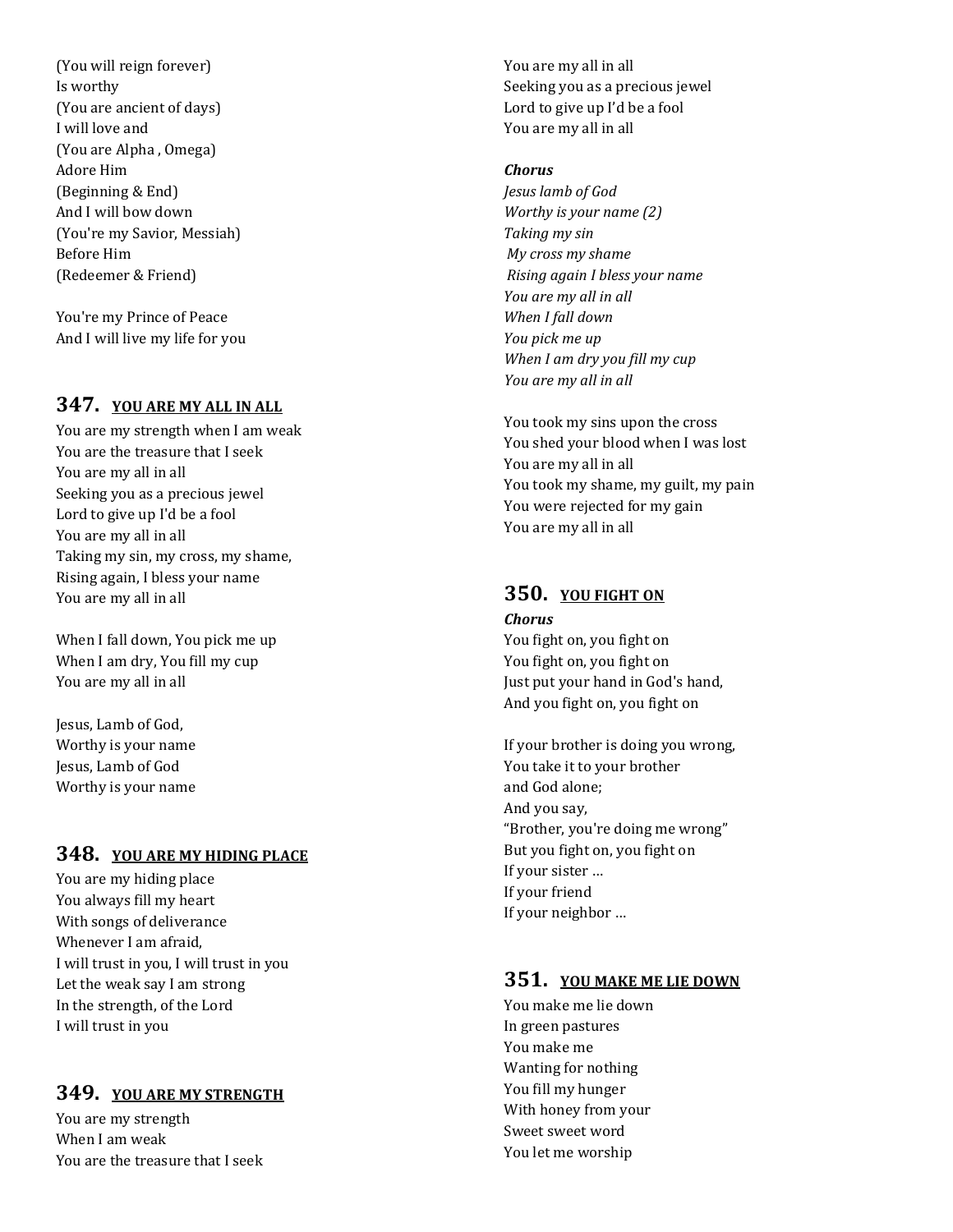(You will reign forever) Is worthy (You are ancient of days) I will love and (You are Alpha , Omega) Adore Him (Beginning & End) And I will bow down (You're my Savior, Messiah) Before Him (Redeemer & Friend)

You're my Prince of Peace And I will live my life for you

# **34 7 . YOU ARE MY ALL IN ALL**

You are my strength when I am weak You are the treasure that I seek You are my all in all Seeking you as a precious jewel Lord to give up I'd be a fool You are my all in all Taking my sin, my cross, my shame, Rising again, I bless your name You are my all in all

When I fall down, You pick me up When I am dry, You fill my cup You are my all in all

Jesus, Lamb of God, Worthy is your name Jesus, Lamb of God Worthy is your name

# **34 8 . YOU ARE MY HIDING PLACE**

You are my hiding place You always fill my heart With songs of deliverance Whenever I am afraid, I will trust in you, I will trust in you Let the weak say I am strong In the strength, of the Lord I will trust in you

# **34 9 . YOU ARE MY STRENGTH**

You are my strength When I am weak You are the treasure that I seek

You are my all in all Seeking you as a precious jewel Lord to give up I'd be a fool You are my all in all

#### *Chorus*

*Jesus lamb of God Worthy is your name (2) Taking my sin My cross my shame Rising again I bless your name You are my all in all When I fall down You pick me up When I am dry you fill my cup You are my all in all* 

You took my sins upon the cross You shed your blood when I was lost You are my all in all You took my shame, my guilt, my pain You were rejected for my gain You are my all in all

## **350. YOU FIGHT ON** *Chorus*

You fight on, you fight on You fight on, you fight on Just put your hand in God's hand, And you fight on, you fight on

If your brother is doing you wrong, You take it to your brother and God alone; And you say, "Brother, you're doing me wrong" But you fight on, you fight on If your sister … If your friend If your neighbor …

## **351. YOU MAKE ME LIE DOWN**

You make me lie down In green pastures You make me Wanting for nothing You fill my hunger With honey from your Sweet sweet word You let me worship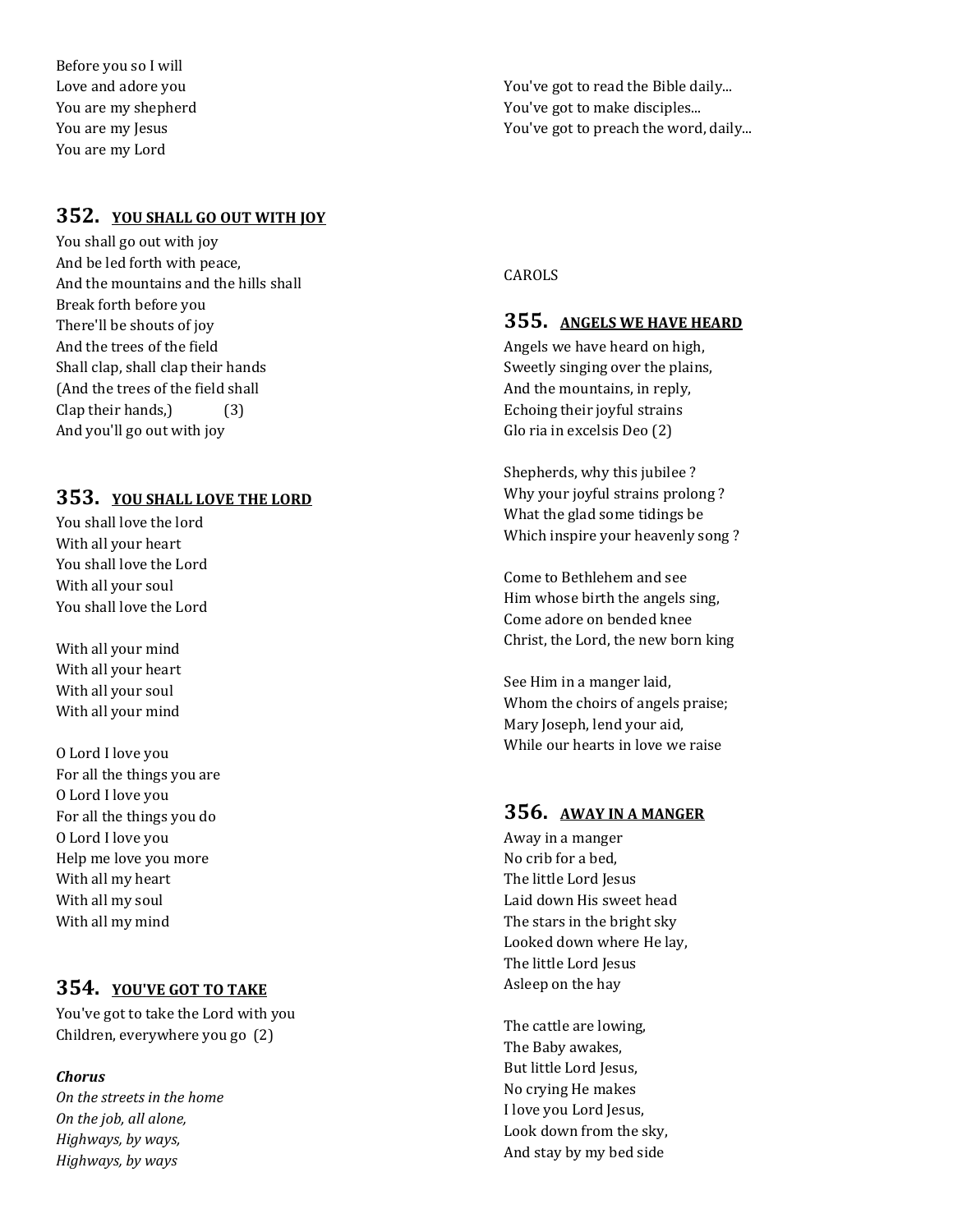Before you so I will Love and adore you You are my shepherd You are my Jesus You are my Lord

## **352. YOU SHALL GO OUT WITH JOY**

You shall go out with joy And be led forth with peace, And the mountains and the hills shall Break forth before you There'll be shouts of joy And the trees of the field Shall clap, shall clap their hands (And the trees of the field shall Clap their hands,) (3) And you'll go out with joy

## **353. YOU SHALL LOVE THE LORD**

You shall love the lord With all your heart You shall love the Lord With all your soul You shall love the Lord

With all your mind With all your heart With all your soul With all your mind

O Lord I love you For all the things you are O Lord I love you For all the things you do O Lord I love you Help me love you more With all my heart With all my soul With all my mind

# **354. YOU'VE GOT TO TAKE**

You've got to take the Lord with you Children, everywhere you go (2)

#### *Chorus*

*On the streets in the home On the job, all alone, Highways, by ways, Highways, by ways*

You've got to read the Bible daily... You've got to make disciples... You've got to preach the word, daily...

#### CAROLS

# **355. ANGELS WE HAVE HEARD**

Angels we have heard on high, Sweetly singing over the plains, And the mountains, in reply, Echoing their joyful strains Glo ria in excelsis Deo (2)

Shepherds, why this jubilee ? Why your joyful strains prolong ? What the glad some tidings be Which inspire your heavenly song ?

Come to Bethlehem and see Him whose birth the angels sing, Come adore on bended knee Christ, the Lord, the new born king

See Him in a manger laid, Whom the choirs of angels praise; Mary Joseph, lend your aid, While our hearts in love we raise

# **356. AWAY IN A MANGER**

Away in a manger No crib for a bed, The little Lord Jesus Laid down His sweet head The stars in the bright sky Looked down where He lay, The little Lord Jesus Asleep on the hay

The cattle are lowing, The Baby awakes, But little Lord Jesus, No crying He makes I love you Lord Jesus, Look down from the sky, And stay by my bed side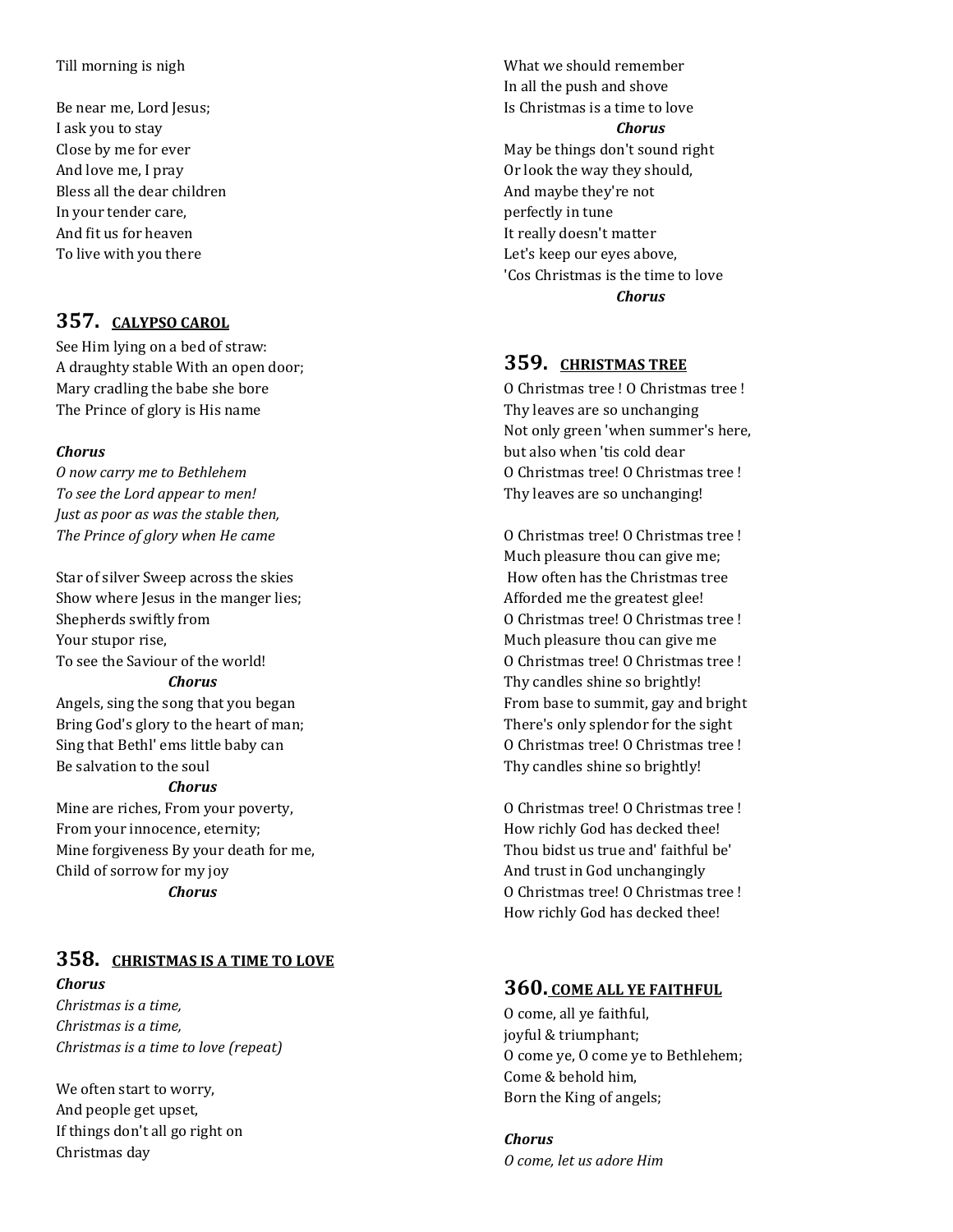#### Till morning is nigh

Be near me, Lord Jesus; I ask you to stay Close by me for ever And love me, I pray Bless all the dear children In your tender care, And fit us for heaven To live with you there

# **357. CALYPSO CAROL**

See Him lying on a bed of straw: A draughty stable With an open door; Mary cradling the babe she bore The Prince of glory is His name

#### *Chorus*

*O now carry me to Bethlehem To see the Lord appear to men! Just as poor as was the stable then, The Prince of glory when He came*

Star of silver Sweep across the skies Show where Jesus in the manger lies; Shepherds swiftly from Your stupor rise, To see the Saviour of the world!

#### *Chorus*

Angels, sing the song that you began Bring God's glory to the heart of man; Sing that Bethl' ems little baby can Be salvation to the soul

#### *Chorus*

Mine are riches, From your poverty, From your innocence, eternity; Mine forgiveness By your death for me, Child of sorrow for my joy *Chorus*

# **358. CHRISTMAS IS A TIME TO LOVE**

#### *Chorus*

*Christmas is a time, Christmas is a time, Christmas is a time to love (repeat)*

We often start to worry, And people get upset, If things don't all go right on Christmas day

What we should remember In all the push and shove Is Christmas is a time to love *Chorus* May be things don't sound right Or look the way they should, And maybe they're not perfectly in tune It really doesn't matter Let's keep our eyes above, 'Cos Christmas is the time to love *Chorus*

# **359. CHRISTMAS TREE**

O Christmas tree ! O Christmas tree ! Thy leaves are so unchanging Not only green 'when summer's here, but also when 'tis cold dear O Christmas tree! O Christmas tree ! Thy leaves are so unchanging!

O Christmas tree! O Christmas tree ! Much pleasure thou can give me; How often has the Christmas tree Afforded me the greatest glee! O Christmas tree! O Christmas tree ! Much pleasure thou can give me O Christmas tree! O Christmas tree ! Thy candles shine so brightly! From base to summit, gay and bright There's only splendor for the sight O Christmas tree! O Christmas tree ! Thy candles shine so brightly!

O Christmas tree! O Christmas tree ! How richly God has decked thee! Thou bidst us true and' faithful be' And trust in God unchangingly O Christmas tree! O Christmas tree ! How richly God has decked thee!

## **360. COME ALL YE FAITHFUL**

O come, all ye faithful, joyful & triumphant; O come ye, O come ye to Bethlehem; Come & behold him, Born the King of angels;

*Chorus O come, let us adore Him*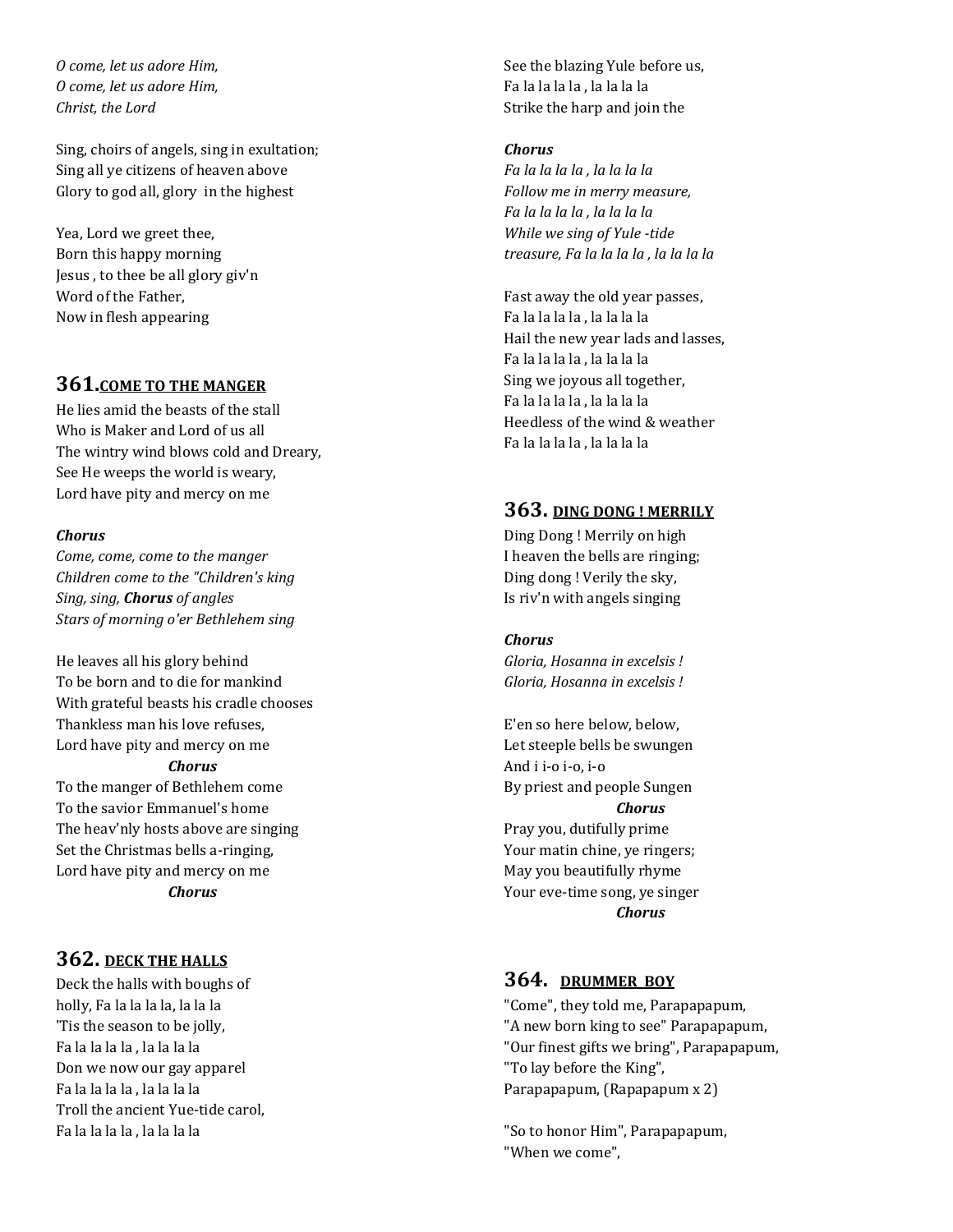*O come, let us adore Him, O come, let us adore Him, Christ, the Lord*

Sing, choirs of angels, sing in exultation; Sing all ye citizens of heaven above Glory to god all, glory in the highest

Yea, Lord we greet thee, Born this happy morning Jesus , to thee be all glory giv'n Word of the Father, Now in flesh appearing

## **361.COME TO THE MANGER**

He lies amid the beasts of the stall Who is Maker and Lord of us all The wintry wind blows cold and Dreary, See He weeps the world is weary, Lord have pity and mercy on me

#### *Chorus*

*Come, come, come to the manger Children come to the "Children's king Sing, sing, Chorus of angles Stars of morning o'er Bethlehem sing*

He leaves all his glory behind To be born and to die for mankind With grateful beasts his cradle chooses Thankless man his love refuses, Lord have pity and mercy on me *Chorus*

To the manger of Bethlehem come To the savior Emmanuel's home The heav'nly hosts above are singing Set the Christmas bells a-ringing, Lord have pity and mercy on me *Chorus*

## **362. DECK THE HALLS**

Deck the halls with boughs of holly, Fa la la la la, la la la 'Tis the season to be jolly, Fa la la la la , la la la la Don we now our gay apparel Fa la la la la , la la la la Troll the ancient Yue-tide carol, Fa la la la la , la la la la

See the blazing Yule before us, Fa la la la la , la la la la Strike the harp and join the

#### *Chorus*

*Fa la la la la , la la la la Follow me in merry measure, Fa la la la la , la la la la While we sing of Yule -tide treasure, Fa la la la la , la la la la*

Fast away the old year passes, Fa la la la la , la la la la Hail the new year lads and lasses, Fa la la la la , la la la la Sing we joyous all together, Fa la la la la , la la la la Heedless of the wind & weather Fa la la la la , la la la la

# **363. DING DONG ! MERRILY**

Ding Dong ! Merrily on high I heaven the bells are ringing; Ding dong ! Verily the sky, Is riv'n with angels singing

#### *Chorus*

*Gloria, Hosanna in excelsis ! Gloria, Hosanna in excelsis !*

E'en so here below, below, Let steeple bells be swungen And i i-o i-o, i-o By priest and people Sungen *Chorus* Pray you, dutifully prime Your matin chine, ye ringers; May you beautifully rhyme Your eve-time song, ye singer *Chorus*

## **364. DRUMMER BOY**

"Come", they told me, Parapapapum, "A new born king to see" Parapapapum, "Our finest gifts we bring", Parapapapum, "To lay before the King", Parapapapum, (Rapapapum x 2)

"So to honor Him", Parapapapum, "When we come",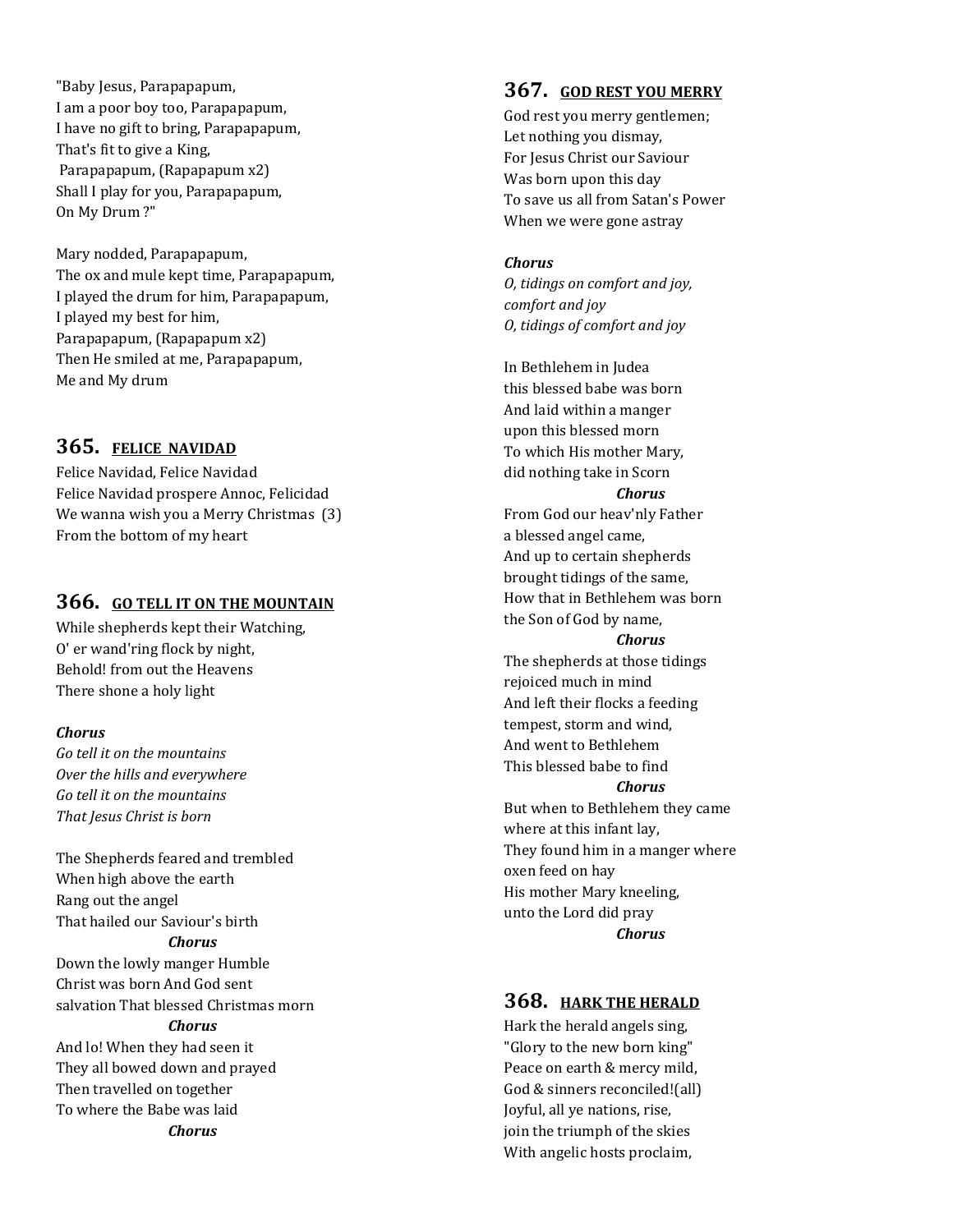"Baby Jesus, Parapapapum, I am a poor boy too, Parapapapum, I have no gift to bring, Parapapapum, That's fit to give a King, Parapapapum, (Rapapapum x2) Shall I play for you, Parapapapum, On My Drum ?"

Mary nodded, Parapapapum, The ox and mule kept time, Parapapapum, I played the drum for him, Parapapapum, I played my best for him, Parapapapum, (Rapapapum x2) Then He smiled at me, Parapapapum, Me and My drum

# **36 5 . FELICE NAVIDAD**

Felice Navidad, Felice Navidad Felice Navidad prospere Annoc, Felicidad We wanna wish you a Merry Christmas (3) From the bottom of my heart

# **36 6 . GO TELL IT ON THE MOUNTAIN**

While shepherds kept their Watching, O' er wand'ring flock by night, Behold! from out the Heavens There shone a holy light

#### *Chorus*

*Go tell it on the mountains Over the hills and everywhere Go tell it on the mountains That Jesus Christ is born*

The Shepherds feared and trembled When high above the earth Rang out the angel That hailed our Saviour's birth *Chorus*

Down the lowly manger Humble Christ was born And God sent salvation That blessed Christmas morn *Chorus*

And lo! When they had seen it They all bowed down and prayed Then travelled on together To where the Babe was laid *Chorus*

# **36 7 . GOD REST YOU MERRY**

God rest you merry gentlemen; Let nothing you dismay, For Jesus Christ our Saviour Was born upon this day To save us all from Satan's Power When we were gone astray

#### *Chorus*

*O, tidings on comfort and joy, comfort and joy O, tidings of comfort and joy*

In Bethlehem in Judea this blessed babe was born And laid within a manger upon this blessed morn To which His mother Mary, did nothing take in Scorn *Chorus* From God our heav'nly Father a blessed angel came, And up to certain shepherds brought tidings of the same, How that in Bethlehem was born the Son of God by name, *Chorus* The shepherds at those tidings rejoiced much in mind And left their flocks a feeding tempest, storm and wind, And went to Bethlehem This blessed babe to find *Chorus* But when to Bethlehem they came where at this infant lay, They found him in a manger where oxen feed on hay His mother Mary kneeling, unto the Lord did pray *Chorus*

# **36 8 . HARK THE HERALD**

Hark the herald angels sing, "Glory to the new born king" Peace on earth & mercy mild, God & sinners reconciled!(all) Joyful, all ye nations, rise, join the triumph of the skies With angelic hosts proclaim,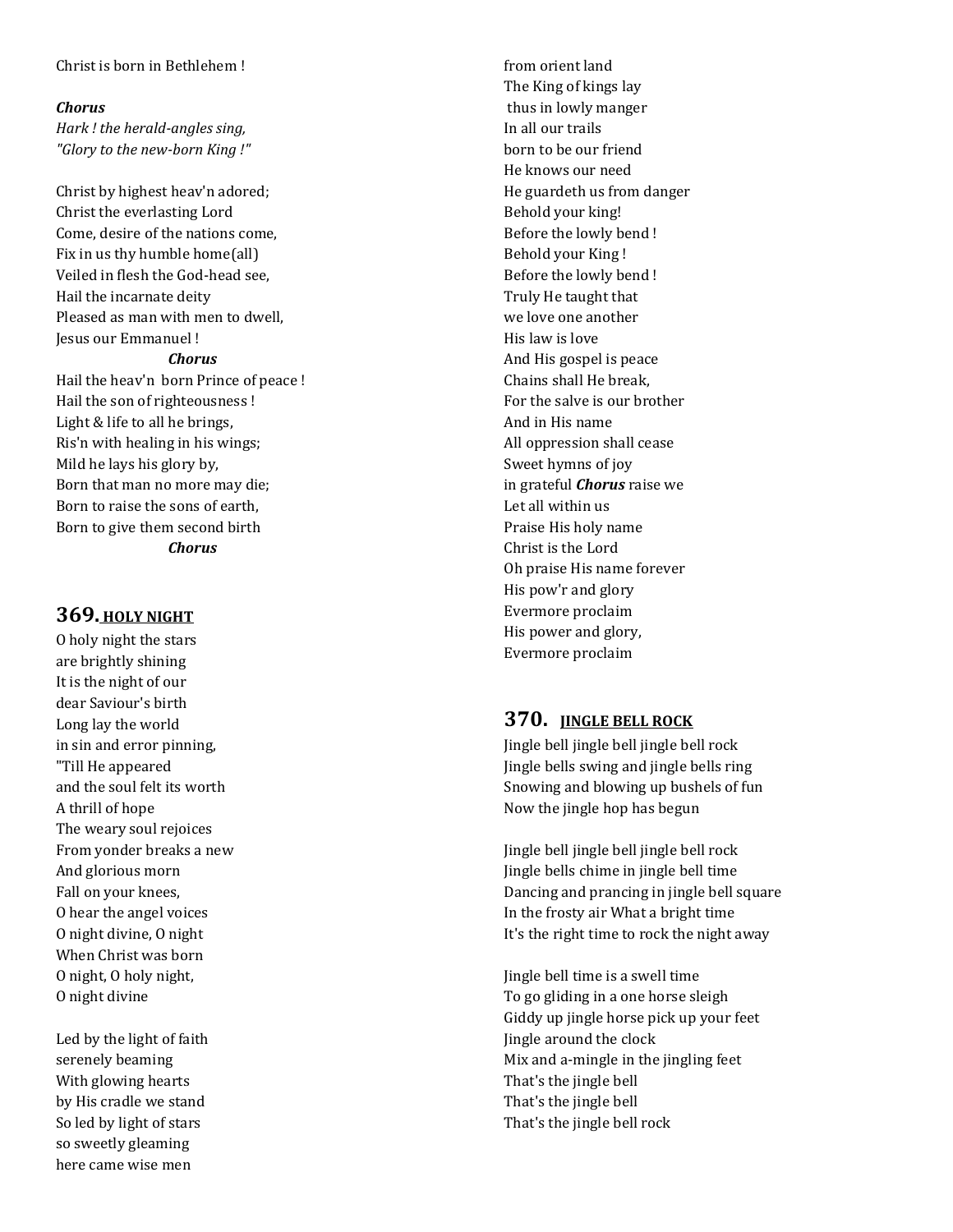#### *Chorus*

*Hark ! the herald-angles sing, "Glory to the new-born King !"*

Christ by highest heav'n adored; Christ the everlasting Lord Come, desire of the nations come, Fix in us thy humble home(all) Veiled in flesh the God-head see, Hail the incarnate deity Pleased as man with men to dwell, Jesus our Emmanuel !

#### *Chorus*

Hail the heav'n born Prince of peace ! Hail the son of righteousness ! Light & life to all he brings, Ris'n with healing in his wings; Mild he lays his glory by, Born that man no more may die; Born to raise the sons of earth, Born to give them second birth *Chorus*

## **369. HOLY NIGHT**

O holy night the stars are brightly shining It is the night of our dear Saviour's birth Long lay the world in sin and error pinning, "Till He appeared and the soul felt its worth A thrill of hope The weary soul rejoices From yonder breaks a new And glorious morn Fall on your knees, O hear the angel voices O night divine, O night When Christ was born O night, O holy night, O night divine

Led by the light of faith serenely beaming With glowing hearts by His cradle we stand So led by light of stars so sweetly gleaming here came wise men

from orient land The King of kings lay thus in lowly manger In all our trails born to be our friend He knows our need He guardeth us from danger Behold your king! Before the lowly bend ! Behold your King ! Before the lowly bend ! Truly He taught that we love one another His law is love And His gospel is peace Chains shall He break, For the salve is our brother And in His name All oppression shall cease Sweet hymns of joy in grateful *Chorus* raise we Let all within us Praise His holy name Christ is the Lord Oh praise His name forever His pow'r and glory Evermore proclaim His power and glory, Evermore proclaim

#### **370. JINGLE BELL ROCK**

Jingle bell jingle bell jingle bell rock Jingle bells swing and jingle bells ring Snowing and blowing up bushels of fun Now the jingle hop has begun

Jingle bell jingle bell jingle bell rock Jingle bells chime in jingle bell time Dancing and prancing in jingle bell square In the frosty air What a bright time It's the right time to rock the night away

Jingle bell time is a swell time To go gliding in a one horse sleigh Giddy up jingle horse pick up your feet Jingle around the clock Mix and a-mingle in the jingling feet That's the jingle bell That's the jingle bell That's the jingle bell rock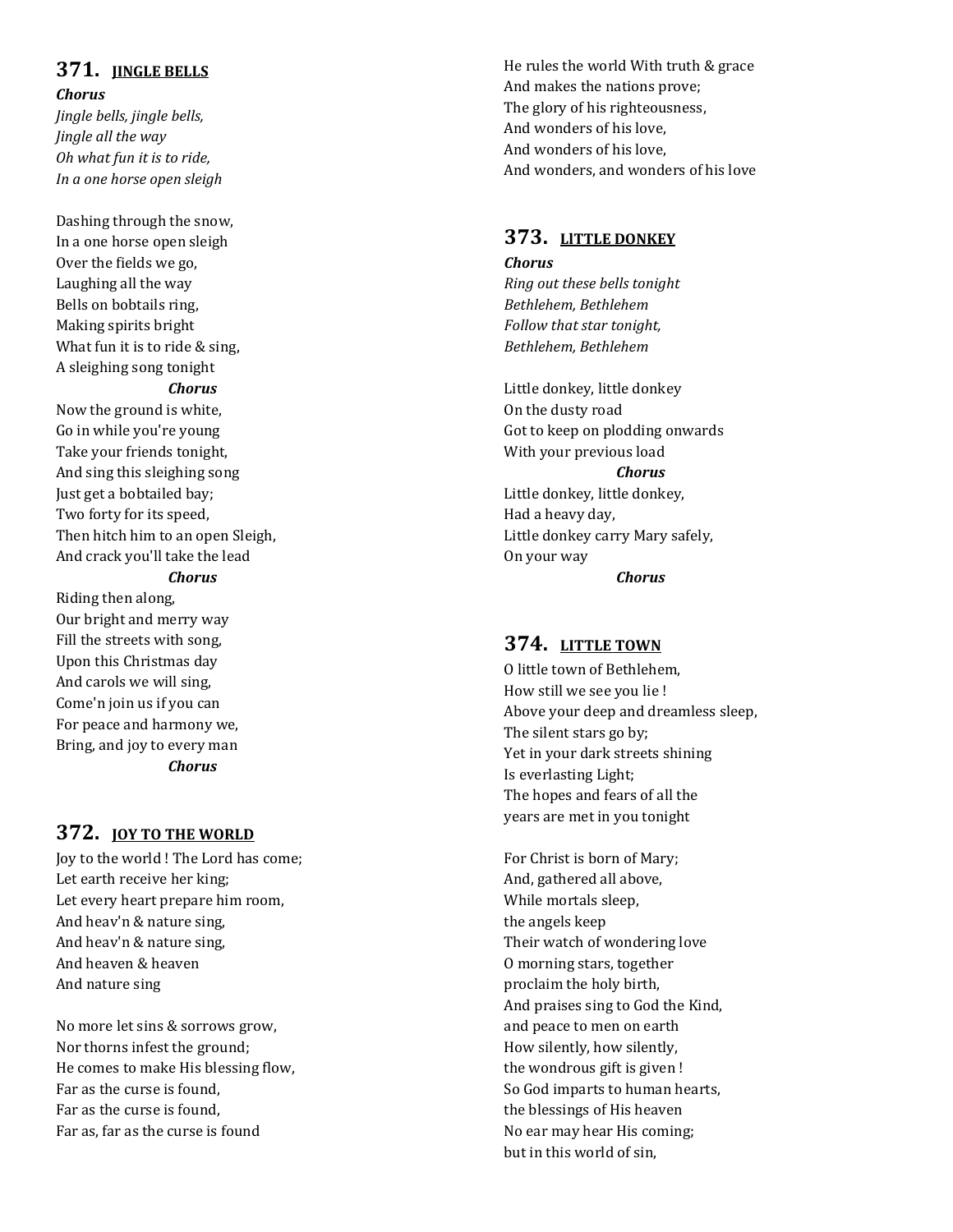## **371 . JINGLE BELLS** *Chorus*

*Jingle bells, jingle bells, Jingle all the way Oh what fun it is to ride, In a one horse open sleigh*

Dashing through the snow, In a one horse open sleigh Over the fields we go, Laughing all the way Bells on bobtails ring, Making spirits bright What fun it is to ride & sing, A sleighing song tonight *Chorus*

Now the ground is white, Go in while you're young Take your friends tonight, And sing this sleighing song Just get a bobtailed bay; Two forty for its speed, Then hitch him to an open Sleigh, And crack you'll take the lead

*Chorus*

Riding then along, Our bright and merry way Fill the streets with song, Upon this Christmas day And carols we will sing, Come'n join us if you can For peace and harmony we, Bring, and joy to every man *Chorus*

# **372 . JOY TO THE WORLD**

Joy to the world ! The Lord has come; Let earth receive her king; Let every heart prepare him room, And heav'n & nature sing, And heav'n & nature sing, And heaven & heaven And nature sing

No more let sins & sorrows grow, Nor thorns infest the ground; He comes to make His blessing flow, Far as the curse is found, Far as the curse is found, Far as, far as the curse is found

He rules the world With truth & grace And makes the nations prove; The glory of his righteousness, And wonders of his love, And wonders of his love, And wonders, and wonders of his love

# **37 3 . LlTTLE DONKEY**

*Chorus Ring out these bells tonight Bethlehem, Bethlehem Follow that star tonight, Bethlehem, Bethlehem*

Little donkey, little donkey On the dusty road Got to keep on plodding onwards With your previous load

*Chorus*

Little donkey, little donkey, Had a heavy day, Little donkey carry Mary safely, On your way

*Chorus*

# **37 4 . LITTLE TOWN**

O little town of Bethlehem, How still we see you lie ! Above your deep and dreamless sleep, The silent stars go by; Yet in your dark streets shining Is everlasting Light; The hopes and fears of all the years are met in you tonight

For Christ is born of Mary; And, gathered all above, While mortals sleep, the angels keep Their watch of wondering love O morning stars, together proclaim the holy birth, And praises sing to God the Kind, and peace to men on earth How silently, how silently, the wondrous gift is given ! So God imparts to human hearts, the blessings of His heaven No ear may hear His coming; but in this world of sin,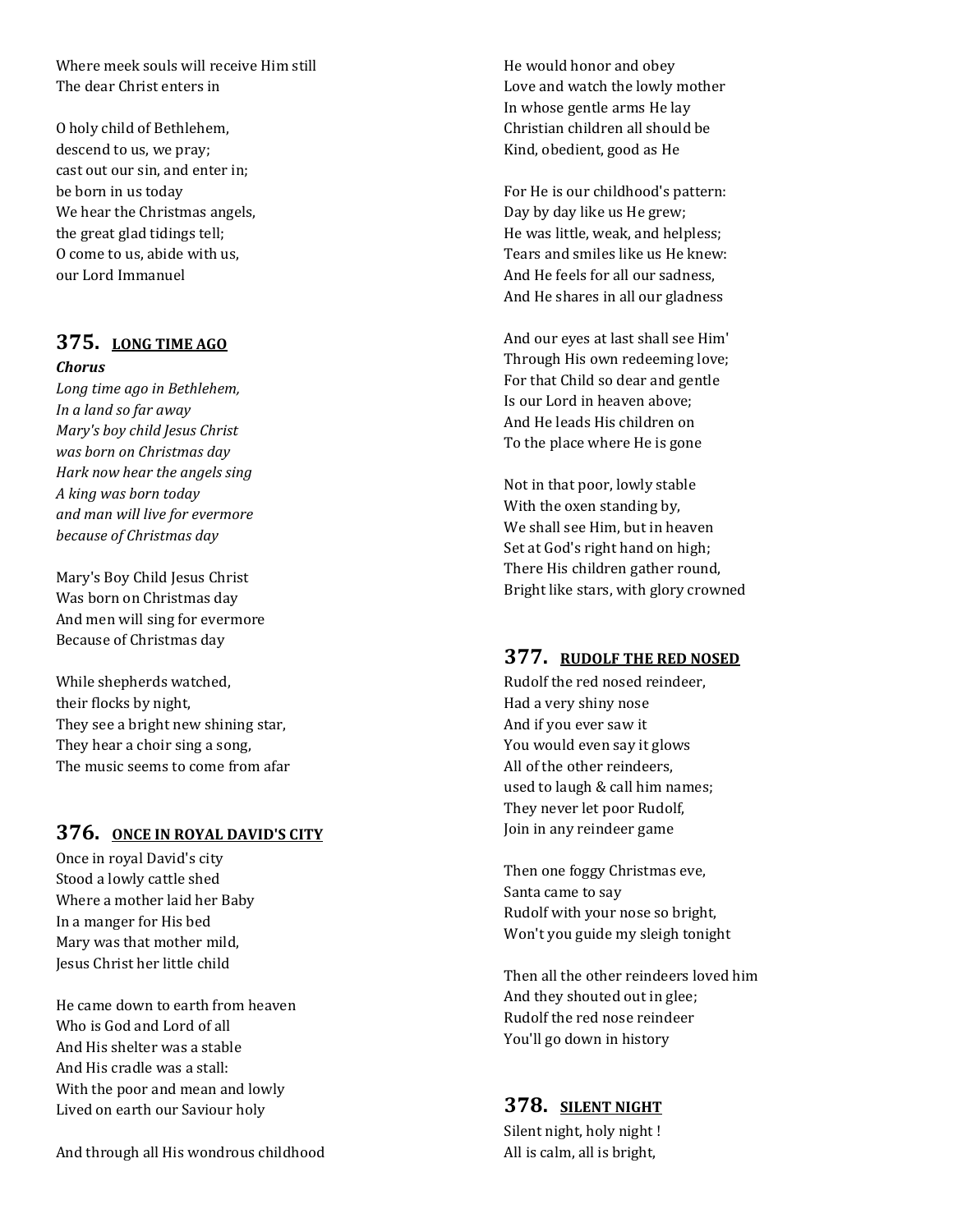Where meek souls will receive Him still The dear Christ enters in

O holy child of Bethlehem, descend to us, we pray; cast out our sin, and enter in; be born in us today We hear the Christmas angels, the great glad tidings tell; O come to us, abide with us, our Lord Immanuel

# **37 5 . LONG TIME AGO**

#### *Chorus*

*Long time ago in Bethlehem, In a land so far away Mary's boy child Jesus Christ was born on Christmas day Hark now hear the angels sing A king was born today and man will live for evermore because of Christmas day*

Mary's Boy Child Jesus Christ Was born on Christmas day And men will sing for evermore Because of Christmas day

While shepherds watched, their flocks by night, They see a bright new shining star, They hear a choir sing a song, The music seems to come from afar

## **376. ONCE IN ROYAL DAVID'S CITY**

Once in royal David's city Stood a lowly cattle shed Where a mother laid her Baby In a manger for His bed Mary was that mother mild, Jesus Christ her little child

He came down to earth from heaven Who is God and Lord of all And His shelter was a stable And His cradle was a stall: With the poor and mean and lowly Lived on earth our Saviour holy

And through all His wondrous childhood

He would honor and obey Love and watch the lowly mother In whose gentle arms He lay Christian children all should be Kind, obedient, good as He

For He is our childhood's pattern: Day by day like us He grew; He was little, weak, and helpless; Tears and smiles like us He knew: And He feels for all our sadness, And He shares in all our gladness

And our eyes at last shall see Him' Through His own redeeming love; For that Child so dear and gentle Is our Lord in heaven above; And He leads His children on To the place where He is gone

Not in that poor, lowly stable With the oxen standing by, We shall see Him, but in heaven Set at God's right hand on high; There His children gather round, Bright like stars, with glory crowned

## **377. RUDOLF THE RED NOSED**

Rudolf the red nosed reindeer, Had a very shiny nose And if you ever saw it You would even say it glows All of the other reindeers, used to laugh & call him names; They never let poor Rudolf, Join in any reindeer game

Then one foggy Christmas eve, Santa came to say Rudolf with your nose so bright, Won't you guide my sleigh tonight

Then all the other reindeers loved him And they shouted out in glee; Rudolf the red nose reindeer You'll go down in history

## **378. SILENT NIGHT**

Silent night, holy night ! All is calm, all is bright,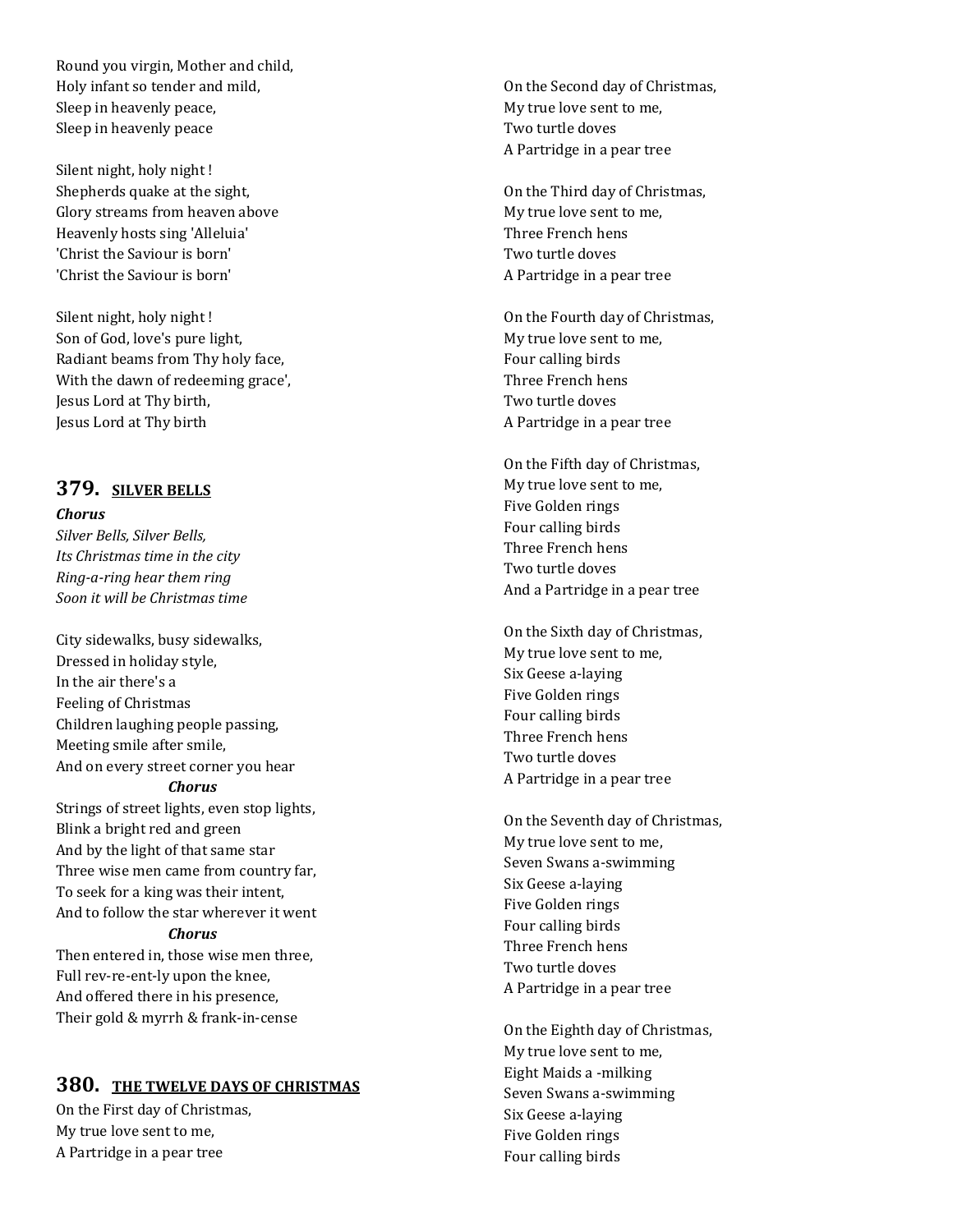Round you virgin, Mother and child, Holy infant so tender and mild, Sleep in heavenly peace, Sleep in heavenly peace

Silent night, holy night ! Shepherds quake at the sight, Glory streams from heaven above Heavenly hosts sing 'Alleluia' 'Christ the Saviour is born' 'Christ the Saviour is born'

Silent night, holy night ! Son of God, love's pure light, Radiant beams from Thy holy face, With the dawn of redeeming grace', Jesus Lord at Thy birth, Jesus Lord at Thy birth

# **379. SILVER BELLS**

#### *Chorus*

*Silver Bells, Silver Bells, Its Christmas time in the city Ring - a -ring hear them ring Soon it will be Christmas time*

City sidewalks, busy sidewalks , Dressed in holiday style, In the air there's a Feeling of Christmas Children laughing people passing, Meeting smile after smile, And on every street corner you hear

#### *Chorus*

Strings of street lights, even stop lights, Blink a bright red and green And by the light of that same star Three wise men came from country far, To seek for a king was their intent, And to follow the star wherever it went

#### *Chorus*

Then entered in, those wise men three, Full rev -re -ent -ly upon the knee, And offered there in his presence, Their gold & myrrh & frank -in -cense

#### **380. THE TWELVE DAYS OF CHRISTMAS**

On the First day of Christmas, My true love sent to me, A Partridge in a pear tree

On the Second day of Christmas, My true love sent to me, Two turtle doves A Partridge in a pear tree

On the Third day of Christmas, My true love sent to me, Three French hens Two turtle doves A Partridge in a pear tree

On the Fourth day of Christmas, My true love sent to me, Four calling birds Three French hens Two turtle doves A Partridge in a pear tree

On the Fifth day of Christmas, My true love sent to me, Five Golden rings Four calling birds Three French hens Two turtle doves And a Partridge in a pear tree

On the Sixth day of Christmas, My true love sent to me, Six Geese a -laying Five Golden rings Four calling birds Three French hens Two turtle doves A Partridge in a pear tree

On the Seventh day of Christmas, My true love sent to me, Seven Swans a -swimming Six Geese a -laying Five Golden rings Four calling birds Three French hens Two turtle doves A Partridge in a pear tree

On the Eighth day of Christmas, My true love sent to me, Eight Maids a -milking Seven Swans a -swimming Six Geese a -laying Five Golden rings Four calling birds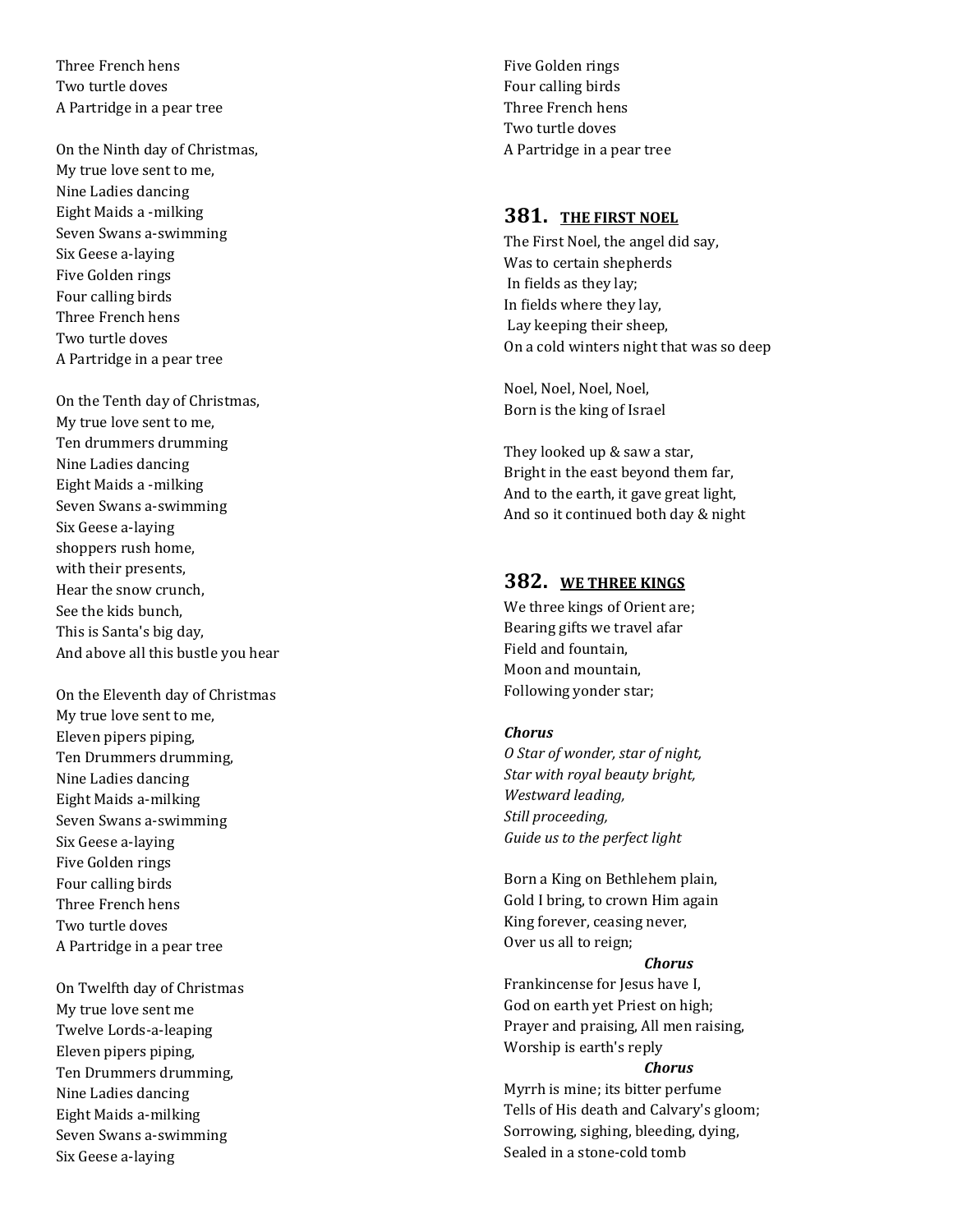Three French hens Two turtle doves A Partridge in a pear tree

On the Ninth day of Christmas, My true love sent to me, Nine Ladies dancing Eight Maids a -milking Seven Swans a -swimming Six Geese a -laying Five Golden rings Four calling birds Three French hens Two turtle doves A Partridge in a pear tree

On the Tenth day of Christmas, My true love sent to me, Ten drummers drumming Nine Ladies dancing Eight Maids a -milking Seven Swans a -swimming Six Geese a -laying shoppers rush home, with their presents, Hear the snow crunch, See the kids bunch, This is Santa's big day, And above all this bustle you hear

On the Eleventh day of Christmas My true love sent to me, Eleven pipers piping, Ten Drummers drumming, Nine Ladies dancing Eight Maids a -milking Seven Swans a -swimming Six Geese a -laying Five Golden rings Four calling birds Three French hens Two turtle doves A Partridge in a pear tree

On Twelfth day of Christmas My true love sent me Twelve Lords - a -leaping Eleven pipers piping, Ten Drummers drumming, Nine Ladies dancing Eight Maids a -milking Seven Swans a -swimming Six Geese a -laying

Five Golden rings Four calling birds Three French hens Two turtle doves A Partridge in a pear tree

# **381. THE FIRST NOEL**

The First Noel, the angel did say, Was to certain shepherds In fields as they lay; In fields where they lay, Lay keeping their sheep, On a cold winters night that was so deep

Noel, Noel, Noel, Noel, Born is the king of Israel

They looked up & saw a star, Bright in the east beyond them far, And to the earth, it gave great light, And so it continued both day & night

# **382. WE THREE KINGS**

We three kings of Orient are; Bearing gifts we travel afar Field and fountain, Moon and mountain, Following yonder star;

#### *Chorus*

*O Star of wonder, star of night, Star with royal beauty bright, Westward leading, Still proceeding, Guide us to the perfect light*

Born a King on Bethlehem plain, Gold I bring, to crown Him again King forever, ceasing never, Over us all to reign;

#### *Chorus*

Frankincense for Jesus have I, God on earth yet Priest on high; Prayer and praising, All men raising, Worship is earth's reply

#### *Chorus*

Myrrh is mine; its bitter perfume Tells of His death and Calvary's gloom; Sorrowing, sighing, bleeding, dying, Sealed in a stone -cold tomb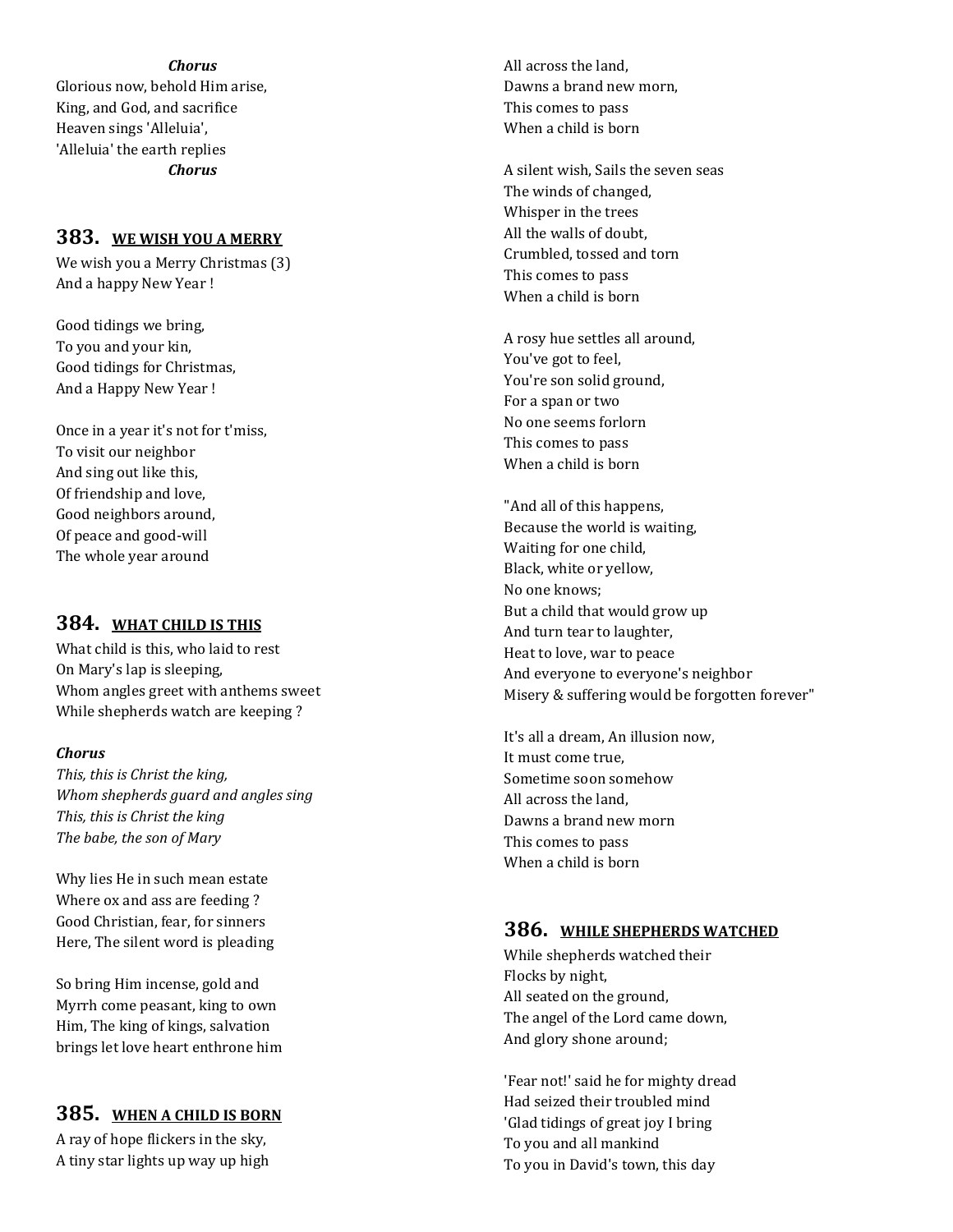#### *Chorus*

Glorious now, behold Him arise, King, and God, and sacrifice Heaven sings 'Alleluia', 'Alleluia' the earth replies *Chorus*

### **383. WE WISH YOU A MERRY**

We wish you a Merry Christmas (3) And a happy New Year !

Good tidings we bring, To you and your kin, Good tidings for Christmas, And a Happy New Year !

Once in a year it's not for t'miss, To visit our neighbor And sing out like this, Of friendship and love, Good neighbors around, Of peace and good -will The whole year around

## **384. WHAT CHILD IS THIS**

What child is this, who laid to rest On Mary's lap is sleeping, Whom angles greet with anthems sweet While shepherds watch are keeping ?

#### *Chorus*

*This, this is Christ the king, Whom shepherds guard and angles sing This, this is Christ the king The babe, the son of Mary*

Why lies He in such mean estate Where ox and ass are feeding ? Good Christian, fear, for sinners Here, The silent word is pleading

So bring Him incense, gold and Myrrh come peasant, king to own Him, The king of kings, salvation brings let love heart enthrone him

### **385. WHEN A CHILD IS BORN**

A ray of hope flickers in the sky, A tiny star lights up way up high All across the land,<br>Dawns a brand new morn, This comes to pass When a child is born

A silent wish, Sails the seven seas The winds of changed, Whisper in the trees All the walls of doubt, Crumbled, tossed and torn This comes to pass When a child is born

A rosy hue settles all around, You've got to feel, You're son solid ground, For a span or two No one seems forlorn This comes to pass When a child is born

"And all of this happens, Because the world is waiting, Waiting for one child, Black, white or yellow, No one knows; But a child that would grow up And turn tear to laughter, Heat to love, war to peace And everyone to everyone's neighbor Misery & suffering would be forgotten forever"

It's all a dream, An illusion now, It must come true, Sometime soon somehow All across the land, Dawns a brand new morn This comes to pass When a child is born

#### **386. WHILE SHEPHERDS WATCHED**

While shepherds watched their Flocks by night, All seated on the ground, The angel of the Lord came down, And glory shone around;

'Fear not!' said he for mighty dread Had seized their troubled mind 'Glad tidings of great joy I bring To you and all mankind To you in David's town, this day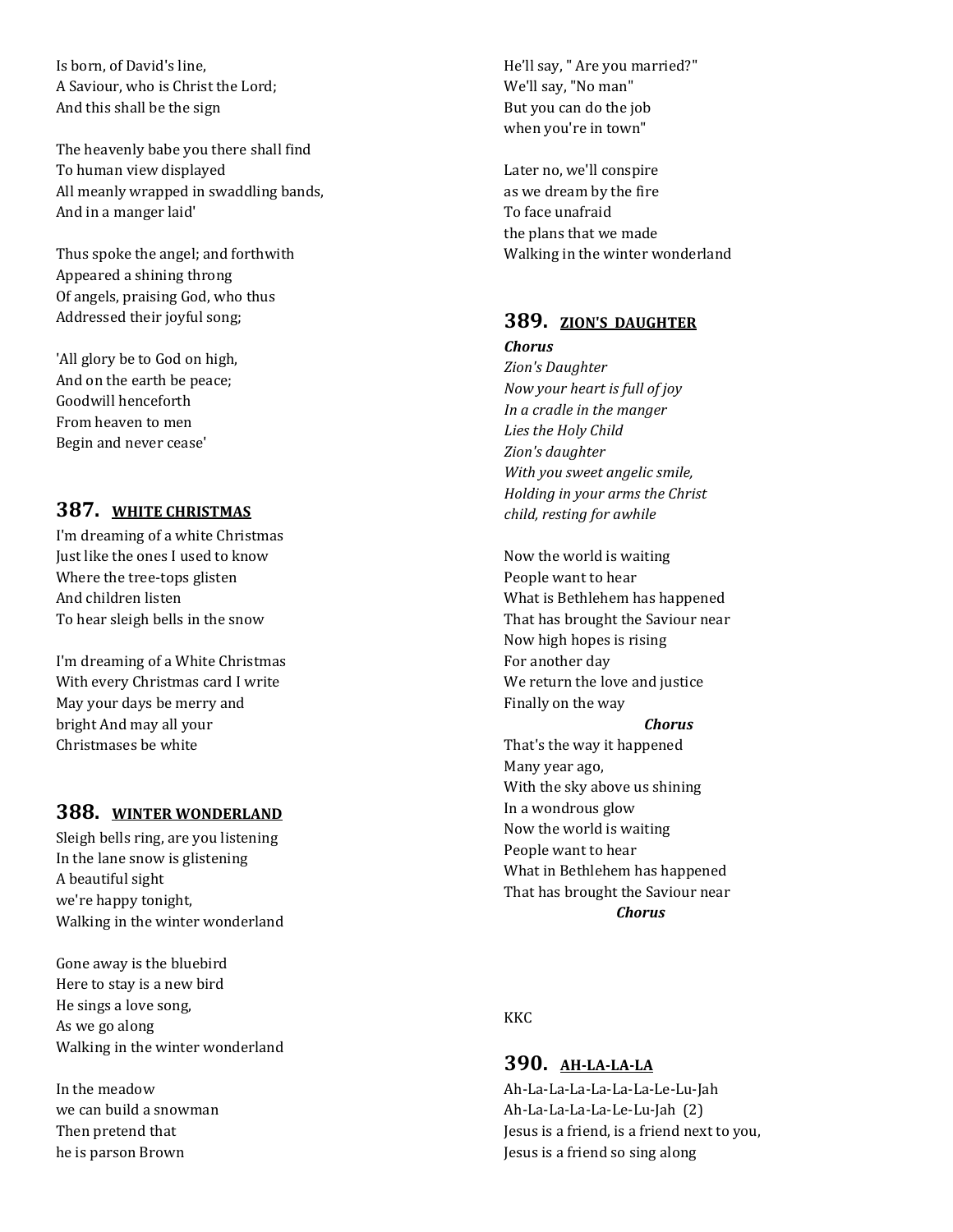Is born, of David's line, A Saviour, who is Christ the Lord; And this shall be the sign

The heavenly babe you there shall find To human view displayed All meanly wrapped in swaddling bands, And in a manger laid'

Thus spoke the angel; and forthwith Appeared a shining throng Of angels, praising God, who thus Addressed their joyful song;

'All glory be to God on high, And on the earth be peace; Goodwill henceforth From heaven to men Begin and never cease'

# **387. WHITE CHRISTMAS**

I'm dreaming of a white Christmas Just like the ones I used to know Where the tree-tops glisten And children listen To hear sleigh bells in the snow

I'm dreaming of a White Christmas With every Christmas card I write May your days be merry and bright And may all your Christmases be white

## **388. WINTER WONDERLAND**

Sleigh bells ring, are you listening In the lane snow is glistening A beautiful sight we're happy tonight, Walking in the winter wonderland

Gone away is the bluebird Here to stay is a new bird He sings a love song, As we go along Walking in the winter wonderland

In the meadow we can build a snowman Then pretend that he is parson Brown

He'll say, " Are you married?" We'll say, "No man" But you can do the job when you're in town"

Later no, we'll conspire as we dream by the fire To face unafraid the plans that we made Walking in the winter wonderland

# **389. ZION'S DAUGHTER**

*Chorus Zion's Daughter Now your heart is full of joy In a cradle in the manger Lies the Holy Child Zion's daughter With you sweet angelic smile, Holding in your arms the Christ child, resting for awhile*

Now the world is waiting People want to hear What is Bethlehem has happened That has brought the Saviour near Now high hopes is rising For another day We return the love and justice Finally on the way

#### *Chorus*

That's the way it happened Many year ago, With the sky above us shining In a wondrous glow Now the world is waiting People want to hear What in Bethlehem has happened That has brought the Saviour near *Chorus*

#### **KKC**

# **390. AH-LA-LA-LA**

Ah-La-La-La-La-La-La-Le-Lu-Jah Ah-La-La-La-La-Le-Lu-Jah (2) Jesus is a friend, is a friend next to you, Jesus is a friend so sing along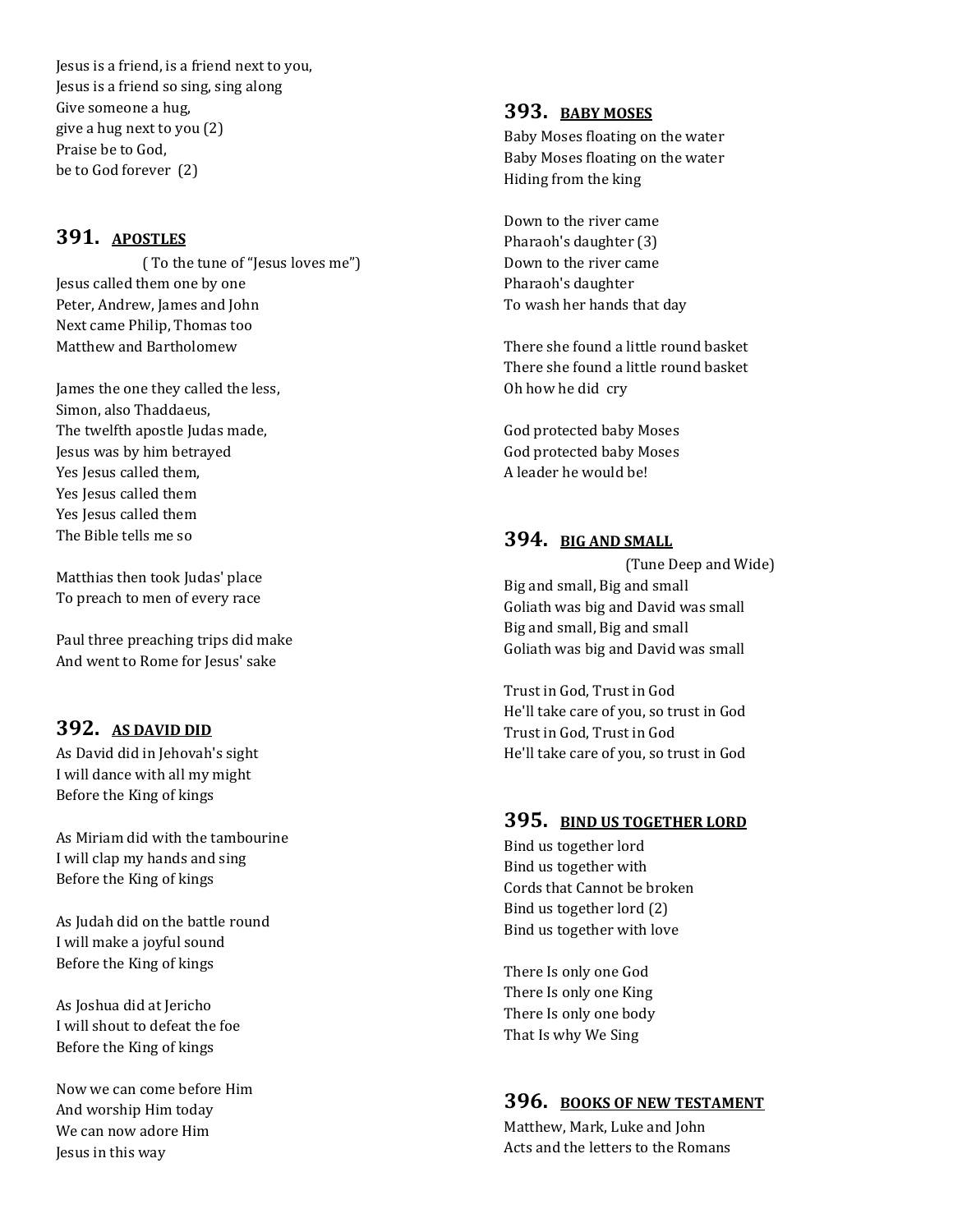Jesus is a friend, is a friend next to you, Jesus is a friend so sing, sing along Give someone a hug, give a hug next to you (2) Praise be to God, be to God forever (2)

# **391. APOSTLES**

( To the tune of "Jesus loves me") Jesus called them one by one Peter, Andrew, James and John Next came Philip, Thomas too Matthew and Bartholomew

James the one they called the less, Simon, also Thaddaeus, The twelfth apostle Judas made, Jesus was by him betrayed Yes Jesus called them, Yes Jesus called them Yes Jesus called them The Bible tells me so

Matthias then took Judas' place To preach to men of every race

Paul three preaching trips did make And went to Rome for Jesus' sake

## **392. AS DAVID DID**

As David did in Jehovah's sight I will dance with all my might Before the King of kings

As Miriam did with the tambourine I will clap my hands and sing Before the King of kings

As Judah did on the battle round I will make a joyful sound Before the King of kings

As Joshua did at Jericho I will shout to defeat the foe Before the King of kings

Now we can come before Him And worship Him today We can now adore Him Jesus in this way

## **393. BABY MOSES**

Baby Moses floating on the water Baby Moses floating on the water Hiding from the king

Down to the river came Pharaoh's daughter (3) Down to the river came Pharaoh's daughter To wash her hands that day

There she found a little round basket There she found a little round basket Oh how he did cry

God protected baby Moses God protected baby Moses A leader he would be!

## **394. BIG AND SMALL**

(Tune Deep and Wide) Big and small, Big and small Goliath was big and David was small Big and small, Big and small Goliath was big and David was small

Trust in God, Trust in God He'll take care of you, so trust in God Trust in God, Trust in God He'll take care of you, so trust in God

## **395. BIND US TOGETHER LORD**

Bind us together lord Bind us together with Cords that Cannot be broken Bind us together lord (2) Bind us together with love

There Is only one God There Is only one King There Is only one body That Is why We Sing

# **396. BOOKS OF NEW TESTAMENT**

Matthew, Mark, Luke and John Acts and the letters to the Romans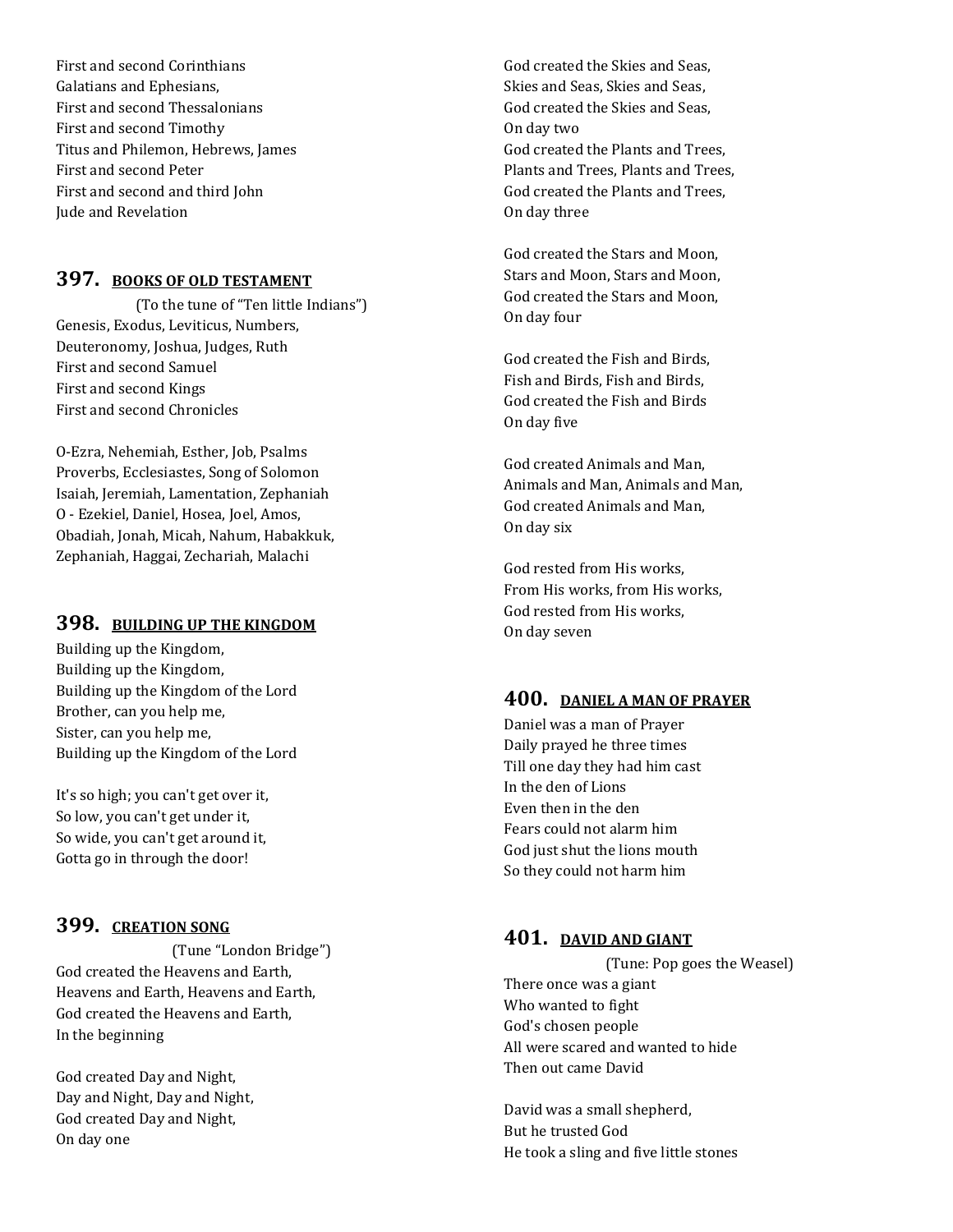First and second Corinthians Galatians and Ephesians, First and second Thessalonians First and second Timothy Titus and Philemon, Hebrews, James First and second Peter First and second and third John Jude and Revelation

## **397. BOOKS OF OLD TESTAMENT**

(To the tune of "Ten little Indians") Genesis, Exodus, Leviticus, Numbers, Deuteronomy, Joshua, Judges, Ruth First and second Samuel First and second Kings First and second Chronicles

O-Ezra, Nehemiah, Esther, Job, Psalms Proverbs, Ecclesiastes, Song of Solomon Isaiah, Jeremiah, Lamentation, Zephaniah O - Ezekiel, Daniel, Hosea, Joel, Amos, Obadiah, Jonah, Micah, Nahum, Habakkuk, Zephaniah, Haggai, Zechariah, Malachi

## **398. BUILDING UP THE KINGDOM**

Building up the Kingdom, Building up the Kingdom, Building up the Kingdom of the Lord Brother, can you help me, Sister, can you help me, Building up the Kingdom of the Lord

It's so high; you can't get over it, So low, you can't get under it, So wide, you can't get around it, Gotta go in through the door!

## **399. CREATION SONG**

(Tune "London Bridge") God created the Heavens and Earth, Heavens and Earth, Heavens and Earth, God created the Heavens and Earth, In the beginning

God created Day and Night, Day and Night, Day and Night, God created Day and Night, On day one

God created the Skies and Seas, Skies and Seas, Skies and Seas, God created the Skies and Seas, On day two God created the Plants and Trees, Plants and Trees, Plants and Trees, God created the Plants and Trees, On day three

God created the Stars and Moon, Stars and Moon, Stars and Moon, God created the Stars and Moon, On day four

God created the Fish and Birds, Fish and Birds, Fish and Birds, God created the Fish and Birds On day five

God created Animals and Man, Animals and Man, Animals and Man, God created Animals and Man, On day six

God rested from His works, From His works, from His works, God rested from His works, On day seven

#### **400. DANIEL A MAN OF PRAYER**

Daniel was a man of Prayer Daily prayed he three times Till one day they had him cast In the den of Lions Even then in the den Fears could not alarm him God just shut the lions mouth So they could not harm him

# **401. DAVID AND GIANT**

(Tune: Pop goes the Weasel) There once was a giant Who wanted to fight God's chosen people All were scared and wanted to hide Then out came David

David was a small shepherd, But he trusted God He took a sling and five little stones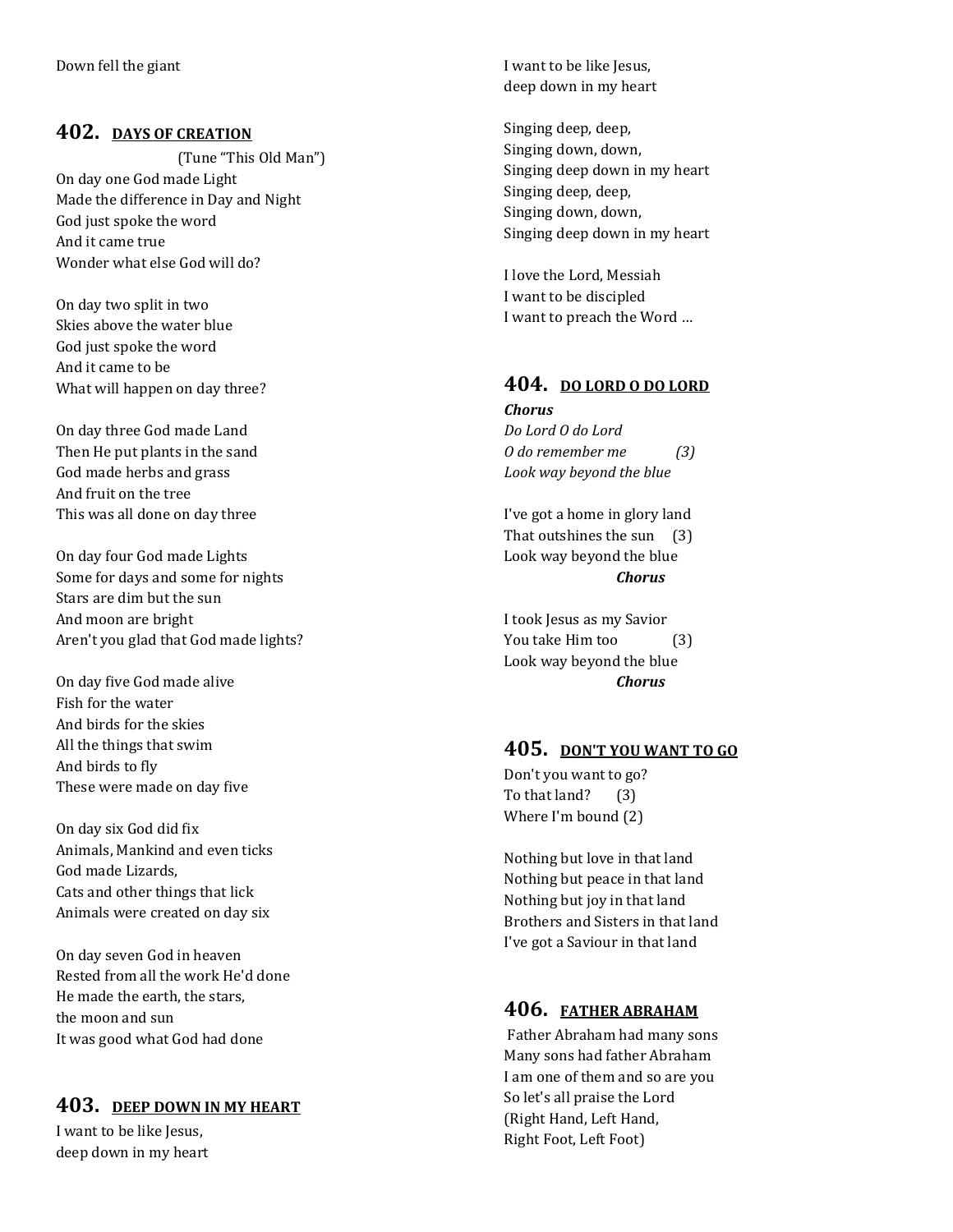## **402. DAYS OF CREATION**

(Tune "This Old Man")

On day one God made Light Made the difference in Day and Night God just spoke the word And it came true Wonder what else God will do?

On day two split in two Skies above the water blue God just spoke the word And it came to be What will happen on day three?

On day three God made Land Then He put plants in the sand God made herbs and grass And fruit on the tree This was all done on day three

On day four God made Lights Some for days and some for nights Stars are dim but the sun And moon are bright Aren't you glad that God made lights?

On day five God made alive Fish for the water And birds for the skies All the things that swim And birds to fly These were made on day five

On day six God did fix Animals, Mankind and even ticks God made Lizards, Cats and other things that lick Animals were created on day six

On day seven God in heaven Rested from all the work He'd done He made the earth, the stars, the moon and sun It was good what God had done

## **403. DEEP DOWN IN MY HEART**

I want to be like Jesus, deep down in my heart I want to be like Jesus, deep down in my heart

Singing deep, deep, Singing down, down, Singing deep down in my heart Singing deep, deep, Singing down, down, Singing deep down in my heart

I love the Lord, Messiah I want to be discipled I want to preach the Word …

# **404. DO LORD O DO LORD**

*Chorus Do Lord O do Lord O do remember me (3) Look way beyond the blue*

I've got a home in glory land That outshines the sun (3) Look way beyond the blue *Chorus*

I took Jesus as my Savior You take Him too (3) Look way beyond the blue *Chorus*

#### **405. DON'T YOU WANT TO GO**

Don't you want to go? To that land? (3) Where I'm bound (2)

Nothing but love in that land Nothing but peace in that land Nothing but joy in that land Brothers and Sisters in that land I've got a Saviour in that land

## **406. FATHER ABRAHAM**

Father Abraham had many sons Many sons had father Abraham I am one of them and so are you So let's all praise the Lord (Right Hand, Left Hand, Right Foot, Left Foot)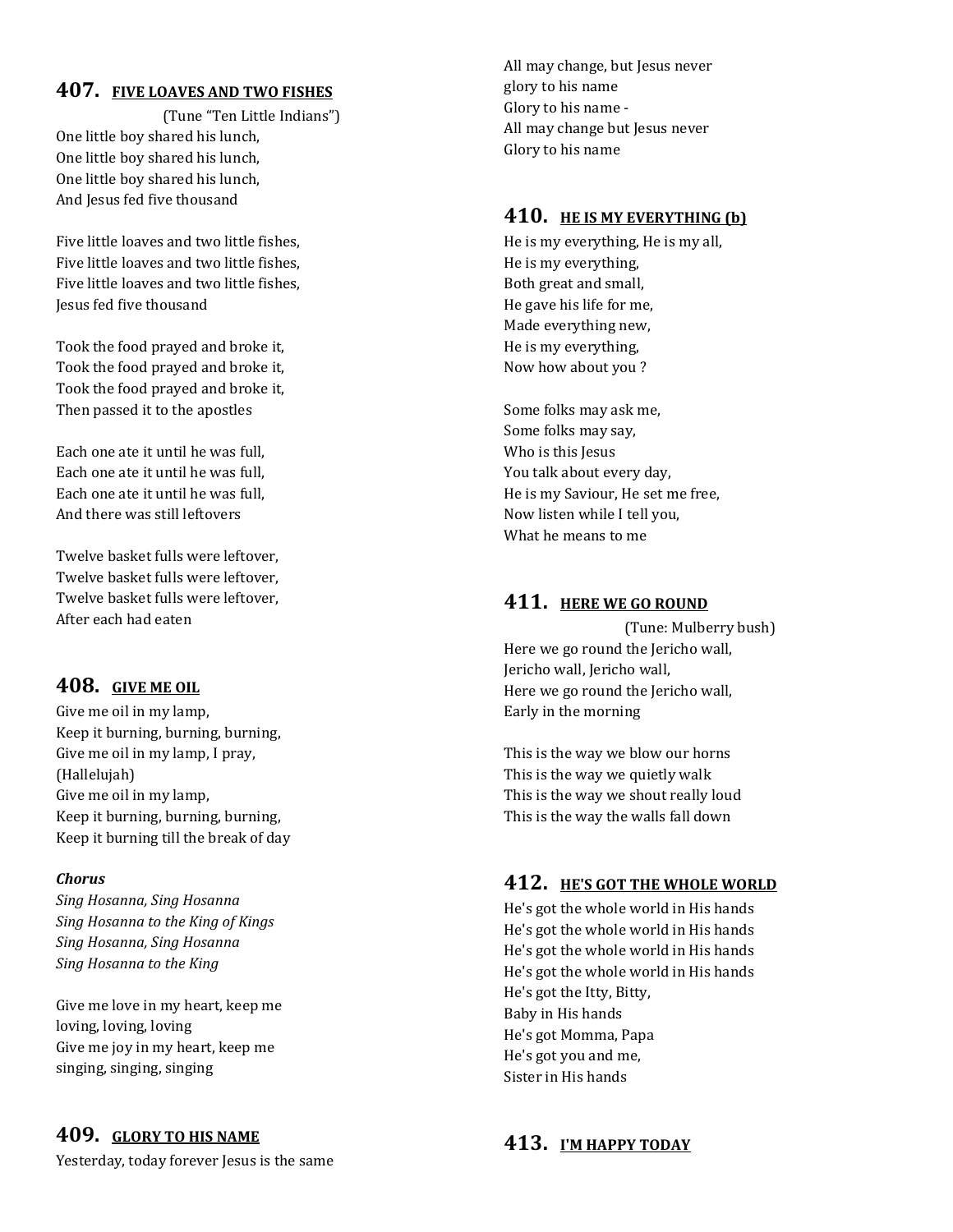## **407. FIVE LOAVES AND TWO FISHES**

(Tune "Ten Little Indians") One little boy shared his lunch, One little boy shared his lunch, One little boy shared his lunch, And Jesus fed five thousand

Five little loaves and two little fishes, Five little loaves and two little fishes, Five little loaves and two little fishes, Jesus fed five thousand

Took the food prayed and broke it, Took the food prayed and broke it, Took the food prayed and broke it, Then passed it to the apostles

Each one ate it until he was full, Each one ate it until he was full, Each one ate it until he was full, And there was still leftovers

Twelve basket fulls were leftover, Twelve basket fulls were leftover, Twelve basket fulls were leftover, After each had eaten

## **408. GIVE ME OIL**

Give me oil in my lamp, Keep it burning, burning, burning, Give me oil in my lamp, I pray, (Hallelujah) Give me oil in my lamp, Keep it burning, burning, burning, Keep it burning till the break of day

#### *Chorus*

*Sing Hosanna, Sing Hosanna Sing Hosanna to the King of Kings Sing Hosanna, Sing Hosanna Sing Hosanna to the King*

Give me love in my heart, keep me loving, loving, loving Give me joy in my heart, keep me singing, singing, singing

## **409. GLORY TO HIS NAME**

Yesterday, today forever Jesus is the same

All may change, but Jesus never glory to his name Glory to his name - All may change but Jesus never Glory to his name

# **410. HE IS MY EVERYTHING (b)**

He is my everything, He is my all, He is my everything, Both great and small, He gave his life for me, Made everything new, He is my everything, Now how about you ?

Some folks may ask me, Some folks may say, Who is this Jesus You talk about every day, He is my Saviour, He set me free, Now listen while I tell you, What he means to me

## **411. HERE WE GO ROUND**

(Tune: Mulberry bush) Here we go round the Jericho wall, Jericho wall, Jericho wall, Here we go round the Jericho wall, Early in the morning

This is the way we blow our horns This is the way we quietly walk This is the way we shout really loud This is the way the walls fall down

## **412. HE'S GOT THE WHOLE WORLD**

He's got the whole world in His hands He's got the whole world in His hands He's got the whole world in His hands He's got the whole world in His hands He's got the Itty, Bitty, Baby in His hands He's got Momma, Papa He's got you and me, Sister in His hands

**413. I'M HAPPY TODAY**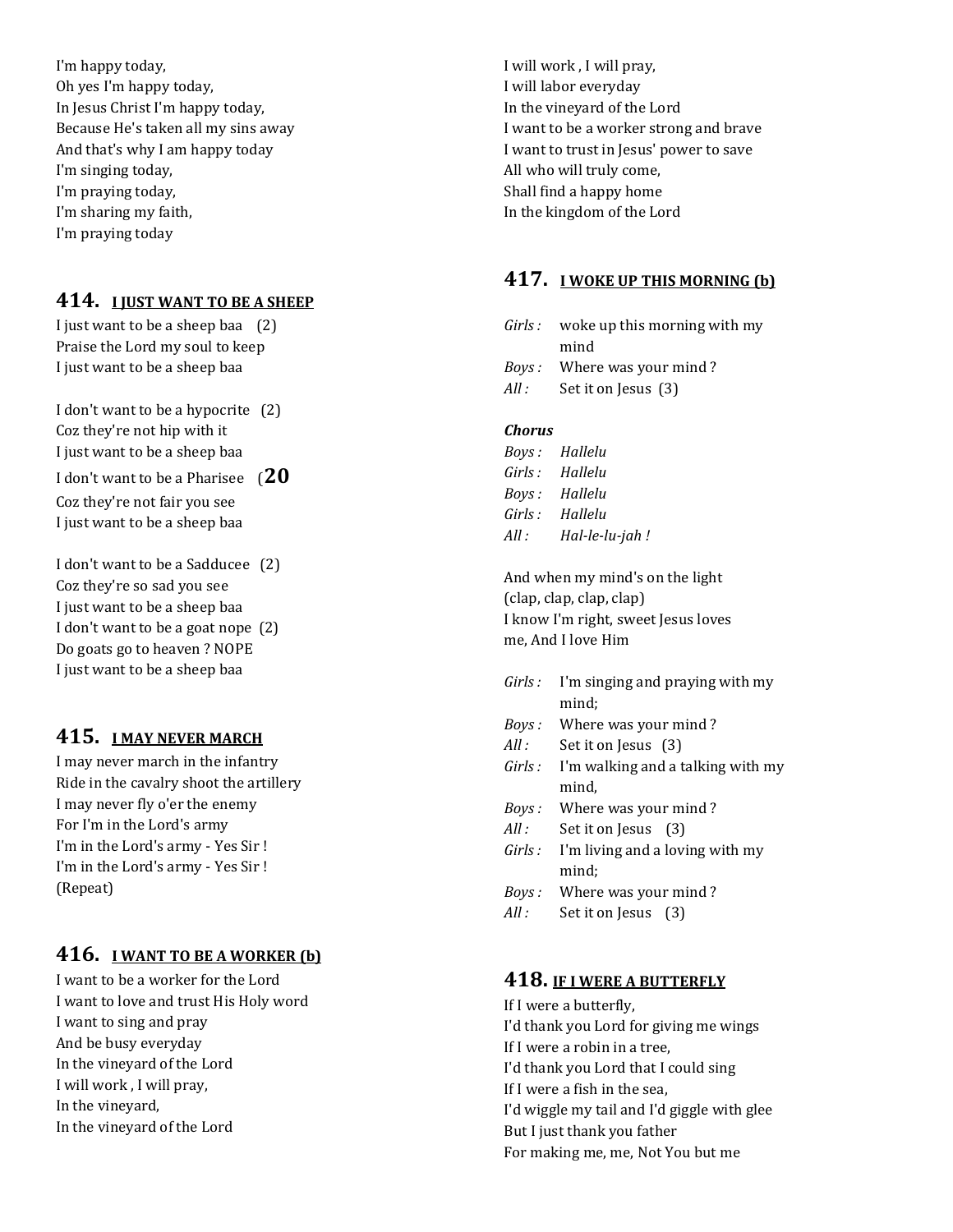I'm happy today, Oh yes I'm happy today, In Jesus Christ I'm happy today, Because He's taken all my sins away And that's why I am happy today I'm singing today, I'm praying today, I'm sharing my faith, I'm praying today

## **414. I JUST WANT TO BE A SHEEP**

I just want to be a sheep baa (2) Praise the Lord my soul to keep I just want to be a sheep baa

I don't want to be a hypocrite (2) Coz they're not hip with it I just want to be a sheep baa

I don't want to be a Pharisee (**20** Coz they're not fair you see I just want to be a sheep baa

I don't want to be a Sadducee (2) Coz they're so sad you se e I just want to be a sheep baa I don't want to be a goat nope (2) Do goats go to heaven ? NOPE I just want to be a sheep baa

# **415. I MAY NEVER MARCH**

I may never march in the infantry Ride in the cavalry shoot the artillery I may never fly o'er the enemy For I'm in the Lord's army I'm in the Lord's army - Yes Sir ! I'm in the Lord's army - Yes Sir ! (Repeat)

## **416. I WANT TO BE A WORKER (b)**

I want to be a worker for the Lord I want to love and trust His Holy word I want to sing and pray And be busy everyday In the vineyard of the Lord I will work , I will pray, In the vineyard, In the vineyard of the Lord

I will work , I will pray, I will labor everyday In the vineyard of the Lord I want to be a worker strong and brave I want to trust in Jesus' power to save All who will truly come, Shall find a happy home In the kingdom of the Lord

## **417. I WOKE UP THIS MORNING (b)**

*Girls :* woke up this morning with my mind *Boys :* Where was your mind ? *All :* Set it on Jesus (3)

#### *Chorus*

| Boys :  | Hallelu        |
|---------|----------------|
| Girls : | Hallelu        |
| Bovs :  | Hallelu        |
| Girls : | Hallelu        |
| All :   | Hal-le-lu-jah! |

And when my mind's on the light (clap, clap, clap, clap) I know I'm right, sweet Jesus loves me, And I love Him

- *Girls :* I'm singing and praying with my mind; *Boys :* Where was your mind ? *All :* Set it on Jesus (3) *Girls :* I'm walking and a talking with my mind, *Boys :* Where was your mind ? *All :* Set it on Jesus (3) *Girls :* I'm living and a loving with my mind; *Boys :* Where was your mind ?
- *All :* Set it on Jesus (3)

# **41 8 . IF I WERE A BUTTERFLY**

If I were a butterfly, I'd thank you Lord for giving me wings If I were a robin in a tree, I'd thank you Lord that I could sing If I were a fish in the sea, I'd wiggle my tail and I'd giggle with glee But I just thank you father For making me, me, Not You but me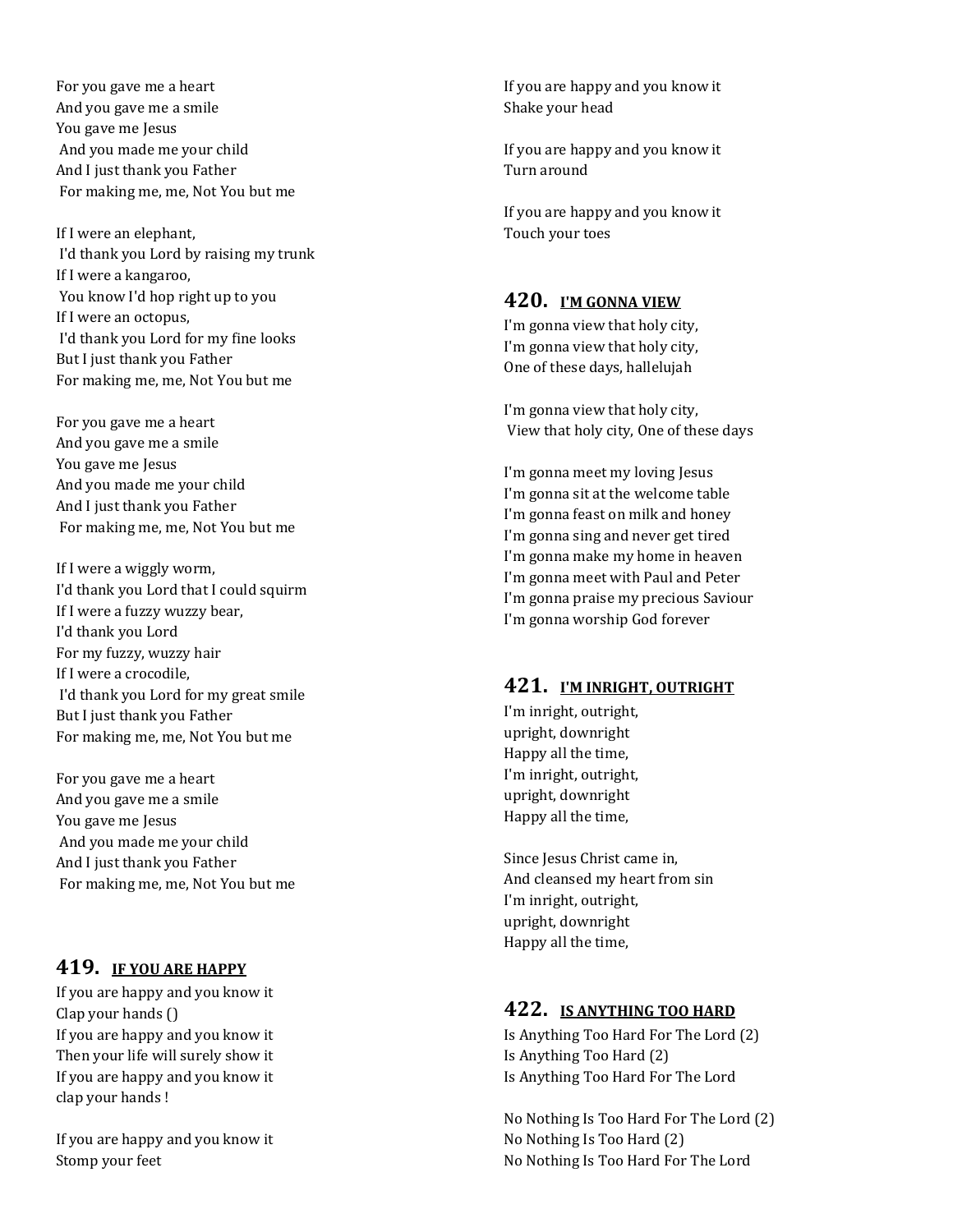For you gave me a heart And you gave me a smile You gave me Jesus And you made me your child And I just thank you Father For making me, me, Not You but me

If I were an elephant, I'd thank you Lord by raising my trunk If I were a kangaroo, You know I'd hop right up to you If I were an octopus, I'd thank you Lord for my fine looks But I just thank you Father For making me, me, Not You but me

For you gave me a heart And you gave me a smile You gave me Jesus And you made me your child And I just thank you Father For making me, me, Not You but me

If I were a wiggly worm, I'd thank you Lord that I could squirm If I were a fuzzy wuzzy bear, I'd thank you Lord For my fuzzy, wuzzy hair If I were a crocodile, I'd thank you Lord for my great smile But I just thank you Father For making me, me, Not You but me

For you gave me a heart And you gave me a smile You gave me Jesus And you made me your child And I just thank you Father For making me, me, Not You but me

# **41 9 . IF YOU ARE HAPPY**

If you are happy and you know it Clap your hands () If you are happy and you know it Then your life will surely show it If you are happy and you know it clap your hands !

If you are happy and you know it Stomp your feet

If you are happy and you know it Shake your head

If you are happy and you know it Turn around

If you are happy and you know it Touch your toes

## **420. I'M GONNA VIEW**

I'm gonna view that holy city, I'm gonna view that holy city, One of these days, hallelujah

I'm gonna view that holy city, View that holy city, One of these days

I'm gonna meet my loving Jesus I'm gonna sit at the welcome table I'm gonna feast on milk and honey I'm gonna sing and never get tired I'm gonna make my home in heaven I'm gonna meet with Paul and Peter I'm gonna praise my precious Saviour I'm gonna worship God forever

## **421. I'M INRIGHT, OUTRIGHT**

I'm inright, outright, upright, downright Happy all the time, I'm inright, outright, upright, downright Happy all the time,

Since Jesus Christ came in, And cleansed my heart from sin I'm inright, outright, upright, downright Happy all the time,

#### **422. IS ANYTHING TOO HARD**

Is Anything Too Hard For The Lord (2) Is Anything Too Hard (2) Is Anything Too Hard For The Lord

No Nothing Is Too Hard For The Lord (2) No Nothing Is Too Hard (2) No Nothing Is Too Hard For The Lord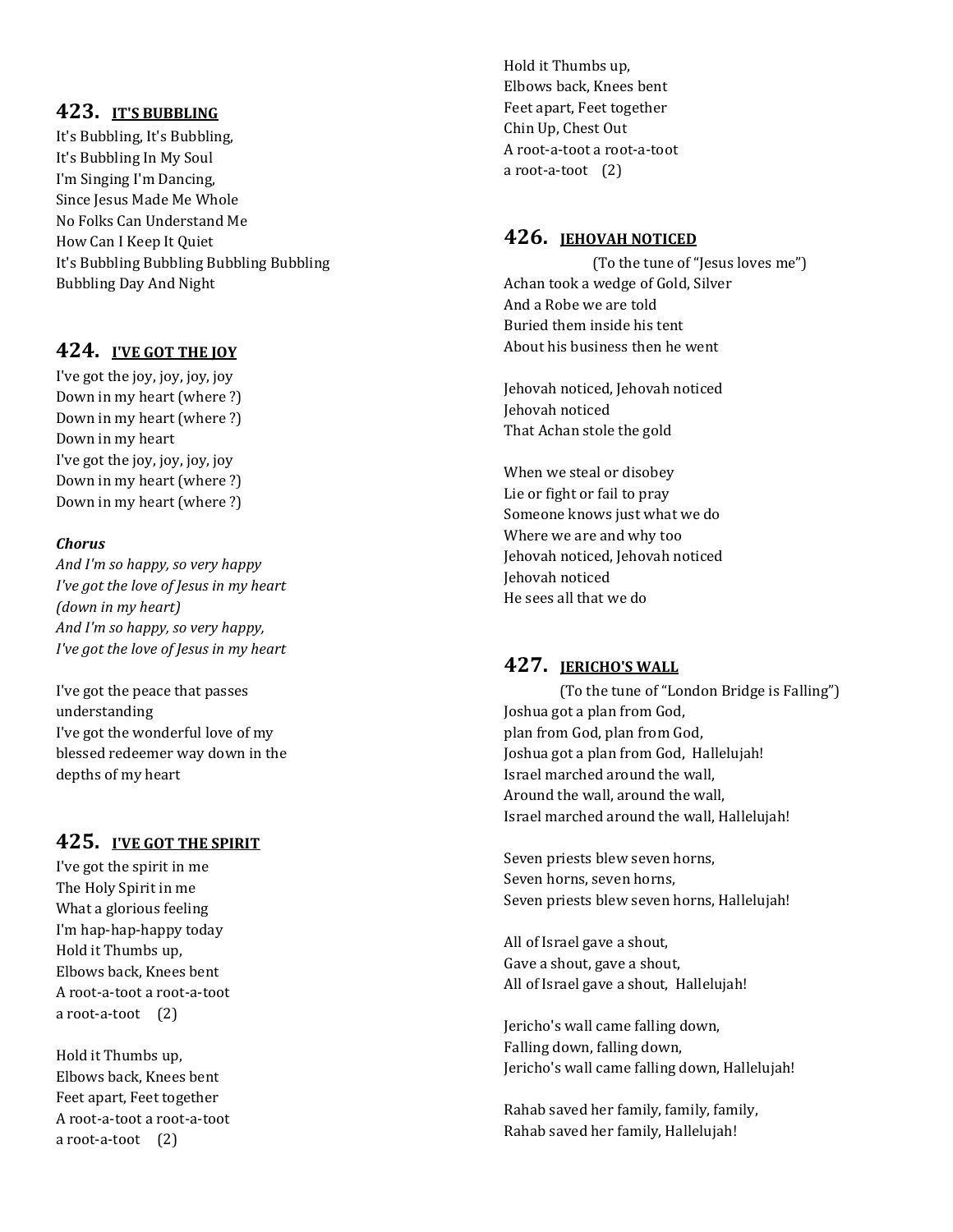# **4 2 3 . IT'S BUBBLING**

It's Bubbling, It's Bubbling, It's Bubbling In My Soul I'm Singing I'm Dancing, Since Jesus Made Me Whole No Folks Can Understand Me How Can I Keep It Quiet It's Bubbling Bubbling Bubbling Bubbling Bubbling Day And Night

## **424. I'VE GOT THE JOY**

I've got the joy, joy, joy, joy Down in my heart (where ?) Down in my heart (where ?) Down in my heart I've got the joy, joy, joy, joy Down in my heart (where ?) Down in my heart (where ?)

#### *Chorus*

*And I'm so happy, so very happy I've got the love of Jesus in my heart (down in my heart) And I'm so happy, so very happy, I've got the love of Jesus in my heart*

I've got the peace that passes understanding I've got the wonderful love of my blessed redeemer way down in the depths of my heart

# **425. I'VE GOT THE SPIRIT**

I've got the spirit in me The Holy Spirit in me What a glorious feeling I'm hap -hap -happy today Hold it Thumbs up, Elbows back, Knees bent A root-a-toot a root-a-toot  $a root$  (2)

Hold it Thumbs up, Elbows back, Knees bent Feet apart, Feet together A root-a-toot a root-a-toot  $a root$ - $a$ -toot  $(2)$ 

Hold it Thumbs up, Elbows back, Knees bent Feet apart, Feet together Chin Up, Chest Out A root-a-toot a root-a-toot a root-a-toot (2)

# **426. JEHOVAH NOTICED**

(To the tune of "Jesus loves me") Achan took a wedge of Gold, Silver And a Robe we are told Buried them inside his tent About his business then he went

Jehovah noticed, Jehovah noticed Jehovah noticed That Achan stole the gold

When we steal or disobey Lie or fight or fail to pray Someone knows just what we do Where we are and why too Jehovah noticed, Jehovah noticed Jehovah noticed He sees all that we do

## **427. JERICHO'S WALL**

(To the tune of "London Bridge is Falling") Joshua got a plan from God, plan from God, plan from God, Joshua got a plan from God, Hallelujah! Israel marched around the wall, Around the wall, around the wall, Israel marched around the wall, Hallelujah!

Seven priests blew seven horns, Seven horns, seven horns, Seven priests blew seven horns, Hallelujah!

All of Israel gave a shout, Gave a shout, gave a shout, All of Israel gave a shout, Hallelujah!

Jericho's wall came falling down, Falling down, falling down, Jericho's wall came falling down, Hallelujah!

Rahab saved her family, family, family, Rahab saved her family, Hallelujah!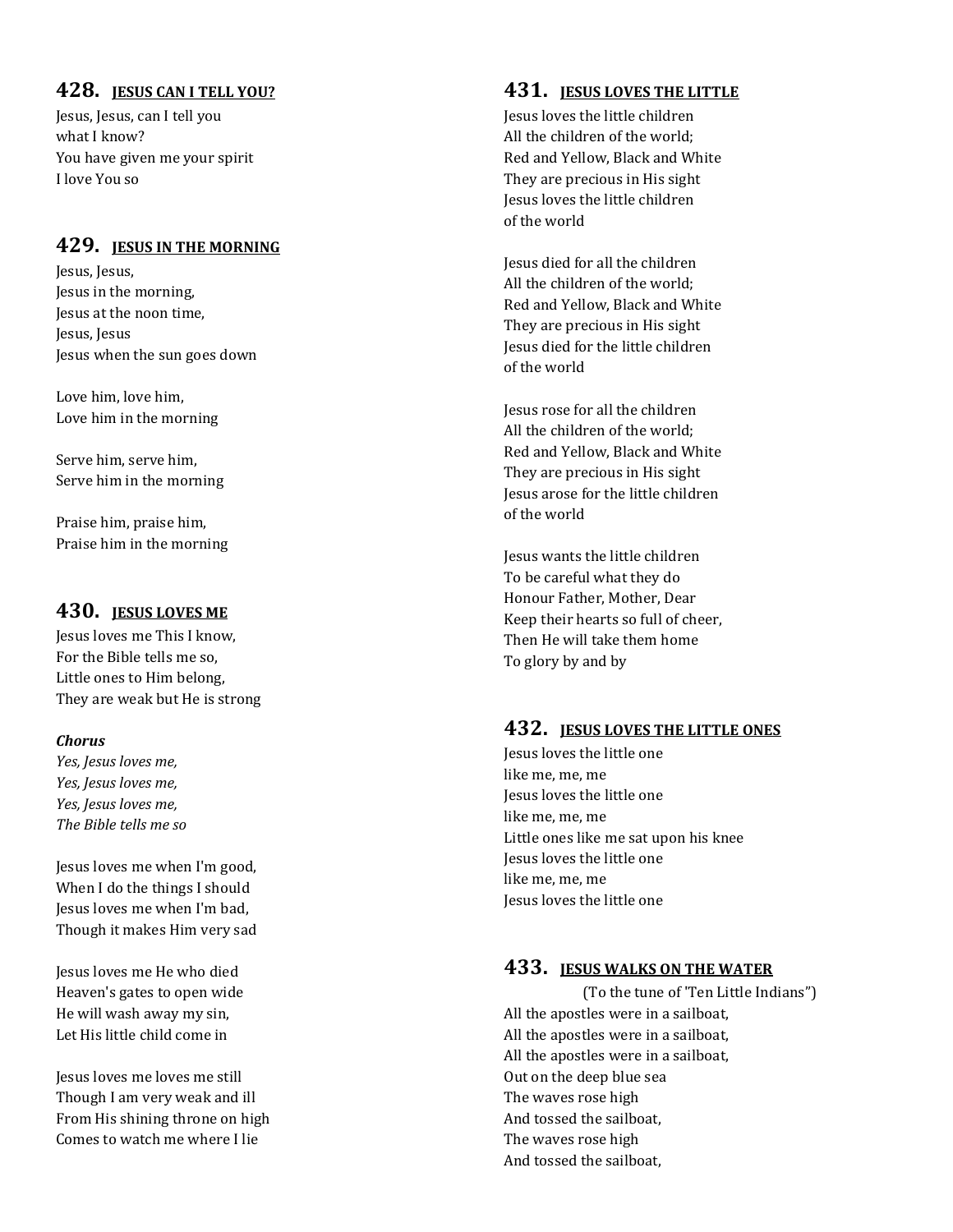## **428. JESUS CAN I TELL YOU?**

Jesus, Jesus, can I tell you what I know? You have given me your spirit I love You so

## **429. JESUS IN THE MORNING**

Jesus, Jesus, Jesus in the morning, Jesus at the noon time, Jesus, Jesus Jesus when the sun goes down

Love him, love him, Love him in the morning

Serve him, serve him, Serve him in the morning

Praise him, praise him, Praise him in the morning

# **430. JESUS LOVES ME**

Jesus loves me This I know, For the Bible tells me so, Little ones to Him belong, They are weak but He is strong

#### *Chorus*

*Yes, Jesus loves me, Yes, Jesus loves me, Yes, Jesus loves me, The Bible tells me so*

Jesus loves me when I'm good, When I do the things I should Jesus loves me when I'm bad, Though it makes Him very sad

Jesus loves me He who died Heaven's gates to open wide He will wash away my sin, Let His little child come in

Jesus loves me loves me still Though I am very weak and ill From His shining throne on high Comes to watch me where I lie

# **431 . JESUS LOVES THE LITTLE**

Jesus loves the little children All the children of the world; Red and Yellow, Black and White They are precious in His sight Jesus loves the little children of the world

Jesus died for all the children All the children of the world; Red and Yellow, Black and White They are precious in His sight Jesus died for the little children of the world

Jesus rose for all the children All the children of the world; Red and Yellow, Black and White They are precious in His sight Jesus arose for the little children of the world

Jesus wants the little children To be careful what they do Honour Father, Mother, Dear Keep their hearts so full of cheer, Then He will take them home To glory by and by

## **432. JESUS LOVES THE LITTLE ONES**

Jesus loves the little one like me, me, me Jesus loves the little one like me, me, me Little ones like me sat upon his knee Jesus loves the little one like me, me, me Jesus loves the little one

## **433. JESUS WALKS ON THE WATER**

(To the tune of 'Ten Little Indians") All the apostles were in a sailboat, All the apostles were in a sailboat, All the apostles were in a sailboat, Out on the deep blue sea The waves rose high And tossed the sailboat, The waves rose high And tossed the sailboat,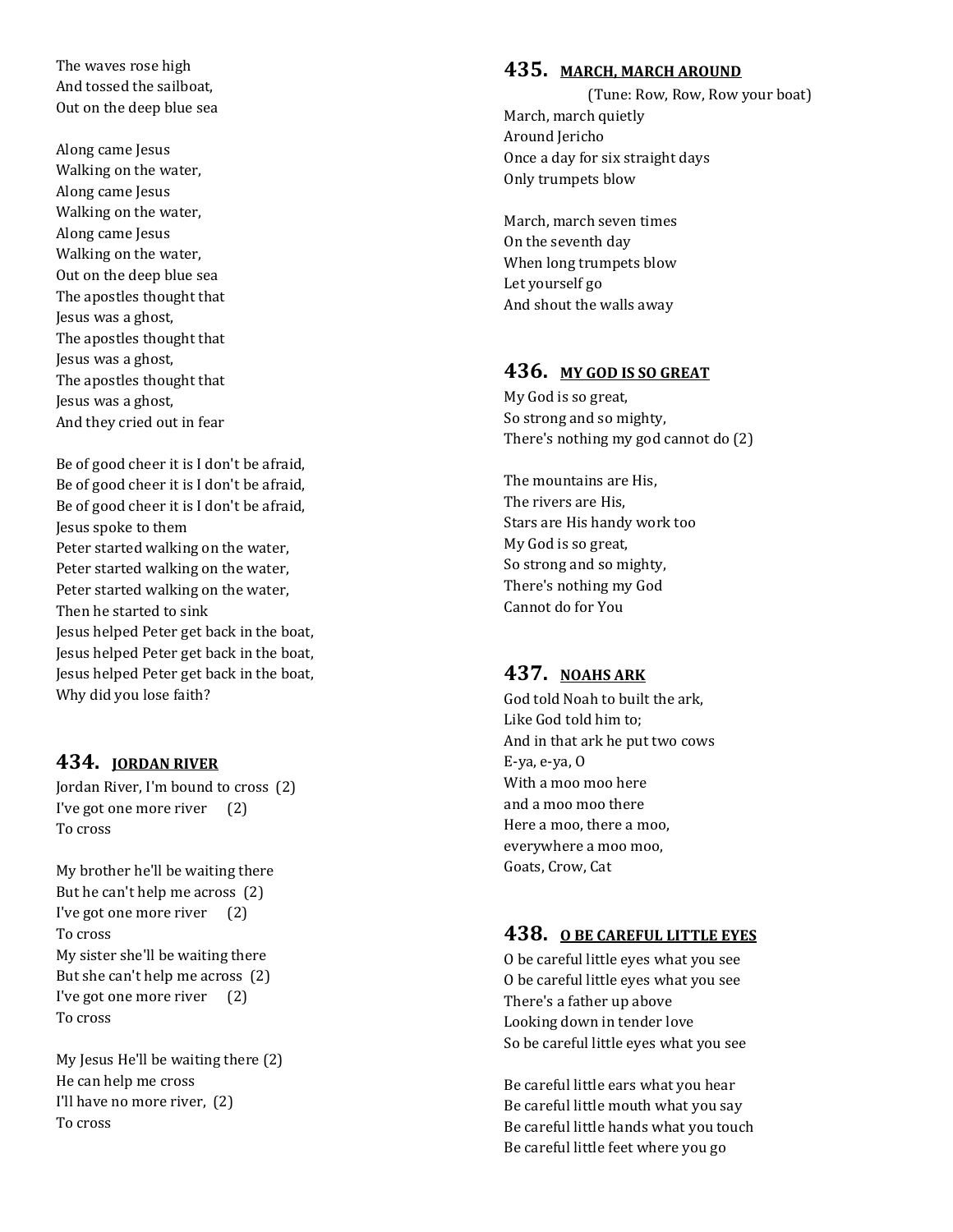The waves rose high And tossed the sailboat, Out on the deep blue sea

Along came Jesus Walking on the water, Along came Jesus Walking on the water, Along came Jesus Walking on the water, Out on the deep blue sea The apostles thought that Jesus was a ghost, The apostles thought that Jesus was a ghost, The apostles thought that Jesus was a ghost, And they cried out in fear

Be of good cheer it is I don't be afraid, Be of good cheer it is I don't be afraid, Be of good cheer it is I don't be afraid, Jesus spoke to them Peter started walking on the water, Peter started walking on the water, Peter started walking on the water, Then he started to sink Jesus helped Peter get back in the boat, Jesus helped Peter get back in the boat, Jesus helped Peter get back in the boat, Why did you lose faith?

## **434. JORDAN RIVER**

Jordan River, I'm bound to cross (2) I've got one more river (2) To cross

My brother he'll be waiting there But he can't help me across (2) I've got one more river (2) To cross My sister she'll be waiting there But she can't help me across (2) I've got one more river (2) To cross

My Jesus He'll be waiting there (2) He can help me cross I'll have no more river, (2) To cross

# **435 . MARCH, MARCH AROUND**

(Tune: Row, Row, Row your boat) March, march quietly Around Jericho Once a day for six straight days Only trumpets blow

March, march seven times On the seventh day When long trumpets blow Let yourself go And shout the walls away

## **436. MY GOD IS SO GREAT**

My God is so great, So strong and so mighty, There's nothing my god cannot do (2)

The mountains are His, The rivers are His, Stars are His handy work too My God is so great, So strong and so mighty, There's nothing my God Cannot do for You

# **437. NOAHS ARK**

God told Noah to built the ark, Like God told him to; And in that ark he put two cows E-ya, e-ya, O With a moo moo here and a moo moo there Here a moo, there a moo, everywhere a moo moo, Goats, Crow, Cat

## **438. O BE CAREFUL LITTLE EYES**

O be careful little eyes what you see O be careful little eyes what you see There's a father up above Looking down in tender love So be careful little eyes what you see

Be careful little ears what you hear Be careful little mouth what you say Be careful little hands what you touch Be careful little feet where you go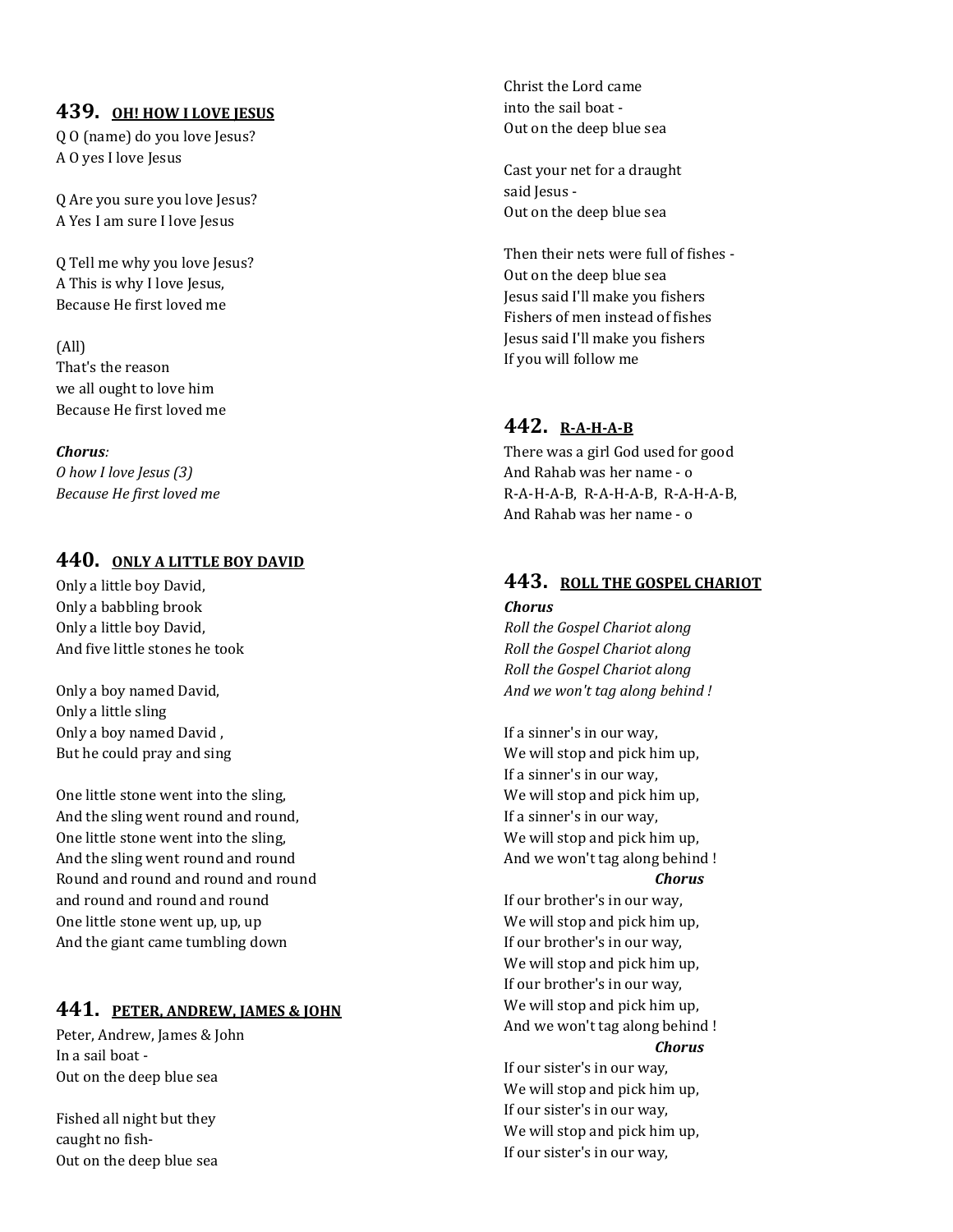## **439. OH! HOW I LOVE JESUS**

Q O (name) do you love Jesus? A O yes I love Jesus

Q Are you sure you love Jesus? A Yes I am sure I love Jesus

Q Tell me why you love Jesus? A This is why I love Jesus, Because He first loved me

(All) That's the reason we all ought to love him Because He first loved me

#### *Chorus:*

*O how I love Jesus (3) Because He first loved me*

# **440. ONLY A LITTLE BOY DAVID**

Only a little boy David, Only a babbling brook Only a little boy David, And five little stones he took

Only a boy named David, Only a little sling Only a boy named David , But he could pray and sing

One little stone went into the sling, And the sling went round and round, One little stone went into the sling, And the sling went round and round Round and round and round and round and round and round and round One little stone went up, up, up And the giant came tumbling down

## **441. PETER, ANDREW, JAMES & JOHN**

Peter, Andrew, James & John In a sail boat - Out on the deep blue sea

Fished all night but they caught no fish-Out on the deep blue sea Christ the Lord came into the sail boat - Out on the deep blue sea

Cast your net for a draught said Jesus -Out on the deep blue sea

Then their nets were full of fishes - Out on the deep blue sea Jesus said I'll make you fishers Fishers of men instead of fishes Jesus said I'll make you fishers If you will follow me

# **442. R-A-H-A-B**

There was a girl God used for good And Rahab was her name - o R-A-H-A-B, R-A-H-A-B, R-A-H-A-B, And Rahab was her name - o

# **443. ROLL THE GOSPEL CHARIOT**

*Chorus Roll the Gospel Chariot along Roll the Gospel Chariot along Roll the Gospel Chariot along And we won't tag along behind !*

If a sinner's in our way, We will stop and pick him up, If a sinner's in our way, We will stop and pick him up, If a sinner's in our way, We will stop and pick him up, And we won't tag along behind ! *Chorus*

If our brother's in our way, We will stop and pick him up, If our brother's in our way, We will stop and pick him up, If our brother's in our way, We will stop and pick him up, And we won't tag along behind ! *Chorus*

If our sister's in our way, We will stop and pick him up, If our sister's in our way, We will stop and pick him up, If our sister's in our way,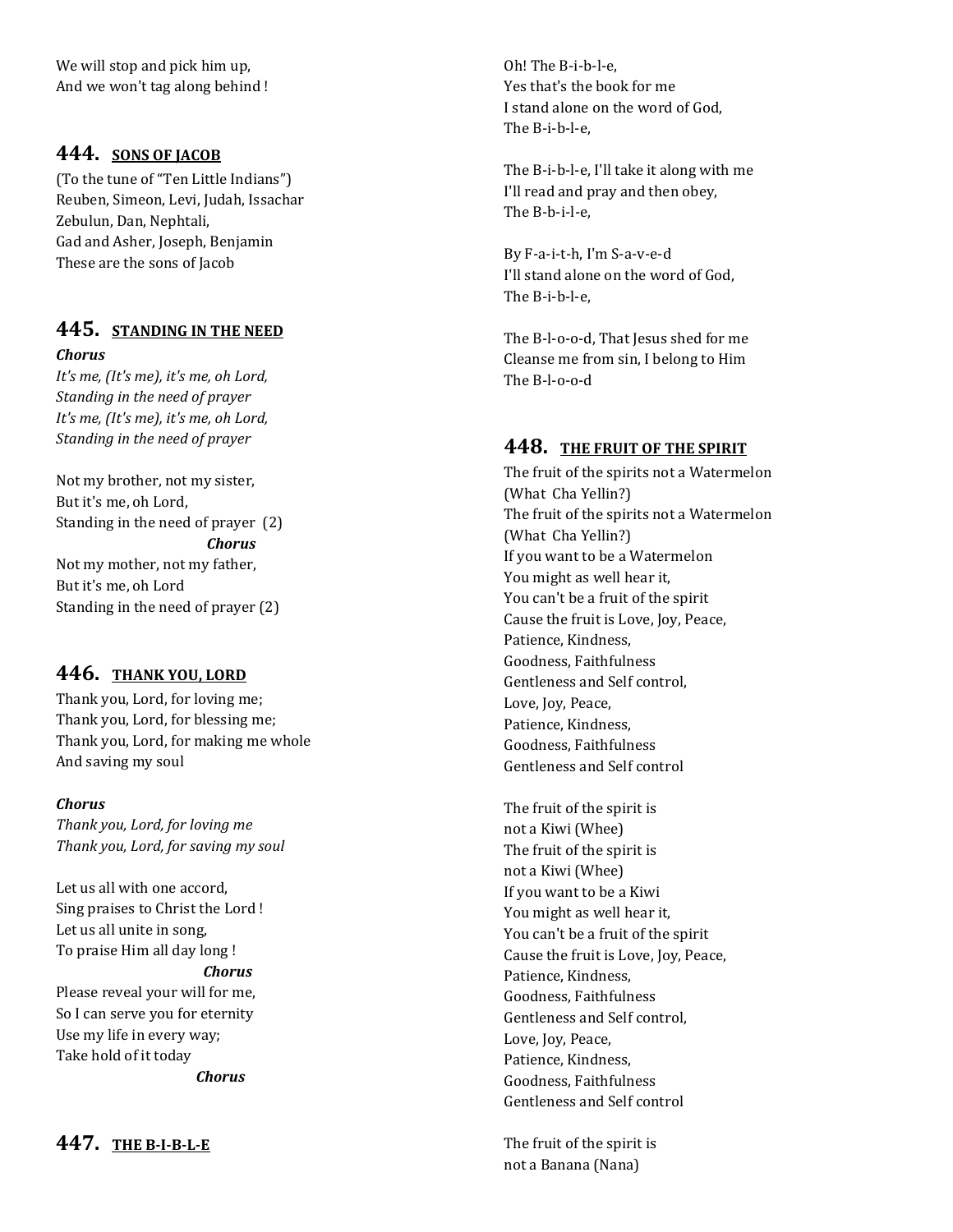We will stop and pick him up, And we won't tag along behind !

## **444. SONS OF JACOB**

(To the tune of "Ten Little Indians") Reuben, Simeon, Levi, Judah, Issachar Zebulun, Dan, Nephtali, Gad and Asher, Joseph, Benjamin These are the sons of Jacob

#### **445. STANDING IN THE NEED** *Chorus*

*It's me, (It's me), it's me, oh Lord, Standing in the need of prayer It's me, (It's me), it's me, oh Lord, Standing in the need of prayer*

Not my brother, not my sister, But it's me, oh Lord, Standing in the need of prayer (2) *Chorus* Not my mother, not my father, But it's me, oh Lord Standing in the need of prayer (2)

# **446. THANK YOU, LORD**

Thank you, Lord, for loving me; Thank you, Lord, for blessing me; Thank you, Lord, for making me whole And saving my soul

#### *Chorus*

*Thank you, Lord, for loving me Thank you, Lord, for saving my soul*

Let us all with one accord, Sing praises to Christ the Lord ! Let us all unite in song, To praise Him all day long ! *Chorus* Please reveal your will for me, So I can serve you for eternity Use my life in every way; Take hold of it today *Chorus*

**447. THE B - I - B - L - E**

Oh! The B-i-b-l-e, Yes that's the book for me I stand alone on the word of God, The B-i-b-l-e,

The B-i-b-l-e, I'll take it along with me I'll read and pray and then obey, The B-b-i-l-e,

By F-a-i-t-h, I'm S-a-v-e-d I'll stand alone on the word of God, The B-i-b-l-e,

The B-l-o-o-d, That Jesus shed for me Cleanse me from sin, I belong to Him The B-l-o-o-d

## **448. THE FRUIT OF THE SPIRIT**

The fruit of the spirits not a Watermelon (What Cha Yellin?) The fruit of the spirits not a Watermelon (What Cha Yellin?) If you want to be a Watermelon You might as well hear it, You can't be a fruit of the spirit Cause the fruit is Love, Joy, Peace, Patience, Kindness, Goodness, Faithfulness Gentleness and Self control, Love, Joy, Peace, Patience, Kindness, Goodness, Faithfulness Gentleness and Self control

The fruit of the spirit is not a Kiwi (Whee) The fruit of the spirit is not a Kiwi (Whee) If you want to be a Kiwi You might as well hear it, You can't be a fruit of the spirit Cause the fruit is Love, Joy, Peace, Patience, Kindness, Goodness, Faithfulness Gentleness and Self control, Love, Joy, Peace, Patience, Kindness, Goodness, Faithfulness Gentleness and Self control

The fruit of the spirit is not a Banana (Nana)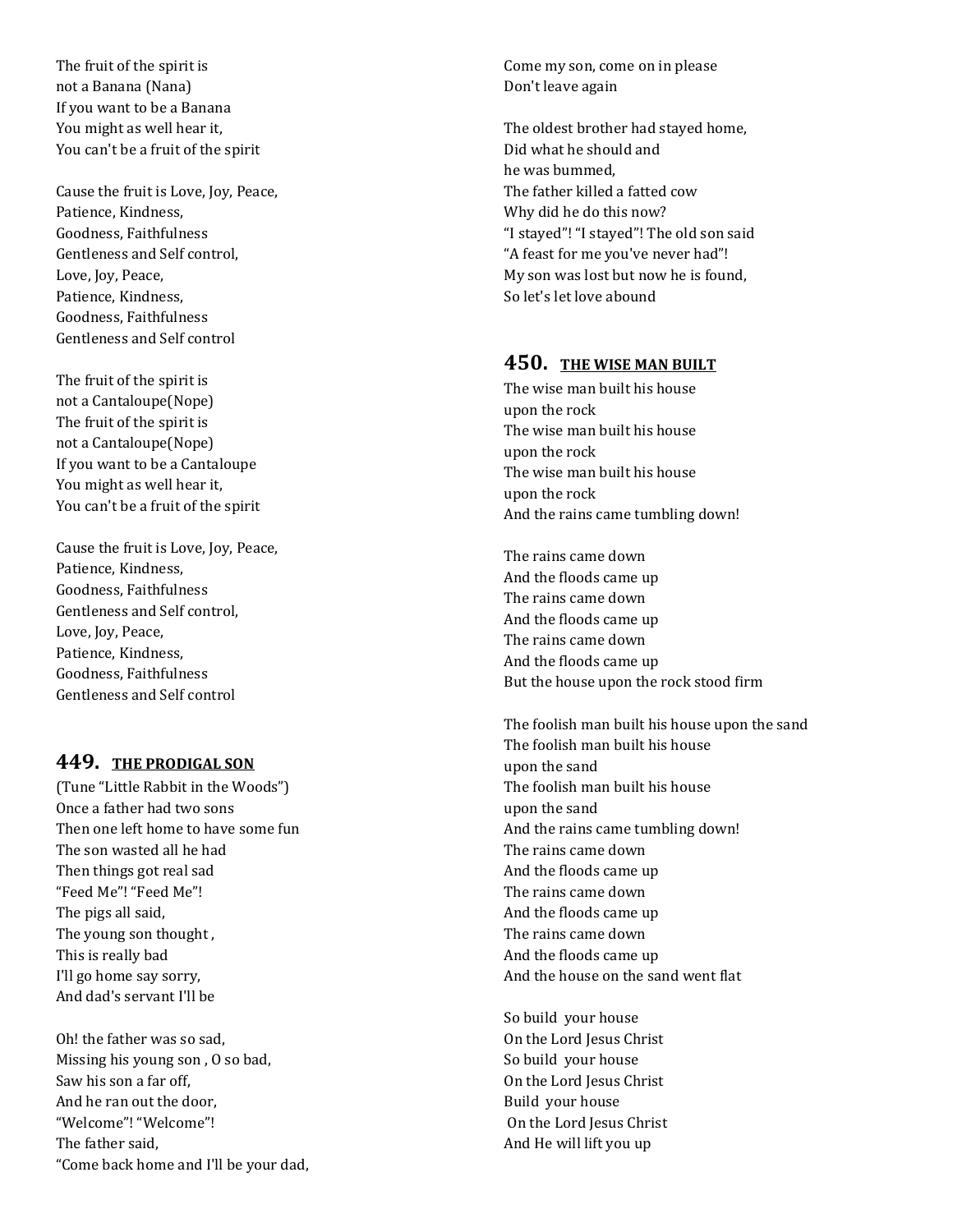The fruit of the spirit is not a Banana (Nana) If you want to be a Banana You might as well hear it, You can't be a fruit of the spirit

Cause the fruit is Love, Joy, Peace, Patience, Kindness, Goodness, Faithfulness Gentleness and Self control, Love, Joy, Peace, Patience, Kindness, Goodness, Faithfulness Gentleness and Self control

The fruit of the spirit is not a Cantaloupe(Nope) The fruit of the spirit is not a Cantaloupe(Nope) If you want to be a Cantaloupe You might as well hear it, You can't be a fruit of the spirit

Cause the fruit is Love, Joy, Peace, Patience, Kindness, Goodness, Faithfulness Gentleness and Self control, Love, Joy, Peace, Patience, Kindness, Goodness, Faithfulness Gentleness and Self control

## **449. THE PRODIGAL SON**

(Tune "Little Rabbit in the Woods") Once a father had two sons Then one left home to have some fun The son wasted all he had Then things got real sad "Feed Me"! "Feed Me"! The pigs all said, The young son thought , This is really bad I'll go home say sorry, And dad's servant I'll be

Oh! the father was so sad, Missing his young son , O so bad, Saw his son a far off, And he ran out the door, "Welcome"! "Welcome"! The father said, "Come back home and I'll be your dad, Come my son, come on in please Don't leave again

The oldest brother had stayed home, Did what he should and he was bummed, The father killed a fatted cow Why did he do this now? "I stayed"! "I stayed"! The old son said "A feast for me you've never had"! My son was lost but now he is found, So let's let love abound

#### **450. THE WISE MAN BUILT**

The wise man built his house upon the rock The wise man built his house upon the rock The wise man built his house upon the rock And the rains came tumbling down!

The rains came down And the floods came up The rains came down And the floods came up The rains came down And the floods came up But the house upon the rock stood firm

The foolish man built his house upon the sand The foolish man built his house upon the sand The foolish man built his house upon the sand And the rains came tumbling down! The rains came down And the floods came up The rains came down And the floods came up The rains came down And the floods came up And the house on the sand went flat

So build your house On the Lord Jesus Christ So build your house On the Lord Jesus Christ Build your house On the Lord Jesus Christ And He will lift you up